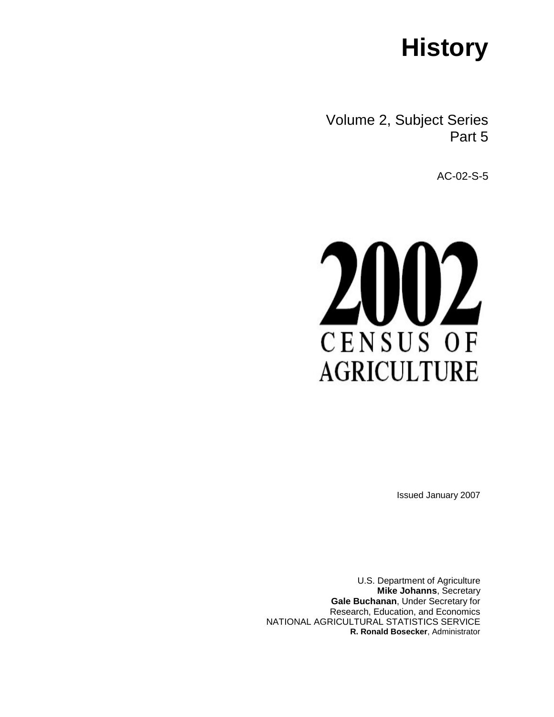# **History**

Volume 2, Subject Series Part 5

AC-02-S-5



Issued January 2007

U.S. Department of Agriculture **Mike Johanns**, Secretary **Gale Buchanan**, Under Secretary for Research, Education, and Economics NATIONAL AGRICULTURAL STATISTICS SERVICE **R. Ronald Bosecker**, Administrator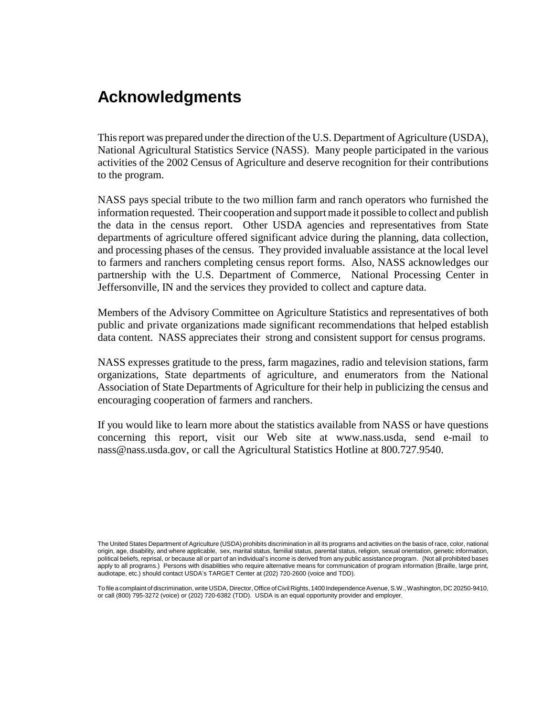## **Acknowledgments**

This report was prepared under the direction of the U.S. Department of Agriculture (USDA), National Agricultural Statistics Service (NASS). Many people participated in the various activities of the 2002 Census of Agriculture and deserve recognition for their contributions to the program.

NASS pays special tribute to the two million farm and ranch operators who furnished the information requested. Their cooperation and support made it possible to collect and publish the data in the census report. Other USDA agencies and representatives from State departments of agriculture offered significant advice during the planning, data collection, and processing phases of the census. They provided invaluable assistance at the local level to farmers and ranchers completing census report forms. Also, NASS acknowledges our partnership with the U.S. Department of Commerce, National Processing Center in Jeffersonville, IN and the services they provided to collect and capture data.

Members of the Advisory Committee on Agriculture Statistics and representatives of both public and private organizations made significant recommendations that helped establish data content. NASS appreciates their strong and consistent support for census programs.

NASS expresses gratitude to the press, farm magazines, radio and television stations, farm organizations, State departments of agriculture, and enumerators from the National Association of State Departments of Agriculture for their help in publicizing the census and encouraging cooperation of farmers and ranchers.

If you would like to learn more about the statistics available from NASS or have questions concerning this report, visit our Web site at www.nass.usda, send e-mail to nass@nass.usda.gov, or call the Agricultural Statistics Hotline at 800.727.9540.

To file a complaint of discrimination, write USDA, Director, Office of Civil Rights, 1400 Independence Avenue, S.W., Washington, DC 20250-9410, or call (800) 795-3272 (voice) or (202) 720-6382 (TDD). USDA is an equal opportunity provider and employer.

The United States Department of Agriculture (USDA) prohibits discrimination in all its programs and activities on the basis of race, color, national origin, age, disability, and where applicable, sex, marital status, familial status, parental status, religion, sexual orientation, genetic information, political beliefs, reprisal, or because all or part of an individual's income is derived from any public assistance program. (Not all prohibited bases apply to all programs.) Persons with disabilities who require alternative means for communication of program information (Braille, large print, audiotape, etc.) should contact USDA's TARGET Center at (202) 720-2600 (voice and TDD).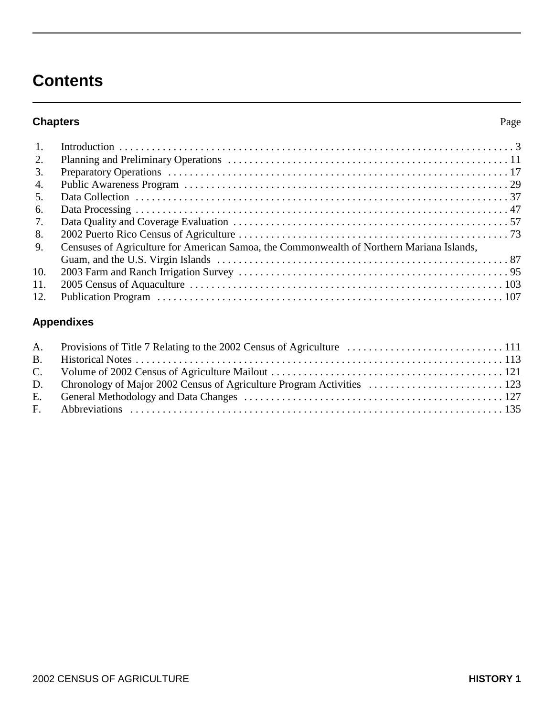## **Contents**

## **Chapters** Page

| $\overline{1}$ . |                                                                                           |  |
|------------------|-------------------------------------------------------------------------------------------|--|
| 2.               |                                                                                           |  |
| 3.               |                                                                                           |  |
| 4.               |                                                                                           |  |
| 5.               |                                                                                           |  |
| 6.               |                                                                                           |  |
| 7.               |                                                                                           |  |
| 8.               |                                                                                           |  |
| 9.               | Censuses of Agriculture for American Samoa, the Commonwealth of Northern Mariana Islands, |  |
|                  |                                                                                           |  |
| 10.              |                                                                                           |  |
| 11.              |                                                                                           |  |
| 12 <sub>1</sub>  |                                                                                           |  |

## **Appendixes**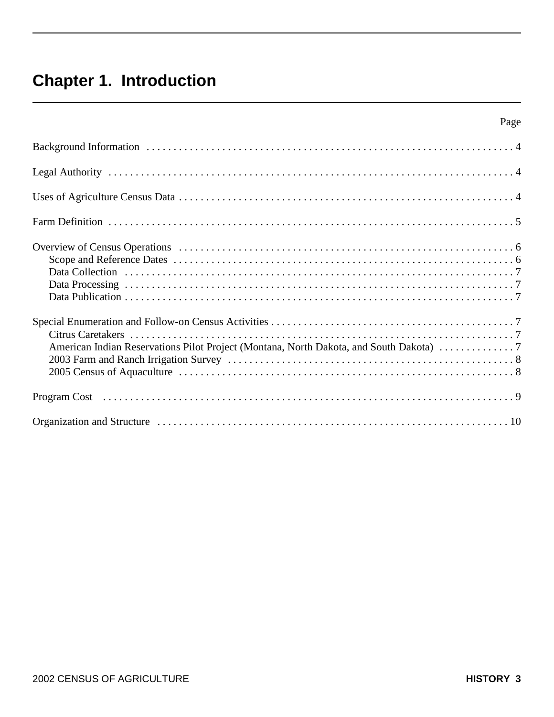## **Chapter 1. Introduction**

| Page                                                                                 |  |
|--------------------------------------------------------------------------------------|--|
|                                                                                      |  |
|                                                                                      |  |
|                                                                                      |  |
|                                                                                      |  |
|                                                                                      |  |
| American Indian Reservations Pilot Project (Montana, North Dakota, and South Dakota) |  |
|                                                                                      |  |
|                                                                                      |  |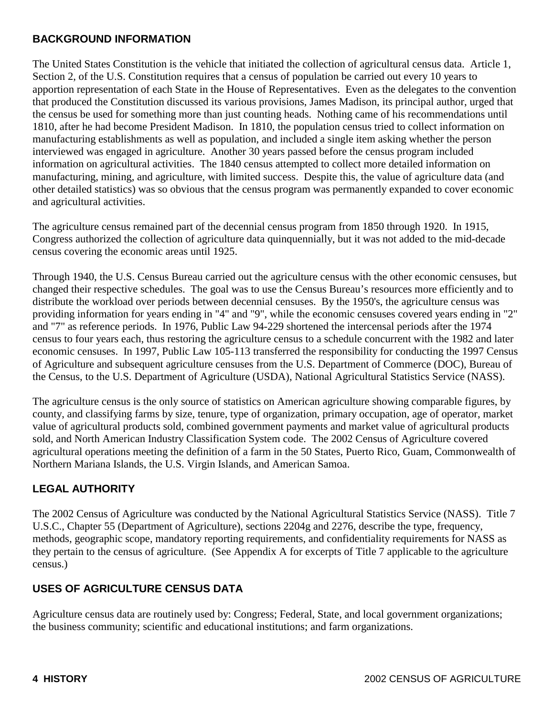#### **BACKGROUND INFORMATION**

The United States Constitution is the vehicle that initiated the collection of agricultural census data. Article 1, Section 2, of the U.S. Constitution requires that a census of population be carried out every 10 years to apportion representation of each State in the House of Representatives. Even as the delegates to the convention that produced the Constitution discussed its various provisions, James Madison, its principal author, urged that the census be used for something more than just counting heads. Nothing came of his recommendations until 1810, after he had become President Madison. In 1810, the population census tried to collect information on manufacturing establishments as well as population, and included a single item asking whether the person interviewed was engaged in agriculture. Another 30 years passed before the census program included information on agricultural activities. The 1840 census attempted to collect more detailed information on manufacturing, mining, and agriculture, with limited success. Despite this, the value of agriculture data (and other detailed statistics) was so obvious that the census program was permanently expanded to cover economic and agricultural activities.

The agriculture census remained part of the decennial census program from 1850 through 1920. In 1915, Congress authorized the collection of agriculture data quinquennially, but it was not added to the mid-decade census covering the economic areas until 1925.

Through 1940, the U.S. Census Bureau carried out the agriculture census with the other economic censuses, but changed their respective schedules. The goal was to use the Census Bureau's resources more efficiently and to distribute the workload over periods between decennial censuses. By the 1950's, the agriculture census was providing information for years ending in "4" and "9", while the economic censuses covered years ending in "2" and "7" as reference periods. In 1976, Public Law 94-229 shortened the intercensal periods after the 1974 census to four years each, thus restoring the agriculture census to a schedule concurrent with the 1982 and later economic censuses. In 1997, Public Law 105-113 transferred the responsibility for conducting the 1997 Census of Agriculture and subsequent agriculture censuses from the U.S. Department of Commerce (DOC), Bureau of the Census, to the U.S. Department of Agriculture (USDA), National Agricultural Statistics Service (NASS).

The agriculture census is the only source of statistics on American agriculture showing comparable figures, by county, and classifying farms by size, tenure, type of organization, primary occupation, age of operator, market value of agricultural products sold, combined government payments and market value of agricultural products sold, and North American Industry Classification System code. The 2002 Census of Agriculture covered agricultural operations meeting the definition of a farm in the 50 States, Puerto Rico, Guam, Commonwealth of Northern Mariana Islands, the U.S. Virgin Islands, and American Samoa.

## **LEGAL AUTHORITY**

The 2002 Census of Agriculture was conducted by the National Agricultural Statistics Service (NASS). Title 7 U.S.C., Chapter 55 (Department of Agriculture), sections 2204g and 2276, describe the type, frequency, methods, geographic scope, mandatory reporting requirements, and confidentiality requirements for NASS as they pertain to the census of agriculture. (See Appendix A for excerpts of Title 7 applicable to the agriculture census.)

## **USES OF AGRICULTURE CENSUS DATA**

Agriculture census data are routinely used by: Congress; Federal, State, and local government organizations; the business community; scientific and educational institutions; and farm organizations.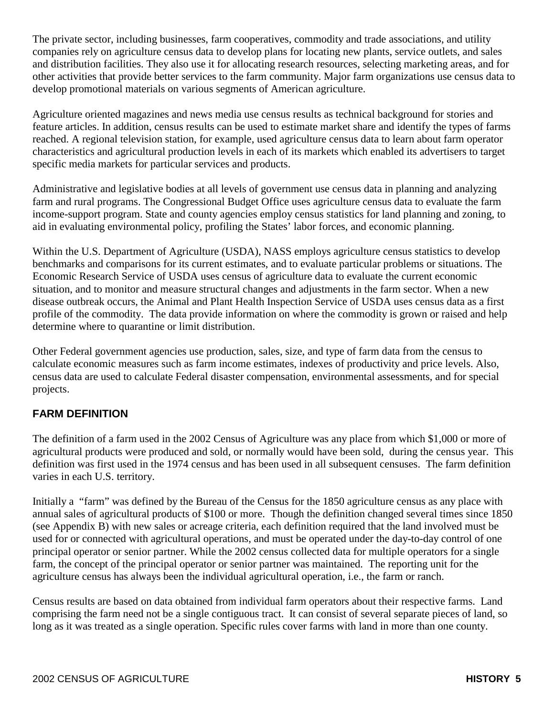The private sector, including businesses, farm cooperatives, commodity and trade associations, and utility companies rely on agriculture census data to develop plans for locating new plants, service outlets, and sales and distribution facilities. They also use it for allocating research resources, selecting marketing areas, and for other activities that provide better services to the farm community. Major farm organizations use census data to develop promotional materials on various segments of American agriculture.

Agriculture oriented magazines and news media use census results as technical background for stories and feature articles. In addition, census results can be used to estimate market share and identify the types of farms reached. A regional television station, for example, used agriculture census data to learn about farm operator characteristics and agricultural production levels in each of its markets which enabled its advertisers to target specific media markets for particular services and products.

Administrative and legislative bodies at all levels of government use census data in planning and analyzing farm and rural programs. The Congressional Budget Office uses agriculture census data to evaluate the farm income-support program. State and county agencies employ census statistics for land planning and zoning, to aid in evaluating environmental policy, profiling the States' labor forces, and economic planning.

Within the U.S. Department of Agriculture (USDA), NASS employs agriculture census statistics to develop benchmarks and comparisons for its current estimates, and to evaluate particular problems or situations. The Economic Research Service of USDA uses census of agriculture data to evaluate the current economic situation, and to monitor and measure structural changes and adjustments in the farm sector. When a new disease outbreak occurs, the Animal and Plant Health Inspection Service of USDA uses census data as a first profile of the commodity. The data provide information on where the commodity is grown or raised and help determine where to quarantine or limit distribution.

Other Federal government agencies use production, sales, size, and type of farm data from the census to calculate economic measures such as farm income estimates, indexes of productivity and price levels. Also, census data are used to calculate Federal disaster compensation, environmental assessments, and for special projects.

## **FARM DEFINITION**

The definition of a farm used in the 2002 Census of Agriculture was any place from which \$1,000 or more of agricultural products were produced and sold, or normally would have been sold, during the census year. This definition was first used in the 1974 census and has been used in all subsequent censuses. The farm definition varies in each U.S. territory.

Initially a "farm" was defined by the Bureau of the Census for the 1850 agriculture census as any place with annual sales of agricultural products of \$100 or more. Though the definition changed several times since 1850 (see Appendix B) with new sales or acreage criteria, each definition required that the land involved must be used for or connected with agricultural operations, and must be operated under the day-to-day control of one principal operator or senior partner. While the 2002 census collected data for multiple operators for a single farm, the concept of the principal operator or senior partner was maintained. The reporting unit for the agriculture census has always been the individual agricultural operation, i.e., the farm or ranch.

Census results are based on data obtained from individual farm operators about their respective farms. Land comprising the farm need not be a single contiguous tract. It can consist of several separate pieces of land, so long as it was treated as a single operation. Specific rules cover farms with land in more than one county.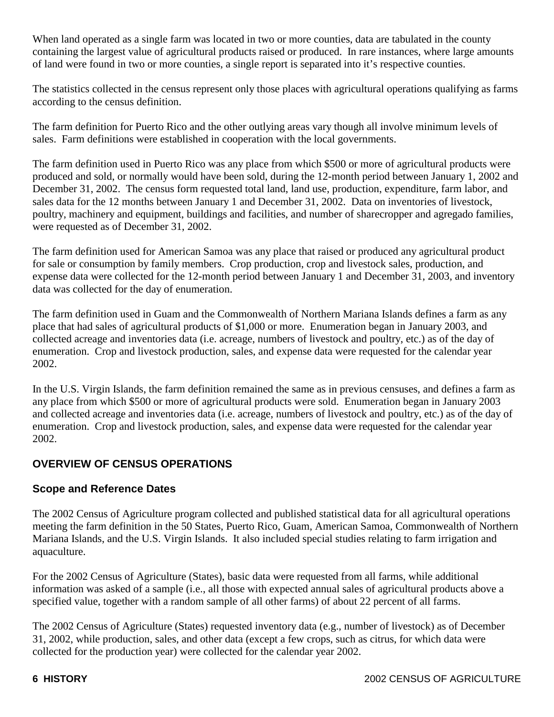When land operated as a single farm was located in two or more counties, data are tabulated in the county containing the largest value of agricultural products raised or produced. In rare instances, where large amounts of land were found in two or more counties, a single report is separated into it's respective counties.

The statistics collected in the census represent only those places with agricultural operations qualifying as farms according to the census definition.

The farm definition for Puerto Rico and the other outlying areas vary though all involve minimum levels of sales. Farm definitions were established in cooperation with the local governments.

The farm definition used in Puerto Rico was any place from which \$500 or more of agricultural products were produced and sold, or normally would have been sold, during the 12-month period between January 1, 2002 and December 31, 2002. The census form requested total land, land use, production, expenditure, farm labor, and sales data for the 12 months between January 1 and December 31, 2002. Data on inventories of livestock, poultry, machinery and equipment, buildings and facilities, and number of sharecropper and agregado families, were requested as of December 31, 2002.

The farm definition used for American Samoa was any place that raised or produced any agricultural product for sale or consumption by family members. Crop production, crop and livestock sales, production, and expense data were collected for the 12-month period between January 1 and December 31, 2003, and inventory data was collected for the day of enumeration.

The farm definition used in Guam and the Commonwealth of Northern Mariana Islands defines a farm as any place that had sales of agricultural products of \$1,000 or more. Enumeration began in January 2003, and collected acreage and inventories data (i.e. acreage, numbers of livestock and poultry, etc.) as of the day of enumeration. Crop and livestock production, sales, and expense data were requested for the calendar year 2002.

In the U.S. Virgin Islands, the farm definition remained the same as in previous censuses, and defines a farm as any place from which \$500 or more of agricultural products were sold. Enumeration began in January 2003 and collected acreage and inventories data (i.e. acreage, numbers of livestock and poultry, etc.) as of the day of enumeration. Crop and livestock production, sales, and expense data were requested for the calendar year 2002.

## **OVERVIEW OF CENSUS OPERATIONS**

## **Scope and Reference Dates**

The 2002 Census of Agriculture program collected and published statistical data for all agricultural operations meeting the farm definition in the 50 States, Puerto Rico, Guam, American Samoa, Commonwealth of Northern Mariana Islands, and the U.S. Virgin Islands. It also included special studies relating to farm irrigation and aquaculture.

For the 2002 Census of Agriculture (States), basic data were requested from all farms, while additional information was asked of a sample (i.e., all those with expected annual sales of agricultural products above a specified value, together with a random sample of all other farms) of about 22 percent of all farms.

The 2002 Census of Agriculture (States) requested inventory data (e.g., number of livestock) as of December 31, 2002, while production, sales, and other data (except a few crops, such as citrus, for which data were collected for the production year) were collected for the calendar year 2002.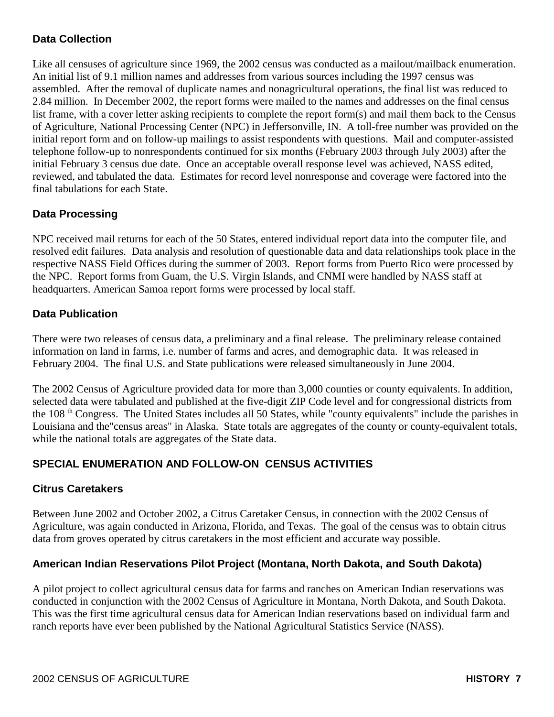## **Data Collection**

Like all censuses of agriculture since 1969, the 2002 census was conducted as a mailout/mailback enumeration. An initial list of 9.1 million names and addresses from various sources including the 1997 census was assembled. After the removal of duplicate names and nonagricultural operations, the final list was reduced to 2.84 million. In December 2002, the report forms were mailed to the names and addresses on the final census list frame, with a cover letter asking recipients to complete the report form(s) and mail them back to the Census of Agriculture, National Processing Center (NPC) in Jeffersonville, IN. A toll-free number was provided on the initial report form and on follow-up mailings to assist respondents with questions. Mail and computer-assisted telephone follow-up to nonrespondents continued for six months (February 2003 through July 2003) after the initial February 3 census due date. Once an acceptable overall response level was achieved, NASS edited, reviewed, and tabulated the data. Estimates for record level nonresponse and coverage were factored into the final tabulations for each State.

## **Data Processing**

NPC received mail returns for each of the 50 States, entered individual report data into the computer file, and resolved edit failures. Data analysis and resolution of questionable data and data relationships took place in the respective NASS Field Offices during the summer of 2003. Report forms from Puerto Rico were processed by the NPC. Report forms from Guam, the U.S. Virgin Islands, and CNMI were handled by NASS staff at headquarters. American Samoa report forms were processed by local staff.

#### **Data Publication**

There were two releases of census data, a preliminary and a final release. The preliminary release contained information on land in farms, i.e. number of farms and acres, and demographic data. It was released in February 2004. The final U.S. and State publications were released simultaneously in June 2004.

The 2002 Census of Agriculture provided data for more than 3,000 counties or county equivalents. In addition, selected data were tabulated and published at the five-digit ZIP Code level and for congressional districts from the 108<sup>th</sup> Congress. The United States includes all 50 States, while "county equivalents" include the parishes in Louisiana and the"census areas" in Alaska. State totals are aggregates of the county or county-equivalent totals, while the national totals are aggregates of the State data.

## **SPECIAL ENUMERATION AND FOLLOW-ON CENSUS ACTIVITIES**

#### **Citrus Caretakers**

Between June 2002 and October 2002, a Citrus Caretaker Census, in connection with the 2002 Census of Agriculture, was again conducted in Arizona, Florida, and Texas. The goal of the census was to obtain citrus data from groves operated by citrus caretakers in the most efficient and accurate way possible.

## **American Indian Reservations Pilot Project (Montana, North Dakota, and South Dakota)**

A pilot project to collect agricultural census data for farms and ranches on American Indian reservations was conducted in conjunction with the 2002 Census of Agriculture in Montana, North Dakota, and South Dakota. This was the first time agricultural census data for American Indian reservations based on individual farm and ranch reports have ever been published by the National Agricultural Statistics Service (NASS).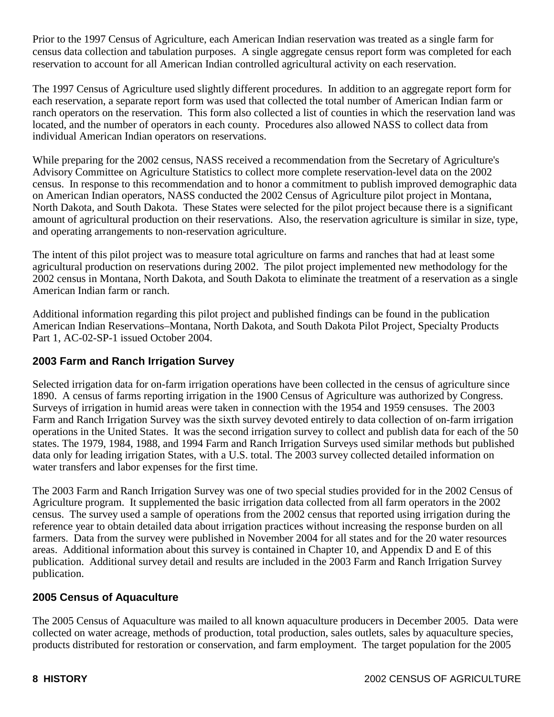Prior to the 1997 Census of Agriculture, each American Indian reservation was treated as a single farm for census data collection and tabulation purposes. A single aggregate census report form was completed for each reservation to account for all American Indian controlled agricultural activity on each reservation.

The 1997 Census of Agriculture used slightly different procedures. In addition to an aggregate report form for each reservation, a separate report form was used that collected the total number of American Indian farm or ranch operators on the reservation. This form also collected a list of counties in which the reservation land was located, and the number of operators in each county. Procedures also allowed NASS to collect data from individual American Indian operators on reservations.

While preparing for the 2002 census, NASS received a recommendation from the Secretary of Agriculture's Advisory Committee on Agriculture Statistics to collect more complete reservation-level data on the 2002 census. In response to this recommendation and to honor a commitment to publish improved demographic data on American Indian operators, NASS conducted the 2002 Census of Agriculture pilot project in Montana, North Dakota, and South Dakota. These States were selected for the pilot project because there is a significant amount of agricultural production on their reservations. Also, the reservation agriculture is similar in size, type, and operating arrangements to non-reservation agriculture.

The intent of this pilot project was to measure total agriculture on farms and ranches that had at least some agricultural production on reservations during 2002. The pilot project implemented new methodology for the 2002 census in Montana, North Dakota, and South Dakota to eliminate the treatment of a reservation as a single American Indian farm or ranch.

Additional information regarding this pilot project and published findings can be found in the publication American Indian Reservations–Montana, North Dakota, and South Dakota Pilot Project, Specialty Products Part 1, AC-02-SP-1 issued October 2004.

#### **2003 Farm and Ranch Irrigation Survey**

Selected irrigation data for on-farm irrigation operations have been collected in the census of agriculture since 1890. A census of farms reporting irrigation in the 1900 Census of Agriculture was authorized by Congress. Surveys of irrigation in humid areas were taken in connection with the 1954 and 1959 censuses. The 2003 Farm and Ranch Irrigation Survey was the sixth survey devoted entirely to data collection of on-farm irrigation operations in the United States. It was the second irrigation survey to collect and publish data for each of the 50 states. The 1979, 1984, 1988, and 1994 Farm and Ranch Irrigation Surveys used similar methods but published data only for leading irrigation States, with a U.S. total. The 2003 survey collected detailed information on water transfers and labor expenses for the first time.

The 2003 Farm and Ranch Irrigation Survey was one of two special studies provided for in the 2002 Census of Agriculture program. It supplemented the basic irrigation data collected from all farm operators in the 2002 census. The survey used a sample of operations from the 2002 census that reported using irrigation during the reference year to obtain detailed data about irrigation practices without increasing the response burden on all farmers. Data from the survey were published in November 2004 for all states and for the 20 water resources areas. Additional information about this survey is contained in Chapter 10, and Appendix D and E of this publication. Additional survey detail and results are included in the 2003 Farm and Ranch Irrigation Survey publication.

#### **2005 Census of Aquaculture**

The 2005 Census of Aquaculture was mailed to all known aquaculture producers in December 2005. Data were collected on water acreage, methods of production, total production, sales outlets, sales by aquaculture species, products distributed for restoration or conservation, and farm employment. The target population for the 2005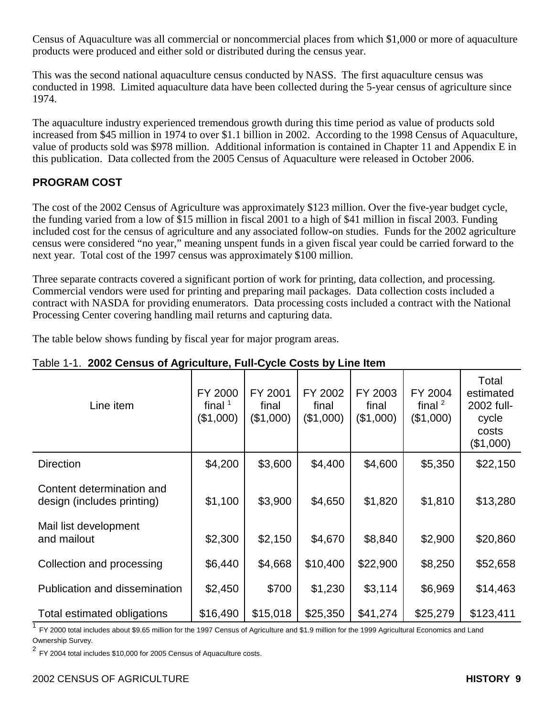Census of Aquaculture was all commercial or noncommercial places from which \$1,000 or more of aquaculture products were produced and either sold or distributed during the census year.

This was the second national aquaculture census conducted by NASS. The first aquaculture census was conducted in 1998. Limited aquaculture data have been collected during the 5-year census of agriculture since 1974.

The aquaculture industry experienced tremendous growth during this time period as value of products sold increased from \$45 million in 1974 to over \$1.1 billion in 2002. According to the 1998 Census of Aquaculture, value of products sold was \$978 million. Additional information is contained in Chapter 11 and Appendix E in this publication. Data collected from the 2005 Census of Aquaculture were released in October 2006.

## **PROGRAM COST**

The cost of the 2002 Census of Agriculture was approximately \$123 million. Over the five-year budget cycle, the funding varied from a low of \$15 million in fiscal 2001 to a high of \$41 million in fiscal 2003. Funding included cost for the census of agriculture and any associated follow-on studies. Funds for the 2002 agriculture census were considered "no year," meaning unspent funds in a given fiscal year could be carried forward to the next year. Total cost of the 1997 census was approximately \$100 million.

Three separate contracts covered a significant portion of work for printing, data collection, and processing. Commercial vendors were used for printing and preparing mail packages. Data collection costs included a contract with NASDA for providing enumerators. Data processing costs included a contract with the National Processing Center covering handling mail returns and capturing data.

The table below shows funding by fiscal year for major program areas.

| Line item                                               | FY 2000<br>final $1$<br>(\$1,000) | FY 2001<br>final<br>(\$1,000) | FY 2002<br>final<br>(\$1,000) | FY 2003<br>final<br>(\$1,000) | FY 2004<br>final $2$<br>(\$1,000) | Total<br>estimated<br>2002 full-<br>cycle<br>costs<br>(\$1,000) |
|---------------------------------------------------------|-----------------------------------|-------------------------------|-------------------------------|-------------------------------|-----------------------------------|-----------------------------------------------------------------|
| <b>Direction</b>                                        | \$4,200                           | \$3,600                       | \$4,400                       | \$4,600                       | \$5,350                           | \$22,150                                                        |
| Content determination and<br>design (includes printing) | \$1,100                           | \$3,900                       | \$4,650                       | \$1,820                       | \$1,810                           | \$13,280                                                        |
| Mail list development<br>and mailout                    | \$2,300                           | \$2,150                       | \$4,670                       | \$8,840                       | \$2,900                           | \$20,860                                                        |
| Collection and processing                               | \$6,440                           | \$4,668                       | \$10,400                      | \$22,900                      | \$8,250                           | \$52,658                                                        |
| Publication and dissemination                           | \$2,450                           | \$700                         | \$1,230                       | \$3,114                       | \$6,969                           | \$14,463                                                        |
| Total estimated obligations                             | \$16,490                          | \$15,018                      | \$25,350                      | \$41,274                      | \$25,279                          | \$123,411                                                       |

#### Table 1-1. **2002 Census of Agriculture, Full-Cycle Costs by Line Item**

<sup>1</sup> FY 2000 total includes about \$9.65 million for the 1997 Census of Agriculture and \$1.9 million for the 1999 Agricultural Economics and Land Ownership Survey.

 $2$  FY 2004 total includes \$10,000 for 2005 Census of Aquaculture costs.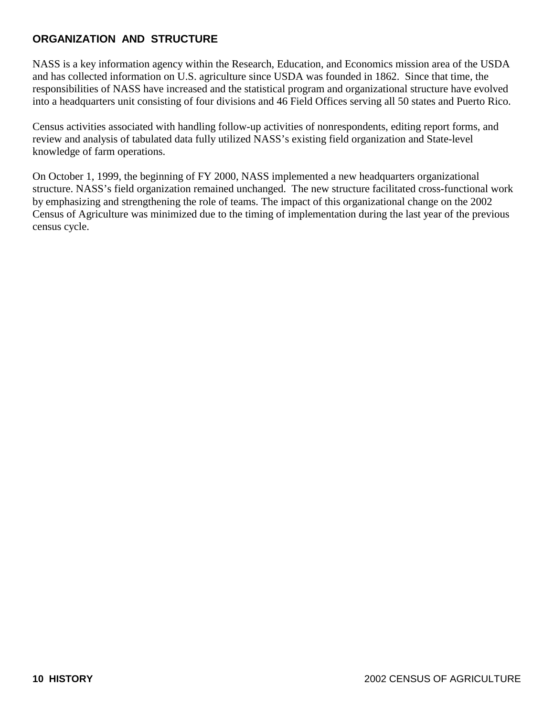## **ORGANIZATION AND STRUCTURE**

NASS is a key information agency within the Research, Education, and Economics mission area of the USDA and has collected information on U.S. agriculture since USDA was founded in 1862. Since that time, the responsibilities of NASS have increased and the statistical program and organizational structure have evolved into a headquarters unit consisting of four divisions and 46 Field Offices serving all 50 states and Puerto Rico.

Census activities associated with handling follow-up activities of nonrespondents, editing report forms, and review and analysis of tabulated data fully utilized NASS's existing field organization and State-level knowledge of farm operations.

On October 1, 1999, the beginning of FY 2000, NASS implemented a new headquarters organizational structure. NASS's field organization remained unchanged. The new structure facilitated cross-functional work by emphasizing and strengthening the role of teams. The impact of this organizational change on the 2002 Census of Agriculture was minimized due to the timing of implementation during the last year of the previous census cycle.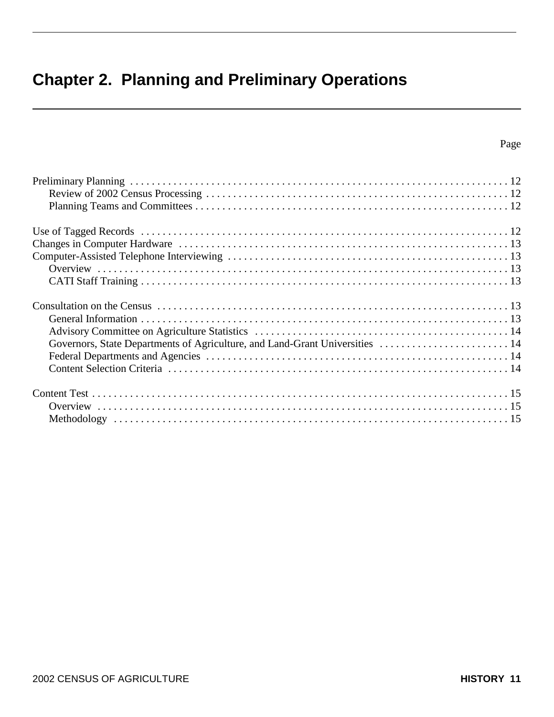## **Chapter 2. Planning and Preliminary Operations**

| Governors, State Departments of Agriculture, and Land-Grant Universities  14 |  |
|------------------------------------------------------------------------------|--|
|                                                                              |  |
|                                                                              |  |
|                                                                              |  |
|                                                                              |  |
|                                                                              |  |
|                                                                              |  |
|                                                                              |  |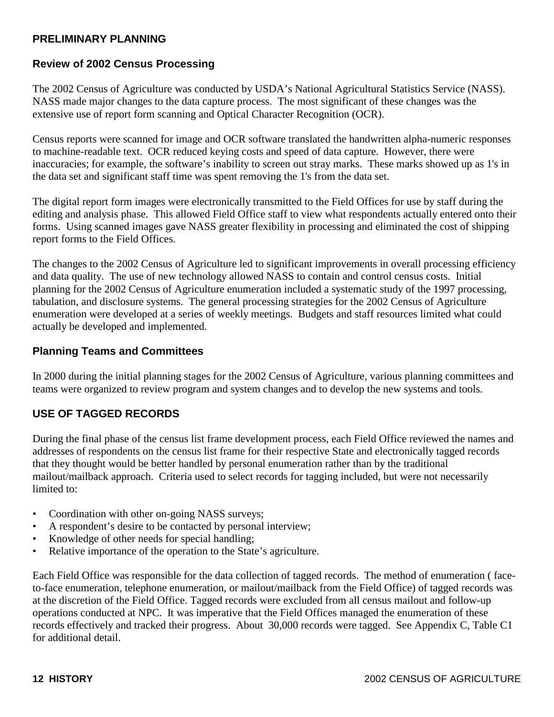#### **PRELIMINARY PLANNING**

#### **Review of 2002 Census Processing**

The 2002 Census of Agriculture was conducted by USDA's National Agricultural Statistics Service (NASS). NASS made major changes to the data capture process. The most significant of these changes was the extensive use of report form scanning and Optical Character Recognition (OCR).

Census reports were scanned for image and OCR software translated the handwritten alpha-numeric responses to machine-readable text. OCR reduced keying costs and speed of data capture. However, there were inaccuracies; for example, the software's inability to screen out stray marks. These marks showed up as 1's in the data set and significant staff time was spent removing the 1's from the data set.

The digital report form images were electronically transmitted to the Field Offices for use by staff during the editing and analysis phase. This allowed Field Office staff to view what respondents actually entered onto their forms. Using scanned images gave NASS greater flexibility in processing and eliminated the cost of shipping report forms to the Field Offices.

The changes to the 2002 Census of Agriculture led to significant improvements in overall processing efficiency and data quality. The use of new technology allowed NASS to contain and control census costs. Initial planning for the 2002 Census of Agriculture enumeration included a systematic study of the 1997 processing, tabulation, and disclosure systems. The general processing strategies for the 2002 Census of Agriculture enumeration were developed at a series of weekly meetings. Budgets and staff resources limited what could actually be developed and implemented.

#### **Planning Teams and Committees**

In 2000 during the initial planning stages for the 2002 Census of Agriculture, various planning committees and teams were organized to review program and system changes and to develop the new systems and tools.

## **USE OF TAGGED RECORDS**

During the final phase of the census list frame development process, each Field Office reviewed the names and addresses of respondents on the census list frame for their respective State and electronically tagged records that they thought would be better handled by personal enumeration rather than by the traditional mailout/mailback approach. Criteria used to select records for tagging included, but were not necessarily limited to:

- Coordination with other on-going NASS surveys;
- A respondent's desire to be contacted by personal interview;
- Knowledge of other needs for special handling;
- Relative importance of the operation to the State's agriculture.

Each Field Office was responsible for the data collection of tagged records. The method of enumeration ( faceto-face enumeration, telephone enumeration, or mailout/mailback from the Field Office) of tagged records was at the discretion of the Field Office. Tagged records were excluded from all census mailout and follow-up operations conducted at NPC. It was imperative that the Field Offices managed the enumeration of these records effectively and tracked their progress. About 30,000 records were tagged. See Appendix C, Table C1 for additional detail.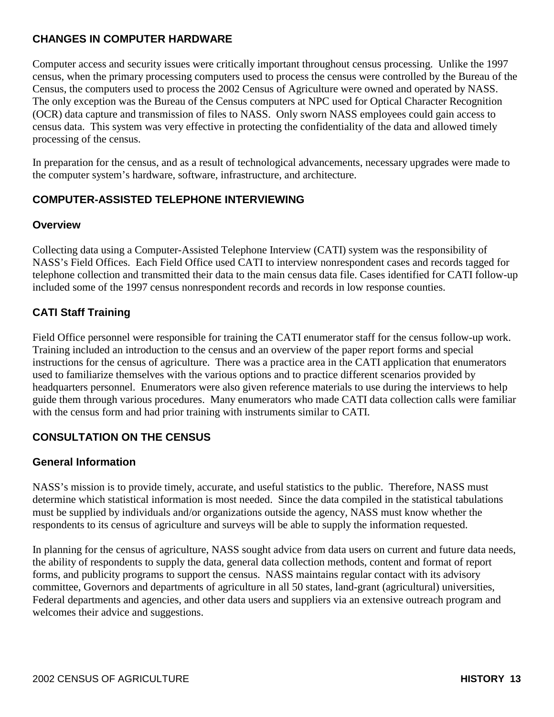## **CHANGES IN COMPUTER HARDWARE**

Computer access and security issues were critically important throughout census processing. Unlike the 1997 census, when the primary processing computers used to process the census were controlled by the Bureau of the Census, the computers used to process the 2002 Census of Agriculture were owned and operated by NASS. The only exception was the Bureau of the Census computers at NPC used for Optical Character Recognition (OCR) data capture and transmission of files to NASS. Only sworn NASS employees could gain access to census data. This system was very effective in protecting the confidentiality of the data and allowed timely processing of the census.

In preparation for the census, and as a result of technological advancements, necessary upgrades were made to the computer system's hardware, software, infrastructure, and architecture.

## **COMPUTER-ASSISTED TELEPHONE INTERVIEWING**

#### **Overview**

Collecting data using a Computer-Assisted Telephone Interview (CATI) system was the responsibility of NASS's Field Offices. Each Field Office used CATI to interview nonrespondent cases and records tagged for telephone collection and transmitted their data to the main census data file. Cases identified for CATI follow-up included some of the 1997 census nonrespondent records and records in low response counties.

## **CATI Staff Training**

Field Office personnel were responsible for training the CATI enumerator staff for the census follow-up work. Training included an introduction to the census and an overview of the paper report forms and special instructions for the census of agriculture. There was a practice area in the CATI application that enumerators used to familiarize themselves with the various options and to practice different scenarios provided by headquarters personnel. Enumerators were also given reference materials to use during the interviews to help guide them through various procedures. Many enumerators who made CATI data collection calls were familiar with the census form and had prior training with instruments similar to CATI.

## **CONSULTATION ON THE CENSUS**

## **General Information**

NASS's mission is to provide timely, accurate, and useful statistics to the public. Therefore, NASS must determine which statistical information is most needed. Since the data compiled in the statistical tabulations must be supplied by individuals and/or organizations outside the agency, NASS must know whether the respondents to its census of agriculture and surveys will be able to supply the information requested.

In planning for the census of agriculture, NASS sought advice from data users on current and future data needs, the ability of respondents to supply the data, general data collection methods, content and format of report forms, and publicity programs to support the census. NASS maintains regular contact with its advisory committee, Governors and departments of agriculture in all 50 states, land-grant (agricultural) universities, Federal departments and agencies, and other data users and suppliers via an extensive outreach program and welcomes their advice and suggestions.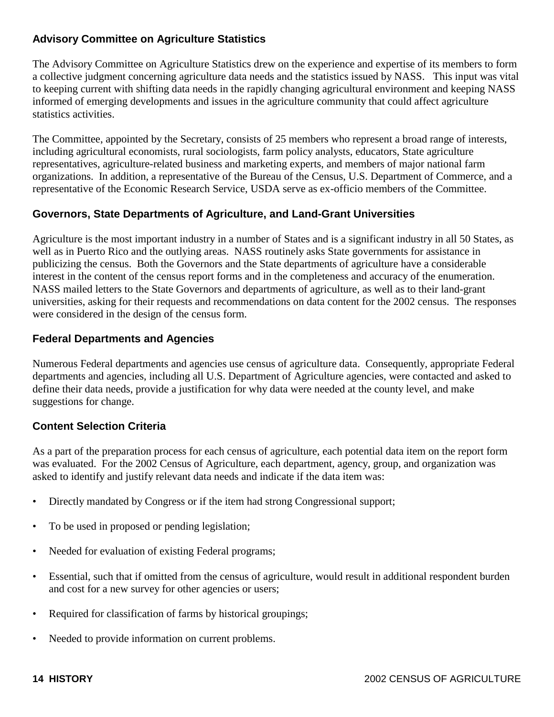## **Advisory Committee on Agriculture Statistics**

The Advisory Committee on Agriculture Statistics drew on the experience and expertise of its members to form a collective judgment concerning agriculture data needs and the statistics issued by NASS. This input was vital to keeping current with shifting data needs in the rapidly changing agricultural environment and keeping NASS informed of emerging developments and issues in the agriculture community that could affect agriculture statistics activities.

The Committee, appointed by the Secretary, consists of 25 members who represent a broad range of interests, including agricultural economists, rural sociologists, farm policy analysts, educators, State agriculture representatives, agriculture-related business and marketing experts, and members of major national farm organizations. In addition, a representative of the Bureau of the Census, U.S. Department of Commerce, and a representative of the Economic Research Service, USDA serve as ex-officio members of the Committee.

#### **Governors, State Departments of Agriculture, and Land-Grant Universities**

Agriculture is the most important industry in a number of States and is a significant industry in all 50 States, as well as in Puerto Rico and the outlying areas. NASS routinely asks State governments for assistance in publicizing the census. Both the Governors and the State departments of agriculture have a considerable interest in the content of the census report forms and in the completeness and accuracy of the enumeration. NASS mailed letters to the State Governors and departments of agriculture, as well as to their land-grant universities, asking for their requests and recommendations on data content for the 2002 census. The responses were considered in the design of the census form.

#### **Federal Departments and Agencies**

Numerous Federal departments and agencies use census of agriculture data. Consequently, appropriate Federal departments and agencies, including all U.S. Department of Agriculture agencies, were contacted and asked to define their data needs, provide a justification for why data were needed at the county level, and make suggestions for change.

## **Content Selection Criteria**

As a part of the preparation process for each census of agriculture, each potential data item on the report form was evaluated. For the 2002 Census of Agriculture, each department, agency, group, and organization was asked to identify and justify relevant data needs and indicate if the data item was:

- Directly mandated by Congress or if the item had strong Congressional support;
- To be used in proposed or pending legislation;
- Needed for evaluation of existing Federal programs;
- Essential, such that if omitted from the census of agriculture, would result in additional respondent burden and cost for a new survey for other agencies or users;
- Required for classification of farms by historical groupings;
- Needed to provide information on current problems.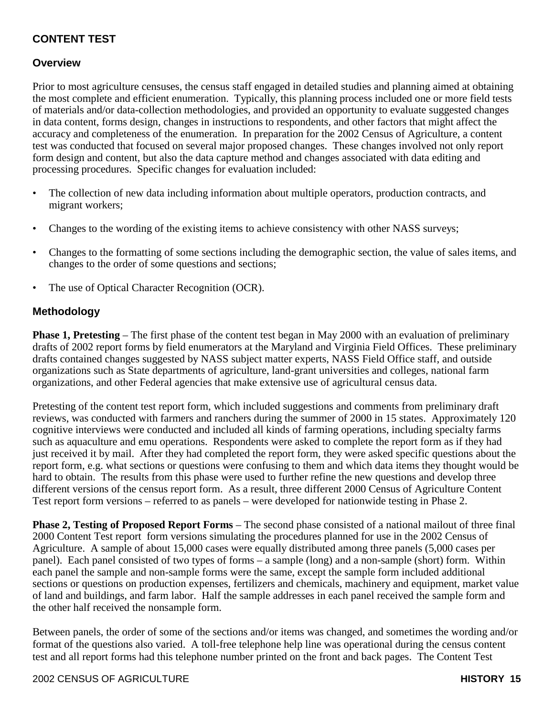## **CONTENT TEST**

#### **Overview**

Prior to most agriculture censuses, the census staff engaged in detailed studies and planning aimed at obtaining the most complete and efficient enumeration. Typically, this planning process included one or more field tests of materials and/or data-collection methodologies, and provided an opportunity to evaluate suggested changes in data content, forms design, changes in instructions to respondents, and other factors that might affect the accuracy and completeness of the enumeration. In preparation for the 2002 Census of Agriculture, a content test was conducted that focused on several major proposed changes. These changes involved not only report form design and content, but also the data capture method and changes associated with data editing and processing procedures. Specific changes for evaluation included:

- The collection of new data including information about multiple operators, production contracts, and migrant workers;
- Changes to the wording of the existing items to achieve consistency with other NASS surveys;
- Changes to the formatting of some sections including the demographic section, the value of sales items, and changes to the order of some questions and sections;
- The use of Optical Character Recognition (OCR).

#### **Methodology**

**Phase 1, Pretesting** – The first phase of the content test began in May 2000 with an evaluation of preliminary drafts of 2002 report forms by field enumerators at the Maryland and Virginia Field Offices. These preliminary drafts contained changes suggested by NASS subject matter experts, NASS Field Office staff, and outside organizations such as State departments of agriculture, land-grant universities and colleges, national farm organizations, and other Federal agencies that make extensive use of agricultural census data.

Pretesting of the content test report form, which included suggestions and comments from preliminary draft reviews, was conducted with farmers and ranchers during the summer of 2000 in 15 states. Approximately 120 cognitive interviews were conducted and included all kinds of farming operations, including specialty farms such as aquaculture and emu operations. Respondents were asked to complete the report form as if they had just received it by mail. After they had completed the report form, they were asked specific questions about the report form, e.g. what sections or questions were confusing to them and which data items they thought would be hard to obtain. The results from this phase were used to further refine the new questions and develop three different versions of the census report form. As a result, three different 2000 Census of Agriculture Content Test report form versions – referred to as panels – were developed for nationwide testing in Phase 2.

**Phase 2, Testing of Proposed Report Forms** – The second phase consisted of a national mailout of three final 2000 Content Test report form versions simulating the procedures planned for use in the 2002 Census of Agriculture. A sample of about 15,000 cases were equally distributed among three panels (5,000 cases per panel). Each panel consisted of two types of forms – a sample (long) and a non-sample (short) form. Within each panel the sample and non-sample forms were the same, except the sample form included additional sections or questions on production expenses, fertilizers and chemicals, machinery and equipment, market value of land and buildings, and farm labor. Half the sample addresses in each panel received the sample form and the other half received the nonsample form.

Between panels, the order of some of the sections and/or items was changed, and sometimes the wording and/or format of the questions also varied. A toll-free telephone help line was operational during the census content test and all report forms had this telephone number printed on the front and back pages. The Content Test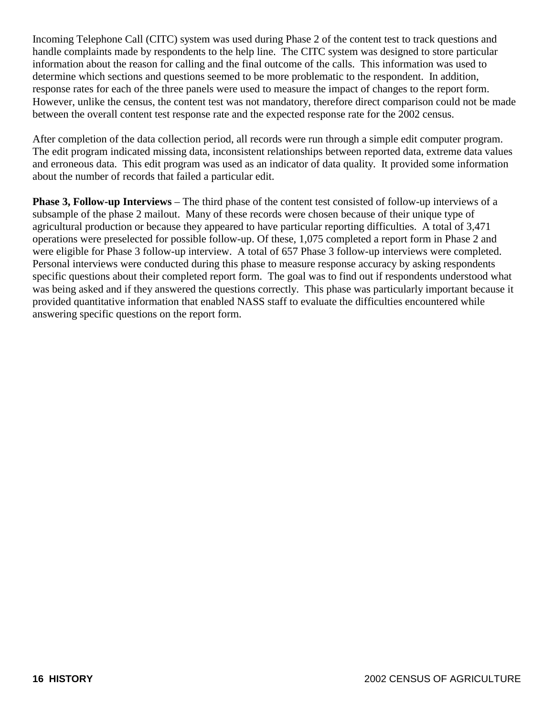Incoming Telephone Call (CITC) system was used during Phase 2 of the content test to track questions and handle complaints made by respondents to the help line. The CITC system was designed to store particular information about the reason for calling and the final outcome of the calls. This information was used to determine which sections and questions seemed to be more problematic to the respondent. In addition, response rates for each of the three panels were used to measure the impact of changes to the report form. However, unlike the census, the content test was not mandatory, therefore direct comparison could not be made between the overall content test response rate and the expected response rate for the 2002 census.

After completion of the data collection period, all records were run through a simple edit computer program. The edit program indicated missing data, inconsistent relationships between reported data, extreme data values and erroneous data. This edit program was used as an indicator of data quality. It provided some information about the number of records that failed a particular edit.

**Phase 3, Follow-up Interviews** – The third phase of the content test consisted of follow-up interviews of a subsample of the phase 2 mailout. Many of these records were chosen because of their unique type of agricultural production or because they appeared to have particular reporting difficulties. A total of 3,471 operations were preselected for possible follow-up. Of these, 1,075 completed a report form in Phase 2 and were eligible for Phase 3 follow-up interview. A total of 657 Phase 3 follow-up interviews were completed. Personal interviews were conducted during this phase to measure response accuracy by asking respondents specific questions about their completed report form. The goal was to find out if respondents understood what was being asked and if they answered the questions correctly. This phase was particularly important because it provided quantitative information that enabled NASS staff to evaluate the difficulties encountered while answering specific questions on the report form.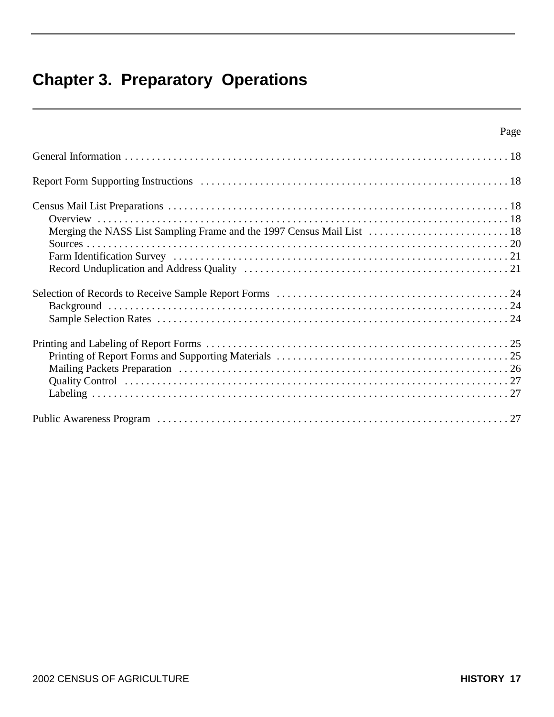## **Chapter 3. Preparatory Operations**

| Page |
|------|
|      |
|      |
|      |
|      |
|      |
|      |
|      |
|      |
|      |
|      |
|      |
|      |
|      |
|      |
|      |
|      |
|      |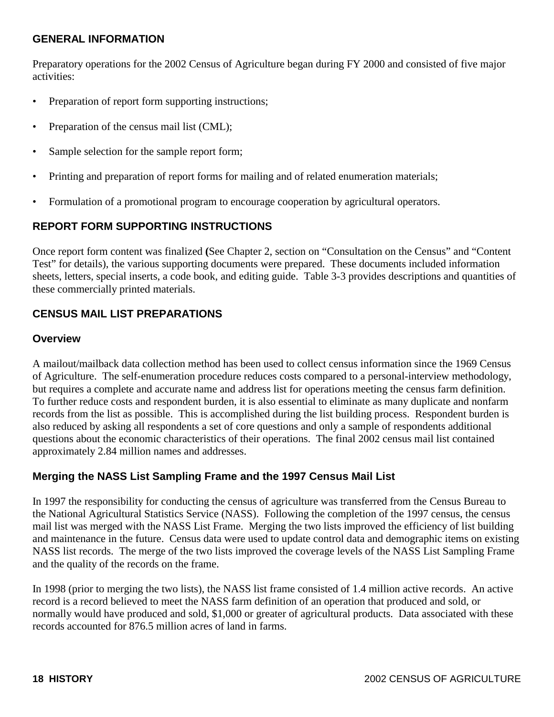#### **GENERAL INFORMATION**

Preparatory operations for the 2002 Census of Agriculture began during FY 2000 and consisted of five major activities:

- Preparation of report form supporting instructions;
- Preparation of the census mail list (CML);
- Sample selection for the sample report form;
- Printing and preparation of report forms for mailing and of related enumeration materials;
- Formulation of a promotional program to encourage cooperation by agricultural operators.

#### **REPORT FORM SUPPORTING INSTRUCTIONS**

Once report form content was finalized **(**See Chapter 2, section on "Consultation on the Census" and "Content Test" for details), the various supporting documents were prepared. These documents included information sheets, letters, special inserts, a code book, and editing guide. Table 3-3 provides descriptions and quantities of these commercially printed materials.

#### **CENSUS MAIL LIST PREPARATIONS**

#### **Overview**

A mailout/mailback data collection method has been used to collect census information since the 1969 Census of Agriculture. The self-enumeration procedure reduces costs compared to a personal-interview methodology, but requires a complete and accurate name and address list for operations meeting the census farm definition. To further reduce costs and respondent burden, it is also essential to eliminate as many duplicate and nonfarm records from the list as possible. This is accomplished during the list building process. Respondent burden is also reduced by asking all respondents a set of core questions and only a sample of respondents additional questions about the economic characteristics of their operations. The final 2002 census mail list contained approximately 2.84 million names and addresses.

#### **Merging the NASS List Sampling Frame and the 1997 Census Mail List**

In 1997 the responsibility for conducting the census of agriculture was transferred from the Census Bureau to the National Agricultural Statistics Service (NASS). Following the completion of the 1997 census, the census mail list was merged with the NASS List Frame. Merging the two lists improved the efficiency of list building and maintenance in the future. Census data were used to update control data and demographic items on existing NASS list records. The merge of the two lists improved the coverage levels of the NASS List Sampling Frame and the quality of the records on the frame.

In 1998 (prior to merging the two lists), the NASS list frame consisted of 1.4 million active records. An active record is a record believed to meet the NASS farm definition of an operation that produced and sold, or normally would have produced and sold, \$1,000 or greater of agricultural products. Data associated with these records accounted for 876.5 million acres of land in farms.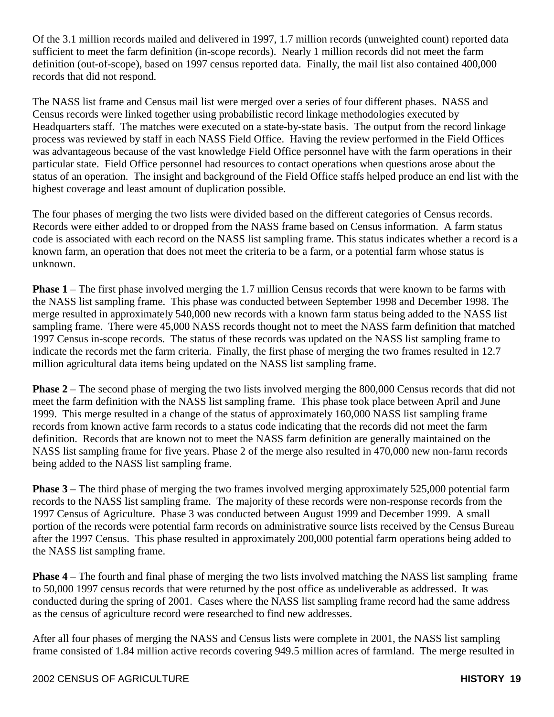Of the 3.1 million records mailed and delivered in 1997, 1.7 million records (unweighted count) reported data sufficient to meet the farm definition (in-scope records). Nearly 1 million records did not meet the farm definition (out-of-scope), based on 1997 census reported data. Finally, the mail list also contained 400,000 records that did not respond.

The NASS list frame and Census mail list were merged over a series of four different phases. NASS and Census records were linked together using probabilistic record linkage methodologies executed by Headquarters staff. The matches were executed on a state-by-state basis. The output from the record linkage process was reviewed by staff in each NASS Field Office. Having the review performed in the Field Offices was advantageous because of the vast knowledge Field Office personnel have with the farm operations in their particular state. Field Office personnel had resources to contact operations when questions arose about the status of an operation. The insight and background of the Field Office staffs helped produce an end list with the highest coverage and least amount of duplication possible.

The four phases of merging the two lists were divided based on the different categories of Census records. Records were either added to or dropped from the NASS frame based on Census information. A farm status code is associated with each record on the NASS list sampling frame. This status indicates whether a record is a known farm, an operation that does not meet the criteria to be a farm, or a potential farm whose status is unknown.

**Phase 1** – The first phase involved merging the 1.7 million Census records that were known to be farms with the NASS list sampling frame. This phase was conducted between September 1998 and December 1998. The merge resulted in approximately 540,000 new records with a known farm status being added to the NASS list sampling frame. There were 45,000 NASS records thought not to meet the NASS farm definition that matched 1997 Census in-scope records. The status of these records was updated on the NASS list sampling frame to indicate the records met the farm criteria. Finally, the first phase of merging the two frames resulted in 12.7 million agricultural data items being updated on the NASS list sampling frame.

**Phase 2** – The second phase of merging the two lists involved merging the 800,000 Census records that did not meet the farm definition with the NASS list sampling frame. This phase took place between April and June 1999. This merge resulted in a change of the status of approximately 160,000 NASS list sampling frame records from known active farm records to a status code indicating that the records did not meet the farm definition. Records that are known not to meet the NASS farm definition are generally maintained on the NASS list sampling frame for five years. Phase 2 of the merge also resulted in 470,000 new non-farm records being added to the NASS list sampling frame.

**Phase 3** – The third phase of merging the two frames involved merging approximately 525,000 potential farm records to the NASS list sampling frame. The majority of these records were non-response records from the 1997 Census of Agriculture. Phase 3 was conducted between August 1999 and December 1999. A small portion of the records were potential farm records on administrative source lists received by the Census Bureau after the 1997 Census. This phase resulted in approximately 200,000 potential farm operations being added to the NASS list sampling frame.

**Phase 4** – The fourth and final phase of merging the two lists involved matching the NASS list sampling frame to 50,000 1997 census records that were returned by the post office as undeliverable as addressed. It was conducted during the spring of 2001. Cases where the NASS list sampling frame record had the same address as the census of agriculture record were researched to find new addresses.

After all four phases of merging the NASS and Census lists were complete in 2001, the NASS list sampling frame consisted of 1.84 million active records covering 949.5 million acres of farmland. The merge resulted in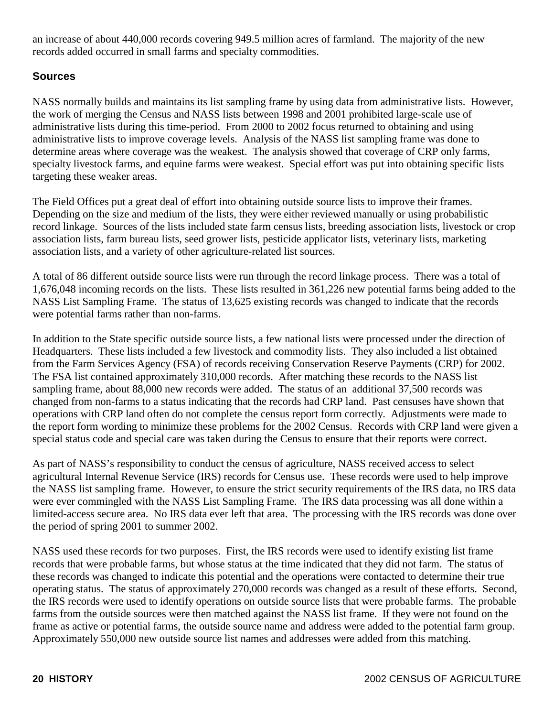an increase of about 440,000 records covering 949.5 million acres of farmland. The majority of the new records added occurred in small farms and specialty commodities.

## **Sources**

NASS normally builds and maintains its list sampling frame by using data from administrative lists. However, the work of merging the Census and NASS lists between 1998 and 2001 prohibited large-scale use of administrative lists during this time-period. From 2000 to 2002 focus returned to obtaining and using administrative lists to improve coverage levels. Analysis of the NASS list sampling frame was done to determine areas where coverage was the weakest. The analysis showed that coverage of CRP only farms, specialty livestock farms, and equine farms were weakest. Special effort was put into obtaining specific lists targeting these weaker areas.

The Field Offices put a great deal of effort into obtaining outside source lists to improve their frames. Depending on the size and medium of the lists, they were either reviewed manually or using probabilistic record linkage. Sources of the lists included state farm census lists, breeding association lists, livestock or crop association lists, farm bureau lists, seed grower lists, pesticide applicator lists, veterinary lists, marketing association lists, and a variety of other agriculture-related list sources.

A total of 86 different outside source lists were run through the record linkage process. There was a total of 1,676,048 incoming records on the lists. These lists resulted in 361,226 new potential farms being added to the NASS List Sampling Frame. The status of 13,625 existing records was changed to indicate that the records were potential farms rather than non-farms.

In addition to the State specific outside source lists, a few national lists were processed under the direction of Headquarters. These lists included a few livestock and commodity lists. They also included a list obtained from the Farm Services Agency (FSA) of records receiving Conservation Reserve Payments (CRP) for 2002. The FSA list contained approximately 310,000 records. After matching these records to the NASS list sampling frame, about 88,000 new records were added. The status of an additional 37,500 records was changed from non-farms to a status indicating that the records had CRP land. Past censuses have shown that operations with CRP land often do not complete the census report form correctly. Adjustments were made to the report form wording to minimize these problems for the 2002 Census. Records with CRP land were given a special status code and special care was taken during the Census to ensure that their reports were correct.

As part of NASS's responsibility to conduct the census of agriculture, NASS received access to select agricultural Internal Revenue Service (IRS) records for Census use. These records were used to help improve the NASS list sampling frame. However, to ensure the strict security requirements of the IRS data, no IRS data were ever commingled with the NASS List Sampling Frame. The IRS data processing was all done within a limited-access secure area. No IRS data ever left that area. The processing with the IRS records was done over the period of spring 2001 to summer 2002.

NASS used these records for two purposes. First, the IRS records were used to identify existing list frame records that were probable farms, but whose status at the time indicated that they did not farm. The status of these records was changed to indicate this potential and the operations were contacted to determine their true operating status. The status of approximately 270,000 records was changed as a result of these efforts. Second, the IRS records were used to identify operations on outside source lists that were probable farms. The probable farms from the outside sources were then matched against the NASS list frame. If they were not found on the frame as active or potential farms, the outside source name and address were added to the potential farm group. Approximately 550,000 new outside source list names and addresses were added from this matching.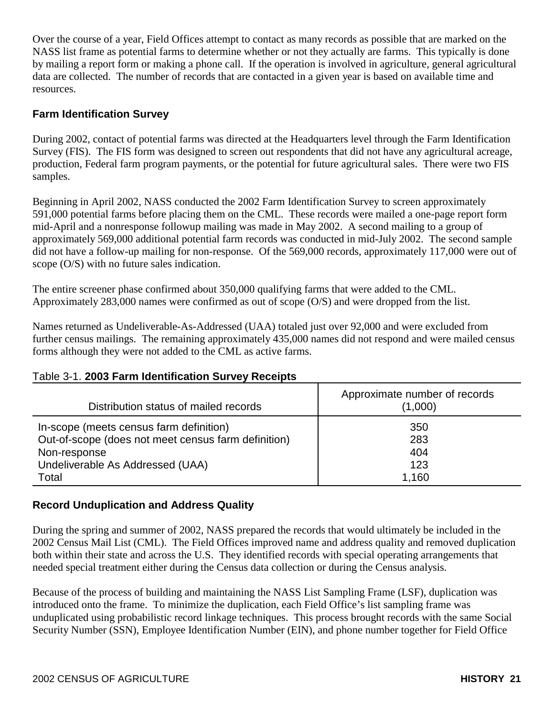Over the course of a year, Field Offices attempt to contact as many records as possible that are marked on the NASS list frame as potential farms to determine whether or not they actually are farms. This typically is done by mailing a report form or making a phone call. If the operation is involved in agriculture, general agricultural data are collected. The number of records that are contacted in a given year is based on available time and resources.

#### **Farm Identification Survey**

During 2002, contact of potential farms was directed at the Headquarters level through the Farm Identification Survey (FIS). The FIS form was designed to screen out respondents that did not have any agricultural acreage, production, Federal farm program payments, or the potential for future agricultural sales. There were two FIS samples.

Beginning in April 2002, NASS conducted the 2002 Farm Identification Survey to screen approximately 591,000 potential farms before placing them on the CML. These records were mailed a one-page report form mid-April and a nonresponse followup mailing was made in May 2002. A second mailing to a group of approximately 569,000 additional potential farm records was conducted in mid-July 2002. The second sample did not have a follow-up mailing for non-response. Of the 569,000 records, approximately 117,000 were out of scope (O/S) with no future sales indication.

The entire screener phase confirmed about 350,000 qualifying farms that were added to the CML. Approximately 283,000 names were confirmed as out of scope (O/S) and were dropped from the list.

Names returned as Undeliverable-As-Addressed (UAA) totaled just over 92,000 and were excluded from further census mailings. The remaining approximately 435,000 names did not respond and were mailed census forms although they were not added to the CML as active farms.

#### Table 3-1. **2003 Farm Identification Survey Receipts**

| Distribution status of mailed records               | Approximate number of records<br>(1,000) |
|-----------------------------------------------------|------------------------------------------|
| In-scope (meets census farm definition)             | 350                                      |
| Out-of-scope (does not meet census farm definition) | 283                                      |
| Non-response                                        | 404                                      |
| Undeliverable As Addressed (UAA)                    | 123                                      |
| Total                                               | 1,160                                    |

#### **Record Unduplication and Address Quality**

During the spring and summer of 2002, NASS prepared the records that would ultimately be included in the 2002 Census Mail List (CML). The Field Offices improved name and address quality and removed duplication both within their state and across the U.S. They identified records with special operating arrangements that needed special treatment either during the Census data collection or during the Census analysis.

Because of the process of building and maintaining the NASS List Sampling Frame (LSF), duplication was introduced onto the frame. To minimize the duplication, each Field Office's list sampling frame was unduplicated using probabilistic record linkage techniques. This process brought records with the same Social Security Number (SSN), Employee Identification Number (EIN), and phone number together for Field Office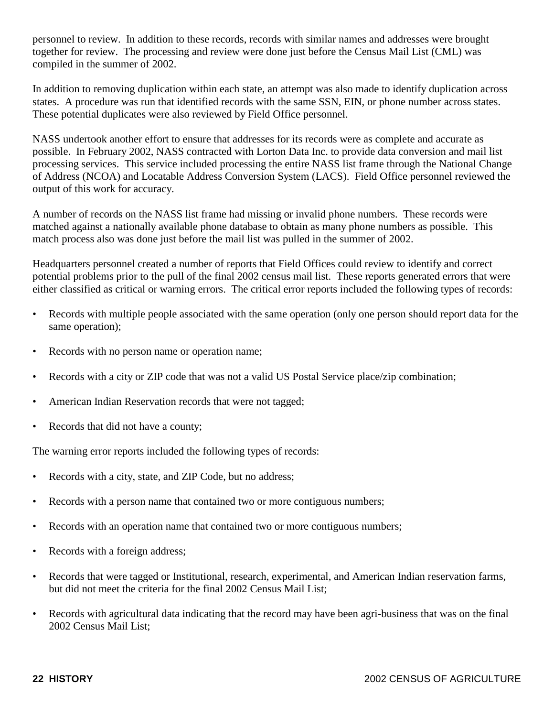personnel to review. In addition to these records, records with similar names and addresses were brought together for review. The processing and review were done just before the Census Mail List (CML) was compiled in the summer of 2002.

In addition to removing duplication within each state, an attempt was also made to identify duplication across states. A procedure was run that identified records with the same SSN, EIN, or phone number across states. These potential duplicates were also reviewed by Field Office personnel.

NASS undertook another effort to ensure that addresses for its records were as complete and accurate as possible. In February 2002, NASS contracted with Lorton Data Inc. to provide data conversion and mail list processing services. This service included processing the entire NASS list frame through the National Change of Address (NCOA) and Locatable Address Conversion System (LACS). Field Office personnel reviewed the output of this work for accuracy.

A number of records on the NASS list frame had missing or invalid phone numbers. These records were matched against a nationally available phone database to obtain as many phone numbers as possible. This match process also was done just before the mail list was pulled in the summer of 2002.

Headquarters personnel created a number of reports that Field Offices could review to identify and correct potential problems prior to the pull of the final 2002 census mail list. These reports generated errors that were either classified as critical or warning errors. The critical error reports included the following types of records:

- Records with multiple people associated with the same operation (only one person should report data for the same operation);
- Records with no person name or operation name;
- Records with a city or ZIP code that was not a valid US Postal Service place/zip combination;
- American Indian Reservation records that were not tagged;
- Records that did not have a county;

The warning error reports included the following types of records:

- Records with a city, state, and ZIP Code, but no address;
- Records with a person name that contained two or more contiguous numbers;
- Records with an operation name that contained two or more contiguous numbers;
- Records with a foreign address;
- Records that were tagged or Institutional, research, experimental, and American Indian reservation farms, but did not meet the criteria for the final 2002 Census Mail List;
- Records with agricultural data indicating that the record may have been agri-business that was on the final 2002 Census Mail List;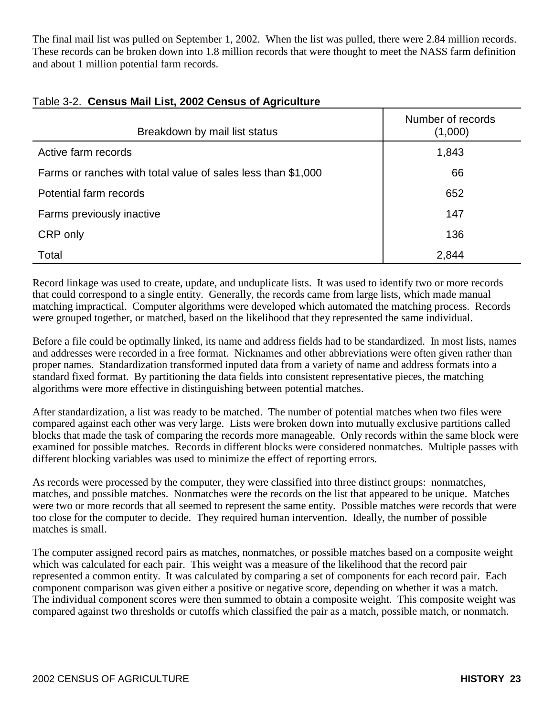The final mail list was pulled on September 1, 2002. When the list was pulled, there were 2.84 million records. These records can be broken down into 1.8 million records that were thought to meet the NASS farm definition and about 1 million potential farm records.

| Breakdown by mail list status                                | Number of records<br>(1,000) |
|--------------------------------------------------------------|------------------------------|
| Active farm records                                          | 1,843                        |
| Farms or ranches with total value of sales less than \$1,000 | 66                           |
| Potential farm records                                       | 652                          |
| Farms previously inactive                                    | 147                          |
| CRP only                                                     | 136                          |
| Total                                                        | 2,844                        |

## Table 3-2. **Census Mail List, 2002 Census of Agriculture**

Record linkage was used to create, update, and unduplicate lists. It was used to identify two or more records that could correspond to a single entity. Generally, the records came from large lists, which made manual matching impractical. Computer algorithms were developed which automated the matching process. Records were grouped together, or matched, based on the likelihood that they represented the same individual.

Before a file could be optimally linked, its name and address fields had to be standardized. In most lists, names and addresses were recorded in a free format. Nicknames and other abbreviations were often given rather than proper names. Standardization transformed inputed data from a variety of name and address formats into a standard fixed format. By partitioning the data fields into consistent representative pieces, the matching algorithms were more effective in distinguishing between potential matches.

After standardization, a list was ready to be matched. The number of potential matches when two files were compared against each other was very large. Lists were broken down into mutually exclusive partitions called blocks that made the task of comparing the records more manageable. Only records within the same block were examined for possible matches. Records in different blocks were considered nonmatches. Multiple passes with different blocking variables was used to minimize the effect of reporting errors.

As records were processed by the computer, they were classified into three distinct groups: nonmatches, matches, and possible matches. Nonmatches were the records on the list that appeared to be unique. Matches were two or more records that all seemed to represent the same entity. Possible matches were records that were too close for the computer to decide. They required human intervention. Ideally, the number of possible matches is small.

The computer assigned record pairs as matches, nonmatches, or possible matches based on a composite weight which was calculated for each pair. This weight was a measure of the likelihood that the record pair represented a common entity. It was calculated by comparing a set of components for each record pair. Each component comparison was given either a positive or negative score, depending on whether it was a match. The individual component scores were then summed to obtain a composite weight. This composite weight was compared against two thresholds or cutoffs which classified the pair as a match, possible match, or nonmatch.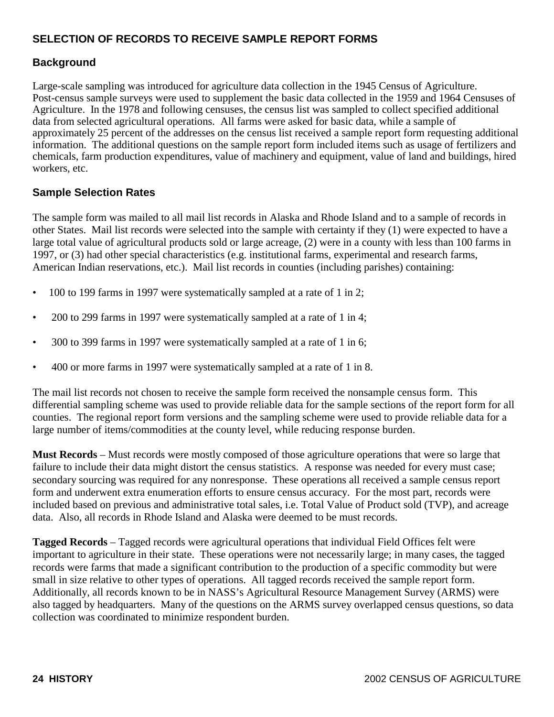## **SELECTION OF RECORDS TO RECEIVE SAMPLE REPORT FORMS**

#### **Background**

Large-scale sampling was introduced for agriculture data collection in the 1945 Census of Agriculture. Post-census sample surveys were used to supplement the basic data collected in the 1959 and 1964 Censuses of Agriculture. In the 1978 and following censuses, the census list was sampled to collect specified additional data from selected agricultural operations. All farms were asked for basic data, while a sample of approximately 25 percent of the addresses on the census list received a sample report form requesting additional information. The additional questions on the sample report form included items such as usage of fertilizers and chemicals, farm production expenditures, value of machinery and equipment, value of land and buildings, hired workers, etc.

#### **Sample Selection Rates**

The sample form was mailed to all mail list records in Alaska and Rhode Island and to a sample of records in other States. Mail list records were selected into the sample with certainty if they (1) were expected to have a large total value of agricultural products sold or large acreage, (2) were in a county with less than 100 farms in 1997, or (3) had other special characteristics (e.g. institutional farms, experimental and research farms, American Indian reservations, etc.). Mail list records in counties (including parishes) containing:

- 100 to 199 farms in 1997 were systematically sampled at a rate of 1 in 2;
- 200 to 299 farms in 1997 were systematically sampled at a rate of 1 in 4;
- 300 to 399 farms in 1997 were systematically sampled at a rate of 1 in 6;
- 400 or more farms in 1997 were systematically sampled at a rate of 1 in 8.

The mail list records not chosen to receive the sample form received the nonsample census form. This differential sampling scheme was used to provide reliable data for the sample sections of the report form for all counties. The regional report form versions and the sampling scheme were used to provide reliable data for a large number of items/commodities at the county level, while reducing response burden.

**Must Records** – Must records were mostly composed of those agriculture operations that were so large that failure to include their data might distort the census statistics. A response was needed for every must case; secondary sourcing was required for any nonresponse. These operations all received a sample census report form and underwent extra enumeration efforts to ensure census accuracy. For the most part, records were included based on previous and administrative total sales, i.e. Total Value of Product sold (TVP), and acreage data. Also, all records in Rhode Island and Alaska were deemed to be must records.

**Tagged Records** – Tagged records were agricultural operations that individual Field Offices felt were important to agriculture in their state. These operations were not necessarily large; in many cases, the tagged records were farms that made a significant contribution to the production of a specific commodity but were small in size relative to other types of operations. All tagged records received the sample report form. Additionally, all records known to be in NASS's Agricultural Resource Management Survey (ARMS) were also tagged by headquarters. Many of the questions on the ARMS survey overlapped census questions, so data collection was coordinated to minimize respondent burden.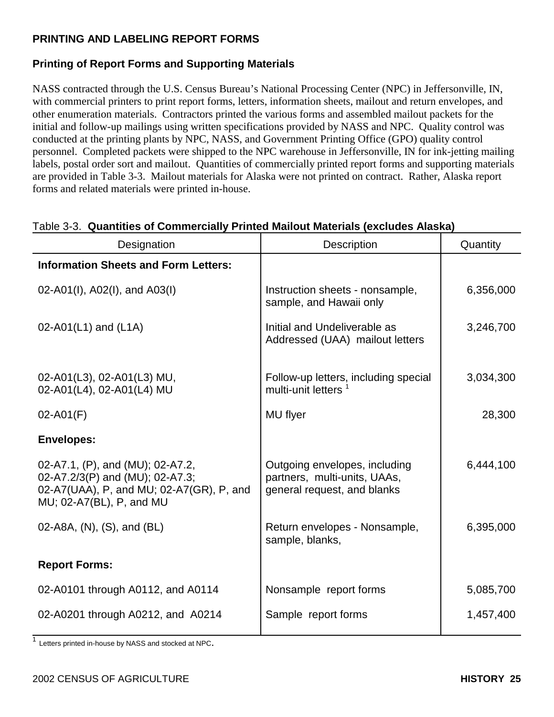## **PRINTING AND LABELING REPORT FORMS**

## **Printing of Report Forms and Supporting Materials**

NASS contracted through the U.S. Census Bureau's National Processing Center (NPC) in Jeffersonville, IN, with commercial printers to print report forms, letters, information sheets, mailout and return envelopes, and other enumeration materials. Contractors printed the various forms and assembled mailout packets for the initial and follow-up mailings using written specifications provided by NASS and NPC. Quality control was conducted at the printing plants by NPC, NASS, and Government Printing Office (GPO) quality control personnel. Completed packets were shipped to the NPC warehouse in Jeffersonville, IN for ink-jetting mailing labels, postal order sort and mailout. Quantities of commercially printed report forms and supporting materials are provided in Table 3-3. Mailout materials for Alaska were not printed on contract. Rather, Alaska report forms and related materials were printed in-house.

| Designation                                                                                                                                 | Description                                                                                  | Quantity  |
|---------------------------------------------------------------------------------------------------------------------------------------------|----------------------------------------------------------------------------------------------|-----------|
| <b>Information Sheets and Form Letters:</b>                                                                                                 |                                                                                              |           |
| 02-A01(I), A02(I), and A03(I)                                                                                                               | Instruction sheets - nonsample,<br>sample, and Hawaii only                                   | 6,356,000 |
| 02-A01(L1) and $(L1A)$                                                                                                                      | Initial and Undeliverable as<br>Addressed (UAA) mailout letters                              | 3,246,700 |
| 02-A01(L3), 02-A01(L3) MU,<br>02-A01(L4), 02-A01(L4) MU                                                                                     | Follow-up letters, including special<br>multi-unit letters <sup>1</sup>                      | 3,034,300 |
| $02 - A01(F)$                                                                                                                               | MU flyer                                                                                     | 28,300    |
| <b>Envelopes:</b>                                                                                                                           |                                                                                              |           |
| 02-A7.1, (P), and (MU); 02-A7.2,<br>02-A7.2/3(P) and (MU); 02-A7.3;<br>02-A7(UAA), P, and MU; 02-A7(GR), P, and<br>MU; 02-A7(BL), P, and MU | Outgoing envelopes, including<br>partners, multi-units, UAAs,<br>general request, and blanks | 6,444,100 |
| 02-A8A, (N), (S), and (BL)                                                                                                                  | Return envelopes - Nonsample,<br>sample, blanks,                                             | 6,395,000 |
| <b>Report Forms:</b>                                                                                                                        |                                                                                              |           |
| 02-A0101 through A0112, and A0114                                                                                                           | Nonsample report forms                                                                       | 5,085,700 |
| 02-A0201 through A0212, and A0214                                                                                                           | Sample report forms                                                                          | 1,457,400 |

#### Table 3-3. **Quantities of Commercially Printed Mailout Materials (excludes Alaska)**

<sup>1</sup> Letters printed in-house by NASS and stocked at NPC.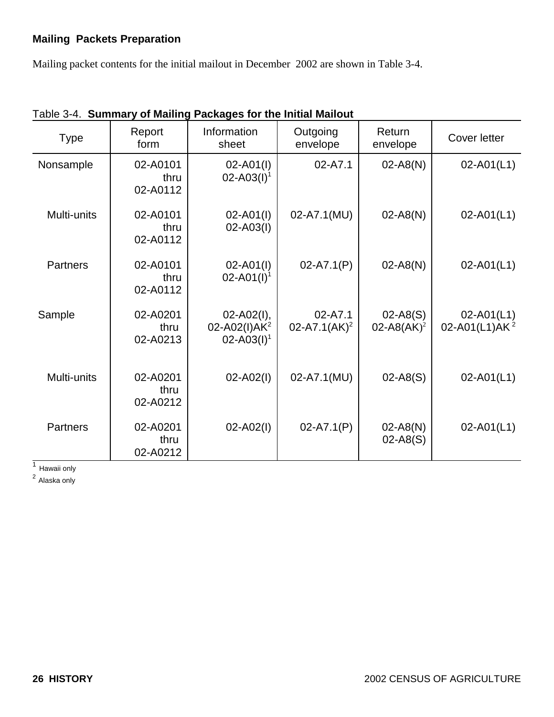## **Mailing Packets Preparation**

Mailing packet contents for the initial mailout in December 2002 are shown in Table 3-4.

| <b>Type</b>     | Report<br>form               | Information<br>sheet                                           | Outgoing<br>envelope                    | Return<br>envelope                     | Cover letter                                |
|-----------------|------------------------------|----------------------------------------------------------------|-----------------------------------------|----------------------------------------|---------------------------------------------|
| Nonsample       | 02-A0101<br>thru<br>02-A0112 | $02 - A01(1)$<br>$02 - A03(1)^1$                               | 02-A7.1                                 | $02 - A8(N)$                           | $02 - A01(L1)$                              |
| Multi-units     | 02-A0101<br>thru<br>02-A0112 | $02 - A01(1)$<br>$02 - A03(1)$                                 | 02-A7.1(MU)                             | $02 - A8(N)$                           | $02 - A01(L1)$                              |
| <b>Partners</b> | 02-A0101<br>thru<br>02-A0112 | $02 - A01(1)$<br>$02 - A01(1)^1$                               | $02 - A7.1(P)$                          | $02 - A8(N)$                           | $02 - A01(L1)$                              |
| Sample          | 02-A0201<br>thru<br>02-A0213 | $02 - A02(1)$ ,<br>02-A02(I)AK <sup>2</sup><br>$02 - A03(1)^1$ | $02 - A7.1$<br>02-A7.1(AK) <sup>2</sup> | $02 - A8(S)$<br>02-A8(AK) <sup>2</sup> | $02 - A01(L1)$<br>02-A01(L1)AK <sup>2</sup> |
| Multi-units     | 02-A0201<br>thru<br>02-A0212 | $02 - A02(1)$                                                  | 02-A7.1(MU)                             | $02 - A8(S)$                           | $02 - A01(L1)$                              |
| <b>Partners</b> | 02-A0201<br>thru<br>02-A0212 | $02 - A02(1)$                                                  | $02 - A7.1(P)$                          | $02 - A8(N)$<br>$02 - A8(S)$           | $02 - A01(L1)$                              |

Table 3-4. **Summary of Mailing Packages for the Initial Mailout**

 $\overline{1}$  Hawaii only

<sup>2</sup> Alaska only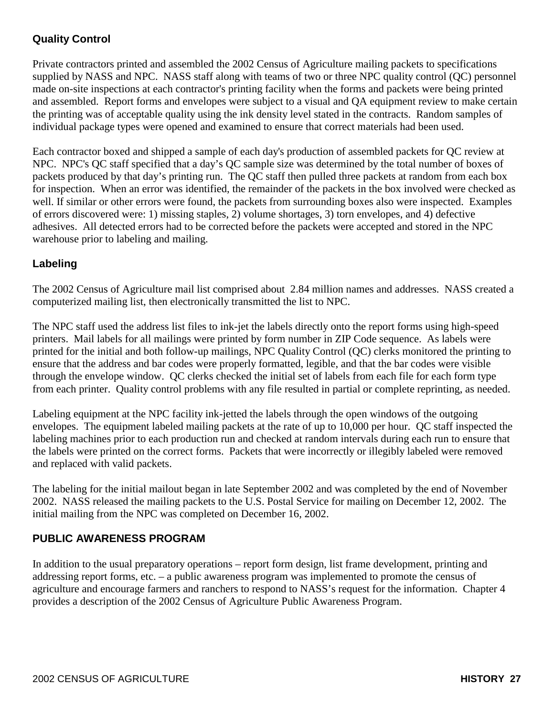## **Quality Control**

Private contractors printed and assembled the 2002 Census of Agriculture mailing packets to specifications supplied by NASS and NPC. NASS staff along with teams of two or three NPC quality control (QC) personnel made on-site inspections at each contractor's printing facility when the forms and packets were being printed and assembled. Report forms and envelopes were subject to a visual and QA equipment review to make certain the printing was of acceptable quality using the ink density level stated in the contracts. Random samples of individual package types were opened and examined to ensure that correct materials had been used.

Each contractor boxed and shipped a sample of each day's production of assembled packets for QC review at NPC. NPC's QC staff specified that a day's QC sample size was determined by the total number of boxes of packets produced by that day's printing run. The QC staff then pulled three packets at random from each box for inspection. When an error was identified, the remainder of the packets in the box involved were checked as well. If similar or other errors were found, the packets from surrounding boxes also were inspected. Examples of errors discovered were: 1) missing staples, 2) volume shortages, 3) torn envelopes, and 4) defective adhesives. All detected errors had to be corrected before the packets were accepted and stored in the NPC warehouse prior to labeling and mailing.

## **Labeling**

The 2002 Census of Agriculture mail list comprised about 2.84 million names and addresses. NASS created a computerized mailing list, then electronically transmitted the list to NPC.

The NPC staff used the address list files to ink-jet the labels directly onto the report forms using high-speed printers. Mail labels for all mailings were printed by form number in ZIP Code sequence. As labels were printed for the initial and both follow-up mailings, NPC Quality Control (QC) clerks monitored the printing to ensure that the address and bar codes were properly formatted, legible, and that the bar codes were visible through the envelope window. QC clerks checked the initial set of labels from each file for each form type from each printer. Quality control problems with any file resulted in partial or complete reprinting, as needed.

Labeling equipment at the NPC facility ink-jetted the labels through the open windows of the outgoing envelopes. The equipment labeled mailing packets at the rate of up to 10,000 per hour. QC staff inspected the labeling machines prior to each production run and checked at random intervals during each run to ensure that the labels were printed on the correct forms. Packets that were incorrectly or illegibly labeled were removed and replaced with valid packets.

The labeling for the initial mailout began in late September 2002 and was completed by the end of November 2002. NASS released the mailing packets to the U.S. Postal Service for mailing on December 12, 2002. The initial mailing from the NPC was completed on December 16, 2002.

## **PUBLIC AWARENESS PROGRAM**

In addition to the usual preparatory operations – report form design, list frame development, printing and addressing report forms, etc. – a public awareness program was implemented to promote the census of agriculture and encourage farmers and ranchers to respond to NASS's request for the information. Chapter 4 provides a description of the 2002 Census of Agriculture Public Awareness Program.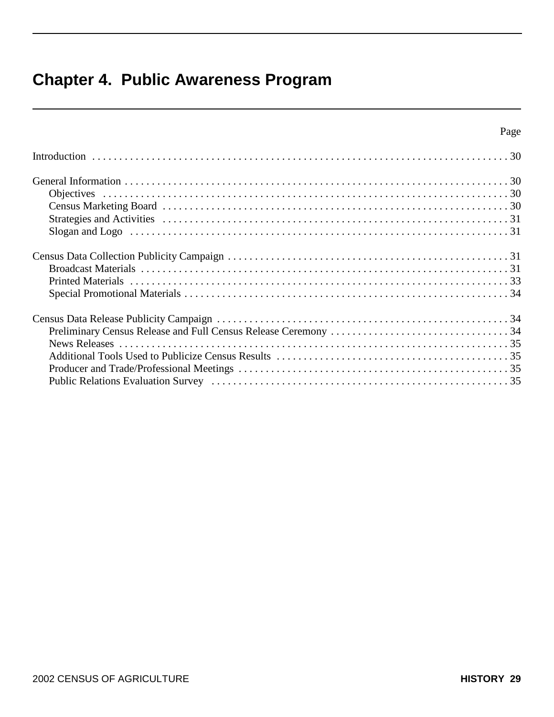## **Chapter 4. Public Awareness Program**

|--|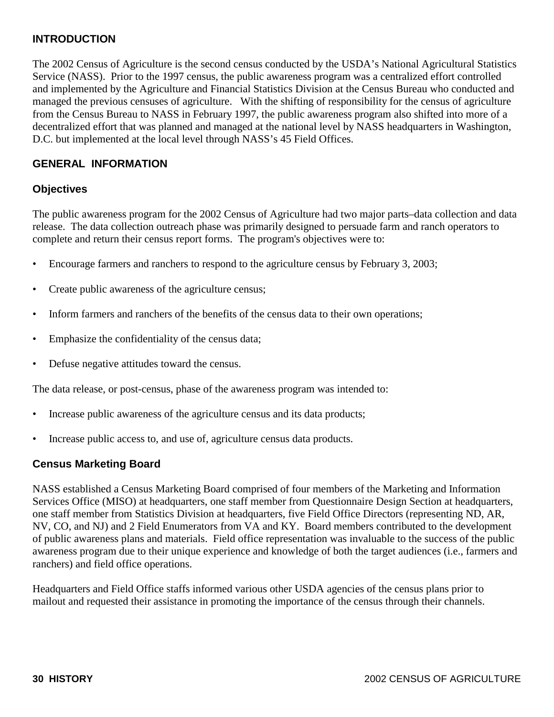## **INTRODUCTION**

The 2002 Census of Agriculture is the second census conducted by the USDA's National Agricultural Statistics Service (NASS). Prior to the 1997 census, the public awareness program was a centralized effort controlled and implemented by the Agriculture and Financial Statistics Division at the Census Bureau who conducted and managed the previous censuses of agriculture. With the shifting of responsibility for the census of agriculture from the Census Bureau to NASS in February 1997, the public awareness program also shifted into more of a decentralized effort that was planned and managed at the national level by NASS headquarters in Washington, D.C. but implemented at the local level through NASS's 45 Field Offices.

#### **GENERAL INFORMATION**

#### **Objectives**

The public awareness program for the 2002 Census of Agriculture had two major parts–data collection and data release. The data collection outreach phase was primarily designed to persuade farm and ranch operators to complete and return their census report forms. The program's objectives were to:

- Encourage farmers and ranchers to respond to the agriculture census by February 3, 2003;
- Create public awareness of the agriculture census;
- Inform farmers and ranchers of the benefits of the census data to their own operations;
- Emphasize the confidentiality of the census data;
- Defuse negative attitudes toward the census.

The data release, or post-census, phase of the awareness program was intended to:

- Increase public awareness of the agriculture census and its data products;
- Increase public access to, and use of, agriculture census data products.

#### **Census Marketing Board**

NASS established a Census Marketing Board comprised of four members of the Marketing and Information Services Office (MISO) at headquarters, one staff member from Questionnaire Design Section at headquarters, one staff member from Statistics Division at headquarters, five Field Office Directors (representing ND, AR, NV, CO, and NJ) and 2 Field Enumerators from VA and KY. Board members contributed to the development of public awareness plans and materials. Field office representation was invaluable to the success of the public awareness program due to their unique experience and knowledge of both the target audiences (i.e., farmers and ranchers) and field office operations.

Headquarters and Field Office staffs informed various other USDA agencies of the census plans prior to mailout and requested their assistance in promoting the importance of the census through their channels.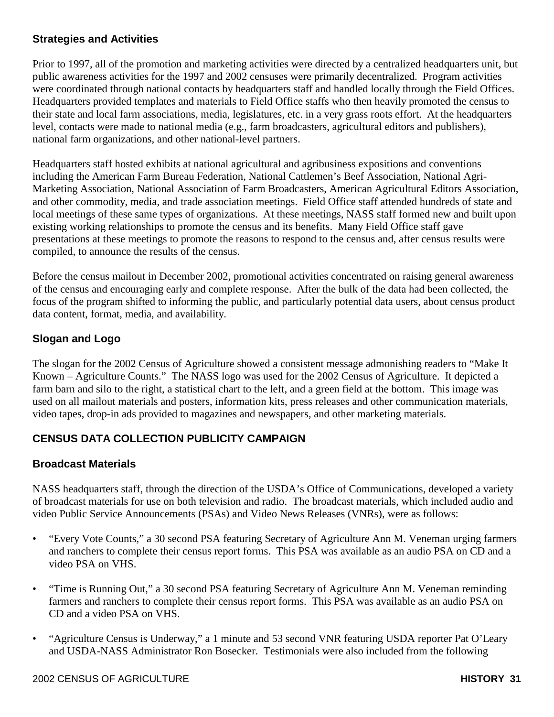## **Strategies and Activities**

Prior to 1997, all of the promotion and marketing activities were directed by a centralized headquarters unit, but public awareness activities for the 1997 and 2002 censuses were primarily decentralized. Program activities were coordinated through national contacts by headquarters staff and handled locally through the Field Offices. Headquarters provided templates and materials to Field Office staffs who then heavily promoted the census to their state and local farm associations, media, legislatures, etc. in a very grass roots effort. At the headquarters level, contacts were made to national media (e.g., farm broadcasters, agricultural editors and publishers), national farm organizations, and other national-level partners.

Headquarters staff hosted exhibits at national agricultural and agribusiness expositions and conventions including the American Farm Bureau Federation, National Cattlemen's Beef Association, National Agri-Marketing Association, National Association of Farm Broadcasters, American Agricultural Editors Association, and other commodity, media, and trade association meetings. Field Office staff attended hundreds of state and local meetings of these same types of organizations. At these meetings, NASS staff formed new and built upon existing working relationships to promote the census and its benefits. Many Field Office staff gave presentations at these meetings to promote the reasons to respond to the census and, after census results were compiled, to announce the results of the census.

Before the census mailout in December 2002, promotional activities concentrated on raising general awareness of the census and encouraging early and complete response. After the bulk of the data had been collected, the focus of the program shifted to informing the public, and particularly potential data users, about census product data content, format, media, and availability.

#### **Slogan and Logo**

The slogan for the 2002 Census of Agriculture showed a consistent message admonishing readers to "Make It Known – Agriculture Counts." The NASS logo was used for the 2002 Census of Agriculture. It depicted a farm barn and silo to the right, a statistical chart to the left, and a green field at the bottom. This image was used on all mailout materials and posters, information kits, press releases and other communication materials, video tapes, drop-in ads provided to magazines and newspapers, and other marketing materials.

## **CENSUS DATA COLLECTION PUBLICITY CAMPAIGN**

#### **Broadcast Materials**

NASS headquarters staff, through the direction of the USDA's Office of Communications, developed a variety of broadcast materials for use on both television and radio. The broadcast materials, which included audio and video Public Service Announcements (PSAs) and Video News Releases (VNRs), were as follows:

- "Every Vote Counts," a 30 second PSA featuring Secretary of Agriculture Ann M. Veneman urging farmers and ranchers to complete their census report forms. This PSA was available as an audio PSA on CD and a video PSA on VHS.
- "Time is Running Out," a 30 second PSA featuring Secretary of Agriculture Ann M. Veneman reminding farmers and ranchers to complete their census report forms. This PSA was available as an audio PSA on CD and a video PSA on VHS.
- "Agriculture Census is Underway," a 1 minute and 53 second VNR featuring USDA reporter Pat O'Leary and USDA-NASS Administrator Ron Bosecker. Testimonials were also included from the following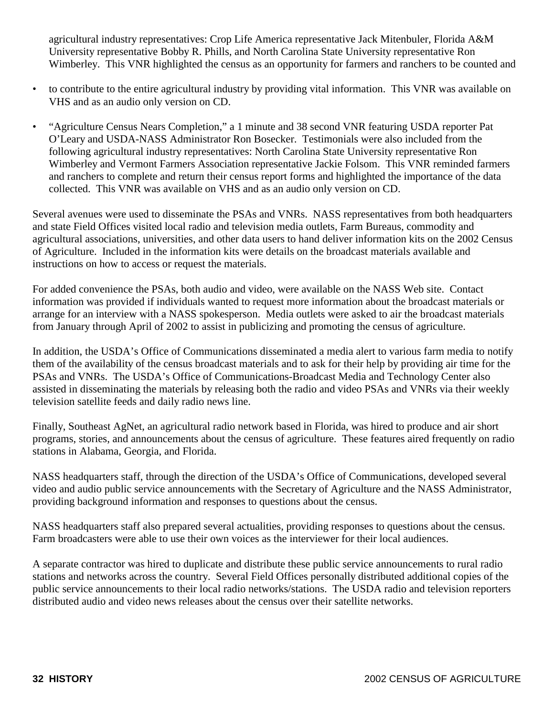agricultural industry representatives: Crop Life America representative Jack Mitenbuler, Florida A&M University representative Bobby R. Phills, and North Carolina State University representative Ron Wimberley. This VNR highlighted the census as an opportunity for farmers and ranchers to be counted and

- to contribute to the entire agricultural industry by providing vital information. This VNR was available on VHS and as an audio only version on CD.
- "Agriculture Census Nears Completion," a 1 minute and 38 second VNR featuring USDA reporter Pat O'Leary and USDA-NASS Administrator Ron Bosecker. Testimonials were also included from the following agricultural industry representatives: North Carolina State University representative Ron Wimberley and Vermont Farmers Association representative Jackie Folsom. This VNR reminded farmers and ranchers to complete and return their census report forms and highlighted the importance of the data collected. This VNR was available on VHS and as an audio only version on CD.

Several avenues were used to disseminate the PSAs and VNRs. NASS representatives from both headquarters and state Field Offices visited local radio and television media outlets, Farm Bureaus, commodity and agricultural associations, universities, and other data users to hand deliver information kits on the 2002 Census of Agriculture. Included in the information kits were details on the broadcast materials available and instructions on how to access or request the materials.

For added convenience the PSAs, both audio and video, were available on the NASS Web site. Contact information was provided if individuals wanted to request more information about the broadcast materials or arrange for an interview with a NASS spokesperson. Media outlets were asked to air the broadcast materials from January through April of 2002 to assist in publicizing and promoting the census of agriculture.

In addition, the USDA's Office of Communications disseminated a media alert to various farm media to notify them of the availability of the census broadcast materials and to ask for their help by providing air time for the PSAs and VNRs. The USDA's Office of Communications-Broadcast Media and Technology Center also assisted in disseminating the materials by releasing both the radio and video PSAs and VNRs via their weekly television satellite feeds and daily radio news line.

Finally, Southeast AgNet, an agricultural radio network based in Florida, was hired to produce and air short programs, stories, and announcements about the census of agriculture. These features aired frequently on radio stations in Alabama, Georgia, and Florida.

NASS headquarters staff, through the direction of the USDA's Office of Communications, developed several video and audio public service announcements with the Secretary of Agriculture and the NASS Administrator, providing background information and responses to questions about the census.

NASS headquarters staff also prepared several actualities, providing responses to questions about the census. Farm broadcasters were able to use their own voices as the interviewer for their local audiences.

A separate contractor was hired to duplicate and distribute these public service announcements to rural radio stations and networks across the country. Several Field Offices personally distributed additional copies of the public service announcements to their local radio networks/stations. The USDA radio and television reporters distributed audio and video news releases about the census over their satellite networks.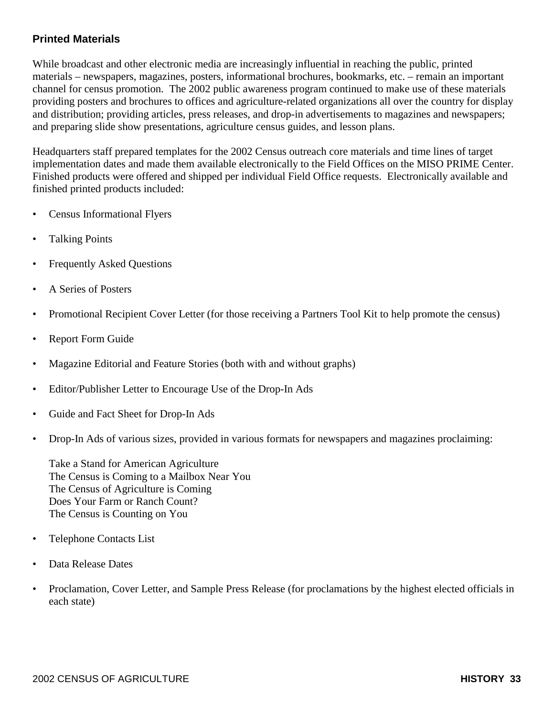## **Printed Materials**

While broadcast and other electronic media are increasingly influential in reaching the public, printed materials – newspapers, magazines, posters, informational brochures, bookmarks, etc. – remain an important channel for census promotion. The 2002 public awareness program continued to make use of these materials providing posters and brochures to offices and agriculture-related organizations all over the country for display and distribution; providing articles, press releases, and drop-in advertisements to magazines and newspapers; and preparing slide show presentations, agriculture census guides, and lesson plans.

Headquarters staff prepared templates for the 2002 Census outreach core materials and time lines of target implementation dates and made them available electronically to the Field Offices on the MISO PRIME Center. Finished products were offered and shipped per individual Field Office requests. Electronically available and finished printed products included:

- Census Informational Flyers
- Talking Points
- Frequently Asked Questions
- A Series of Posters
- Promotional Recipient Cover Letter (for those receiving a Partners Tool Kit to help promote the census)
- Report Form Guide
- Magazine Editorial and Feature Stories (both with and without graphs)
- Editor/Publisher Letter to Encourage Use of the Drop-In Ads
- Guide and Fact Sheet for Drop-In Ads
- Drop-In Ads of various sizes, provided in various formats for newspapers and magazines proclaiming:

Take a Stand for American Agriculture The Census is Coming to a Mailbox Near You The Census of Agriculture is Coming Does Your Farm or Ranch Count? The Census is Counting on You

- Telephone Contacts List
- Data Release Dates
- Proclamation, Cover Letter, and Sample Press Release (for proclamations by the highest elected officials in each state)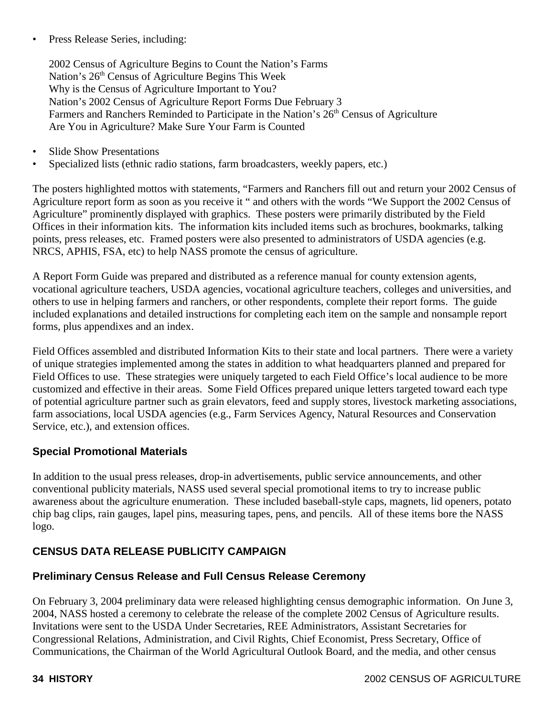• Press Release Series, including:

2002 Census of Agriculture Begins to Count the Nation's Farms Nation's 26<sup>th</sup> Census of Agriculture Begins This Week Why is the Census of Agriculture Important to You? Nation's 2002 Census of Agriculture Report Forms Due February 3 Farmers and Ranchers Reminded to Participate in the Nation's 26<sup>th</sup> Census of Agriculture Are You in Agriculture? Make Sure Your Farm is Counted

- Slide Show Presentations
- Specialized lists (ethnic radio stations, farm broadcasters, weekly papers, etc.)

The posters highlighted mottos with statements, "Farmers and Ranchers fill out and return your 2002 Census of Agriculture report form as soon as you receive it " and others with the words "We Support the 2002 Census of Agriculture" prominently displayed with graphics. These posters were primarily distributed by the Field Offices in their information kits. The information kits included items such as brochures, bookmarks, talking points, press releases, etc. Framed posters were also presented to administrators of USDA agencies (e.g. NRCS, APHIS, FSA, etc) to help NASS promote the census of agriculture.

A Report Form Guide was prepared and distributed as a reference manual for county extension agents, vocational agriculture teachers, USDA agencies, vocational agriculture teachers, colleges and universities, and others to use in helping farmers and ranchers, or other respondents, complete their report forms. The guide included explanations and detailed instructions for completing each item on the sample and nonsample report forms, plus appendixes and an index.

Field Offices assembled and distributed Information Kits to their state and local partners. There were a variety of unique strategies implemented among the states in addition to what headquarters planned and prepared for Field Offices to use. These strategies were uniquely targeted to each Field Office's local audience to be more customized and effective in their areas. Some Field Offices prepared unique letters targeted toward each type of potential agriculture partner such as grain elevators, feed and supply stores, livestock marketing associations, farm associations, local USDA agencies (e.g., Farm Services Agency, Natural Resources and Conservation Service, etc.), and extension offices.

#### **Special Promotional Materials**

In addition to the usual press releases, drop-in advertisements, public service announcements, and other conventional publicity materials, NASS used several special promotional items to try to increase public awareness about the agriculture enumeration. These included baseball-style caps, magnets, lid openers, potato chip bag clips, rain gauges, lapel pins, measuring tapes, pens, and pencils. All of these items bore the NASS logo.

## **CENSUS DATA RELEASE PUBLICITY CAMPAIGN**

#### **Preliminary Census Release and Full Census Release Ceremony**

On February 3, 2004 preliminary data were released highlighting census demographic information. On June 3, 2004, NASS hosted a ceremony to celebrate the release of the complete 2002 Census of Agriculture results. Invitations were sent to the USDA Under Secretaries, REE Administrators, Assistant Secretaries for Congressional Relations, Administration, and Civil Rights, Chief Economist, Press Secretary, Office of Communications, the Chairman of the World Agricultural Outlook Board, and the media, and other census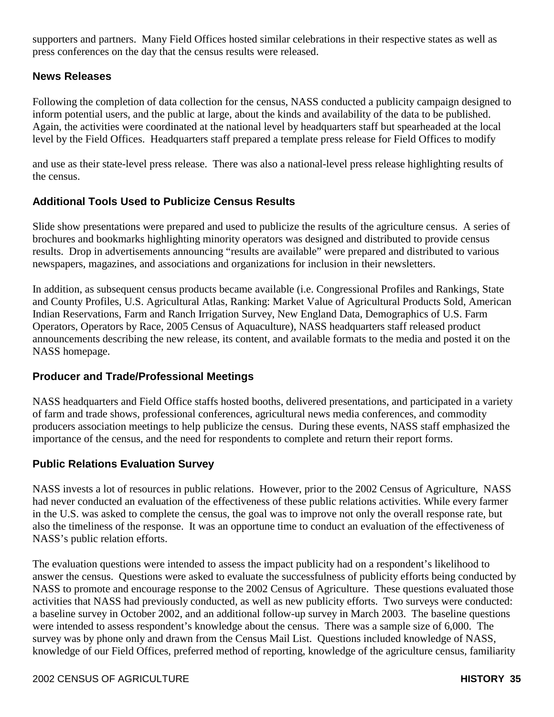supporters and partners. Many Field Offices hosted similar celebrations in their respective states as well as press conferences on the day that the census results were released.

#### **News Releases**

Following the completion of data collection for the census, NASS conducted a publicity campaign designed to inform potential users, and the public at large, about the kinds and availability of the data to be published. Again, the activities were coordinated at the national level by headquarters staff but spearheaded at the local level by the Field Offices. Headquarters staff prepared a template press release for Field Offices to modify

and use as their state-level press release. There was also a national-level press release highlighting results of the census.

### **Additional Tools Used to Publicize Census Results**

Slide show presentations were prepared and used to publicize the results of the agriculture census. A series of brochures and bookmarks highlighting minority operators was designed and distributed to provide census results. Drop in advertisements announcing "results are available" were prepared and distributed to various newspapers, magazines, and associations and organizations for inclusion in their newsletters.

In addition, as subsequent census products became available (i.e. Congressional Profiles and Rankings, State and County Profiles, U.S. Agricultural Atlas, Ranking: Market Value of Agricultural Products Sold, American Indian Reservations, Farm and Ranch Irrigation Survey, New England Data, Demographics of U.S. Farm Operators, Operators by Race, 2005 Census of Aquaculture), NASS headquarters staff released product announcements describing the new release, its content, and available formats to the media and posted it on the NASS homepage.

#### **Producer and Trade/Professional Meetings**

NASS headquarters and Field Office staffs hosted booths, delivered presentations, and participated in a variety of farm and trade shows, professional conferences, agricultural news media conferences, and commodity producers association meetings to help publicize the census. During these events, NASS staff emphasized the importance of the census, and the need for respondents to complete and return their report forms.

#### **Public Relations Evaluation Survey**

NASS invests a lot of resources in public relations. However, prior to the 2002 Census of Agriculture, NASS had never conducted an evaluation of the effectiveness of these public relations activities. While every farmer in the U.S. was asked to complete the census, the goal was to improve not only the overall response rate, but also the timeliness of the response. It was an opportune time to conduct an evaluation of the effectiveness of NASS's public relation efforts.

The evaluation questions were intended to assess the impact publicity had on a respondent's likelihood to answer the census. Questions were asked to evaluate the successfulness of publicity efforts being conducted by NASS to promote and encourage response to the 2002 Census of Agriculture. These questions evaluated those activities that NASS had previously conducted, as well as new publicity efforts. Two surveys were conducted: a baseline survey in October 2002, and an additional follow-up survey in March 2003. The baseline questions were intended to assess respondent's knowledge about the census. There was a sample size of 6,000. The survey was by phone only and drawn from the Census Mail List. Questions included knowledge of NASS, knowledge of our Field Offices, preferred method of reporting, knowledge of the agriculture census, familiarity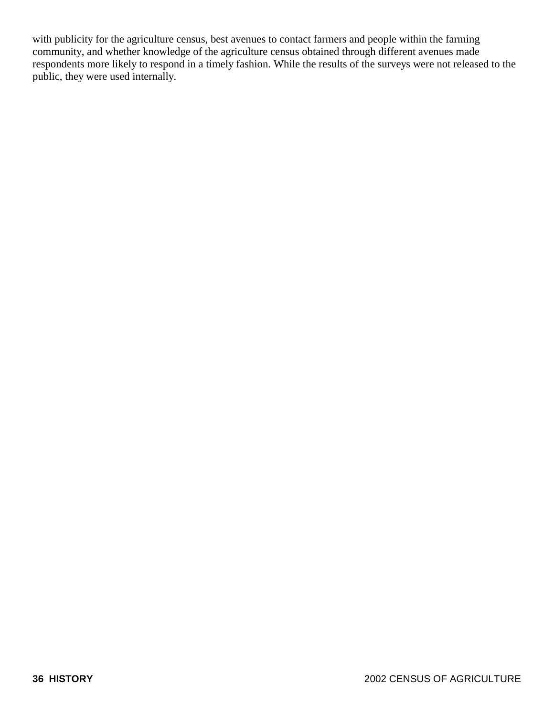with publicity for the agriculture census, best avenues to contact farmers and people within the farming community, and whether knowledge of the agriculture census obtained through different avenues made respondents more likely to respond in a timely fashion. While the results of the surveys were not released to the public, they were used internally.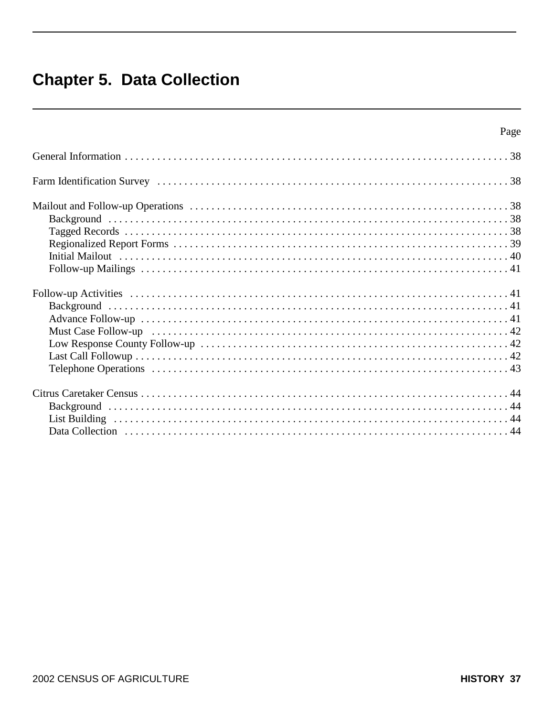# **Chapter 5. Data Collection**

| Page |
|------|
|      |
|      |
|      |
|      |
|      |
|      |
|      |
|      |
|      |
|      |
|      |
|      |
|      |
|      |
|      |
|      |
|      |
|      |
|      |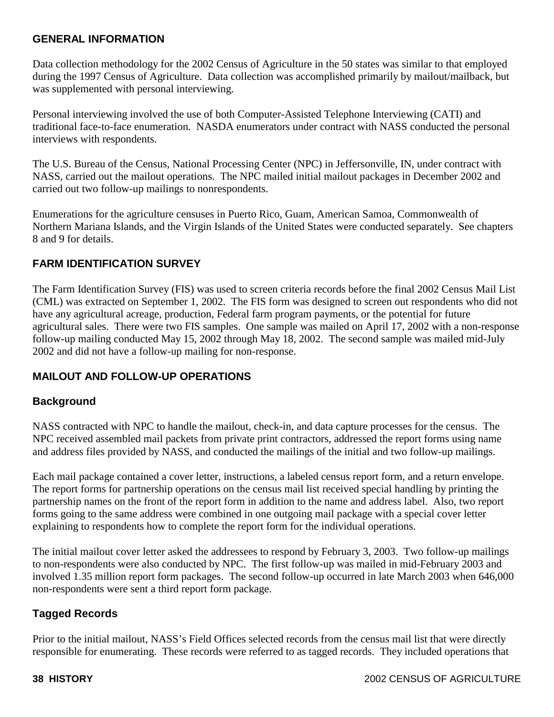### **GENERAL INFORMATION**

Data collection methodology for the 2002 Census of Agriculture in the 50 states was similar to that employed during the 1997 Census of Agriculture. Data collection was accomplished primarily by mailout/mailback, but was supplemented with personal interviewing.

Personal interviewing involved the use of both Computer-Assisted Telephone Interviewing (CATI) and traditional face-to-face enumeration. NASDA enumerators under contract with NASS conducted the personal interviews with respondents.

The U.S. Bureau of the Census, National Processing Center (NPC) in Jeffersonville, IN, under contract with NASS, carried out the mailout operations. The NPC mailed initial mailout packages in December 2002 and carried out two follow-up mailings to nonrespondents.

Enumerations for the agriculture censuses in Puerto Rico, Guam, American Samoa, Commonwealth of Northern Mariana Islands, and the Virgin Islands of the United States were conducted separately. See chapters 8 and 9 for details.

## **FARM IDENTIFICATION SURVEY**

The Farm Identification Survey (FIS) was used to screen criteria records before the final 2002 Census Mail List (CML) was extracted on September 1, 2002. The FIS form was designed to screen out respondents who did not have any agricultural acreage, production, Federal farm program payments, or the potential for future agricultural sales. There were two FIS samples. One sample was mailed on April 17, 2002 with a non-response follow-up mailing conducted May 15, 2002 through May 18, 2002. The second sample was mailed mid-July 2002 and did not have a follow-up mailing for non-response.

## **MAILOUT AND FOLLOW-UP OPERATIONS**

#### **Background**

NASS contracted with NPC to handle the mailout, check-in, and data capture processes for the census. The NPC received assembled mail packets from private print contractors, addressed the report forms using name and address files provided by NASS, and conducted the mailings of the initial and two follow-up mailings.

Each mail package contained a cover letter, instructions, a labeled census report form, and a return envelope. The report forms for partnership operations on the census mail list received special handling by printing the partnership names on the front of the report form in addition to the name and address label. Also, two report forms going to the same address were combined in one outgoing mail package with a special cover letter explaining to respondents how to complete the report form for the individual operations.

The initial mailout cover letter asked the addressees to respond by February 3, 2003. Two follow-up mailings to non-respondents were also conducted by NPC. The first follow-up was mailed in mid-February 2003 and involved 1.35 million report form packages. The second follow-up occurred in late March 2003 when 646,000 non-respondents were sent a third report form package.

#### **Tagged Records**

Prior to the initial mailout, NASS's Field Offices selected records from the census mail list that were directly responsible for enumerating. These records were referred to as tagged records. They included operations that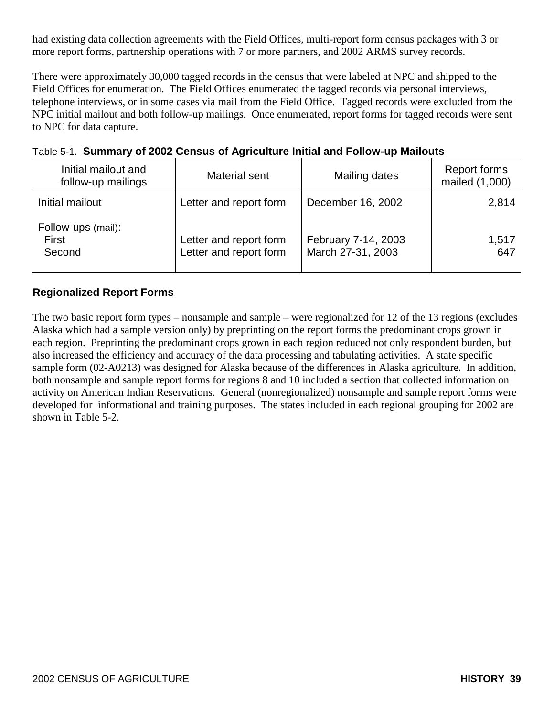had existing data collection agreements with the Field Offices, multi-report form census packages with 3 or more report forms, partnership operations with 7 or more partners, and 2002 ARMS survey records.

There were approximately 30,000 tagged records in the census that were labeled at NPC and shipped to the Field Offices for enumeration. The Field Offices enumerated the tagged records via personal interviews, telephone interviews, or in some cases via mail from the Field Office. Tagged records were excluded from the NPC initial mailout and both follow-up mailings. Once enumerated, report forms for tagged records were sent to NPC for data capture.

| Initial mailout and<br>follow-up mailings | Material sent                                    | Mailing dates                            | Report forms<br>mailed (1,000) |  |  |  |
|-------------------------------------------|--------------------------------------------------|------------------------------------------|--------------------------------|--|--|--|
| Initial mailout                           | Letter and report form                           | December 16, 2002                        | 2,814                          |  |  |  |
| Follow-ups (mail):<br>First<br>Second     | Letter and report form<br>Letter and report form | February 7-14, 2003<br>March 27-31, 2003 | 1,517<br>647                   |  |  |  |

# Table 5-1. **Summary of 2002 Census of Agriculture Initial and Follow-up Mailouts**

## **Regionalized Report Forms**

The two basic report form types – nonsample and sample – were regionalized for 12 of the 13 regions (excludes Alaska which had a sample version only) by preprinting on the report forms the predominant crops grown in each region. Preprinting the predominant crops grown in each region reduced not only respondent burden, but also increased the efficiency and accuracy of the data processing and tabulating activities. A state specific sample form (02-A0213) was designed for Alaska because of the differences in Alaska agriculture. In addition, both nonsample and sample report forms for regions 8 and 10 included a section that collected information on activity on American Indian Reservations. General (nonregionalized) nonsample and sample report forms were developed for informational and training purposes. The states included in each regional grouping for 2002 are shown in Table 5-2.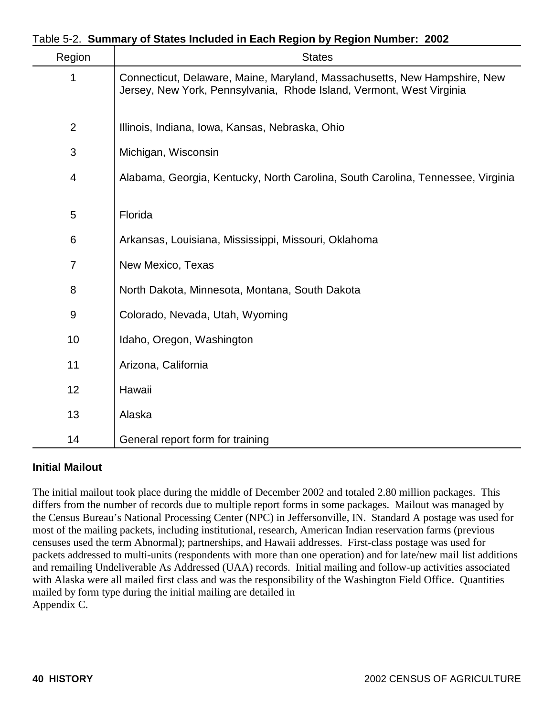|  |  |  |  |  |  |  | Table 5-2. Summary of States Included in Each Region by Region Number: 2002 |  |
|--|--|--|--|--|--|--|-----------------------------------------------------------------------------|--|
|--|--|--|--|--|--|--|-----------------------------------------------------------------------------|--|

| Region         | <b>States</b>                                                                                                                                     |
|----------------|---------------------------------------------------------------------------------------------------------------------------------------------------|
| 1              | Connecticut, Delaware, Maine, Maryland, Massachusetts, New Hampshire, New<br>Jersey, New York, Pennsylvania, Rhode Island, Vermont, West Virginia |
| $\overline{2}$ | Illinois, Indiana, Iowa, Kansas, Nebraska, Ohio                                                                                                   |
| 3              | Michigan, Wisconsin                                                                                                                               |
| 4              | Alabama, Georgia, Kentucky, North Carolina, South Carolina, Tennessee, Virginia                                                                   |
| 5              | Florida                                                                                                                                           |
| 6              | Arkansas, Louisiana, Mississippi, Missouri, Oklahoma                                                                                              |
| $\overline{7}$ | New Mexico, Texas                                                                                                                                 |
| 8              | North Dakota, Minnesota, Montana, South Dakota                                                                                                    |
| 9              | Colorado, Nevada, Utah, Wyoming                                                                                                                   |
| 10             | Idaho, Oregon, Washington                                                                                                                         |
| 11             | Arizona, California                                                                                                                               |
| 12             | Hawaii                                                                                                                                            |
| 13             | Alaska                                                                                                                                            |
| 14             | General report form for training                                                                                                                  |

#### **Initial Mailout**

The initial mailout took place during the middle of December 2002 and totaled 2.80 million packages. This differs from the number of records due to multiple report forms in some packages. Mailout was managed by the Census Bureau's National Processing Center (NPC) in Jeffersonville, IN. Standard A postage was used for most of the mailing packets, including institutional, research, American Indian reservation farms (previous censuses used the term Abnormal); partnerships, and Hawaii addresses. First-class postage was used for packets addressed to multi-units (respondents with more than one operation) and for late/new mail list additions and remailing Undeliverable As Addressed (UAA) records. Initial mailing and follow-up activities associated with Alaska were all mailed first class and was the responsibility of the Washington Field Office. Quantities mailed by form type during the initial mailing are detailed in Appendix C.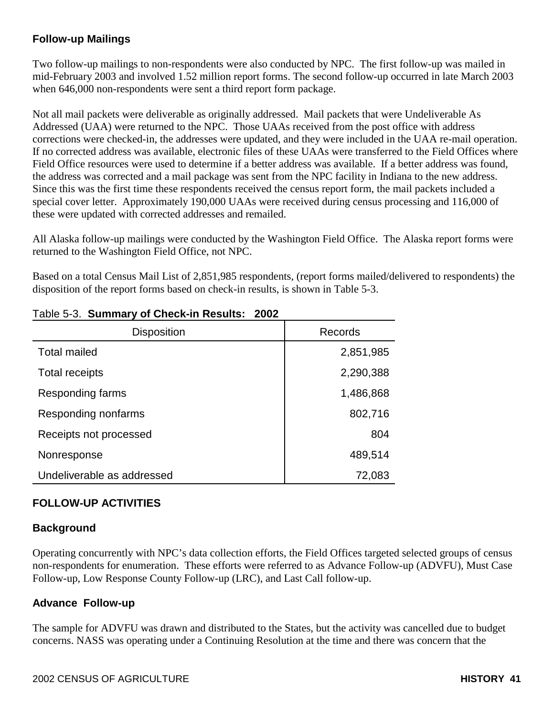# **Follow-up Mailings**

Two follow-up mailings to non-respondents were also conducted by NPC. The first follow-up was mailed in mid-February 2003 and involved 1.52 million report forms. The second follow-up occurred in late March 2003 when 646,000 non-respondents were sent a third report form package.

Not all mail packets were deliverable as originally addressed. Mail packets that were Undeliverable As Addressed (UAA) were returned to the NPC. Those UAAs received from the post office with address corrections were checked-in, the addresses were updated, and they were included in the UAA re-mail operation. If no corrected address was available, electronic files of these UAAs were transferred to the Field Offices where Field Office resources were used to determine if a better address was available. If a better address was found, the address was corrected and a mail package was sent from the NPC facility in Indiana to the new address. Since this was the first time these respondents received the census report form, the mail packets included a special cover letter. Approximately 190,000 UAAs were received during census processing and 116,000 of these were updated with corrected addresses and remailed.

All Alaska follow-up mailings were conducted by the Washington Field Office. The Alaska report forms were returned to the Washington Field Office, not NPC.

Based on a total Census Mail List of 2,851,985 respondents, (report forms mailed/delivered to respondents) the disposition of the report forms based on check-in results, is shown in Table 5-3.

| <b>Disposition</b>         | Records   |
|----------------------------|-----------|
| <b>Total mailed</b>        | 2,851,985 |
| Total receipts             | 2,290,388 |
| Responding farms           | 1,486,868 |
| Responding nonfarms        | 802,716   |
| Receipts not processed     | 804       |
| Nonresponse                | 489,514   |
| Undeliverable as addressed | 72,083    |

### Table 5-3. **Summary of Check-in Results: 2002**

## **FOLLOW-UP ACTIVITIES**

#### **Background**

Operating concurrently with NPC's data collection efforts, the Field Offices targeted selected groups of census non-respondents for enumeration. These efforts were referred to as Advance Follow-up (ADVFU), Must Case Follow-up, Low Response County Follow-up (LRC), and Last Call follow-up.

#### **Advance Follow-up**

The sample for ADVFU was drawn and distributed to the States, but the activity was cancelled due to budget concerns. NASS was operating under a Continuing Resolution at the time and there was concern that the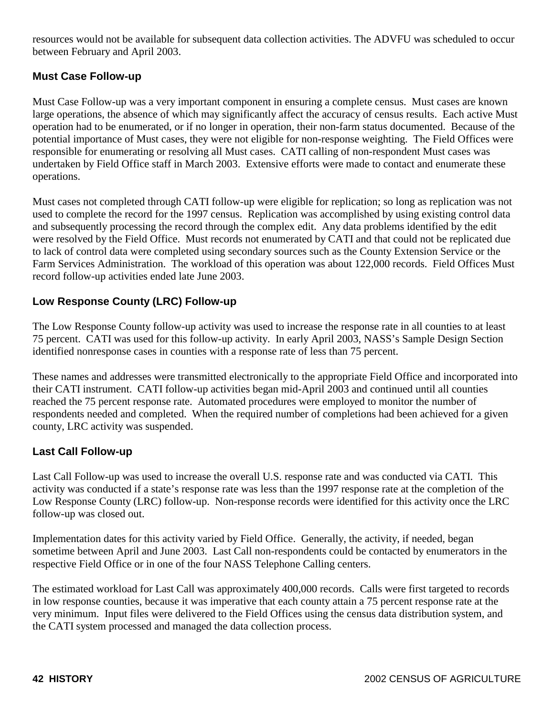resources would not be available for subsequent data collection activities. The ADVFU was scheduled to occur between February and April 2003.

### **Must Case Follow-up**

Must Case Follow-up was a very important component in ensuring a complete census. Must cases are known large operations, the absence of which may significantly affect the accuracy of census results. Each active Must operation had to be enumerated, or if no longer in operation, their non-farm status documented. Because of the potential importance of Must cases, they were not eligible for non-response weighting. The Field Offices were responsible for enumerating or resolving all Must cases. CATI calling of non-respondent Must cases was undertaken by Field Office staff in March 2003. Extensive efforts were made to contact and enumerate these operations.

Must cases not completed through CATI follow-up were eligible for replication; so long as replication was not used to complete the record for the 1997 census. Replication was accomplished by using existing control data and subsequently processing the record through the complex edit. Any data problems identified by the edit were resolved by the Field Office. Must records not enumerated by CATI and that could not be replicated due to lack of control data were completed using secondary sources such as the County Extension Service or the Farm Services Administration. The workload of this operation was about 122,000 records. Field Offices Must record follow-up activities ended late June 2003.

### **Low Response County (LRC) Follow-up**

The Low Response County follow-up activity was used to increase the response rate in all counties to at least 75 percent. CATI was used for this follow-up activity. In early April 2003, NASS's Sample Design Section identified nonresponse cases in counties with a response rate of less than 75 percent.

These names and addresses were transmitted electronically to the appropriate Field Office and incorporated into their CATI instrument. CATI follow-up activities began mid-April 2003 and continued until all counties reached the 75 percent response rate. Automated procedures were employed to monitor the number of respondents needed and completed. When the required number of completions had been achieved for a given county, LRC activity was suspended.

#### **Last Call Follow-up**

Last Call Follow-up was used to increase the overall U.S. response rate and was conducted via CATI. This activity was conducted if a state's response rate was less than the 1997 response rate at the completion of the Low Response County (LRC) follow-up. Non-response records were identified for this activity once the LRC follow-up was closed out.

Implementation dates for this activity varied by Field Office. Generally, the activity, if needed, began sometime between April and June 2003. Last Call non-respondents could be contacted by enumerators in the respective Field Office or in one of the four NASS Telephone Calling centers.

The estimated workload for Last Call was approximately 400,000 records. Calls were first targeted to records in low response counties, because it was imperative that each county attain a 75 percent response rate at the very minimum. Input files were delivered to the Field Offices using the census data distribution system, and the CATI system processed and managed the data collection process.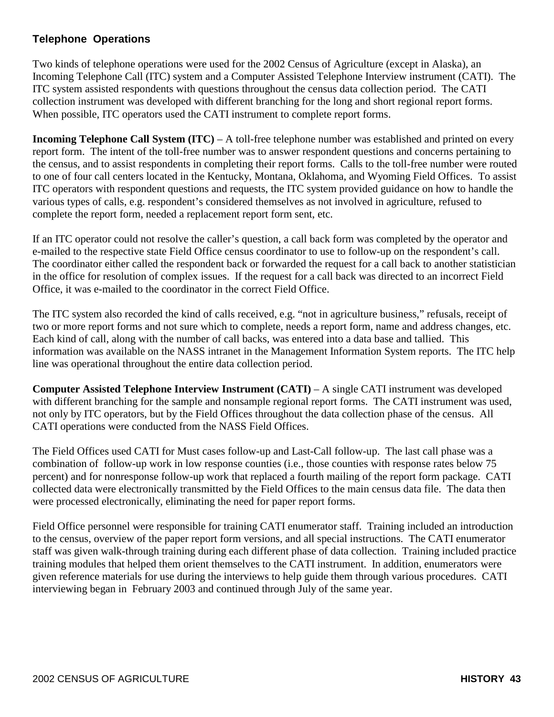## **Telephone Operations**

Two kinds of telephone operations were used for the 2002 Census of Agriculture (except in Alaska), an Incoming Telephone Call (ITC) system and a Computer Assisted Telephone Interview instrument (CATI). The ITC system assisted respondents with questions throughout the census data collection period. The CATI collection instrument was developed with different branching for the long and short regional report forms. When possible, ITC operators used the CATI instrument to complete report forms.

**Incoming Telephone Call System (ITC) – A toll-free telephone number was established and printed on every** report form. The intent of the toll-free number was to answer respondent questions and concerns pertaining to the census, and to assist respondents in completing their report forms. Calls to the toll-free number were routed to one of four call centers located in the Kentucky, Montana, Oklahoma, and Wyoming Field Offices. To assist ITC operators with respondent questions and requests, the ITC system provided guidance on how to handle the various types of calls, e.g. respondent's considered themselves as not involved in agriculture, refused to complete the report form, needed a replacement report form sent, etc.

If an ITC operator could not resolve the caller's question, a call back form was completed by the operator and e-mailed to the respective state Field Office census coordinator to use to follow-up on the respondent's call. The coordinator either called the respondent back or forwarded the request for a call back to another statistician in the office for resolution of complex issues. If the request for a call back was directed to an incorrect Field Office, it was e-mailed to the coordinator in the correct Field Office.

The ITC system also recorded the kind of calls received, e.g. "not in agriculture business," refusals, receipt of two or more report forms and not sure which to complete, needs a report form, name and address changes, etc. Each kind of call, along with the number of call backs, was entered into a data base and tallied. This information was available on the NASS intranet in the Management Information System reports. The ITC help line was operational throughout the entire data collection period.

**Computer Assisted Telephone Interview Instrument (CATI) – A single CATI instrument was developed** with different branching for the sample and nonsample regional report forms. The CATI instrument was used, not only by ITC operators, but by the Field Offices throughout the data collection phase of the census. All CATI operations were conducted from the NASS Field Offices.

The Field Offices used CATI for Must cases follow-up and Last-Call follow-up. The last call phase was a combination of follow-up work in low response counties (i.e., those counties with response rates below 75 percent) and for nonresponse follow-up work that replaced a fourth mailing of the report form package. CATI collected data were electronically transmitted by the Field Offices to the main census data file. The data then were processed electronically, eliminating the need for paper report forms.

Field Office personnel were responsible for training CATI enumerator staff. Training included an introduction to the census, overview of the paper report form versions, and all special instructions. The CATI enumerator staff was given walk-through training during each different phase of data collection. Training included practice training modules that helped them orient themselves to the CATI instrument. In addition, enumerators were given reference materials for use during the interviews to help guide them through various procedures. CATI interviewing began in February 2003 and continued through July of the same year.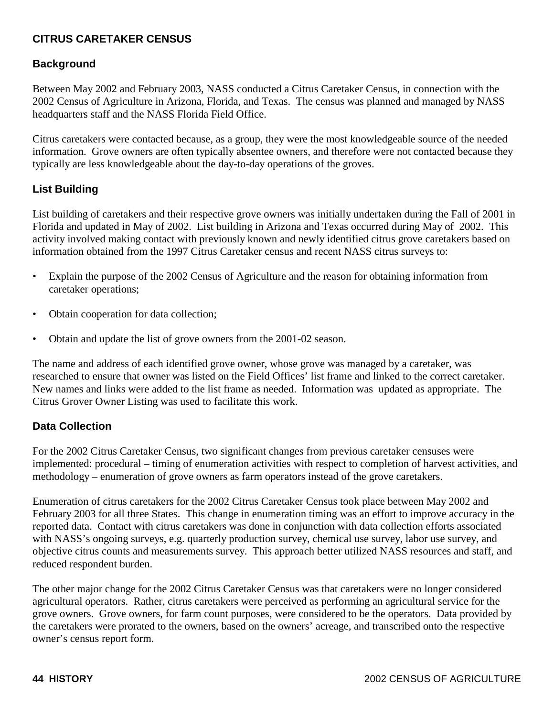# **CITRUS CARETAKER CENSUS**

### **Background**

Between May 2002 and February 2003, NASS conducted a Citrus Caretaker Census, in connection with the 2002 Census of Agriculture in Arizona, Florida, and Texas. The census was planned and managed by NASS headquarters staff and the NASS Florida Field Office.

Citrus caretakers were contacted because, as a group, they were the most knowledgeable source of the needed information. Grove owners are often typically absentee owners, and therefore were not contacted because they typically are less knowledgeable about the day-to-day operations of the groves.

### **List Building**

List building of caretakers and their respective grove owners was initially undertaken during the Fall of 2001 in Florida and updated in May of 2002. List building in Arizona and Texas occurred during May of 2002. This activity involved making contact with previously known and newly identified citrus grove caretakers based on information obtained from the 1997 Citrus Caretaker census and recent NASS citrus surveys to:

- Explain the purpose of the 2002 Census of Agriculture and the reason for obtaining information from caretaker operations;
- Obtain cooperation for data collection;
- Obtain and update the list of grove owners from the 2001-02 season.

The name and address of each identified grove owner, whose grove was managed by a caretaker, was researched to ensure that owner was listed on the Field Offices' list frame and linked to the correct caretaker. New names and links were added to the list frame as needed. Information was updated as appropriate. The Citrus Grover Owner Listing was used to facilitate this work.

#### **Data Collection**

For the 2002 Citrus Caretaker Census, two significant changes from previous caretaker censuses were implemented: procedural – timing of enumeration activities with respect to completion of harvest activities, and methodology – enumeration of grove owners as farm operators instead of the grove caretakers.

Enumeration of citrus caretakers for the 2002 Citrus Caretaker Census took place between May 2002 and February 2003 for all three States. This change in enumeration timing was an effort to improve accuracy in the reported data. Contact with citrus caretakers was done in conjunction with data collection efforts associated with NASS's ongoing surveys, e.g. quarterly production survey, chemical use survey, labor use survey, and objective citrus counts and measurements survey. This approach better utilized NASS resources and staff, and reduced respondent burden.

The other major change for the 2002 Citrus Caretaker Census was that caretakers were no longer considered agricultural operators. Rather, citrus caretakers were perceived as performing an agricultural service for the grove owners. Grove owners, for farm count purposes, were considered to be the operators. Data provided by the caretakers were prorated to the owners, based on the owners' acreage, and transcribed onto the respective owner's census report form.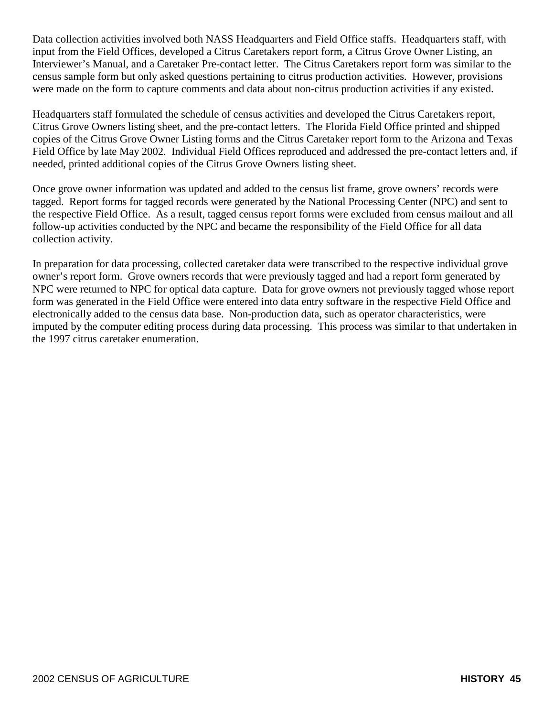Data collection activities involved both NASS Headquarters and Field Office staffs. Headquarters staff, with input from the Field Offices, developed a Citrus Caretakers report form, a Citrus Grove Owner Listing, an Interviewer's Manual, and a Caretaker Pre-contact letter. The Citrus Caretakers report form was similar to the census sample form but only asked questions pertaining to citrus production activities. However, provisions were made on the form to capture comments and data about non-citrus production activities if any existed.

Headquarters staff formulated the schedule of census activities and developed the Citrus Caretakers report, Citrus Grove Owners listing sheet, and the pre-contact letters. The Florida Field Office printed and shipped copies of the Citrus Grove Owner Listing forms and the Citrus Caretaker report form to the Arizona and Texas Field Office by late May 2002. Individual Field Offices reproduced and addressed the pre-contact letters and, if needed, printed additional copies of the Citrus Grove Owners listing sheet.

Once grove owner information was updated and added to the census list frame, grove owners' records were tagged. Report forms for tagged records were generated by the National Processing Center (NPC) and sent to the respective Field Office. As a result, tagged census report forms were excluded from census mailout and all follow-up activities conducted by the NPC and became the responsibility of the Field Office for all data collection activity.

In preparation for data processing, collected caretaker data were transcribed to the respective individual grove owner's report form. Grove owners records that were previously tagged and had a report form generated by NPC were returned to NPC for optical data capture. Data for grove owners not previously tagged whose report form was generated in the Field Office were entered into data entry software in the respective Field Office and electronically added to the census data base. Non-production data, such as operator characteristics, were imputed by the computer editing process during data processing. This process was similar to that undertaken in the 1997 citrus caretaker enumeration.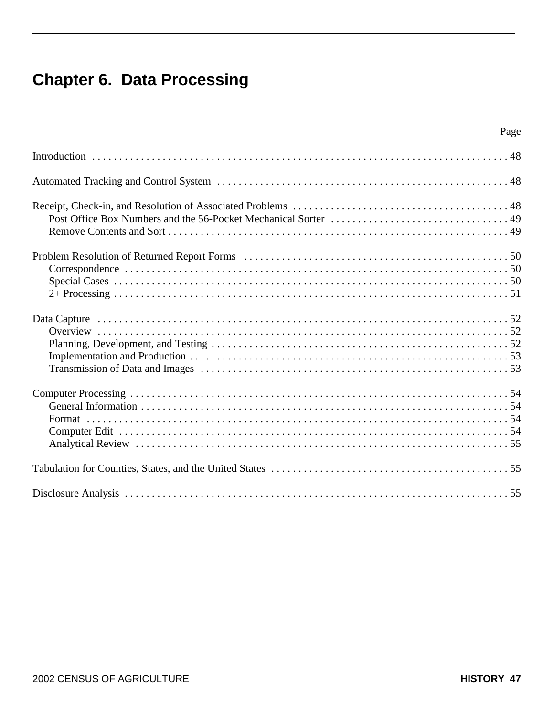# **Chapter 6. Data Processing**

| Page |
|------|
|      |
|      |
|      |
|      |
|      |
|      |
|      |
|      |
|      |
|      |
|      |
|      |
|      |
|      |
|      |
|      |
|      |
|      |
|      |
|      |
|      |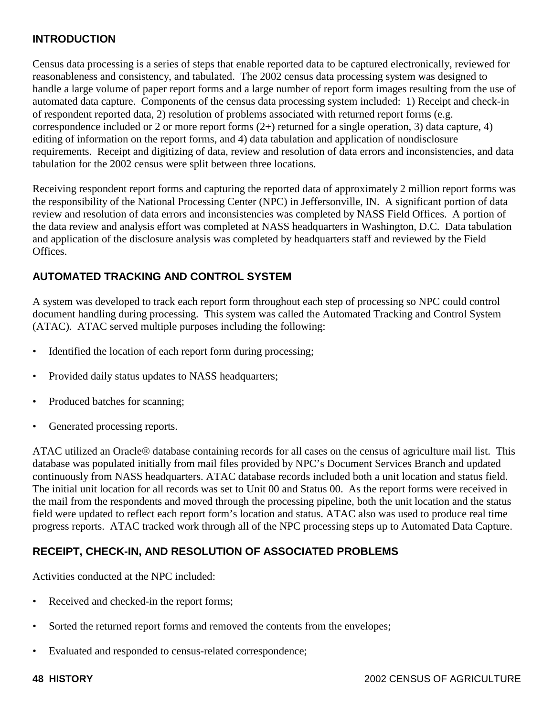## **INTRODUCTION**

Census data processing is a series of steps that enable reported data to be captured electronically, reviewed for reasonableness and consistency, and tabulated. The 2002 census data processing system was designed to handle a large volume of paper report forms and a large number of report form images resulting from the use of automated data capture. Components of the census data processing system included: 1) Receipt and check-in of respondent reported data, 2) resolution of problems associated with returned report forms (e.g. correspondence included or 2 or more report forms (2+) returned for a single operation, 3) data capture, 4) editing of information on the report forms, and 4) data tabulation and application of nondisclosure requirements. Receipt and digitizing of data, review and resolution of data errors and inconsistencies, and data tabulation for the 2002 census were split between three locations.

Receiving respondent report forms and capturing the reported data of approximately 2 million report forms was the responsibility of the National Processing Center (NPC) in Jeffersonville, IN. A significant portion of data review and resolution of data errors and inconsistencies was completed by NASS Field Offices. A portion of the data review and analysis effort was completed at NASS headquarters in Washington, D.C. Data tabulation and application of the disclosure analysis was completed by headquarters staff and reviewed by the Field Offices.

# **AUTOMATED TRACKING AND CONTROL SYSTEM**

A system was developed to track each report form throughout each step of processing so NPC could control document handling during processing. This system was called the Automated Tracking and Control System (ATAC). ATAC served multiple purposes including the following:

- Identified the location of each report form during processing;
- Provided daily status updates to NASS headquarters;
- Produced batches for scanning;
- Generated processing reports.

ATAC utilized an Oracle® database containing records for all cases on the census of agriculture mail list. This database was populated initially from mail files provided by NPC's Document Services Branch and updated continuously from NASS headquarters. ATAC database records included both a unit location and status field. The initial unit location for all records was set to Unit 00 and Status 00. As the report forms were received in the mail from the respondents and moved through the processing pipeline, both the unit location and the status field were updated to reflect each report form's location and status. ATAC also was used to produce real time progress reports. ATAC tracked work through all of the NPC processing steps up to Automated Data Capture.

## **RECEIPT, CHECK-IN, AND RESOLUTION OF ASSOCIATED PROBLEMS**

Activities conducted at the NPC included:

- Received and checked-in the report forms;
- Sorted the returned report forms and removed the contents from the envelopes;
- Evaluated and responded to census-related correspondence;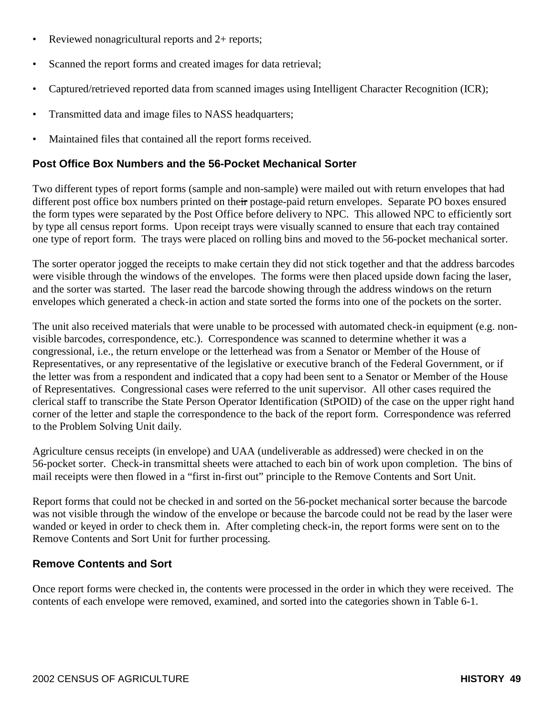- Reviewed nonagricultural reports and 2+ reports;
- Scanned the report forms and created images for data retrieval;
- Captured/retrieved reported data from scanned images using Intelligent Character Recognition (ICR);
- Transmitted data and image files to NASS headquarters;
- Maintained files that contained all the report forms received.

### **Post Office Box Numbers and the 56-Pocket Mechanical Sorter**

Two different types of report forms (sample and non-sample) were mailed out with return envelopes that had different post office box numbers printed on their postage-paid return envelopes. Separate PO boxes ensured the form types were separated by the Post Office before delivery to NPC. This allowed NPC to efficiently sort by type all census report forms. Upon receipt trays were visually scanned to ensure that each tray contained one type of report form. The trays were placed on rolling bins and moved to the 56-pocket mechanical sorter.

The sorter operator jogged the receipts to make certain they did not stick together and that the address barcodes were visible through the windows of the envelopes. The forms were then placed upside down facing the laser, and the sorter was started. The laser read the barcode showing through the address windows on the return envelopes which generated a check-in action and state sorted the forms into one of the pockets on the sorter.

The unit also received materials that were unable to be processed with automated check-in equipment (e.g. nonvisible barcodes, correspondence, etc.). Correspondence was scanned to determine whether it was a congressional, i.e., the return envelope or the letterhead was from a Senator or Member of the House of Representatives, or any representative of the legislative or executive branch of the Federal Government, or if the letter was from a respondent and indicated that a copy had been sent to a Senator or Member of the House of Representatives. Congressional cases were referred to the unit supervisor. All other cases required the clerical staff to transcribe the State Person Operator Identification (StPOID) of the case on the upper right hand corner of the letter and staple the correspondence to the back of the report form. Correspondence was referred to the Problem Solving Unit daily.

Agriculture census receipts (in envelope) and UAA (undeliverable as addressed) were checked in on the 56-pocket sorter. Check-in transmittal sheets were attached to each bin of work upon completion. The bins of mail receipts were then flowed in a "first in-first out" principle to the Remove Contents and Sort Unit.

Report forms that could not be checked in and sorted on the 56-pocket mechanical sorter because the barcode was not visible through the window of the envelope or because the barcode could not be read by the laser were wanded or keyed in order to check them in. After completing check-in, the report forms were sent on to the Remove Contents and Sort Unit for further processing.

## **Remove Contents and Sort**

Once report forms were checked in, the contents were processed in the order in which they were received. The contents of each envelope were removed, examined, and sorted into the categories shown in Table 6-1.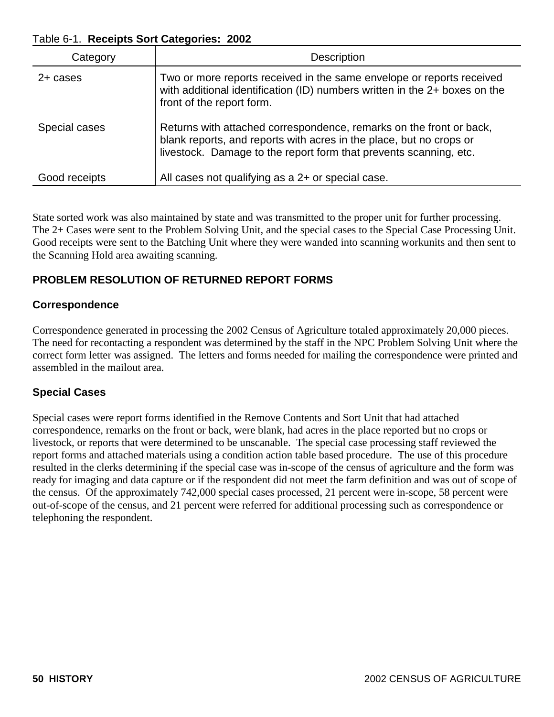#### Table 6-1. **Receipts Sort Categories: 2002**

| Category      | <b>Description</b>                                                                                                                                                                                              |
|---------------|-----------------------------------------------------------------------------------------------------------------------------------------------------------------------------------------------------------------|
| 2+ cases      | Two or more reports received in the same envelope or reports received<br>with additional identification (ID) numbers written in the 2+ boxes on the<br>front of the report form.                                |
| Special cases | Returns with attached correspondence, remarks on the front or back,<br>blank reports, and reports with acres in the place, but no crops or<br>livestock. Damage to the report form that prevents scanning, etc. |
| Good receipts | All cases not qualifying as a 2+ or special case.                                                                                                                                                               |

State sorted work was also maintained by state and was transmitted to the proper unit for further processing. The 2+ Cases were sent to the Problem Solving Unit, and the special cases to the Special Case Processing Unit. Good receipts were sent to the Batching Unit where they were wanded into scanning workunits and then sent to the Scanning Hold area awaiting scanning.

# **PROBLEM RESOLUTION OF RETURNED REPORT FORMS**

## **Correspondence**

Correspondence generated in processing the 2002 Census of Agriculture totaled approximately 20,000 pieces. The need for recontacting a respondent was determined by the staff in the NPC Problem Solving Unit where the correct form letter was assigned. The letters and forms needed for mailing the correspondence were printed and assembled in the mailout area.

## **Special Cases**

Special cases were report forms identified in the Remove Contents and Sort Unit that had attached correspondence, remarks on the front or back, were blank, had acres in the place reported but no crops or livestock, or reports that were determined to be unscanable. The special case processing staff reviewed the report forms and attached materials using a condition action table based procedure. The use of this procedure resulted in the clerks determining if the special case was in-scope of the census of agriculture and the form was ready for imaging and data capture or if the respondent did not meet the farm definition and was out of scope of the census. Of the approximately 742,000 special cases processed, 21 percent were in-scope, 58 percent were out-of-scope of the census, and 21 percent were referred for additional processing such as correspondence or telephoning the respondent.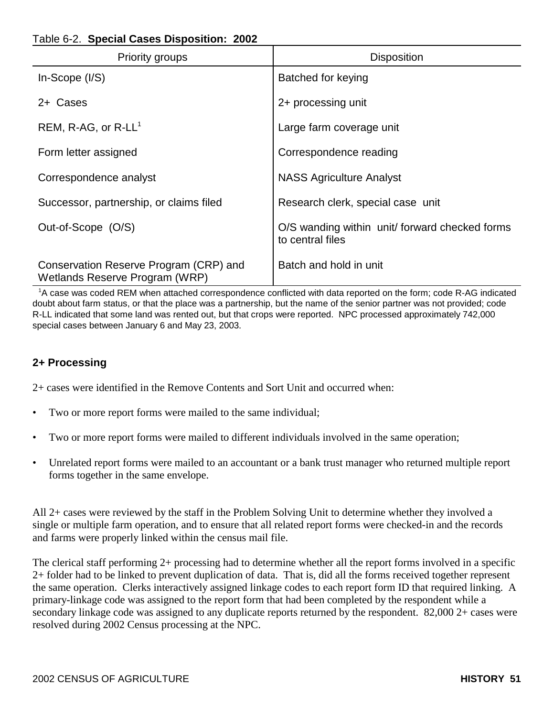## Table 6-2. **Special Cases Disposition: 2002**

| <b>Priority groups</b>                                                   | <b>Disposition</b>                                                 |
|--------------------------------------------------------------------------|--------------------------------------------------------------------|
| $In-Scope (I/S)$                                                         | Batched for keying                                                 |
| 2+ Cases                                                                 | 2+ processing unit                                                 |
| REM, R-AG, or $R$ -LL <sup>1</sup>                                       | Large farm coverage unit                                           |
| Form letter assigned                                                     | Correspondence reading                                             |
| Correspondence analyst                                                   | <b>NASS Agriculture Analyst</b>                                    |
| Successor, partnership, or claims filed                                  | Research clerk, special case unit                                  |
| Out-of-Scope (O/S)                                                       | O/S wanding within unit/ forward checked forms<br>to central files |
| Conservation Reserve Program (CRP) and<br>Wetlands Reserve Program (WRP) | Batch and hold in unit                                             |

 1 A case was coded REM when attached correspondence conflicted with data reported on the form; code R-AG indicated doubt about farm status, or that the place was a partnership, but the name of the senior partner was not provided; code R-LL indicated that some land was rented out, but that crops were reported. NPC processed approximately 742,000 special cases between January 6 and May 23, 2003.

## **2+ Processing**

2+ cases were identified in the Remove Contents and Sort Unit and occurred when:

- Two or more report forms were mailed to the same individual;
- Two or more report forms were mailed to different individuals involved in the same operation;
- Unrelated report forms were mailed to an accountant or a bank trust manager who returned multiple report forms together in the same envelope.

All 2+ cases were reviewed by the staff in the Problem Solving Unit to determine whether they involved a single or multiple farm operation, and to ensure that all related report forms were checked-in and the records and farms were properly linked within the census mail file.

The clerical staff performing 2+ processing had to determine whether all the report forms involved in a specific 2+ folder had to be linked to prevent duplication of data. That is, did all the forms received together represent the same operation. Clerks interactively assigned linkage codes to each report form ID that required linking. A primary-linkage code was assigned to the report form that had been completed by the respondent while a secondary linkage code was assigned to any duplicate reports returned by the respondent. 82,000 2+ cases were resolved during 2002 Census processing at the NPC.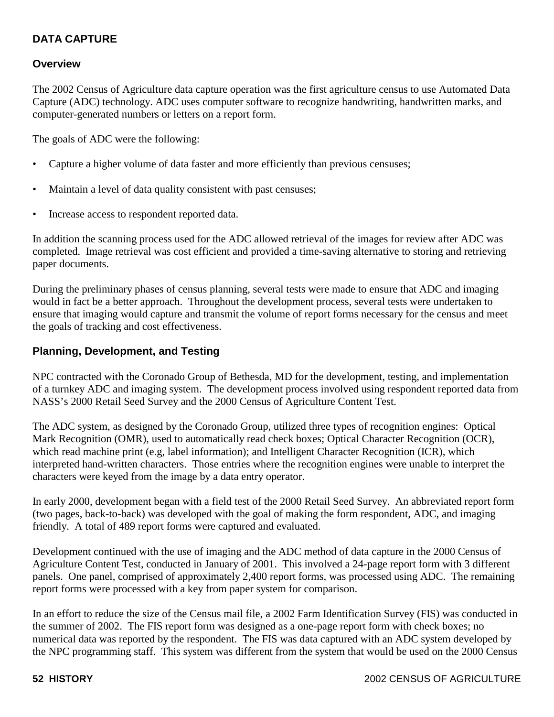# **DATA CAPTURE**

#### **Overview**

The 2002 Census of Agriculture data capture operation was the first agriculture census to use Automated Data Capture (ADC) technology. ADC uses computer software to recognize handwriting, handwritten marks, and computer-generated numbers or letters on a report form.

The goals of ADC were the following:

- Capture a higher volume of data faster and more efficiently than previous censuses;
- Maintain a level of data quality consistent with past censuses;
- Increase access to respondent reported data.

In addition the scanning process used for the ADC allowed retrieval of the images for review after ADC was completed. Image retrieval was cost efficient and provided a time-saving alternative to storing and retrieving paper documents.

During the preliminary phases of census planning, several tests were made to ensure that ADC and imaging would in fact be a better approach. Throughout the development process, several tests were undertaken to ensure that imaging would capture and transmit the volume of report forms necessary for the census and meet the goals of tracking and cost effectiveness.

#### **Planning, Development, and Testing**

NPC contracted with the Coronado Group of Bethesda, MD for the development, testing, and implementation of a turnkey ADC and imaging system. The development process involved using respondent reported data from NASS's 2000 Retail Seed Survey and the 2000 Census of Agriculture Content Test.

The ADC system, as designed by the Coronado Group, utilized three types of recognition engines: Optical Mark Recognition (OMR), used to automatically read check boxes; Optical Character Recognition (OCR), which read machine print (e.g, label information); and Intelligent Character Recognition (ICR), which interpreted hand-written characters. Those entries where the recognition engines were unable to interpret the characters were keyed from the image by a data entry operator.

In early 2000, development began with a field test of the 2000 Retail Seed Survey. An abbreviated report form (two pages, back-to-back) was developed with the goal of making the form respondent, ADC, and imaging friendly. A total of 489 report forms were captured and evaluated.

Development continued with the use of imaging and the ADC method of data capture in the 2000 Census of Agriculture Content Test, conducted in January of 2001. This involved a 24-page report form with 3 different panels. One panel, comprised of approximately 2,400 report forms, was processed using ADC. The remaining report forms were processed with a key from paper system for comparison.

In an effort to reduce the size of the Census mail file, a 2002 Farm Identification Survey (FIS) was conducted in the summer of 2002. The FIS report form was designed as a one-page report form with check boxes; no numerical data was reported by the respondent. The FIS was data captured with an ADC system developed by the NPC programming staff. This system was different from the system that would be used on the 2000 Census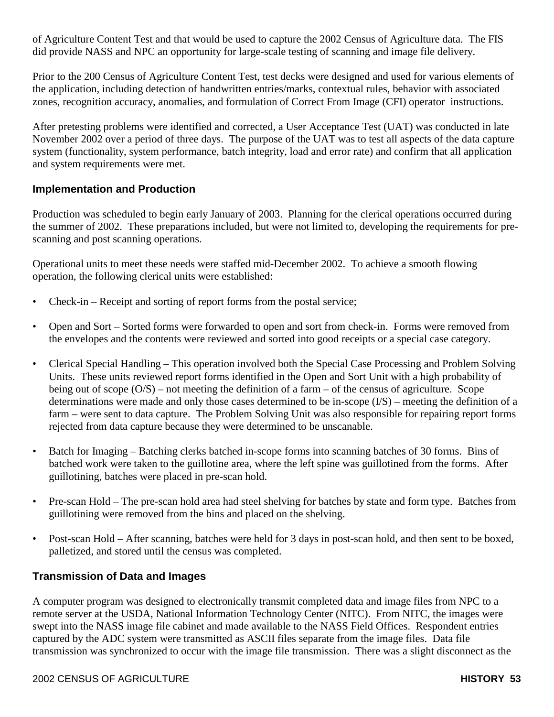of Agriculture Content Test and that would be used to capture the 2002 Census of Agriculture data. The FIS did provide NASS and NPC an opportunity for large-scale testing of scanning and image file delivery.

Prior to the 200 Census of Agriculture Content Test, test decks were designed and used for various elements of the application, including detection of handwritten entries/marks, contextual rules, behavior with associated zones, recognition accuracy, anomalies, and formulation of Correct From Image (CFI) operator instructions.

After pretesting problems were identified and corrected, a User Acceptance Test (UAT) was conducted in late November 2002 over a period of three days. The purpose of the UAT was to test all aspects of the data capture system (functionality, system performance, batch integrity, load and error rate) and confirm that all application and system requirements were met.

## **Implementation and Production**

Production was scheduled to begin early January of 2003. Planning for the clerical operations occurred during the summer of 2002. These preparations included, but were not limited to, developing the requirements for prescanning and post scanning operations.

Operational units to meet these needs were staffed mid-December 2002. To achieve a smooth flowing operation, the following clerical units were established:

- Check-in Receipt and sorting of report forms from the postal service;
- Open and Sort Sorted forms were forwarded to open and sort from check-in. Forms were removed from the envelopes and the contents were reviewed and sorted into good receipts or a special case category.
- Clerical Special Handling This operation involved both the Special Case Processing and Problem Solving Units. These units reviewed report forms identified in the Open and Sort Unit with a high probability of being out of scope  $(O/S)$  – not meeting the definition of a farm – of the census of agriculture. Scope determinations were made and only those cases determined to be in-scope (I/S) – meeting the definition of a farm – were sent to data capture. The Problem Solving Unit was also responsible for repairing report forms rejected from data capture because they were determined to be unscanable.
- Batch for Imaging Batching clerks batched in-scope forms into scanning batches of 30 forms. Bins of batched work were taken to the guillotine area, where the left spine was guillotined from the forms. After guillotining, batches were placed in pre-scan hold.
- Pre-scan Hold The pre-scan hold area had steel shelving for batches by state and form type. Batches from guillotining were removed from the bins and placed on the shelving.
- Post-scan Hold After scanning, batches were held for 3 days in post-scan hold, and then sent to be boxed, palletized, and stored until the census was completed.

#### **Transmission of Data and Images**

A computer program was designed to electronically transmit completed data and image files from NPC to a remote server at the USDA, National Information Technology Center (NITC). From NITC, the images were swept into the NASS image file cabinet and made available to the NASS Field Offices. Respondent entries captured by the ADC system were transmitted as ASCII files separate from the image files. Data file transmission was synchronized to occur with the image file transmission. There was a slight disconnect as the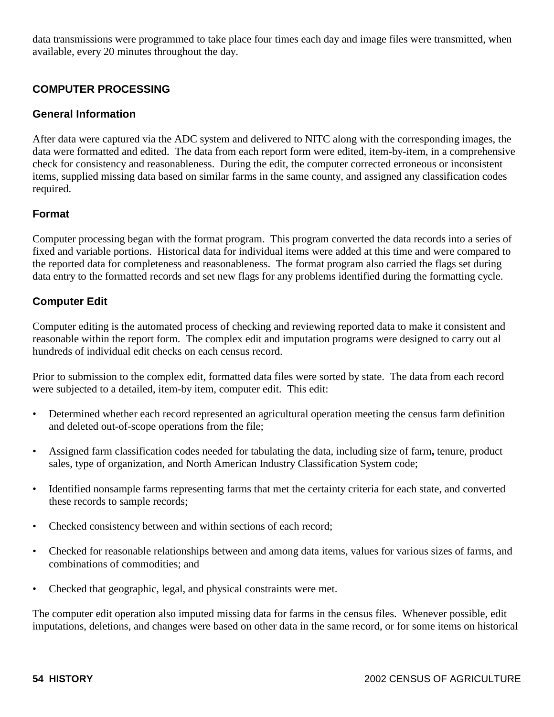data transmissions were programmed to take place four times each day and image files were transmitted, when available, every 20 minutes throughout the day.

### **COMPUTER PROCESSING**

#### **General Information**

After data were captured via the ADC system and delivered to NITC along with the corresponding images, the data were formatted and edited. The data from each report form were edited, item-by-item, in a comprehensive check for consistency and reasonableness. During the edit, the computer corrected erroneous or inconsistent items, supplied missing data based on similar farms in the same county, and assigned any classification codes required.

#### **Format**

Computer processing began with the format program. This program converted the data records into a series of fixed and variable portions. Historical data for individual items were added at this time and were compared to the reported data for completeness and reasonableness. The format program also carried the flags set during data entry to the formatted records and set new flags for any problems identified during the formatting cycle.

#### **Computer Edit**

Computer editing is the automated process of checking and reviewing reported data to make it consistent and reasonable within the report form. The complex edit and imputation programs were designed to carry out al hundreds of individual edit checks on each census record.

Prior to submission to the complex edit, formatted data files were sorted by state. The data from each record were subjected to a detailed, item-by item, computer edit. This edit:

- Determined whether each record represented an agricultural operation meeting the census farm definition and deleted out-of-scope operations from the file;
- Assigned farm classification codes needed for tabulating the data, including size of farm**,** tenure, product sales, type of organization, and North American Industry Classification System code;
- Identified nonsample farms representing farms that met the certainty criteria for each state, and converted these records to sample records;
- Checked consistency between and within sections of each record;
- Checked for reasonable relationships between and among data items, values for various sizes of farms, and combinations of commodities; and
- Checked that geographic, legal, and physical constraints were met.

The computer edit operation also imputed missing data for farms in the census files. Whenever possible, edit imputations, deletions, and changes were based on other data in the same record, or for some items on historical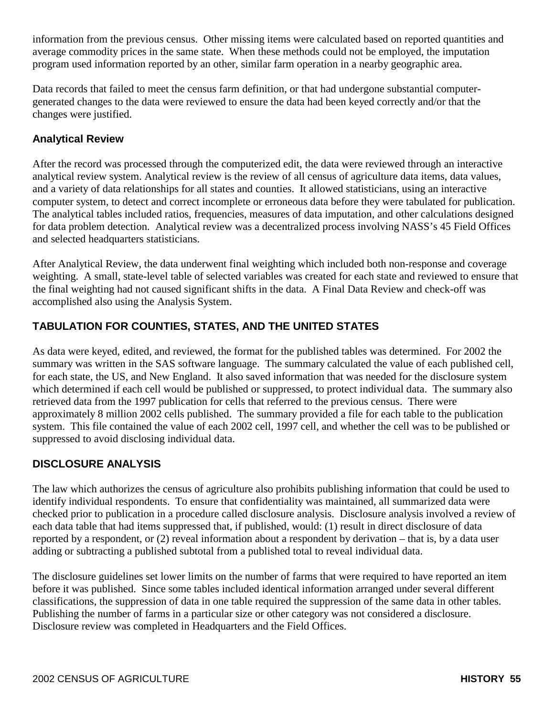information from the previous census. Other missing items were calculated based on reported quantities and average commodity prices in the same state. When these methods could not be employed, the imputation program used information reported by an other, similar farm operation in a nearby geographic area.

Data records that failed to meet the census farm definition, or that had undergone substantial computergenerated changes to the data were reviewed to ensure the data had been keyed correctly and/or that the changes were justified.

## **Analytical Review**

After the record was processed through the computerized edit, the data were reviewed through an interactive analytical review system. Analytical review is the review of all census of agriculture data items, data values, and a variety of data relationships for all states and counties. It allowed statisticians, using an interactive computer system, to detect and correct incomplete or erroneous data before they were tabulated for publication. The analytical tables included ratios, frequencies, measures of data imputation, and other calculations designed for data problem detection. Analytical review was a decentralized process involving NASS's 45 Field Offices and selected headquarters statisticians.

After Analytical Review, the data underwent final weighting which included both non-response and coverage weighting. A small, state-level table of selected variables was created for each state and reviewed to ensure that the final weighting had not caused significant shifts in the data. A Final Data Review and check-off was accomplished also using the Analysis System.

# **TABULATION FOR COUNTIES, STATES, AND THE UNITED STATES**

As data were keyed, edited, and reviewed, the format for the published tables was determined. For 2002 the summary was written in the SAS software language. The summary calculated the value of each published cell, for each state, the US, and New England. It also saved information that was needed for the disclosure system which determined if each cell would be published or suppressed, to protect individual data. The summary also retrieved data from the 1997 publication for cells that referred to the previous census. There were approximately 8 million 2002 cells published. The summary provided a file for each table to the publication system. This file contained the value of each 2002 cell, 1997 cell, and whether the cell was to be published or suppressed to avoid disclosing individual data.

## **DISCLOSURE ANALYSIS**

The law which authorizes the census of agriculture also prohibits publishing information that could be used to identify individual respondents. To ensure that confidentiality was maintained, all summarized data were checked prior to publication in a procedure called disclosure analysis. Disclosure analysis involved a review of each data table that had items suppressed that, if published, would: (1) result in direct disclosure of data reported by a respondent, or (2) reveal information about a respondent by derivation – that is, by a data user adding or subtracting a published subtotal from a published total to reveal individual data.

The disclosure guidelines set lower limits on the number of farms that were required to have reported an item before it was published. Since some tables included identical information arranged under several different classifications, the suppression of data in one table required the suppression of the same data in other tables. Publishing the number of farms in a particular size or other category was not considered a disclosure. Disclosure review was completed in Headquarters and the Field Offices.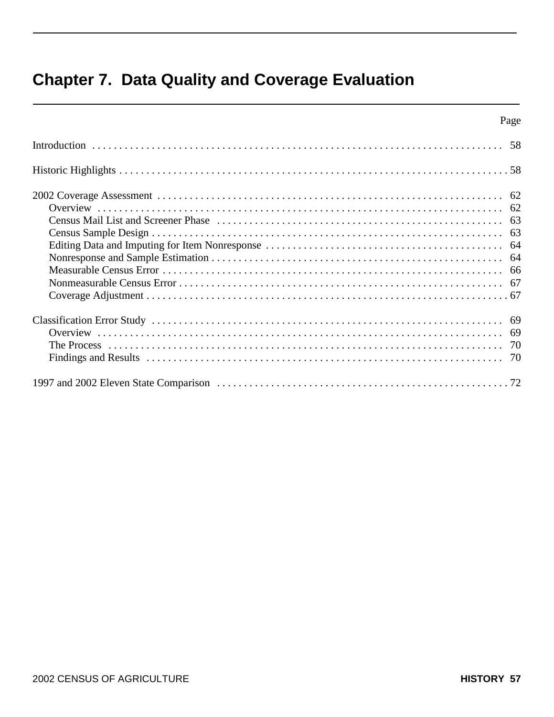# **Chapter 7. Data Quality and Coverage Evaluation**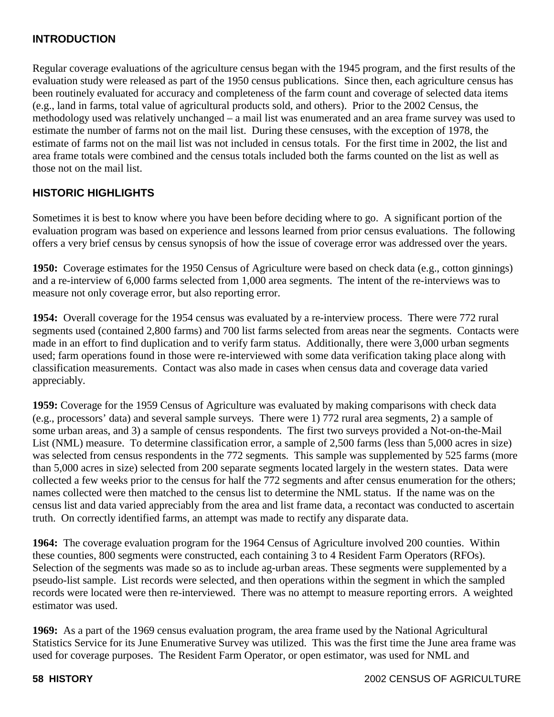## **INTRODUCTION**

Regular coverage evaluations of the agriculture census began with the 1945 program, and the first results of the evaluation study were released as part of the 1950 census publications. Since then, each agriculture census has been routinely evaluated for accuracy and completeness of the farm count and coverage of selected data items (e.g., land in farms, total value of agricultural products sold, and others). Prior to the 2002 Census, the methodology used was relatively unchanged – a mail list was enumerated and an area frame survey was used to estimate the number of farms not on the mail list. During these censuses, with the exception of 1978, the estimate of farms not on the mail list was not included in census totals. For the first time in 2002, the list and area frame totals were combined and the census totals included both the farms counted on the list as well as those not on the mail list.

# **HISTORIC HIGHLIGHTS**

Sometimes it is best to know where you have been before deciding where to go. A significant portion of the evaluation program was based on experience and lessons learned from prior census evaluations. The following offers a very brief census by census synopsis of how the issue of coverage error was addressed over the years.

**1950:** Coverage estimates for the 1950 Census of Agriculture were based on check data (e.g., cotton ginnings) and a re-interview of 6,000 farms selected from 1,000 area segments. The intent of the re-interviews was to measure not only coverage error, but also reporting error.

**1954:** Overall coverage for the 1954 census was evaluated by a re-interview process. There were 772 rural segments used (contained 2,800 farms) and 700 list farms selected from areas near the segments. Contacts were made in an effort to find duplication and to verify farm status. Additionally, there were 3,000 urban segments used; farm operations found in those were re-interviewed with some data verification taking place along with classification measurements. Contact was also made in cases when census data and coverage data varied appreciably.

**1959:** Coverage for the 1959 Census of Agriculture was evaluated by making comparisons with check data (e.g., processors' data) and several sample surveys. There were 1) 772 rural area segments, 2) a sample of some urban areas, and 3) a sample of census respondents. The first two surveys provided a Not-on-the-Mail List (NML) measure. To determine classification error, a sample of 2,500 farms (less than 5,000 acres in size) was selected from census respondents in the 772 segments. This sample was supplemented by 525 farms (more than 5,000 acres in size) selected from 200 separate segments located largely in the western states. Data were collected a few weeks prior to the census for half the 772 segments and after census enumeration for the others; names collected were then matched to the census list to determine the NML status. If the name was on the census list and data varied appreciably from the area and list frame data, a recontact was conducted to ascertain truth. On correctly identified farms, an attempt was made to rectify any disparate data.

**1964:** The coverage evaluation program for the 1964 Census of Agriculture involved 200 counties. Within these counties, 800 segments were constructed, each containing 3 to 4 Resident Farm Operators (RFOs). Selection of the segments was made so as to include ag-urban areas. These segments were supplemented by a pseudo-list sample. List records were selected, and then operations within the segment in which the sampled records were located were then re-interviewed. There was no attempt to measure reporting errors. A weighted estimator was used.

**1969:** As a part of the 1969 census evaluation program, the area frame used by the National Agricultural Statistics Service for its June Enumerative Survey was utilized. This was the first time the June area frame was used for coverage purposes. The Resident Farm Operator, or open estimator, was used for NML and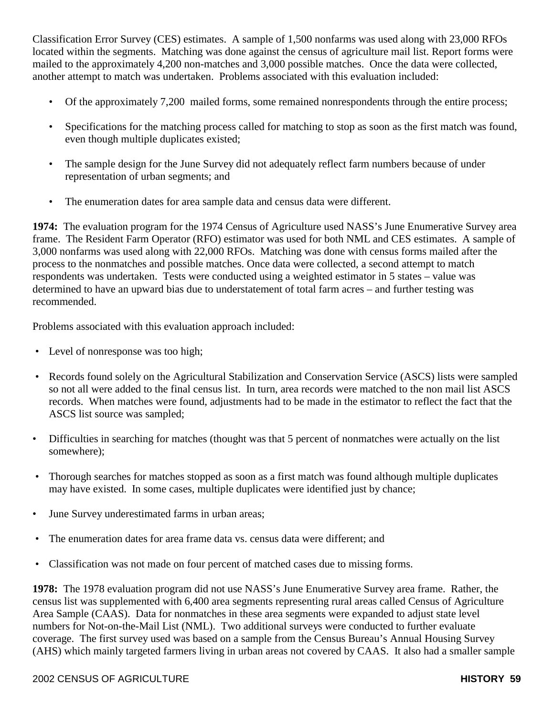Classification Error Survey (CES) estimates. A sample of 1,500 nonfarms was used along with 23,000 RFOs located within the segments. Matching was done against the census of agriculture mail list. Report forms were mailed to the approximately 4,200 non-matches and 3,000 possible matches. Once the data were collected, another attempt to match was undertaken. Problems associated with this evaluation included:

- Of the approximately 7,200 mailed forms, some remained nonrespondents through the entire process;
- Specifications for the matching process called for matching to stop as soon as the first match was found, even though multiple duplicates existed;
- The sample design for the June Survey did not adequately reflect farm numbers because of under representation of urban segments; and
- The enumeration dates for area sample data and census data were different.

**1974:** The evaluation program for the 1974 Census of Agriculture used NASS's June Enumerative Survey area frame. The Resident Farm Operator (RFO) estimator was used for both NML and CES estimates. A sample of 3,000 nonfarms was used along with 22,000 RFOs. Matching was done with census forms mailed after the process to the nonmatches and possible matches. Once data were collected, a second attempt to match respondents was undertaken. Tests were conducted using a weighted estimator in 5 states – value was determined to have an upward bias due to understatement of total farm acres – and further testing was recommended.

Problems associated with this evaluation approach included:

- Level of nonresponse was too high;
- Records found solely on the Agricultural Stabilization and Conservation Service (ASCS) lists were sampled so not all were added to the final census list. In turn, area records were matched to the non mail list ASCS records. When matches were found, adjustments had to be made in the estimator to reflect the fact that the ASCS list source was sampled;
- Difficulties in searching for matches (thought was that 5 percent of nonmatches were actually on the list somewhere);
- Thorough searches for matches stopped as soon as a first match was found although multiple duplicates may have existed. In some cases, multiple duplicates were identified just by chance;
- June Survey underestimated farms in urban areas;
- The enumeration dates for area frame data vs. census data were different; and
- Classification was not made on four percent of matched cases due to missing forms.

**1978:** The 1978 evaluation program did not use NASS's June Enumerative Survey area frame. Rather, the census list was supplemented with 6,400 area segments representing rural areas called Census of Agriculture Area Sample (CAAS). Data for nonmatches in these area segments were expanded to adjust state level numbers for Not-on-the-Mail List (NML). Two additional surveys were conducted to further evaluate coverage. The first survey used was based on a sample from the Census Bureau's Annual Housing Survey (AHS) which mainly targeted farmers living in urban areas not covered by CAAS. It also had a smaller sample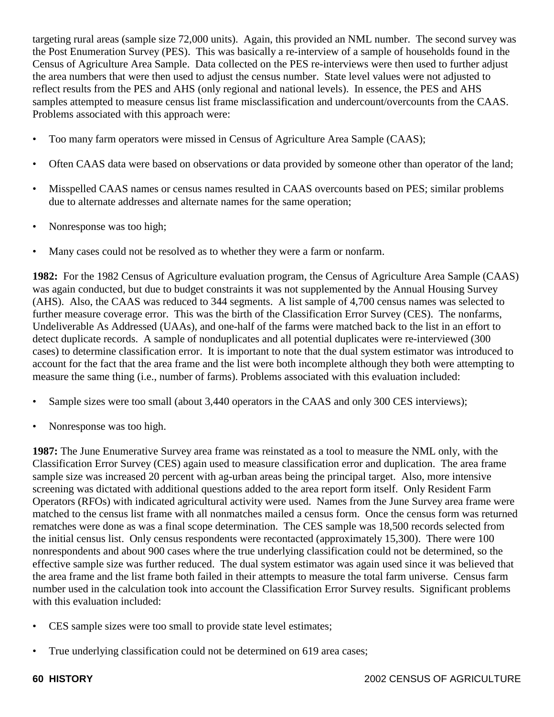targeting rural areas (sample size 72,000 units). Again, this provided an NML number. The second survey was the Post Enumeration Survey (PES). This was basically a re-interview of a sample of households found in the Census of Agriculture Area Sample. Data collected on the PES re-interviews were then used to further adjust the area numbers that were then used to adjust the census number. State level values were not adjusted to reflect results from the PES and AHS (only regional and national levels). In essence, the PES and AHS samples attempted to measure census list frame misclassification and undercount/overcounts from the CAAS. Problems associated with this approach were:

- Too many farm operators were missed in Census of Agriculture Area Sample (CAAS);
- Often CAAS data were based on observations or data provided by someone other than operator of the land;
- Misspelled CAAS names or census names resulted in CAAS overcounts based on PES; similar problems due to alternate addresses and alternate names for the same operation;
- Nonresponse was too high;
- Many cases could not be resolved as to whether they were a farm or nonfarm.

**1982:** For the 1982 Census of Agriculture evaluation program, the Census of Agriculture Area Sample (CAAS) was again conducted, but due to budget constraints it was not supplemented by the Annual Housing Survey (AHS). Also, the CAAS was reduced to 344 segments. A list sample of 4,700 census names was selected to further measure coverage error. This was the birth of the Classification Error Survey (CES). The nonfarms, Undeliverable As Addressed (UAAs), and one-half of the farms were matched back to the list in an effort to detect duplicate records. A sample of nonduplicates and all potential duplicates were re-interviewed (300 cases) to determine classification error. It is important to note that the dual system estimator was introduced to account for the fact that the area frame and the list were both incomplete although they both were attempting to measure the same thing (i.e., number of farms). Problems associated with this evaluation included:

- Sample sizes were too small (about 3,440 operators in the CAAS and only 300 CES interviews);
- Nonresponse was too high.

**1987:** The June Enumerative Survey area frame was reinstated as a tool to measure the NML only, with the Classification Error Survey (CES) again used to measure classification error and duplication. The area frame sample size was increased 20 percent with ag-urban areas being the principal target. Also, more intensive screening was dictated with additional questions added to the area report form itself. Only Resident Farm Operators (RFOs) with indicated agricultural activity were used. Names from the June Survey area frame were matched to the census list frame with all nonmatches mailed a census form. Once the census form was returned rematches were done as was a final scope determination. The CES sample was 18,500 records selected from the initial census list. Only census respondents were recontacted (approximately 15,300). There were 100 nonrespondents and about 900 cases where the true underlying classification could not be determined, so the effective sample size was further reduced. The dual system estimator was again used since it was believed that the area frame and the list frame both failed in their attempts to measure the total farm universe. Census farm number used in the calculation took into account the Classification Error Survey results. Significant problems with this evaluation included:

- CES sample sizes were too small to provide state level estimates;
- True underlying classification could not be determined on 619 area cases;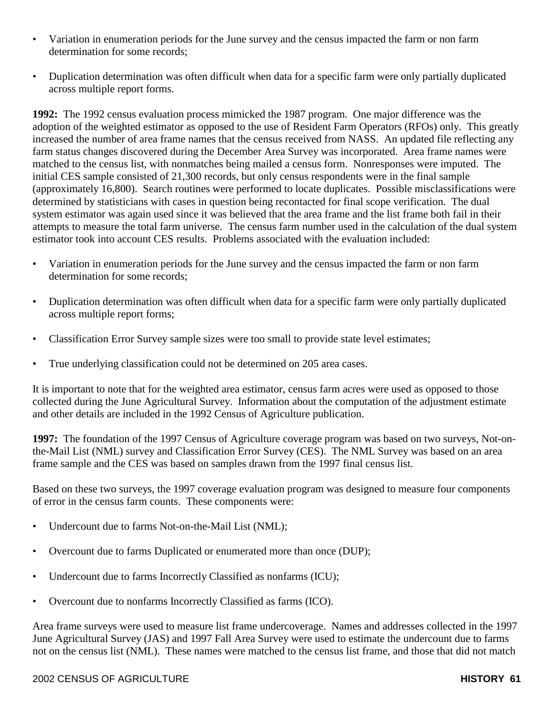- Variation in enumeration periods for the June survey and the census impacted the farm or non farm determination for some records;
- Duplication determination was often difficult when data for a specific farm were only partially duplicated across multiple report forms.

**1992:** The 1992 census evaluation process mimicked the 1987 program. One major difference was the adoption of the weighted estimator as opposed to the use of Resident Farm Operators (RFOs) only. This greatly increased the number of area frame names that the census received from NASS. An updated file reflecting any farm status changes discovered during the December Area Survey was incorporated. Area frame names were matched to the census list, with nonmatches being mailed a census form. Nonresponses were imputed. The initial CES sample consisted of 21,300 records, but only census respondents were in the final sample (approximately 16,800). Search routines were performed to locate duplicates. Possible misclassifications were determined by statisticians with cases in question being recontacted for final scope verification. The dual system estimator was again used since it was believed that the area frame and the list frame both fail in their attempts to measure the total farm universe. The census farm number used in the calculation of the dual system estimator took into account CES results. Problems associated with the evaluation included:

- Variation in enumeration periods for the June survey and the census impacted the farm or non farm determination for some records;
- Duplication determination was often difficult when data for a specific farm were only partially duplicated across multiple report forms;
- Classification Error Survey sample sizes were too small to provide state level estimates;
- True underlying classification could not be determined on 205 area cases.

It is important to note that for the weighted area estimator, census farm acres were used as opposed to those collected during the June Agricultural Survey. Information about the computation of the adjustment estimate and other details are included in the 1992 Census of Agriculture publication.

**1997:** The foundation of the 1997 Census of Agriculture coverage program was based on two surveys, Not-onthe-Mail List (NML) survey and Classification Error Survey (CES). The NML Survey was based on an area frame sample and the CES was based on samples drawn from the 1997 final census list.

Based on these two surveys, the 1997 coverage evaluation program was designed to measure four components of error in the census farm counts. These components were:

- Undercount due to farms Not-on-the-Mail List (NML);
- Overcount due to farms Duplicated or enumerated more than once (DUP);
- Undercount due to farms Incorrectly Classified as nonfarms (ICU);
- Overcount due to nonfarms Incorrectly Classified as farms (ICO).

Area frame surveys were used to measure list frame undercoverage. Names and addresses collected in the 1997 June Agricultural Survey (JAS) and 1997 Fall Area Survey were used to estimate the undercount due to farms not on the census list (NML). These names were matched to the census list frame, and those that did not match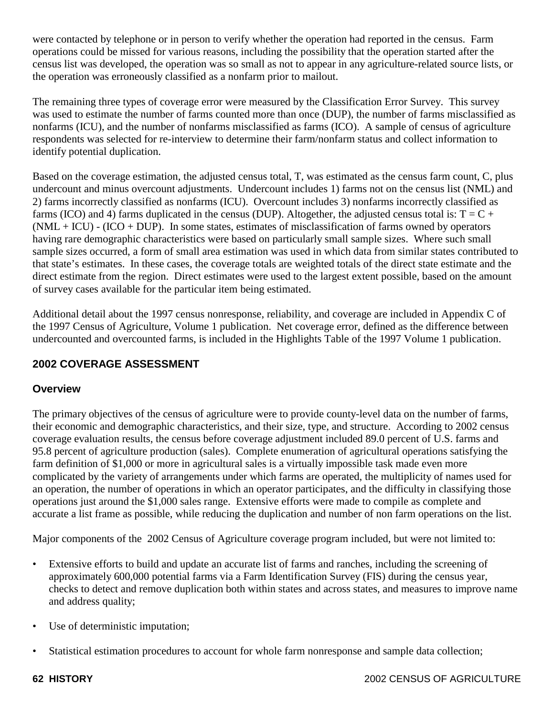were contacted by telephone or in person to verify whether the operation had reported in the census. Farm operations could be missed for various reasons, including the possibility that the operation started after the census list was developed, the operation was so small as not to appear in any agriculture-related source lists, or the operation was erroneously classified as a nonfarm prior to mailout.

The remaining three types of coverage error were measured by the Classification Error Survey. This survey was used to estimate the number of farms counted more than once (DUP), the number of farms misclassified as nonfarms (ICU), and the number of nonfarms misclassified as farms (ICO). A sample of census of agriculture respondents was selected for re-interview to determine their farm/nonfarm status and collect information to identify potential duplication.

Based on the coverage estimation, the adjusted census total, T, was estimated as the census farm count, C, plus undercount and minus overcount adjustments. Undercount includes 1) farms not on the census list (NML) and 2) farms incorrectly classified as nonfarms (ICU). Overcount includes 3) nonfarms incorrectly classified as farms (ICO) and 4) farms duplicated in the census (DUP). Altogether, the adjusted census total is:  $T = C +$  $(NML + ICU) - (ICO + DUP)$ . In some states, estimates of misclassification of farms owned by operators having rare demographic characteristics were based on particularly small sample sizes. Where such small sample sizes occurred, a form of small area estimation was used in which data from similar states contributed to that state's estimates. In these cases, the coverage totals are weighted totals of the direct state estimate and the direct estimate from the region. Direct estimates were used to the largest extent possible, based on the amount of survey cases available for the particular item being estimated.

Additional detail about the 1997 census nonresponse, reliability, and coverage are included in Appendix C of the 1997 Census of Agriculture, Volume 1 publication. Net coverage error, defined as the difference between undercounted and overcounted farms, is included in the Highlights Table of the 1997 Volume 1 publication.

# **2002 COVERAGE ASSESSMENT**

## **Overview**

The primary objectives of the census of agriculture were to provide county-level data on the number of farms, their economic and demographic characteristics, and their size, type, and structure. According to 2002 census coverage evaluation results, the census before coverage adjustment included 89.0 percent of U.S. farms and 95.8 percent of agriculture production (sales). Complete enumeration of agricultural operations satisfying the farm definition of \$1,000 or more in agricultural sales is a virtually impossible task made even more complicated by the variety of arrangements under which farms are operated, the multiplicity of names used for an operation, the number of operations in which an operator participates, and the difficulty in classifying those operations just around the \$1,000 sales range. Extensive efforts were made to compile as complete and accurate a list frame as possible, while reducing the duplication and number of non farm operations on the list.

Major components of the 2002 Census of Agriculture coverage program included, but were not limited to:

- Extensive efforts to build and update an accurate list of farms and ranches, including the screening of approximately 600,000 potential farms via a Farm Identification Survey (FIS) during the census year, checks to detect and remove duplication both within states and across states, and measures to improve name and address quality;
- Use of deterministic imputation;
- Statistical estimation procedures to account for whole farm nonresponse and sample data collection;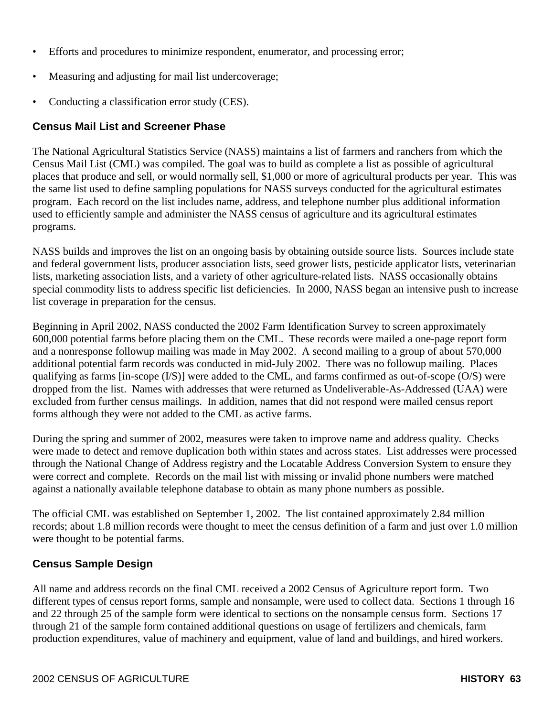- Efforts and procedures to minimize respondent, enumerator, and processing error;
- Measuring and adjusting for mail list undercoverage;
- Conducting a classification error study (CES).

## **Census Mail List and Screener Phase**

The National Agricultural Statistics Service (NASS) maintains a list of farmers and ranchers from which the Census Mail List (CML) was compiled. The goal was to build as complete a list as possible of agricultural places that produce and sell, or would normally sell, \$1,000 or more of agricultural products per year. This was the same list used to define sampling populations for NASS surveys conducted for the agricultural estimates program. Each record on the list includes name, address, and telephone number plus additional information used to efficiently sample and administer the NASS census of agriculture and its agricultural estimates programs.

NASS builds and improves the list on an ongoing basis by obtaining outside source lists. Sources include state and federal government lists, producer association lists, seed grower lists, pesticide applicator lists, veterinarian lists, marketing association lists, and a variety of other agriculture-related lists. NASS occasionally obtains special commodity lists to address specific list deficiencies. In 2000, NASS began an intensive push to increase list coverage in preparation for the census.

Beginning in April 2002, NASS conducted the 2002 Farm Identification Survey to screen approximately 600,000 potential farms before placing them on the CML. These records were mailed a one-page report form and a nonresponse followup mailing was made in May 2002. A second mailing to a group of about 570,000 additional potential farm records was conducted in mid-July 2002. There was no followup mailing. Places qualifying as farms [in-scope (I/S)] were added to the CML, and farms confirmed as out-of-scope (O/S) were dropped from the list. Names with addresses that were returned as Undeliverable-As-Addressed (UAA) were excluded from further census mailings. In addition, names that did not respond were mailed census report forms although they were not added to the CML as active farms.

During the spring and summer of 2002, measures were taken to improve name and address quality. Checks were made to detect and remove duplication both within states and across states. List addresses were processed through the National Change of Address registry and the Locatable Address Conversion System to ensure they were correct and complete. Records on the mail list with missing or invalid phone numbers were matched against a nationally available telephone database to obtain as many phone numbers as possible.

The official CML was established on September 1, 2002. The list contained approximately 2.84 million records; about 1.8 million records were thought to meet the census definition of a farm and just over 1.0 million were thought to be potential farms.

## **Census Sample Design**

All name and address records on the final CML received a 2002 Census of Agriculture report form. Two different types of census report forms, sample and nonsample, were used to collect data. Sections 1 through 16 and 22 through 25 of the sample form were identical to sections on the nonsample census form. Sections 17 through 21 of the sample form contained additional questions on usage of fertilizers and chemicals, farm production expenditures, value of machinery and equipment, value of land and buildings, and hired workers.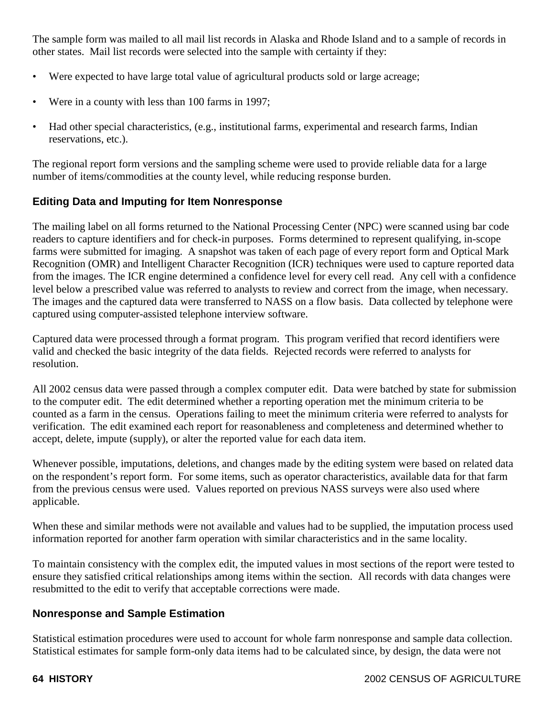The sample form was mailed to all mail list records in Alaska and Rhode Island and to a sample of records in other states. Mail list records were selected into the sample with certainty if they:

- Were expected to have large total value of agricultural products sold or large acreage;
- Were in a county with less than 100 farms in 1997;
- Had other special characteristics, (e.g., institutional farms, experimental and research farms, Indian reservations, etc.).

The regional report form versions and the sampling scheme were used to provide reliable data for a large number of items/commodities at the county level, while reducing response burden.

### **Editing Data and Imputing for Item Nonresponse**

The mailing label on all forms returned to the National Processing Center (NPC) were scanned using bar code readers to capture identifiers and for check-in purposes. Forms determined to represent qualifying, in-scope farms were submitted for imaging. A snapshot was taken of each page of every report form and Optical Mark Recognition (OMR) and Intelligent Character Recognition (ICR) techniques were used to capture reported data from the images. The ICR engine determined a confidence level for every cell read. Any cell with a confidence level below a prescribed value was referred to analysts to review and correct from the image, when necessary. The images and the captured data were transferred to NASS on a flow basis. Data collected by telephone were captured using computer-assisted telephone interview software.

Captured data were processed through a format program. This program verified that record identifiers were valid and checked the basic integrity of the data fields. Rejected records were referred to analysts for resolution.

All 2002 census data were passed through a complex computer edit. Data were batched by state for submission to the computer edit. The edit determined whether a reporting operation met the minimum criteria to be counted as a farm in the census. Operations failing to meet the minimum criteria were referred to analysts for verification. The edit examined each report for reasonableness and completeness and determined whether to accept, delete, impute (supply), or alter the reported value for each data item.

Whenever possible, imputations, deletions, and changes made by the editing system were based on related data on the respondent's report form. For some items, such as operator characteristics, available data for that farm from the previous census were used. Values reported on previous NASS surveys were also used where applicable.

When these and similar methods were not available and values had to be supplied, the imputation process used information reported for another farm operation with similar characteristics and in the same locality.

To maintain consistency with the complex edit, the imputed values in most sections of the report were tested to ensure they satisfied critical relationships among items within the section. All records with data changes were resubmitted to the edit to verify that acceptable corrections were made.

#### **Nonresponse and Sample Estimation**

Statistical estimation procedures were used to account for whole farm nonresponse and sample data collection. Statistical estimates for sample form-only data items had to be calculated since, by design, the data were not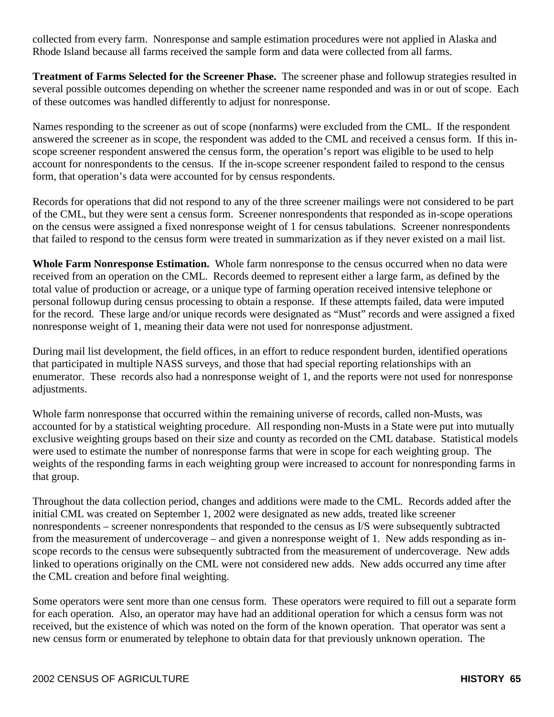collected from every farm. Nonresponse and sample estimation procedures were not applied in Alaska and Rhode Island because all farms received the sample form and data were collected from all farms.

**Treatment of Farms Selected for the Screener Phase.** The screener phase and followup strategies resulted in several possible outcomes depending on whether the screener name responded and was in or out of scope. Each of these outcomes was handled differently to adjust for nonresponse.

Names responding to the screener as out of scope (nonfarms) were excluded from the CML. If the respondent answered the screener as in scope, the respondent was added to the CML and received a census form. If this inscope screener respondent answered the census form, the operation's report was eligible to be used to help account for nonrespondents to the census. If the in-scope screener respondent failed to respond to the census form, that operation's data were accounted for by census respondents.

Records for operations that did not respond to any of the three screener mailings were not considered to be part of the CML, but they were sent a census form. Screener nonrespondents that responded as in-scope operations on the census were assigned a fixed nonresponse weight of 1 for census tabulations. Screener nonrespondents that failed to respond to the census form were treated in summarization as if they never existed on a mail list.

**Whole Farm Nonresponse Estimation.** Whole farm nonresponse to the census occurred when no data were received from an operation on the CML. Records deemed to represent either a large farm, as defined by the total value of production or acreage, or a unique type of farming operation received intensive telephone or personal followup during census processing to obtain a response. If these attempts failed, data were imputed for the record. These large and/or unique records were designated as "Must" records and were assigned a fixed nonresponse weight of 1, meaning their data were not used for nonresponse adjustment.

During mail list development, the field offices, in an effort to reduce respondent burden, identified operations that participated in multiple NASS surveys, and those that had special reporting relationships with an enumerator. These records also had a nonresponse weight of 1, and the reports were not used for nonresponse adjustments.

Whole farm nonresponse that occurred within the remaining universe of records, called non-Musts, was accounted for by a statistical weighting procedure. All responding non-Musts in a State were put into mutually exclusive weighting groups based on their size and county as recorded on the CML database. Statistical models were used to estimate the number of nonresponse farms that were in scope for each weighting group. The weights of the responding farms in each weighting group were increased to account for nonresponding farms in that group.

Throughout the data collection period, changes and additions were made to the CML. Records added after the initial CML was created on September 1, 2002 were designated as new adds, treated like screener nonrespondents – screener nonrespondents that responded to the census as I/S were subsequently subtracted from the measurement of undercoverage – and given a nonresponse weight of 1. New adds responding as inscope records to the census were subsequently subtracted from the measurement of undercoverage. New adds linked to operations originally on the CML were not considered new adds. New adds occurred any time after the CML creation and before final weighting.

Some operators were sent more than one census form. These operators were required to fill out a separate form for each operation. Also, an operator may have had an additional operation for which a census form was not received, but the existence of which was noted on the form of the known operation. That operator was sent a new census form or enumerated by telephone to obtain data for that previously unknown operation. The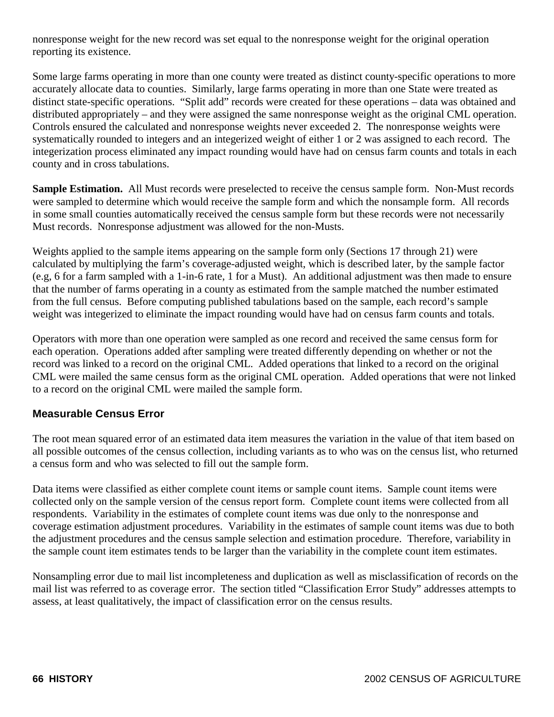nonresponse weight for the new record was set equal to the nonresponse weight for the original operation reporting its existence.

Some large farms operating in more than one county were treated as distinct county-specific operations to more accurately allocate data to counties. Similarly, large farms operating in more than one State were treated as distinct state-specific operations. "Split add" records were created for these operations – data was obtained and distributed appropriately – and they were assigned the same nonresponse weight as the original CML operation. Controls ensured the calculated and nonresponse weights never exceeded 2. The nonresponse weights were systematically rounded to integers and an integerized weight of either 1 or 2 was assigned to each record. The integerization process eliminated any impact rounding would have had on census farm counts and totals in each county and in cross tabulations.

**Sample Estimation.** All Must records were preselected to receive the census sample form. Non-Must records were sampled to determine which would receive the sample form and which the nonsample form. All records in some small counties automatically received the census sample form but these records were not necessarily Must records. Nonresponse adjustment was allowed for the non-Musts.

Weights applied to the sample items appearing on the sample form only (Sections 17 through 21) were calculated by multiplying the farm's coverage-adjusted weight, which is described later, by the sample factor (e.g, 6 for a farm sampled with a 1-in-6 rate, 1 for a Must). An additional adjustment was then made to ensure that the number of farms operating in a county as estimated from the sample matched the number estimated from the full census. Before computing published tabulations based on the sample, each record's sample weight was integerized to eliminate the impact rounding would have had on census farm counts and totals.

Operators with more than one operation were sampled as one record and received the same census form for each operation. Operations added after sampling were treated differently depending on whether or not the record was linked to a record on the original CML. Added operations that linked to a record on the original CML were mailed the same census form as the original CML operation. Added operations that were not linked to a record on the original CML were mailed the sample form.

#### **Measurable Census Error**

The root mean squared error of an estimated data item measures the variation in the value of that item based on all possible outcomes of the census collection, including variants as to who was on the census list, who returned a census form and who was selected to fill out the sample form.

Data items were classified as either complete count items or sample count items. Sample count items were collected only on the sample version of the census report form. Complete count items were collected from all respondents. Variability in the estimates of complete count items was due only to the nonresponse and coverage estimation adjustment procedures. Variability in the estimates of sample count items was due to both the adjustment procedures and the census sample selection and estimation procedure. Therefore, variability in the sample count item estimates tends to be larger than the variability in the complete count item estimates.

Nonsampling error due to mail list incompleteness and duplication as well as misclassification of records on the mail list was referred to as coverage error. The section titled "Classification Error Study" addresses attempts to assess, at least qualitatively, the impact of classification error on the census results.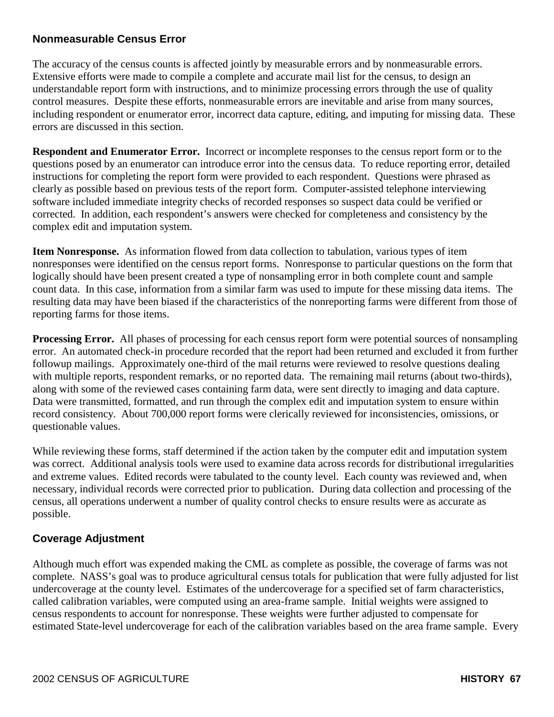#### **Nonmeasurable Census Error**

The accuracy of the census counts is affected jointly by measurable errors and by nonmeasurable errors. Extensive efforts were made to compile a complete and accurate mail list for the census, to design an understandable report form with instructions, and to minimize processing errors through the use of quality control measures. Despite these efforts, nonmeasurable errors are inevitable and arise from many sources, including respondent or enumerator error, incorrect data capture, editing, and imputing for missing data. These errors are discussed in this section.

**Respondent and Enumerator Error.** Incorrect or incomplete responses to the census report form or to the questions posed by an enumerator can introduce error into the census data. To reduce reporting error, detailed instructions for completing the report form were provided to each respondent. Questions were phrased as clearly as possible based on previous tests of the report form. Computer-assisted telephone interviewing software included immediate integrity checks of recorded responses so suspect data could be verified or corrected. In addition, each respondent's answers were checked for completeness and consistency by the complex edit and imputation system.

**Item Nonresponse.** As information flowed from data collection to tabulation, various types of item nonresponses were identified on the census report forms. Nonresponse to particular questions on the form that logically should have been present created a type of nonsampling error in both complete count and sample count data. In this case, information from a similar farm was used to impute for these missing data items. The resulting data may have been biased if the characteristics of the nonreporting farms were different from those of reporting farms for those items.

**Processing Error.** All phases of processing for each census report form were potential sources of nonsampling error. An automated check-in procedure recorded that the report had been returned and excluded it from further followup mailings. Approximately one-third of the mail returns were reviewed to resolve questions dealing with multiple reports, respondent remarks, or no reported data. The remaining mail returns (about two-thirds), along with some of the reviewed cases containing farm data, were sent directly to imaging and data capture. Data were transmitted, formatted, and run through the complex edit and imputation system to ensure within record consistency. About 700,000 report forms were clerically reviewed for inconsistencies, omissions, or questionable values.

While reviewing these forms, staff determined if the action taken by the computer edit and imputation system was correct. Additional analysis tools were used to examine data across records for distributional irregularities and extreme values. Edited records were tabulated to the county level. Each county was reviewed and, when necessary, individual records were corrected prior to publication. During data collection and processing of the census, all operations underwent a number of quality control checks to ensure results were as accurate as possible.

## **Coverage Adjustment**

Although much effort was expended making the CML as complete as possible, the coverage of farms was not complete. NASS's goal was to produce agricultural census totals for publication that were fully adjusted for list undercoverage at the county level. Estimates of the undercoverage for a specified set of farm characteristics, called calibration variables, were computed using an area-frame sample. Initial weights were assigned to census respondents to account for nonresponse. These weights were further adjusted to compensate for estimated State-level undercoverage for each of the calibration variables based on the area frame sample. Every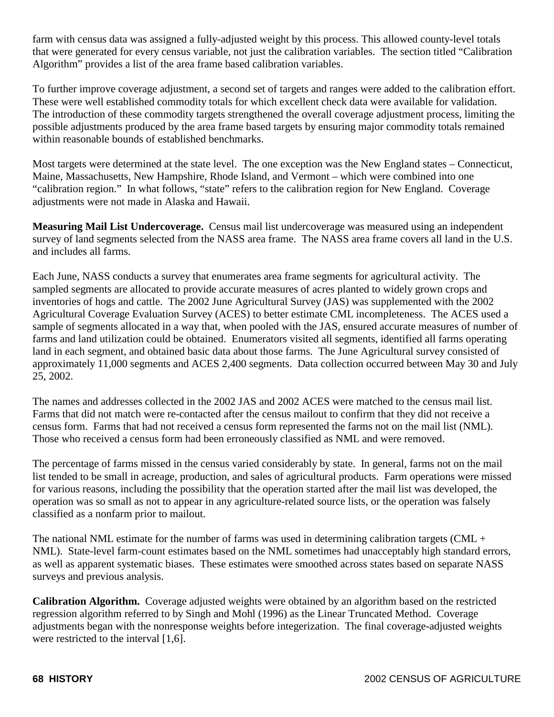farm with census data was assigned a fully-adjusted weight by this process. This allowed county-level totals that were generated for every census variable, not just the calibration variables. The section titled "Calibration Algorithm" provides a list of the area frame based calibration variables.

To further improve coverage adjustment, a second set of targets and ranges were added to the calibration effort. These were well established commodity totals for which excellent check data were available for validation. The introduction of these commodity targets strengthened the overall coverage adjustment process, limiting the possible adjustments produced by the area frame based targets by ensuring major commodity totals remained within reasonable bounds of established benchmarks.

Most targets were determined at the state level. The one exception was the New England states – Connecticut, Maine, Massachusetts, New Hampshire, Rhode Island, and Vermont – which were combined into one "calibration region." In what follows, "state" refers to the calibration region for New England. Coverage adjustments were not made in Alaska and Hawaii.

**Measuring Mail List Undercoverage.** Census mail list undercoverage was measured using an independent survey of land segments selected from the NASS area frame. The NASS area frame covers all land in the U.S. and includes all farms.

Each June, NASS conducts a survey that enumerates area frame segments for agricultural activity. The sampled segments are allocated to provide accurate measures of acres planted to widely grown crops and inventories of hogs and cattle. The 2002 June Agricultural Survey (JAS) was supplemented with the 2002 Agricultural Coverage Evaluation Survey (ACES) to better estimate CML incompleteness. The ACES used a sample of segments allocated in a way that, when pooled with the JAS, ensured accurate measures of number of farms and land utilization could be obtained. Enumerators visited all segments, identified all farms operating land in each segment, and obtained basic data about those farms. The June Agricultural survey consisted of approximately 11,000 segments and ACES 2,400 segments. Data collection occurred between May 30 and July 25, 2002.

The names and addresses collected in the 2002 JAS and 2002 ACES were matched to the census mail list. Farms that did not match were re-contacted after the census mailout to confirm that they did not receive a census form. Farms that had not received a census form represented the farms not on the mail list (NML). Those who received a census form had been erroneously classified as NML and were removed.

The percentage of farms missed in the census varied considerably by state. In general, farms not on the mail list tended to be small in acreage, production, and sales of agricultural products. Farm operations were missed for various reasons, including the possibility that the operation started after the mail list was developed, the operation was so small as not to appear in any agriculture-related source lists, or the operation was falsely classified as a nonfarm prior to mailout.

The national NML estimate for the number of farms was used in determining calibration targets (CML  $+$ NML). State-level farm-count estimates based on the NML sometimes had unacceptably high standard errors, as well as apparent systematic biases. These estimates were smoothed across states based on separate NASS surveys and previous analysis.

**Calibration Algorithm.** Coverage adjusted weights were obtained by an algorithm based on the restricted regression algorithm referred to by Singh and Mohl (1996) as the Linear Truncated Method. Coverage adjustments began with the nonresponse weights before integerization. The final coverage-adjusted weights were restricted to the interval [1,6].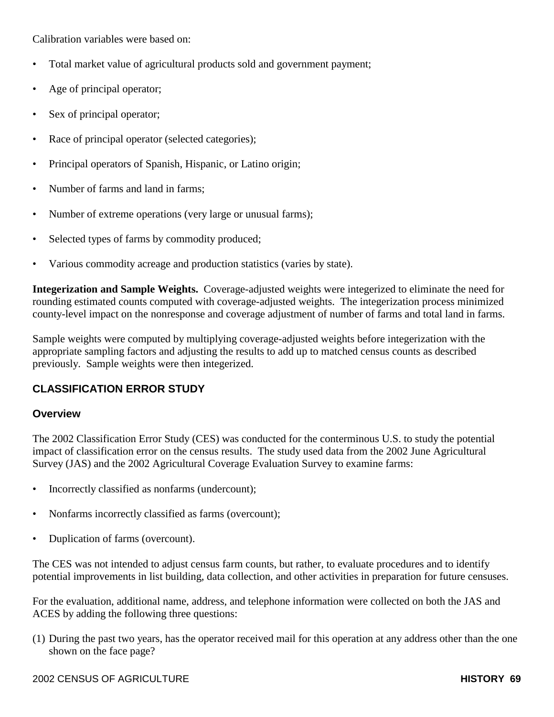Calibration variables were based on:

- Total market value of agricultural products sold and government payment;
- Age of principal operator;
- Sex of principal operator;
- Race of principal operator (selected categories);
- Principal operators of Spanish, Hispanic, or Latino origin;
- Number of farms and land in farms;
- Number of extreme operations (very large or unusual farms);
- Selected types of farms by commodity produced;
- Various commodity acreage and production statistics (varies by state).

**Integerization and Sample Weights.** Coverage-adjusted weights were integerized to eliminate the need for rounding estimated counts computed with coverage-adjusted weights. The integerization process minimized county-level impact on the nonresponse and coverage adjustment of number of farms and total land in farms.

Sample weights were computed by multiplying coverage-adjusted weights before integerization with the appropriate sampling factors and adjusting the results to add up to matched census counts as described previously. Sample weights were then integerized.

# **CLASSIFICATION ERROR STUDY**

#### **Overview**

The 2002 Classification Error Study (CES) was conducted for the conterminous U.S. to study the potential impact of classification error on the census results. The study used data from the 2002 June Agricultural Survey (JAS) and the 2002 Agricultural Coverage Evaluation Survey to examine farms:

- Incorrectly classified as nonfarms (undercount);
- Nonfarms incorrectly classified as farms (overcount);
- Duplication of farms (overcount).

The CES was not intended to adjust census farm counts, but rather, to evaluate procedures and to identify potential improvements in list building, data collection, and other activities in preparation for future censuses.

For the evaluation, additional name, address, and telephone information were collected on both the JAS and ACES by adding the following three questions:

(1) During the past two years, has the operator received mail for this operation at any address other than the one shown on the face page?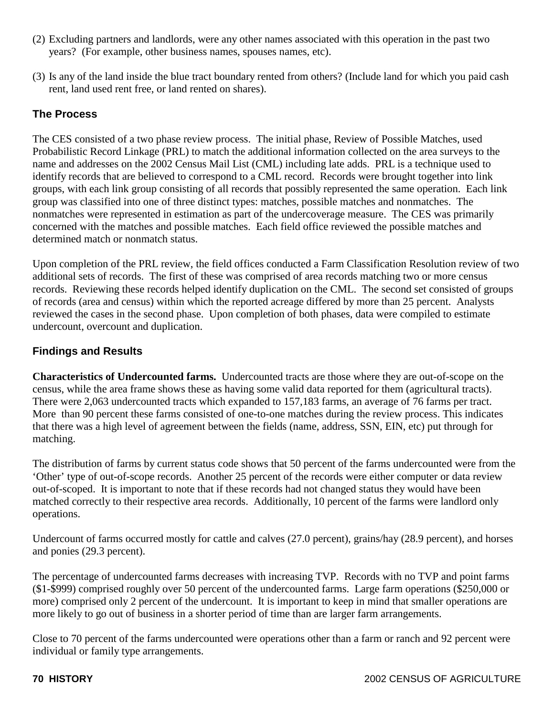- (2) Excluding partners and landlords, were any other names associated with this operation in the past two years? (For example, other business names, spouses names, etc).
- (3) Is any of the land inside the blue tract boundary rented from others? (Include land for which you paid cash rent, land used rent free, or land rented on shares).

# **The Process**

The CES consisted of a two phase review process. The initial phase, Review of Possible Matches, used Probabilistic Record Linkage (PRL) to match the additional information collected on the area surveys to the name and addresses on the 2002 Census Mail List (CML) including late adds. PRL is a technique used to identify records that are believed to correspond to a CML record. Records were brought together into link groups, with each link group consisting of all records that possibly represented the same operation. Each link group was classified into one of three distinct types: matches, possible matches and nonmatches. The nonmatches were represented in estimation as part of the undercoverage measure. The CES was primarily concerned with the matches and possible matches. Each field office reviewed the possible matches and determined match or nonmatch status.

Upon completion of the PRL review, the field offices conducted a Farm Classification Resolution review of two additional sets of records. The first of these was comprised of area records matching two or more census records. Reviewing these records helped identify duplication on the CML. The second set consisted of groups of records (area and census) within which the reported acreage differed by more than 25 percent. Analysts reviewed the cases in the second phase. Upon completion of both phases, data were compiled to estimate undercount, overcount and duplication.

## **Findings and Results**

**Characteristics of Undercounted farms.** Undercounted tracts are those where they are out-of-scope on the census, while the area frame shows these as having some valid data reported for them (agricultural tracts). There were 2,063 undercounted tracts which expanded to 157,183 farms, an average of 76 farms per tract. More than 90 percent these farms consisted of one-to-one matches during the review process. This indicates that there was a high level of agreement between the fields (name, address, SSN, EIN, etc) put through for matching.

The distribution of farms by current status code shows that 50 percent of the farms undercounted were from the 'Other' type of out-of-scope records. Another 25 percent of the records were either computer or data review out-of-scoped. It is important to note that if these records had not changed status they would have been matched correctly to their respective area records. Additionally, 10 percent of the farms were landlord only operations.

Undercount of farms occurred mostly for cattle and calves (27.0 percent), grains/hay (28.9 percent), and horses and ponies (29.3 percent).

The percentage of undercounted farms decreases with increasing TVP. Records with no TVP and point farms (\$1-\$999) comprised roughly over 50 percent of the undercounted farms. Large farm operations (\$250,000 or more) comprised only 2 percent of the undercount. It is important to keep in mind that smaller operations are more likely to go out of business in a shorter period of time than are larger farm arrangements.

Close to 70 percent of the farms undercounted were operations other than a farm or ranch and 92 percent were individual or family type arrangements.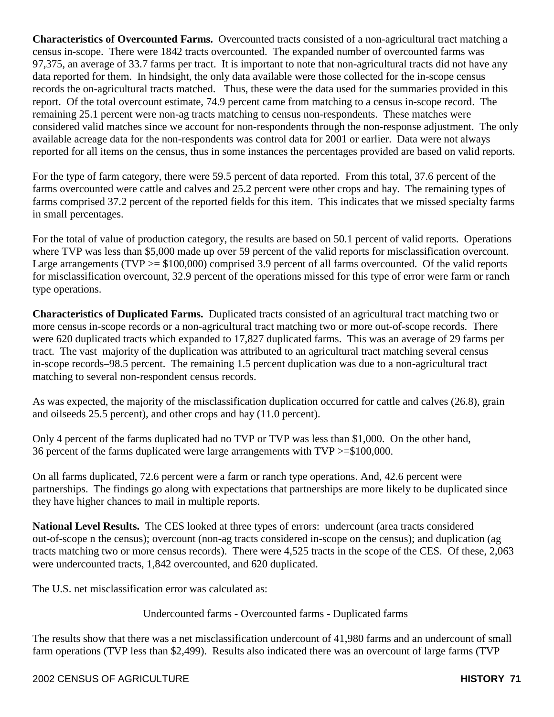**Characteristics of Overcounted Farms.** Overcounted tracts consisted of a non-agricultural tract matching a census in-scope. There were 1842 tracts overcounted. The expanded number of overcounted farms was 97,375, an average of 33.7 farms per tract. It is important to note that non-agricultural tracts did not have any data reported for them. In hindsight, the only data available were those collected for the in-scope census records the on-agricultural tracts matched. Thus, these were the data used for the summaries provided in this report. Of the total overcount estimate, 74.9 percent came from matching to a census in-scope record. The remaining 25.1 percent were non-ag tracts matching to census non-respondents. These matches were considered valid matches since we account for non-respondents through the non-response adjustment. The only available acreage data for the non-respondents was control data for 2001 or earlier. Data were not always reported for all items on the census, thus in some instances the percentages provided are based on valid reports.

For the type of farm category, there were 59.5 percent of data reported. From this total, 37.6 percent of the farms overcounted were cattle and calves and 25.2 percent were other crops and hay. The remaining types of farms comprised 37.2 percent of the reported fields for this item. This indicates that we missed specialty farms in small percentages.

For the total of value of production category, the results are based on 50.1 percent of valid reports. Operations where TVP was less than \$5,000 made up over 59 percent of the valid reports for misclassification overcount. Large arrangements ( $TVP \geq $100,000$ ) comprised 3.9 percent of all farms overcounted. Of the valid reports for misclassification overcount, 32.9 percent of the operations missed for this type of error were farm or ranch type operations.

**Characteristics of Duplicated Farms.** Duplicated tracts consisted of an agricultural tract matching two or more census in-scope records or a non-agricultural tract matching two or more out-of-scope records. There were 620 duplicated tracts which expanded to 17,827 duplicated farms. This was an average of 29 farms per tract. The vast majority of the duplication was attributed to an agricultural tract matching several census in-scope records–98.5 percent. The remaining 1.5 percent duplication was due to a non-agricultural tract matching to several non-respondent census records.

As was expected, the majority of the misclassification duplication occurred for cattle and calves (26.8), grain and oilseeds 25.5 percent), and other crops and hay (11.0 percent).

Only 4 percent of the farms duplicated had no TVP or TVP was less than \$1,000. On the other hand, 36 percent of the farms duplicated were large arrangements with TVP >=\$100,000.

On all farms duplicated, 72.6 percent were a farm or ranch type operations. And, 42.6 percent were partnerships. The findings go along with expectations that partnerships are more likely to be duplicated since they have higher chances to mail in multiple reports.

**National Level Results.** The CES looked at three types of errors: undercount (area tracts considered out-of-scope n the census); overcount (non-ag tracts considered in-scope on the census); and duplication (ag tracts matching two or more census records). There were 4,525 tracts in the scope of the CES. Of these, 2,063 were undercounted tracts, 1,842 overcounted, and 620 duplicated.

The U.S. net misclassification error was calculated as:

Undercounted farms - Overcounted farms - Duplicated farms

The results show that there was a net misclassification undercount of 41,980 farms and an undercount of small farm operations (TVP less than \$2,499). Results also indicated there was an overcount of large farms (TVP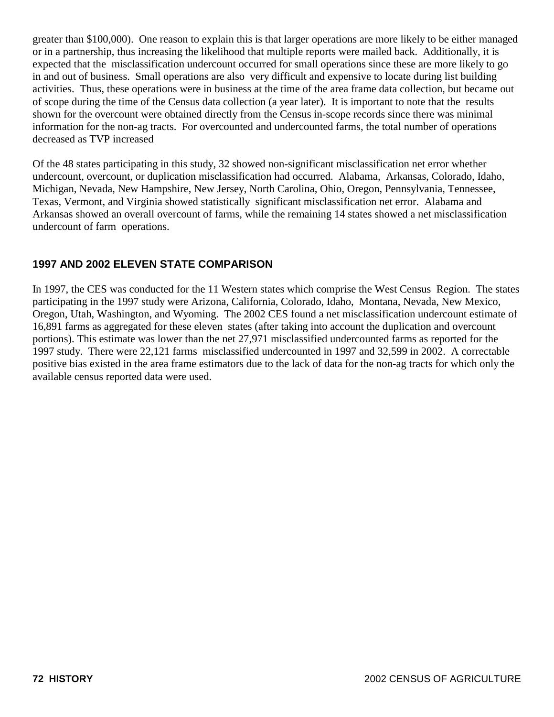greater than \$100,000). One reason to explain this is that larger operations are more likely to be either managed or in a partnership, thus increasing the likelihood that multiple reports were mailed back. Additionally, it is expected that the misclassification undercount occurred for small operations since these are more likely to go in and out of business. Small operations are also very difficult and expensive to locate during list building activities. Thus, these operations were in business at the time of the area frame data collection, but became out of scope during the time of the Census data collection (a year later). It is important to note that the results shown for the overcount were obtained directly from the Census in-scope records since there was minimal information for the non-ag tracts. For overcounted and undercounted farms, the total number of operations decreased as TVP increased

Of the 48 states participating in this study, 32 showed non-significant misclassification net error whether undercount, overcount, or duplication misclassification had occurred. Alabama, Arkansas, Colorado, Idaho, Michigan, Nevada, New Hampshire, New Jersey, North Carolina, Ohio, Oregon, Pennsylvania, Tennessee, Texas, Vermont, and Virginia showed statistically significant misclassification net error. Alabama and Arkansas showed an overall overcount of farms, while the remaining 14 states showed a net misclassification undercount of farm operations.

# **1997 AND 2002 ELEVEN STATE COMPARISON**

In 1997, the CES was conducted for the 11 Western states which comprise the West Census Region. The states participating in the 1997 study were Arizona, California, Colorado, Idaho, Montana, Nevada, New Mexico, Oregon, Utah, Washington, and Wyoming. The 2002 CES found a net misclassification undercount estimate of 16,891 farms as aggregated for these eleven states (after taking into account the duplication and overcount portions). This estimate was lower than the net 27,971 misclassified undercounted farms as reported for the 1997 study. There were 22,121 farms misclassified undercounted in 1997 and 32,599 in 2002. A correctable positive bias existed in the area frame estimators due to the lack of data for the non-ag tracts for which only the available census reported data were used.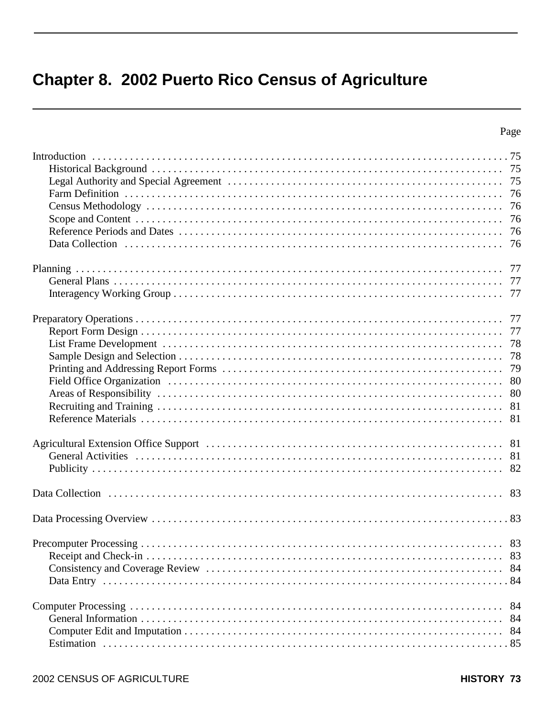# **Chapter 8. 2002 Puerto Rico Census of Agriculture**

| 80<br>81         |
|------------------|
|                  |
|                  |
|                  |
|                  |
| -84<br>84<br>-84 |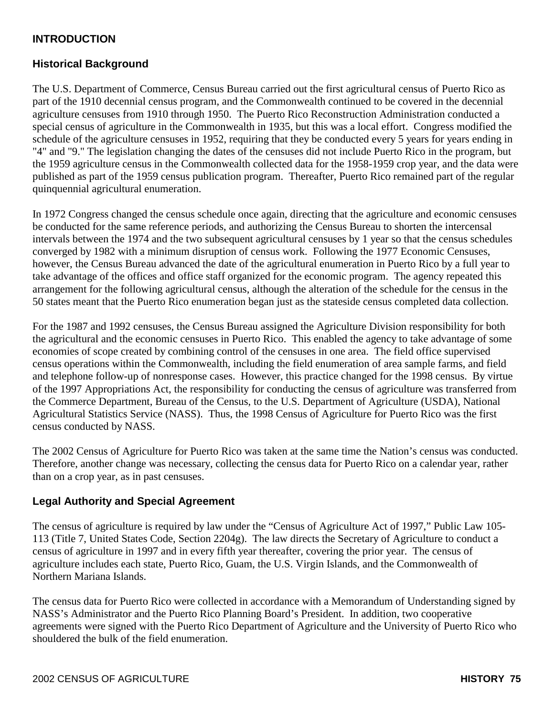# **INTRODUCTION**

## **Historical Background**

The U.S. Department of Commerce, Census Bureau carried out the first agricultural census of Puerto Rico as part of the 1910 decennial census program, and the Commonwealth continued to be covered in the decennial agriculture censuses from 1910 through 1950. The Puerto Rico Reconstruction Administration conducted a special census of agriculture in the Commonwealth in 1935, but this was a local effort. Congress modified the schedule of the agriculture censuses in 1952, requiring that they be conducted every 5 years for years ending in "4" and "9." The legislation changing the dates of the censuses did not include Puerto Rico in the program, but the 1959 agriculture census in the Commonwealth collected data for the 1958-1959 crop year, and the data were published as part of the 1959 census publication program. Thereafter, Puerto Rico remained part of the regular quinquennial agricultural enumeration.

In 1972 Congress changed the census schedule once again, directing that the agriculture and economic censuses be conducted for the same reference periods, and authorizing the Census Bureau to shorten the intercensal intervals between the 1974 and the two subsequent agricultural censuses by 1 year so that the census schedules converged by 1982 with a minimum disruption of census work. Following the 1977 Economic Censuses, however, the Census Bureau advanced the date of the agricultural enumeration in Puerto Rico by a full year to take advantage of the offices and office staff organized for the economic program. The agency repeated this arrangement for the following agricultural census, although the alteration of the schedule for the census in the 50 states meant that the Puerto Rico enumeration began just as the stateside census completed data collection.

For the 1987 and 1992 censuses, the Census Bureau assigned the Agriculture Division responsibility for both the agricultural and the economic censuses in Puerto Rico. This enabled the agency to take advantage of some economies of scope created by combining control of the censuses in one area. The field office supervised census operations within the Commonwealth, including the field enumeration of area sample farms, and field and telephone follow-up of nonresponse cases. However, this practice changed for the 1998 census. By virtue of the 1997 Appropriations Act, the responsibility for conducting the census of agriculture was transferred from the Commerce Department, Bureau of the Census, to the U.S. Department of Agriculture (USDA), National Agricultural Statistics Service (NASS). Thus, the 1998 Census of Agriculture for Puerto Rico was the first census conducted by NASS.

The 2002 Census of Agriculture for Puerto Rico was taken at the same time the Nation's census was conducted. Therefore, another change was necessary, collecting the census data for Puerto Rico on a calendar year, rather than on a crop year, as in past censuses.

#### **Legal Authority and Special Agreement**

The census of agriculture is required by law under the "Census of Agriculture Act of 1997," Public Law 105- 113 (Title 7, United States Code, Section 2204g). The law directs the Secretary of Agriculture to conduct a census of agriculture in 1997 and in every fifth year thereafter, covering the prior year. The census of agriculture includes each state, Puerto Rico, Guam, the U.S. Virgin Islands, and the Commonwealth of Northern Mariana Islands.

The census data for Puerto Rico were collected in accordance with a Memorandum of Understanding signed by NASS's Administrator and the Puerto Rico Planning Board's President. In addition, two cooperative agreements were signed with the Puerto Rico Department of Agriculture and the University of Puerto Rico who shouldered the bulk of the field enumeration.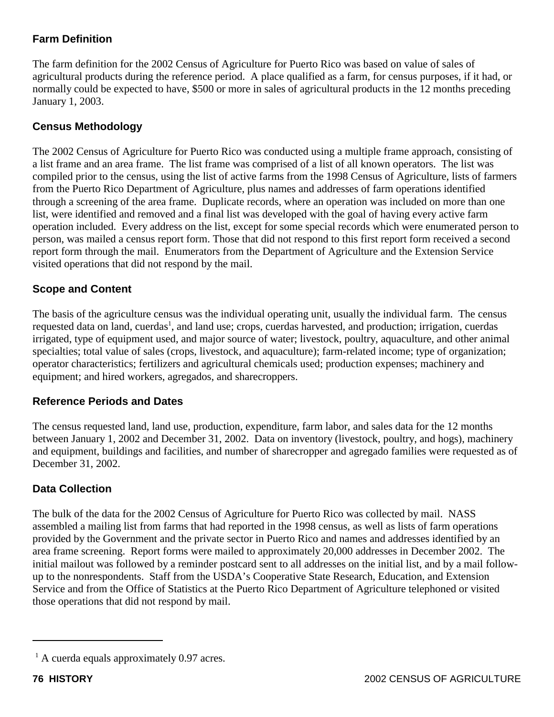# **Farm Definition**

The farm definition for the 2002 Census of Agriculture for Puerto Rico was based on value of sales of agricultural products during the reference period. A place qualified as a farm, for census purposes, if it had, or normally could be expected to have, \$500 or more in sales of agricultural products in the 12 months preceding January 1, 2003.

# **Census Methodology**

The 2002 Census of Agriculture for Puerto Rico was conducted using a multiple frame approach, consisting of a list frame and an area frame. The list frame was comprised of a list of all known operators. The list was compiled prior to the census, using the list of active farms from the 1998 Census of Agriculture, lists of farmers from the Puerto Rico Department of Agriculture, plus names and addresses of farm operations identified through a screening of the area frame. Duplicate records, where an operation was included on more than one list, were identified and removed and a final list was developed with the goal of having every active farm operation included. Every address on the list, except for some special records which were enumerated person to person, was mailed a census report form. Those that did not respond to this first report form received a second report form through the mail. Enumerators from the Department of Agriculture and the Extension Service visited operations that did not respond by the mail.

# **Scope and Content**

The basis of the agriculture census was the individual operating unit, usually the individual farm. The census requested data on land, cuerdas<sup>1</sup>, and land use; crops, cuerdas harvested, and production; irrigation, cuerdas irrigated, type of equipment used, and major source of water; livestock, poultry, aquaculture, and other animal specialties; total value of sales (crops, livestock, and aquaculture); farm-related income; type of organization; operator characteristics; fertilizers and agricultural chemicals used; production expenses; machinery and equipment; and hired workers, agregados, and sharecroppers.

# **Reference Periods and Dates**

The census requested land, land use, production, expenditure, farm labor, and sales data for the 12 months between January 1, 2002 and December 31, 2002. Data on inventory (livestock, poultry, and hogs), machinery and equipment, buildings and facilities, and number of sharecropper and agregado families were requested as of December 31, 2002.

# **Data Collection**

The bulk of the data for the 2002 Census of Agriculture for Puerto Rico was collected by mail. NASS assembled a mailing list from farms that had reported in the 1998 census, as well as lists of farm operations provided by the Government and the private sector in Puerto Rico and names and addresses identified by an area frame screening. Report forms were mailed to approximately 20,000 addresses in December 2002. The initial mailout was followed by a reminder postcard sent to all addresses on the initial list, and by a mail followup to the nonrespondents. Staff from the USDA's Cooperative State Research, Education, and Extension Service and from the Office of Statistics at the Puerto Rico Department of Agriculture telephoned or visited those operations that did not respond by mail.

<sup>&</sup>lt;sup>1</sup> A cuerda equals approximately 0.97 acres.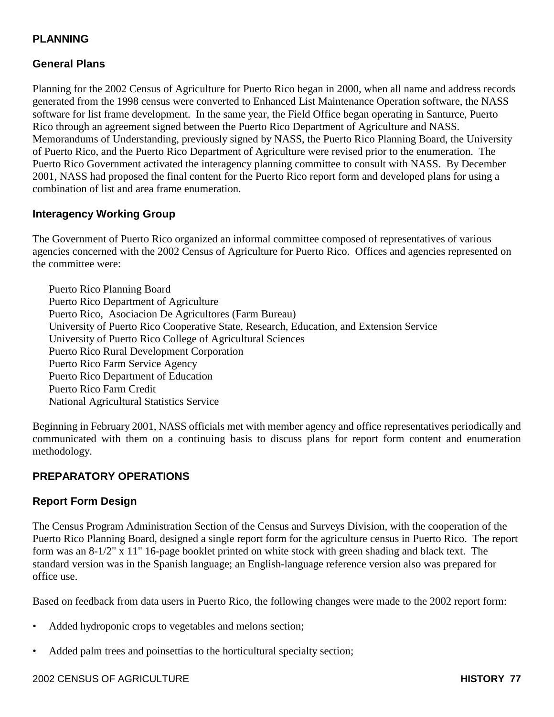# **PLANNING**

# **General Plans**

Planning for the 2002 Census of Agriculture for Puerto Rico began in 2000, when all name and address records generated from the 1998 census were converted to Enhanced List Maintenance Operation software, the NASS software for list frame development. In the same year, the Field Office began operating in Santurce, Puerto Rico through an agreement signed between the Puerto Rico Department of Agriculture and NASS. Memorandums of Understanding, previously signed by NASS, the Puerto Rico Planning Board, the University of Puerto Rico, and the Puerto Rico Department of Agriculture were revised prior to the enumeration. The Puerto Rico Government activated the interagency planning committee to consult with NASS. By December 2001, NASS had proposed the final content for the Puerto Rico report form and developed plans for using a combination of list and area frame enumeration.

#### **Interagency Working Group**

The Government of Puerto Rico organized an informal committee composed of representatives of various agencies concerned with the 2002 Census of Agriculture for Puerto Rico. Offices and agencies represented on the committee were:

Puerto Rico Planning Board Puerto Rico Department of Agriculture Puerto Rico, Asociacion De Agricultores (Farm Bureau) University of Puerto Rico Cooperative State, Research, Education, and Extension Service University of Puerto Rico College of Agricultural Sciences Puerto Rico Rural Development Corporation Puerto Rico Farm Service Agency Puerto Rico Department of Education Puerto Rico Farm Credit National Agricultural Statistics Service

Beginning in February 2001, NASS officials met with member agency and office representatives periodically and communicated with them on a continuing basis to discuss plans for report form content and enumeration methodology.

#### **PREPARATORY OPERATIONS**

#### **Report Form Design**

The Census Program Administration Section of the Census and Surveys Division, with the cooperation of the Puerto Rico Planning Board, designed a single report form for the agriculture census in Puerto Rico. The report form was an 8-1/2" x 11" 16-page booklet printed on white stock with green shading and black text. The standard version was in the Spanish language; an English-language reference version also was prepared for office use.

Based on feedback from data users in Puerto Rico, the following changes were made to the 2002 report form:

- Added hydroponic crops to vegetables and melons section;
- Added palm trees and poinsettias to the horticultural specialty section;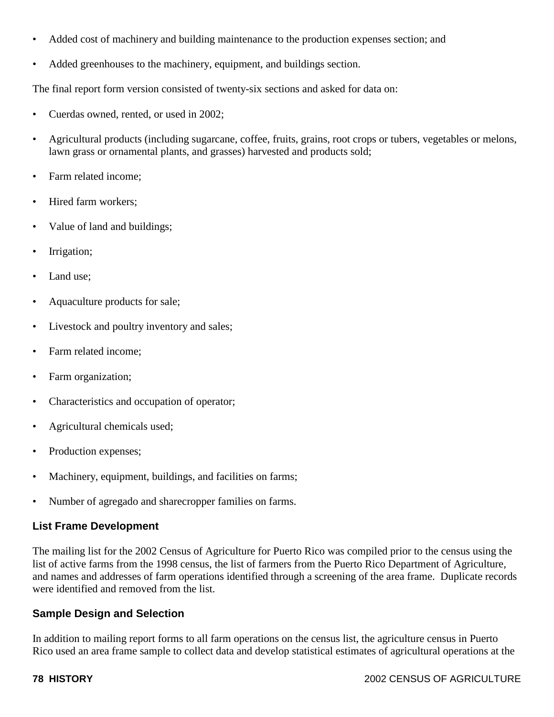- Added cost of machinery and building maintenance to the production expenses section; and
- Added greenhouses to the machinery, equipment, and buildings section.

The final report form version consisted of twenty-six sections and asked for data on:

- Cuerdas owned, rented, or used in 2002;
- Agricultural products (including sugarcane, coffee, fruits, grains, root crops or tubers, vegetables or melons, lawn grass or ornamental plants, and grasses) harvested and products sold;
- Farm related income:
- Hired farm workers:
- Value of land and buildings;
- Irrigation;
- Land use:
- Aquaculture products for sale;
- Livestock and poultry inventory and sales;
- Farm related income:
- Farm organization;
- Characteristics and occupation of operator;
- Agricultural chemicals used;
- Production expenses;
- Machinery, equipment, buildings, and facilities on farms;
- Number of agregado and sharecropper families on farms.

#### **List Frame Development**

The mailing list for the 2002 Census of Agriculture for Puerto Rico was compiled prior to the census using the list of active farms from the 1998 census, the list of farmers from the Puerto Rico Department of Agriculture, and names and addresses of farm operations identified through a screening of the area frame. Duplicate records were identified and removed from the list.

#### **Sample Design and Selection**

In addition to mailing report forms to all farm operations on the census list, the agriculture census in Puerto Rico used an area frame sample to collect data and develop statistical estimates of agricultural operations at the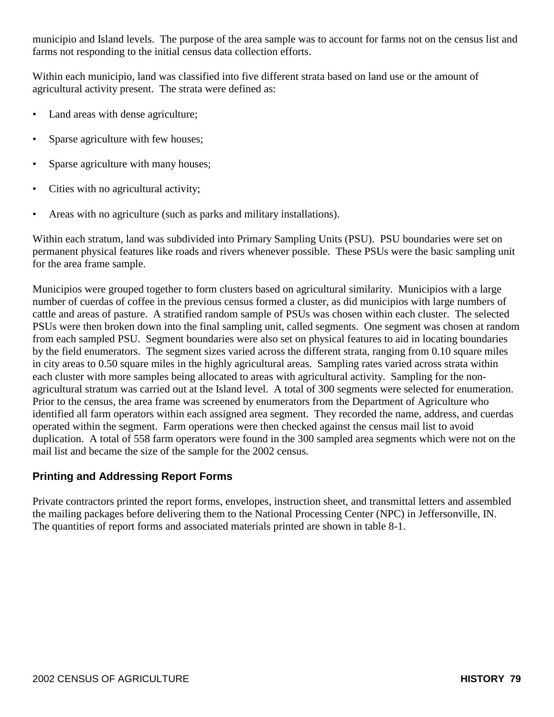municipio and Island levels. The purpose of the area sample was to account for farms not on the census list and farms not responding to the initial census data collection efforts.

Within each municipio, land was classified into five different strata based on land use or the amount of agricultural activity present. The strata were defined as:

- Land areas with dense agriculture;
- Sparse agriculture with few houses;
- Sparse agriculture with many houses;
- Cities with no agricultural activity;
- Areas with no agriculture (such as parks and military installations).

Within each stratum, land was subdivided into Primary Sampling Units (PSU). PSU boundaries were set on permanent physical features like roads and rivers whenever possible. These PSUs were the basic sampling unit for the area frame sample.

Municipios were grouped together to form clusters based on agricultural similarity. Municipios with a large number of cuerdas of coffee in the previous census formed a cluster, as did municipios with large numbers of cattle and areas of pasture. A stratified random sample of PSUs was chosen within each cluster. The selected PSUs were then broken down into the final sampling unit, called segments. One segment was chosen at random from each sampled PSU. Segment boundaries were also set on physical features to aid in locating boundaries by the field enumerators. The segment sizes varied across the different strata, ranging from 0.10 square miles in city areas to 0.50 square miles in the highly agricultural areas. Sampling rates varied across strata within each cluster with more samples being allocated to areas with agricultural activity. Sampling for the nonagricultural stratum was carried out at the Island level. A total of 300 segments were selected for enumeration. Prior to the census, the area frame was screened by enumerators from the Department of Agriculture who identified all farm operators within each assigned area segment. They recorded the name, address, and cuerdas operated within the segment. Farm operations were then checked against the census mail list to avoid duplication. A total of 558 farm operators were found in the 300 sampled area segments which were not on the mail list and became the size of the sample for the 2002 census.

# **Printing and Addressing Report Forms**

Private contractors printed the report forms, envelopes, instruction sheet, and transmittal letters and assembled the mailing packages before delivering them to the National Processing Center (NPC) in Jeffersonville, IN. The quantities of report forms and associated materials printed are shown in table 8-1.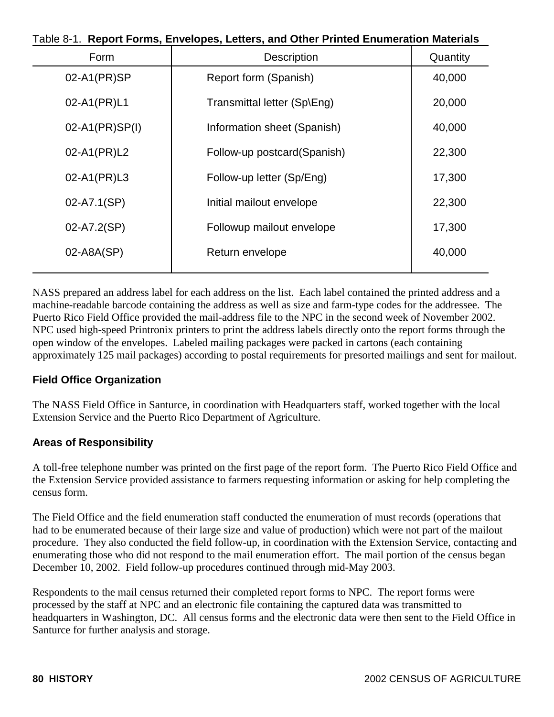| Table 8-1. Report Forms, Envelopes, Letters, and Other Printed Enumeration Materials |                              |          |  |
|--------------------------------------------------------------------------------------|------------------------------|----------|--|
| Form                                                                                 | <b>Description</b>           | Quantity |  |
| 02-A1(PR)SP                                                                          | Report form (Spanish)        | 40,000   |  |
| 02-A1(PR)L1                                                                          | Transmittal letter (Sp\Eng)  | 20,000   |  |
| 02-A1(PR)SP(I)                                                                       | Information sheet (Spanish)  | 40,000   |  |
| 02-A1(PR)L2                                                                          | Follow-up postcard (Spanish) | 22,300   |  |
| 02-A1(PR)L3                                                                          | Follow-up letter (Sp/Eng)    | 17,300   |  |
| 02-A7.1(SP)                                                                          | Initial mailout envelope     | 22,300   |  |
| 02-A7.2(SP)                                                                          | Followup mailout envelope    | 17,300   |  |
| 02-A8A(SP)                                                                           | Return envelope              | 40,000   |  |
|                                                                                      |                              |          |  |

NASS prepared an address label for each address on the list. Each label contained the printed address and a machine-readable barcode containing the address as well as size and farm-type codes for the addressee. The Puerto Rico Field Office provided the mail-address file to the NPC in the second week of November 2002. NPC used high-speed Printronix printers to print the address labels directly onto the report forms through the open window of the envelopes. Labeled mailing packages were packed in cartons (each containing approximately 125 mail packages) according to postal requirements for presorted mailings and sent for mailout.

# **Field Office Organization**

The NASS Field Office in Santurce, in coordination with Headquarters staff, worked together with the local Extension Service and the Puerto Rico Department of Agriculture.

#### **Areas of Responsibility**

A toll-free telephone number was printed on the first page of the report form. The Puerto Rico Field Office and the Extension Service provided assistance to farmers requesting information or asking for help completing the census form.

The Field Office and the field enumeration staff conducted the enumeration of must records (operations that had to be enumerated because of their large size and value of production) which were not part of the mailout procedure. They also conducted the field follow-up, in coordination with the Extension Service, contacting and enumerating those who did not respond to the mail enumeration effort. The mail portion of the census began December 10, 2002. Field follow-up procedures continued through mid-May 2003.

Respondents to the mail census returned their completed report forms to NPC. The report forms were processed by the staff at NPC and an electronic file containing the captured data was transmitted to headquarters in Washington, DC. All census forms and the electronic data were then sent to the Field Office in Santurce for further analysis and storage.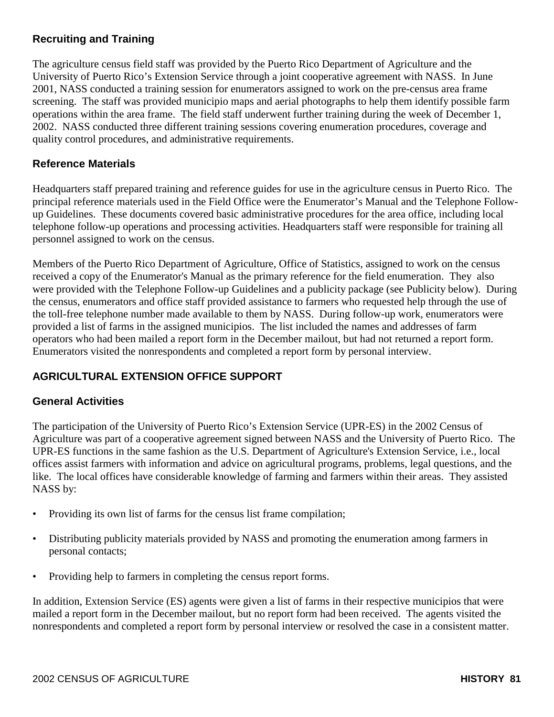# **Recruiting and Training**

The agriculture census field staff was provided by the Puerto Rico Department of Agriculture and the University of Puerto Rico's Extension Service through a joint cooperative agreement with NASS. In June 2001, NASS conducted a training session for enumerators assigned to work on the pre-census area frame screening. The staff was provided municipio maps and aerial photographs to help them identify possible farm operations within the area frame. The field staff underwent further training during the week of December 1, 2002. NASS conducted three different training sessions covering enumeration procedures, coverage and quality control procedures, and administrative requirements.

# **Reference Materials**

Headquarters staff prepared training and reference guides for use in the agriculture census in Puerto Rico. The principal reference materials used in the Field Office were the Enumerator's Manual and the Telephone Followup Guidelines. These documents covered basic administrative procedures for the area office, including local telephone follow-up operations and processing activities. Headquarters staff were responsible for training all personnel assigned to work on the census.

Members of the Puerto Rico Department of Agriculture, Office of Statistics, assigned to work on the census received a copy of the Enumerator's Manual as the primary reference for the field enumeration. They also were provided with the Telephone Follow-up Guidelines and a publicity package (see Publicity below). During the census, enumerators and office staff provided assistance to farmers who requested help through the use of the toll-free telephone number made available to them by NASS. During follow-up work, enumerators were provided a list of farms in the assigned municipios. The list included the names and addresses of farm operators who had been mailed a report form in the December mailout, but had not returned a report form. Enumerators visited the nonrespondents and completed a report form by personal interview.

# **AGRICULTURAL EXTENSION OFFICE SUPPORT**

#### **General Activities**

The participation of the University of Puerto Rico's Extension Service (UPR-ES) in the 2002 Census of Agriculture was part of a cooperative agreement signed between NASS and the University of Puerto Rico. The UPR-ES functions in the same fashion as the U.S. Department of Agriculture's Extension Service, i.e., local offices assist farmers with information and advice on agricultural programs, problems, legal questions, and the like. The local offices have considerable knowledge of farming and farmers within their areas. They assisted NASS by:

- Providing its own list of farms for the census list frame compilation;
- Distributing publicity materials provided by NASS and promoting the enumeration among farmers in personal contacts;
- Providing help to farmers in completing the census report forms.

In addition, Extension Service (ES) agents were given a list of farms in their respective municipios that were mailed a report form in the December mailout, but no report form had been received. The agents visited the nonrespondents and completed a report form by personal interview or resolved the case in a consistent matter.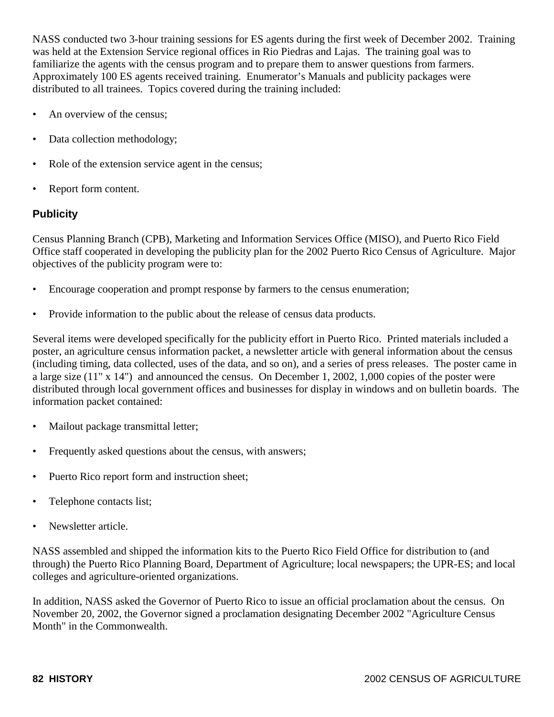NASS conducted two 3-hour training sessions for ES agents during the first week of December 2002. Training was held at the Extension Service regional offices in Rio Piedras and Lajas. The training goal was to familiarize the agents with the census program and to prepare them to answer questions from farmers. Approximately 100 ES agents received training. Enumerator's Manuals and publicity packages were distributed to all trainees. Topics covered during the training included:

- An overview of the census;
- Data collection methodology;
- Role of the extension service agent in the census;
- Report form content.

#### **Publicity**

Census Planning Branch (CPB), Marketing and Information Services Office (MISO), and Puerto Rico Field Office staff cooperated in developing the publicity plan for the 2002 Puerto Rico Census of Agriculture. Major objectives of the publicity program were to:

- Encourage cooperation and prompt response by farmers to the census enumeration;
- Provide information to the public about the release of census data products.

Several items were developed specifically for the publicity effort in Puerto Rico. Printed materials included a poster, an agriculture census information packet, a newsletter article with general information about the census (including timing, data collected, uses of the data, and so on), and a series of press releases. The poster came in a large size (11" x 14") and announced the census. On December 1, 2002, 1,000 copies of the poster were distributed through local government offices and businesses for display in windows and on bulletin boards. The information packet contained:

- Mailout package transmittal letter;
- Frequently asked questions about the census, with answers;
- Puerto Rico report form and instruction sheet;
- Telephone contacts list;
- Newsletter article.

NASS assembled and shipped the information kits to the Puerto Rico Field Office for distribution to (and through) the Puerto Rico Planning Board, Department of Agriculture; local newspapers; the UPR-ES; and local colleges and agriculture-oriented organizations.

In addition, NASS asked the Governor of Puerto Rico to issue an official proclamation about the census. On November 20, 2002, the Governor signed a proclamation designating December 2002 "Agriculture Census Month" in the Commonwealth.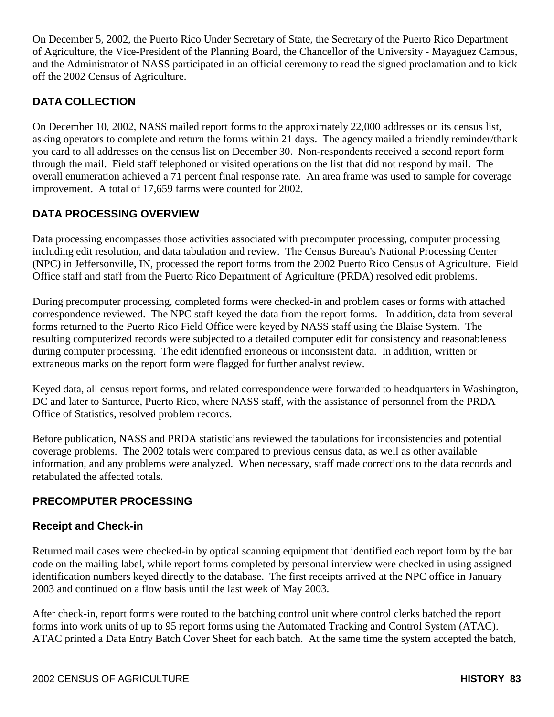On December 5, 2002, the Puerto Rico Under Secretary of State, the Secretary of the Puerto Rico Department of Agriculture, the Vice-President of the Planning Board, the Chancellor of the University - Mayaguez Campus, and the Administrator of NASS participated in an official ceremony to read the signed proclamation and to kick off the 2002 Census of Agriculture.

# **DATA COLLECTION**

On December 10, 2002, NASS mailed report forms to the approximately 22,000 addresses on its census list, asking operators to complete and return the forms within 21 days. The agency mailed a friendly reminder/thank you card to all addresses on the census list on December 30. Non-respondents received a second report form through the mail. Field staff telephoned or visited operations on the list that did not respond by mail. The overall enumeration achieved a 71 percent final response rate. An area frame was used to sample for coverage improvement. A total of 17,659 farms were counted for 2002.

# **DATA PROCESSING OVERVIEW**

Data processing encompasses those activities associated with precomputer processing, computer processing including edit resolution, and data tabulation and review. The Census Bureau's National Processing Center (NPC) in Jeffersonville, IN, processed the report forms from the 2002 Puerto Rico Census of Agriculture. Field Office staff and staff from the Puerto Rico Department of Agriculture (PRDA) resolved edit problems.

During precomputer processing, completed forms were checked-in and problem cases or forms with attached correspondence reviewed. The NPC staff keyed the data from the report forms. In addition, data from several forms returned to the Puerto Rico Field Office were keyed by NASS staff using the Blaise System. The resulting computerized records were subjected to a detailed computer edit for consistency and reasonableness during computer processing. The edit identified erroneous or inconsistent data. In addition, written or extraneous marks on the report form were flagged for further analyst review.

Keyed data, all census report forms, and related correspondence were forwarded to headquarters in Washington, DC and later to Santurce, Puerto Rico, where NASS staff, with the assistance of personnel from the PRDA Office of Statistics, resolved problem records.

Before publication, NASS and PRDA statisticians reviewed the tabulations for inconsistencies and potential coverage problems. The 2002 totals were compared to previous census data, as well as other available information, and any problems were analyzed. When necessary, staff made corrections to the data records and retabulated the affected totals.

# **PRECOMPUTER PROCESSING**

# **Receipt and Check-in**

Returned mail cases were checked-in by optical scanning equipment that identified each report form by the bar code on the mailing label, while report forms completed by personal interview were checked in using assigned identification numbers keyed directly to the database. The first receipts arrived at the NPC office in January 2003 and continued on a flow basis until the last week of May 2003.

After check-in, report forms were routed to the batching control unit where control clerks batched the report forms into work units of up to 95 report forms using the Automated Tracking and Control System (ATAC). ATAC printed a Data Entry Batch Cover Sheet for each batch. At the same time the system accepted the batch,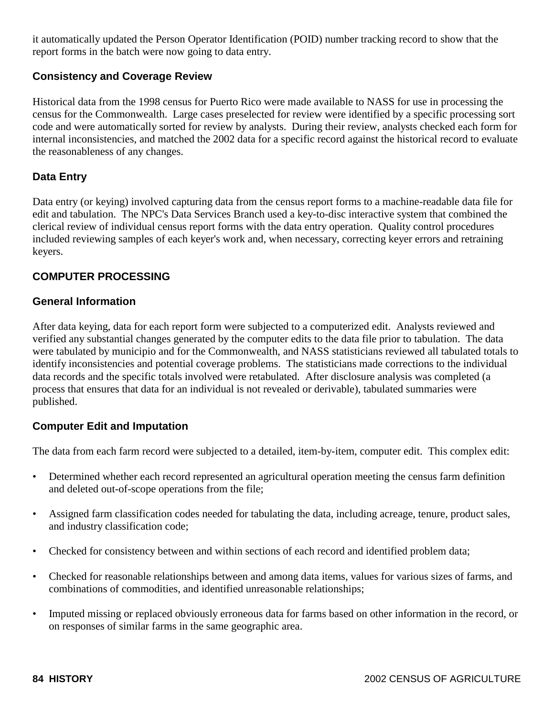it automatically updated the Person Operator Identification (POID) number tracking record to show that the report forms in the batch were now going to data entry.

#### **Consistency and Coverage Review**

Historical data from the 1998 census for Puerto Rico were made available to NASS for use in processing the census for the Commonwealth. Large cases preselected for review were identified by a specific processing sort code and were automatically sorted for review by analysts. During their review, analysts checked each form for internal inconsistencies, and matched the 2002 data for a specific record against the historical record to evaluate the reasonableness of any changes.

#### **Data Entry**

Data entry (or keying) involved capturing data from the census report forms to a machine-readable data file for edit and tabulation. The NPC's Data Services Branch used a key-to-disc interactive system that combined the clerical review of individual census report forms with the data entry operation. Quality control procedures included reviewing samples of each keyer's work and, when necessary, correcting keyer errors and retraining keyers.

## **COMPUTER PROCESSING**

#### **General Information**

After data keying, data for each report form were subjected to a computerized edit. Analysts reviewed and verified any substantial changes generated by the computer edits to the data file prior to tabulation. The data were tabulated by municipio and for the Commonwealth, and NASS statisticians reviewed all tabulated totals to identify inconsistencies and potential coverage problems. The statisticians made corrections to the individual data records and the specific totals involved were retabulated. After disclosure analysis was completed (a process that ensures that data for an individual is not revealed or derivable), tabulated summaries were published.

#### **Computer Edit and Imputation**

The data from each farm record were subjected to a detailed, item-by-item, computer edit. This complex edit:

- Determined whether each record represented an agricultural operation meeting the census farm definition and deleted out-of-scope operations from the file;
- Assigned farm classification codes needed for tabulating the data, including acreage, tenure, product sales, and industry classification code;
- Checked for consistency between and within sections of each record and identified problem data;
- Checked for reasonable relationships between and among data items, values for various sizes of farms, and combinations of commodities, and identified unreasonable relationships;
- Imputed missing or replaced obviously erroneous data for farms based on other information in the record, or on responses of similar farms in the same geographic area.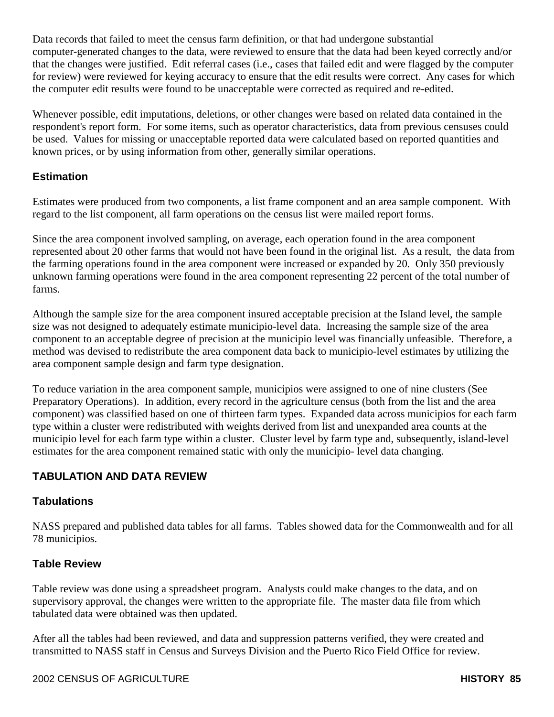Data records that failed to meet the census farm definition, or that had undergone substantial computer-generated changes to the data, were reviewed to ensure that the data had been keyed correctly and/or that the changes were justified. Edit referral cases (i.e., cases that failed edit and were flagged by the computer for review) were reviewed for keying accuracy to ensure that the edit results were correct. Any cases for which the computer edit results were found to be unacceptable were corrected as required and re-edited.

Whenever possible, edit imputations, deletions, or other changes were based on related data contained in the respondent's report form. For some items, such as operator characteristics, data from previous censuses could be used. Values for missing or unacceptable reported data were calculated based on reported quantities and known prices, or by using information from other, generally similar operations.

## **Estimation**

Estimates were produced from two components, a list frame component and an area sample component. With regard to the list component, all farm operations on the census list were mailed report forms.

Since the area component involved sampling, on average, each operation found in the area component represented about 20 other farms that would not have been found in the original list. As a result, the data from the farming operations found in the area component were increased or expanded by 20. Only 350 previously unknown farming operations were found in the area component representing 22 percent of the total number of farms.

Although the sample size for the area component insured acceptable precision at the Island level, the sample size was not designed to adequately estimate municipio-level data. Increasing the sample size of the area component to an acceptable degree of precision at the municipio level was financially unfeasible. Therefore, a method was devised to redistribute the area component data back to municipio-level estimates by utilizing the area component sample design and farm type designation.

To reduce variation in the area component sample, municipios were assigned to one of nine clusters (See Preparatory Operations). In addition, every record in the agriculture census (both from the list and the area component) was classified based on one of thirteen farm types. Expanded data across municipios for each farm type within a cluster were redistributed with weights derived from list and unexpanded area counts at the municipio level for each farm type within a cluster. Cluster level by farm type and, subsequently, island-level estimates for the area component remained static with only the municipio- level data changing.

# **TABULATION AND DATA REVIEW**

# **Tabulations**

NASS prepared and published data tables for all farms. Tables showed data for the Commonwealth and for all 78 municipios.

# **Table Review**

Table review was done using a spreadsheet program. Analysts could make changes to the data, and on supervisory approval, the changes were written to the appropriate file. The master data file from which tabulated data were obtained was then updated.

After all the tables had been reviewed, and data and suppression patterns verified, they were created and transmitted to NASS staff in Census and Surveys Division and the Puerto Rico Field Office for review.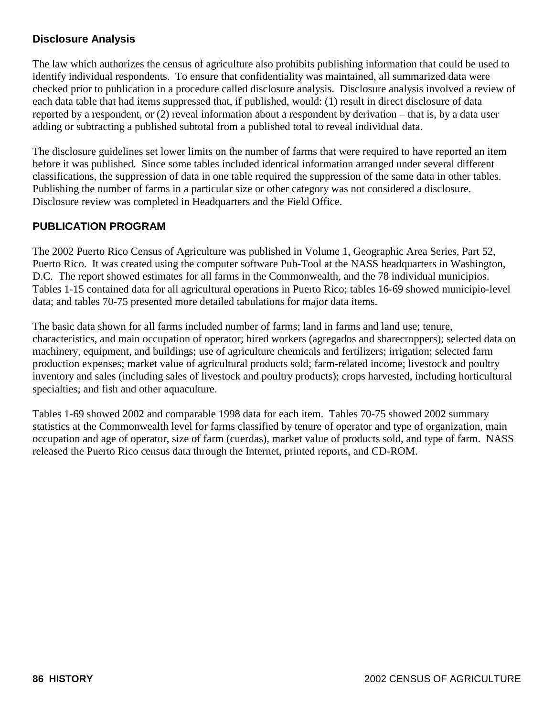# **Disclosure Analysis**

The law which authorizes the census of agriculture also prohibits publishing information that could be used to identify individual respondents. To ensure that confidentiality was maintained, all summarized data were checked prior to publication in a procedure called disclosure analysis. Disclosure analysis involved a review of each data table that had items suppressed that, if published, would: (1) result in direct disclosure of data reported by a respondent, or (2) reveal information about a respondent by derivation – that is, by a data user adding or subtracting a published subtotal from a published total to reveal individual data.

The disclosure guidelines set lower limits on the number of farms that were required to have reported an item before it was published. Since some tables included identical information arranged under several different classifications, the suppression of data in one table required the suppression of the same data in other tables. Publishing the number of farms in a particular size or other category was not considered a disclosure. Disclosure review was completed in Headquarters and the Field Office.

# **PUBLICATION PROGRAM**

The 2002 Puerto Rico Census of Agriculture was published in Volume 1, Geographic Area Series, Part 52, Puerto Rico. It was created using the computer software Pub-Tool at the NASS headquarters in Washington, D.C. The report showed estimates for all farms in the Commonwealth, and the 78 individual municipios. Tables 1-15 contained data for all agricultural operations in Puerto Rico; tables 16-69 showed municipio-level data; and tables 70-75 presented more detailed tabulations for major data items.

The basic data shown for all farms included number of farms; land in farms and land use; tenure, characteristics, and main occupation of operator; hired workers (agregados and sharecroppers); selected data on machinery, equipment, and buildings; use of agriculture chemicals and fertilizers; irrigation; selected farm production expenses; market value of agricultural products sold; farm-related income; livestock and poultry inventory and sales (including sales of livestock and poultry products); crops harvested, including horticultural specialties; and fish and other aquaculture.

Tables 1-69 showed 2002 and comparable 1998 data for each item. Tables 70-75 showed 2002 summary statistics at the Commonwealth level for farms classified by tenure of operator and type of organization, main occupation and age of operator, size of farm (cuerdas), market value of products sold, and type of farm. NASS released the Puerto Rico census data through the Internet, printed reports, and CD-ROM.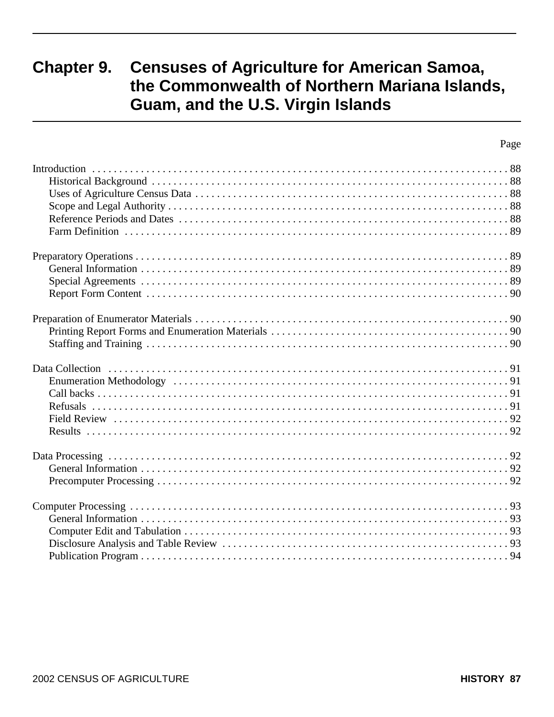# **Chapter 9. Censuses of Agriculture for American Samoa,** the Commonwealth of Northern Mariana Islands, Guam, and the U.S. Virgin Islands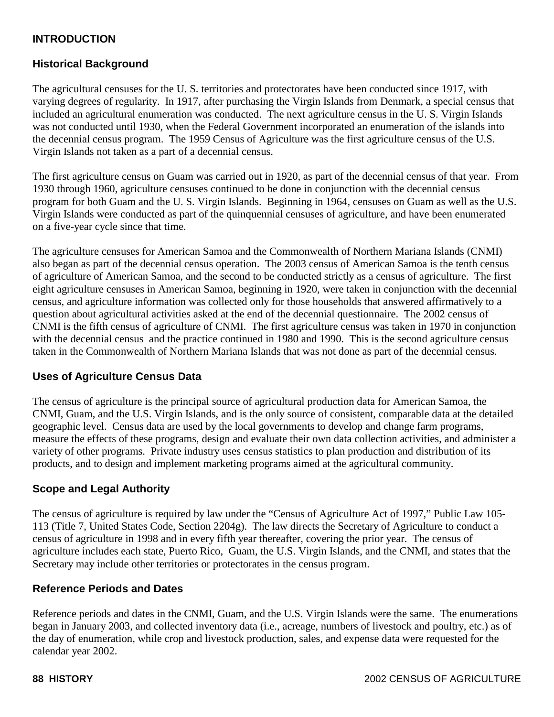# **INTRODUCTION**

### **Historical Background**

The agricultural censuses for the U. S. territories and protectorates have been conducted since 1917, with varying degrees of regularity. In 1917, after purchasing the Virgin Islands from Denmark, a special census that included an agricultural enumeration was conducted. The next agriculture census in the U. S. Virgin Islands was not conducted until 1930, when the Federal Government incorporated an enumeration of the islands into the decennial census program. The 1959 Census of Agriculture was the first agriculture census of the U.S. Virgin Islands not taken as a part of a decennial census.

The first agriculture census on Guam was carried out in 1920, as part of the decennial census of that year. From 1930 through 1960, agriculture censuses continued to be done in conjunction with the decennial census program for both Guam and the U. S. Virgin Islands. Beginning in 1964, censuses on Guam as well as the U.S. Virgin Islands were conducted as part of the quinquennial censuses of agriculture, and have been enumerated on a five-year cycle since that time.

The agriculture censuses for American Samoa and the Commonwealth of Northern Mariana Islands (CNMI) also began as part of the decennial census operation. The 2003 census of American Samoa is the tenth census of agriculture of American Samoa, and the second to be conducted strictly as a census of agriculture. The first eight agriculture censuses in American Samoa, beginning in 1920, were taken in conjunction with the decennial census, and agriculture information was collected only for those households that answered affirmatively to a question about agricultural activities asked at the end of the decennial questionnaire. The 2002 census of CNMI is the fifth census of agriculture of CNMI. The first agriculture census was taken in 1970 in conjunction with the decennial census and the practice continued in 1980 and 1990. This is the second agriculture census taken in the Commonwealth of Northern Mariana Islands that was not done as part of the decennial census.

#### **Uses of Agriculture Census Data**

The census of agriculture is the principal source of agricultural production data for American Samoa, the CNMI, Guam, and the U.S. Virgin Islands, and is the only source of consistent, comparable data at the detailed geographic level. Census data are used by the local governments to develop and change farm programs, measure the effects of these programs, design and evaluate their own data collection activities, and administer a variety of other programs. Private industry uses census statistics to plan production and distribution of its products, and to design and implement marketing programs aimed at the agricultural community.

#### **Scope and Legal Authority**

The census of agriculture is required by law under the "Census of Agriculture Act of 1997," Public Law 105- 113 (Title 7, United States Code, Section 2204g). The law directs the Secretary of Agriculture to conduct a census of agriculture in 1998 and in every fifth year thereafter, covering the prior year. The census of agriculture includes each state, Puerto Rico, Guam, the U.S. Virgin Islands, and the CNMI, and states that the Secretary may include other territories or protectorates in the census program.

#### **Reference Periods and Dates**

Reference periods and dates in the CNMI, Guam, and the U.S. Virgin Islands were the same. The enumerations began in January 2003, and collected inventory data (i.e., acreage, numbers of livestock and poultry, etc.) as of the day of enumeration, while crop and livestock production, sales, and expense data were requested for the calendar year 2002.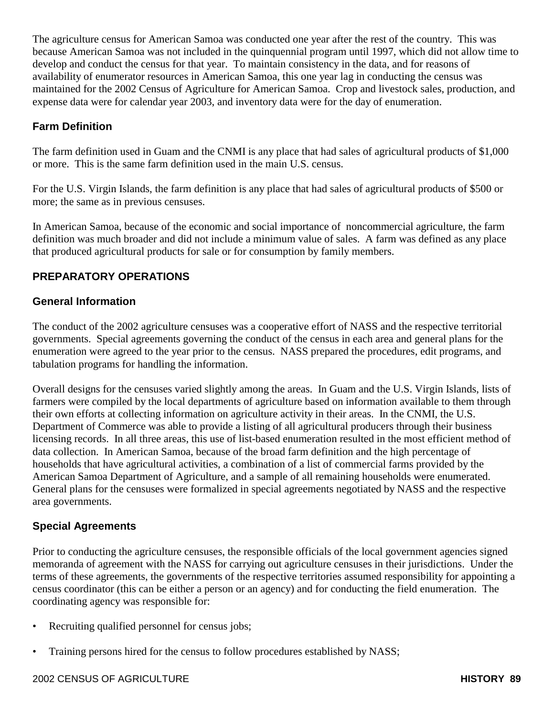The agriculture census for American Samoa was conducted one year after the rest of the country. This was because American Samoa was not included in the quinquennial program until 1997, which did not allow time to develop and conduct the census for that year. To maintain consistency in the data, and for reasons of availability of enumerator resources in American Samoa, this one year lag in conducting the census was maintained for the 2002 Census of Agriculture for American Samoa. Crop and livestock sales, production, and expense data were for calendar year 2003, and inventory data were for the day of enumeration.

# **Farm Definition**

The farm definition used in Guam and the CNMI is any place that had sales of agricultural products of \$1,000 or more. This is the same farm definition used in the main U.S. census.

For the U.S. Virgin Islands, the farm definition is any place that had sales of agricultural products of \$500 or more; the same as in previous censuses.

In American Samoa, because of the economic and social importance of noncommercial agriculture, the farm definition was much broader and did not include a minimum value of sales. A farm was defined as any place that produced agricultural products for sale or for consumption by family members.

## **PREPARATORY OPERATIONS**

#### **General Information**

The conduct of the 2002 agriculture censuses was a cooperative effort of NASS and the respective territorial governments. Special agreements governing the conduct of the census in each area and general plans for the enumeration were agreed to the year prior to the census. NASS prepared the procedures, edit programs, and tabulation programs for handling the information.

Overall designs for the censuses varied slightly among the areas. In Guam and the U.S. Virgin Islands, lists of farmers were compiled by the local departments of agriculture based on information available to them through their own efforts at collecting information on agriculture activity in their areas. In the CNMI, the U.S. Department of Commerce was able to provide a listing of all agricultural producers through their business licensing records. In all three areas, this use of list-based enumeration resulted in the most efficient method of data collection. In American Samoa, because of the broad farm definition and the high percentage of households that have agricultural activities, a combination of a list of commercial farms provided by the American Samoa Department of Agriculture, and a sample of all remaining households were enumerated. General plans for the censuses were formalized in special agreements negotiated by NASS and the respective area governments.

#### **Special Agreements**

Prior to conducting the agriculture censuses, the responsible officials of the local government agencies signed memoranda of agreement with the NASS for carrying out agriculture censuses in their jurisdictions. Under the terms of these agreements, the governments of the respective territories assumed responsibility for appointing a census coordinator (this can be either a person or an agency) and for conducting the field enumeration. The coordinating agency was responsible for:

- Recruiting qualified personnel for census jobs;
- Training persons hired for the census to follow procedures established by NASS;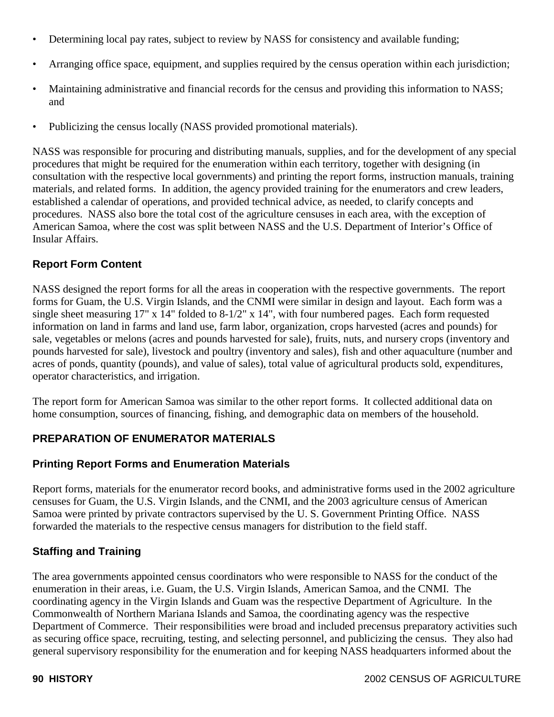- Determining local pay rates, subject to review by NASS for consistency and available funding;
- Arranging office space, equipment, and supplies required by the census operation within each jurisdiction;
- Maintaining administrative and financial records for the census and providing this information to NASS; and
- Publicizing the census locally (NASS provided promotional materials).

NASS was responsible for procuring and distributing manuals, supplies, and for the development of any special procedures that might be required for the enumeration within each territory, together with designing (in consultation with the respective local governments) and printing the report forms, instruction manuals, training materials, and related forms. In addition, the agency provided training for the enumerators and crew leaders, established a calendar of operations, and provided technical advice, as needed, to clarify concepts and procedures. NASS also bore the total cost of the agriculture censuses in each area, with the exception of American Samoa, where the cost was split between NASS and the U.S. Department of Interior's Office of Insular Affairs.

#### **Report Form Content**

NASS designed the report forms for all the areas in cooperation with the respective governments. The report forms for Guam, the U.S. Virgin Islands, and the CNMI were similar in design and layout. Each form was a single sheet measuring 17" x 14" folded to 8-1/2" x 14", with four numbered pages. Each form requested information on land in farms and land use, farm labor, organization, crops harvested (acres and pounds) for sale, vegetables or melons (acres and pounds harvested for sale), fruits, nuts, and nursery crops (inventory and pounds harvested for sale), livestock and poultry (inventory and sales), fish and other aquaculture (number and acres of ponds, quantity (pounds), and value of sales), total value of agricultural products sold, expenditures, operator characteristics, and irrigation.

The report form for American Samoa was similar to the other report forms. It collected additional data on home consumption, sources of financing, fishing, and demographic data on members of the household.

#### **PREPARATION OF ENUMERATOR MATERIALS**

#### **Printing Report Forms and Enumeration Materials**

Report forms, materials for the enumerator record books, and administrative forms used in the 2002 agriculture censuses for Guam, the U.S. Virgin Islands, and the CNMI, and the 2003 agriculture census of American Samoa were printed by private contractors supervised by the U. S. Government Printing Office. NASS forwarded the materials to the respective census managers for distribution to the field staff.

#### **Staffing and Training**

The area governments appointed census coordinators who were responsible to NASS for the conduct of the enumeration in their areas, i.e. Guam, the U.S. Virgin Islands, American Samoa, and the CNMI. The coordinating agency in the Virgin Islands and Guam was the respective Department of Agriculture. In the Commonwealth of Northern Mariana Islands and Samoa, the coordinating agency was the respective Department of Commerce. Their responsibilities were broad and included precensus preparatory activities such as securing office space, recruiting, testing, and selecting personnel, and publicizing the census. They also had general supervisory responsibility for the enumeration and for keeping NASS headquarters informed about the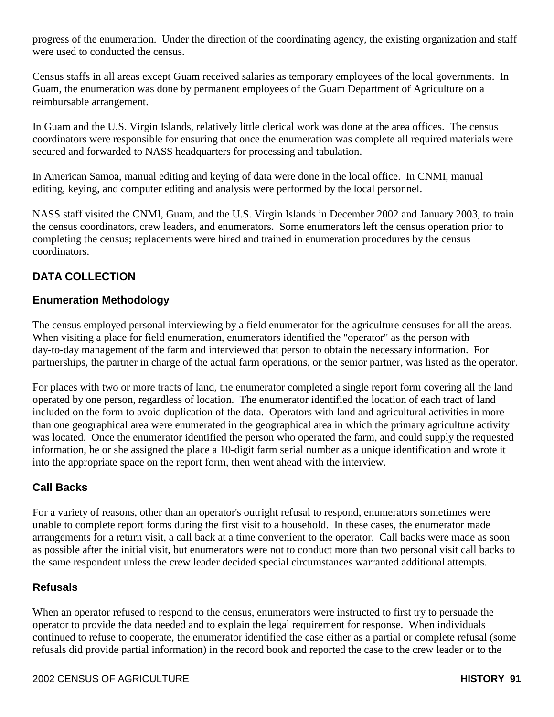progress of the enumeration. Under the direction of the coordinating agency, the existing organization and staff were used to conducted the census.

Census staffs in all areas except Guam received salaries as temporary employees of the local governments. In Guam, the enumeration was done by permanent employees of the Guam Department of Agriculture on a reimbursable arrangement.

In Guam and the U.S. Virgin Islands, relatively little clerical work was done at the area offices. The census coordinators were responsible for ensuring that once the enumeration was complete all required materials were secured and forwarded to NASS headquarters for processing and tabulation.

In American Samoa, manual editing and keying of data were done in the local office. In CNMI, manual editing, keying, and computer editing and analysis were performed by the local personnel.

NASS staff visited the CNMI, Guam, and the U.S. Virgin Islands in December 2002 and January 2003, to train the census coordinators, crew leaders, and enumerators. Some enumerators left the census operation prior to completing the census; replacements were hired and trained in enumeration procedures by the census coordinators.

# **DATA COLLECTION**

#### **Enumeration Methodology**

The census employed personal interviewing by a field enumerator for the agriculture censuses for all the areas. When visiting a place for field enumeration, enumerators identified the "operator" as the person with day-to-day management of the farm and interviewed that person to obtain the necessary information. For partnerships, the partner in charge of the actual farm operations, or the senior partner, was listed as the operator.

For places with two or more tracts of land, the enumerator completed a single report form covering all the land operated by one person, regardless of location. The enumerator identified the location of each tract of land included on the form to avoid duplication of the data. Operators with land and agricultural activities in more than one geographical area were enumerated in the geographical area in which the primary agriculture activity was located. Once the enumerator identified the person who operated the farm, and could supply the requested information, he or she assigned the place a 10-digit farm serial number as a unique identification and wrote it into the appropriate space on the report form, then went ahead with the interview.

# **Call Backs**

For a variety of reasons, other than an operator's outright refusal to respond, enumerators sometimes were unable to complete report forms during the first visit to a household. In these cases, the enumerator made arrangements for a return visit, a call back at a time convenient to the operator. Call backs were made as soon as possible after the initial visit, but enumerators were not to conduct more than two personal visit call backs to the same respondent unless the crew leader decided special circumstances warranted additional attempts.

#### **Refusals**

When an operator refused to respond to the census, enumerators were instructed to first try to persuade the operator to provide the data needed and to explain the legal requirement for response. When individuals continued to refuse to cooperate, the enumerator identified the case either as a partial or complete refusal (some refusals did provide partial information) in the record book and reported the case to the crew leader or to the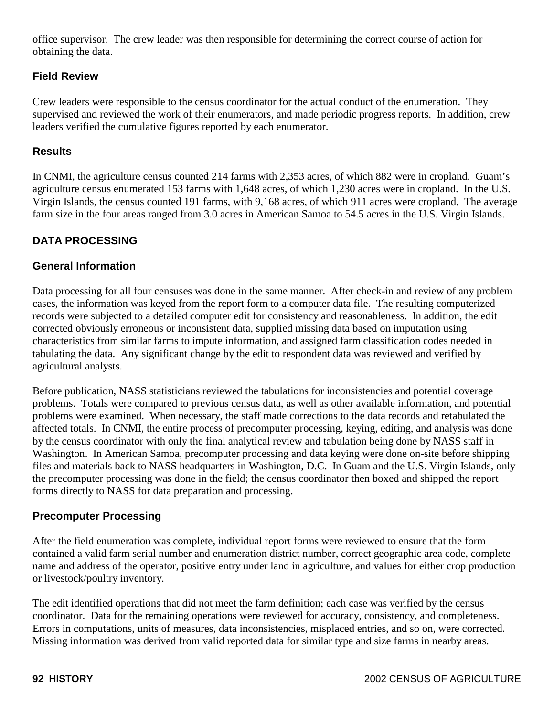office supervisor. The crew leader was then responsible for determining the correct course of action for obtaining the data.

### **Field Review**

Crew leaders were responsible to the census coordinator for the actual conduct of the enumeration. They supervised and reviewed the work of their enumerators, and made periodic progress reports. In addition, crew leaders verified the cumulative figures reported by each enumerator.

#### **Results**

In CNMI, the agriculture census counted 214 farms with 2,353 acres, of which 882 were in cropland. Guam's agriculture census enumerated 153 farms with 1,648 acres, of which 1,230 acres were in cropland. In the U.S. Virgin Islands, the census counted 191 farms, with 9,168 acres, of which 911 acres were cropland. The average farm size in the four areas ranged from 3.0 acres in American Samoa to 54.5 acres in the U.S. Virgin Islands.

# **DATA PROCESSING**

## **General Information**

Data processing for all four censuses was done in the same manner. After check-in and review of any problem cases, the information was keyed from the report form to a computer data file. The resulting computerized records were subjected to a detailed computer edit for consistency and reasonableness. In addition, the edit corrected obviously erroneous or inconsistent data, supplied missing data based on imputation using characteristics from similar farms to impute information, and assigned farm classification codes needed in tabulating the data. Any significant change by the edit to respondent data was reviewed and verified by agricultural analysts.

Before publication, NASS statisticians reviewed the tabulations for inconsistencies and potential coverage problems. Totals were compared to previous census data, as well as other available information, and potential problems were examined. When necessary, the staff made corrections to the data records and retabulated the affected totals. In CNMI, the entire process of precomputer processing, keying, editing, and analysis was done by the census coordinator with only the final analytical review and tabulation being done by NASS staff in Washington. In American Samoa, precomputer processing and data keying were done on-site before shipping files and materials back to NASS headquarters in Washington, D.C. In Guam and the U.S. Virgin Islands, only the precomputer processing was done in the field; the census coordinator then boxed and shipped the report forms directly to NASS for data preparation and processing.

#### **Precomputer Processing**

After the field enumeration was complete, individual report forms were reviewed to ensure that the form contained a valid farm serial number and enumeration district number, correct geographic area code, complete name and address of the operator, positive entry under land in agriculture, and values for either crop production or livestock/poultry inventory.

The edit identified operations that did not meet the farm definition; each case was verified by the census coordinator. Data for the remaining operations were reviewed for accuracy, consistency, and completeness. Errors in computations, units of measures, data inconsistencies, misplaced entries, and so on, were corrected. Missing information was derived from valid reported data for similar type and size farms in nearby areas.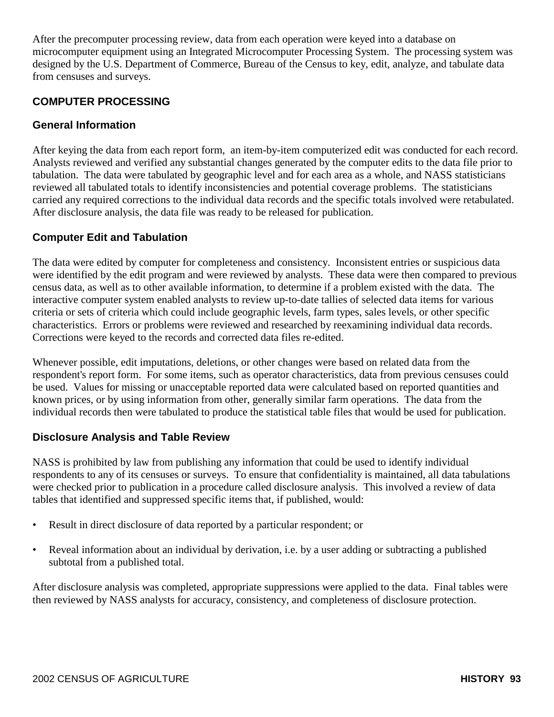After the precomputer processing review, data from each operation were keyed into a database on microcomputer equipment using an Integrated Microcomputer Processing System. The processing system was designed by the U.S. Department of Commerce, Bureau of the Census to key, edit, analyze, and tabulate data from censuses and surveys.

# **COMPUTER PROCESSING**

#### **General Information**

After keying the data from each report form, an item-by-item computerized edit was conducted for each record. Analysts reviewed and verified any substantial changes generated by the computer edits to the data file prior to tabulation. The data were tabulated by geographic level and for each area as a whole, and NASS statisticians reviewed all tabulated totals to identify inconsistencies and potential coverage problems. The statisticians carried any required corrections to the individual data records and the specific totals involved were retabulated. After disclosure analysis, the data file was ready to be released for publication.

#### **Computer Edit and Tabulation**

The data were edited by computer for completeness and consistency. Inconsistent entries or suspicious data were identified by the edit program and were reviewed by analysts. These data were then compared to previous census data, as well as to other available information, to determine if a problem existed with the data. The interactive computer system enabled analysts to review up-to-date tallies of selected data items for various criteria or sets of criteria which could include geographic levels, farm types, sales levels, or other specific characteristics. Errors or problems were reviewed and researched by reexamining individual data records. Corrections were keyed to the records and corrected data files re-edited.

Whenever possible, edit imputations, deletions, or other changes were based on related data from the respondent's report form. For some items, such as operator characteristics, data from previous censuses could be used. Values for missing or unacceptable reported data were calculated based on reported quantities and known prices, or by using information from other, generally similar farm operations. The data from the individual records then were tabulated to produce the statistical table files that would be used for publication.

#### **Disclosure Analysis and Table Review**

NASS is prohibited by law from publishing any information that could be used to identify individual respondents to any of its censuses or surveys. To ensure that confidentiality is maintained, all data tabulations were checked prior to publication in a procedure called disclosure analysis. This involved a review of data tables that identified and suppressed specific items that, if published, would:

- Result in direct disclosure of data reported by a particular respondent; or
- Reveal information about an individual by derivation, i.e. by a user adding or subtracting a published subtotal from a published total.

After disclosure analysis was completed, appropriate suppressions were applied to the data. Final tables were then reviewed by NASS analysts for accuracy, consistency, and completeness of disclosure protection.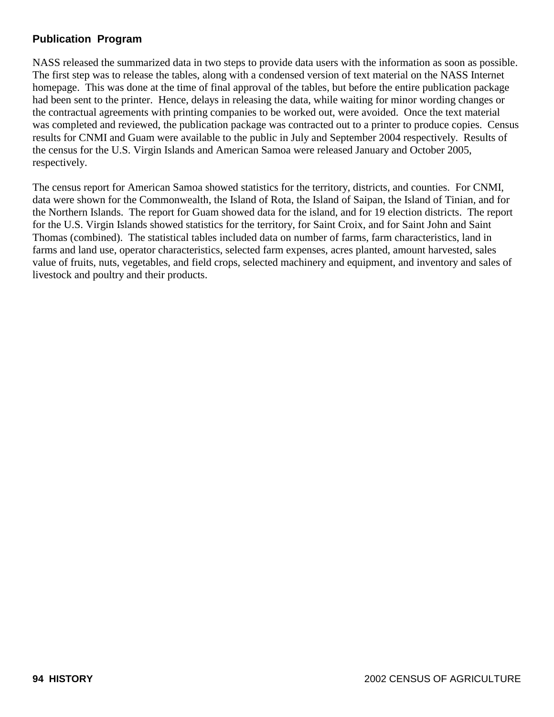# **Publication Program**

NASS released the summarized data in two steps to provide data users with the information as soon as possible. The first step was to release the tables, along with a condensed version of text material on the NASS Internet homepage. This was done at the time of final approval of the tables, but before the entire publication package had been sent to the printer. Hence, delays in releasing the data, while waiting for minor wording changes or the contractual agreements with printing companies to be worked out, were avoided. Once the text material was completed and reviewed, the publication package was contracted out to a printer to produce copies. Census results for CNMI and Guam were available to the public in July and September 2004 respectively. Results of the census for the U.S. Virgin Islands and American Samoa were released January and October 2005, respectively.

The census report for American Samoa showed statistics for the territory, districts, and counties. For CNMI, data were shown for the Commonwealth, the Island of Rota, the Island of Saipan, the Island of Tinian, and for the Northern Islands. The report for Guam showed data for the island, and for 19 election districts. The report for the U.S. Virgin Islands showed statistics for the territory, for Saint Croix, and for Saint John and Saint Thomas (combined). The statistical tables included data on number of farms, farm characteristics, land in farms and land use, operator characteristics, selected farm expenses, acres planted, amount harvested, sales value of fruits, nuts, vegetables, and field crops, selected machinery and equipment, and inventory and sales of livestock and poultry and their products.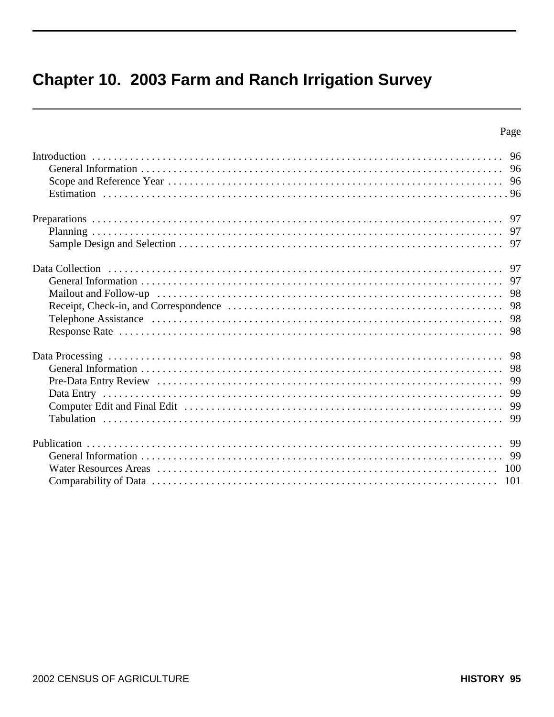# Chapter 10. 2003 Farm and Ranch Irrigation Survey

| 98         |
|------------|
| 99         |
| 100<br>101 |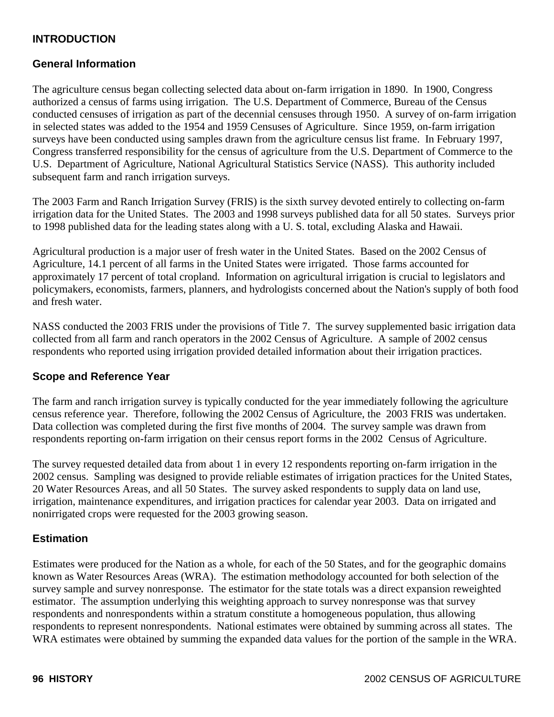# **INTRODUCTION**

#### **General Information**

The agriculture census began collecting selected data about on-farm irrigation in 1890. In 1900, Congress authorized a census of farms using irrigation. The U.S. Department of Commerce, Bureau of the Census conducted censuses of irrigation as part of the decennial censuses through 1950. A survey of on-farm irrigation in selected states was added to the 1954 and 1959 Censuses of Agriculture. Since 1959, on-farm irrigation surveys have been conducted using samples drawn from the agriculture census list frame. In February 1997, Congress transferred responsibility for the census of agriculture from the U.S. Department of Commerce to the U.S. Department of Agriculture, National Agricultural Statistics Service (NASS). This authority included subsequent farm and ranch irrigation surveys.

The 2003 Farm and Ranch Irrigation Survey (FRIS) is the sixth survey devoted entirely to collecting on-farm irrigation data for the United States. The 2003 and 1998 surveys published data for all 50 states. Surveys prior to 1998 published data for the leading states along with a U. S. total, excluding Alaska and Hawaii.

Agricultural production is a major user of fresh water in the United States. Based on the 2002 Census of Agriculture, 14.1 percent of all farms in the United States were irrigated. Those farms accounted for approximately 17 percent of total cropland. Information on agricultural irrigation is crucial to legislators and policymakers, economists, farmers, planners, and hydrologists concerned about the Nation's supply of both food and fresh water.

NASS conducted the 2003 FRIS under the provisions of Title 7. The survey supplemented basic irrigation data collected from all farm and ranch operators in the 2002 Census of Agriculture. A sample of 2002 census respondents who reported using irrigation provided detailed information about their irrigation practices.

#### **Scope and Reference Year**

The farm and ranch irrigation survey is typically conducted for the year immediately following the agriculture census reference year. Therefore, following the 2002 Census of Agriculture, the 2003 FRIS was undertaken. Data collection was completed during the first five months of 2004. The survey sample was drawn from respondents reporting on-farm irrigation on their census report forms in the 2002 Census of Agriculture.

The survey requested detailed data from about 1 in every 12 respondents reporting on-farm irrigation in the 2002 census. Sampling was designed to provide reliable estimates of irrigation practices for the United States, 20 Water Resources Areas, and all 50 States. The survey asked respondents to supply data on land use, irrigation, maintenance expenditures, and irrigation practices for calendar year 2003. Data on irrigated and nonirrigated crops were requested for the 2003 growing season.

#### **Estimation**

Estimates were produced for the Nation as a whole, for each of the 50 States, and for the geographic domains known as Water Resources Areas (WRA). The estimation methodology accounted for both selection of the survey sample and survey nonresponse. The estimator for the state totals was a direct expansion reweighted estimator. The assumption underlying this weighting approach to survey nonresponse was that survey respondents and nonrespondents within a stratum constitute a homogeneous population, thus allowing respondents to represent nonrespondents. National estimates were obtained by summing across all states. The WRA estimates were obtained by summing the expanded data values for the portion of the sample in the WRA.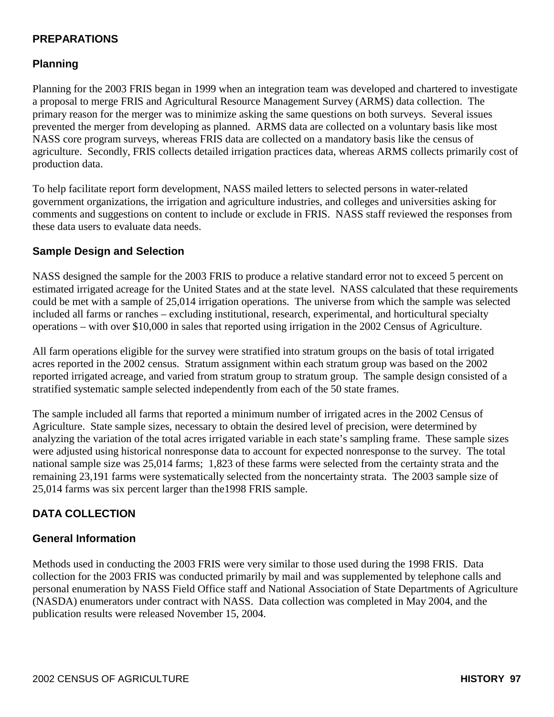# **PREPARATIONS**

## **Planning**

Planning for the 2003 FRIS began in 1999 when an integration team was developed and chartered to investigate a proposal to merge FRIS and Agricultural Resource Management Survey (ARMS) data collection. The primary reason for the merger was to minimize asking the same questions on both surveys. Several issues prevented the merger from developing as planned. ARMS data are collected on a voluntary basis like most NASS core program surveys, whereas FRIS data are collected on a mandatory basis like the census of agriculture. Secondly, FRIS collects detailed irrigation practices data, whereas ARMS collects primarily cost of production data.

To help facilitate report form development, NASS mailed letters to selected persons in water-related government organizations, the irrigation and agriculture industries, and colleges and universities asking for comments and suggestions on content to include or exclude in FRIS. NASS staff reviewed the responses from these data users to evaluate data needs.

#### **Sample Design and Selection**

NASS designed the sample for the 2003 FRIS to produce a relative standard error not to exceed 5 percent on estimated irrigated acreage for the United States and at the state level. NASS calculated that these requirements could be met with a sample of 25,014 irrigation operations. The universe from which the sample was selected included all farms or ranches – excluding institutional, research, experimental, and horticultural specialty operations – with over \$10,000 in sales that reported using irrigation in the 2002 Census of Agriculture.

All farm operations eligible for the survey were stratified into stratum groups on the basis of total irrigated acres reported in the 2002 census. Stratum assignment within each stratum group was based on the 2002 reported irrigated acreage, and varied from stratum group to stratum group. The sample design consisted of a stratified systematic sample selected independently from each of the 50 state frames.

The sample included all farms that reported a minimum number of irrigated acres in the 2002 Census of Agriculture. State sample sizes, necessary to obtain the desired level of precision, were determined by analyzing the variation of the total acres irrigated variable in each state's sampling frame. These sample sizes were adjusted using historical nonresponse data to account for expected nonresponse to the survey. The total national sample size was 25,014 farms; 1,823 of these farms were selected from the certainty strata and the remaining 23,191 farms were systematically selected from the noncertainty strata. The 2003 sample size of 25,014 farms was six percent larger than the1998 FRIS sample.

# **DATA COLLECTION**

#### **General Information**

Methods used in conducting the 2003 FRIS were very similar to those used during the 1998 FRIS. Data collection for the 2003 FRIS was conducted primarily by mail and was supplemented by telephone calls and personal enumeration by NASS Field Office staff and National Association of State Departments of Agriculture (NASDA) enumerators under contract with NASS. Data collection was completed in May 2004, and the publication results were released November 15, 2004.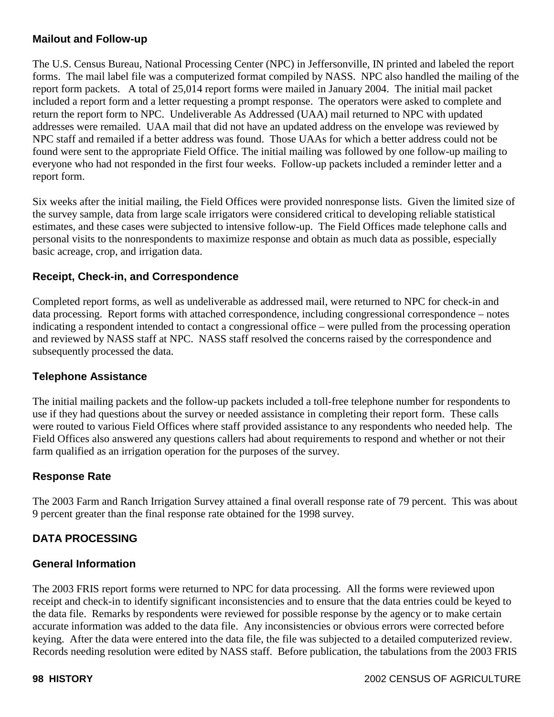### **Mailout and Follow-up**

The U.S. Census Bureau, National Processing Center (NPC) in Jeffersonville, IN printed and labeled the report forms. The mail label file was a computerized format compiled by NASS. NPC also handled the mailing of the report form packets. A total of 25,014 report forms were mailed in January 2004. The initial mail packet included a report form and a letter requesting a prompt response. The operators were asked to complete and return the report form to NPC. Undeliverable As Addressed (UAA) mail returned to NPC with updated addresses were remailed. UAA mail that did not have an updated address on the envelope was reviewed by NPC staff and remailed if a better address was found. Those UAAs for which a better address could not be found were sent to the appropriate Field Office. The initial mailing was followed by one follow-up mailing to everyone who had not responded in the first four weeks. Follow-up packets included a reminder letter and a report form.

Six weeks after the initial mailing, the Field Offices were provided nonresponse lists. Given the limited size of the survey sample, data from large scale irrigators were considered critical to developing reliable statistical estimates, and these cases were subjected to intensive follow-up. The Field Offices made telephone calls and personal visits to the nonrespondents to maximize response and obtain as much data as possible, especially basic acreage, crop, and irrigation data.

## **Receipt, Check-in, and Correspondence**

Completed report forms, as well as undeliverable as addressed mail, were returned to NPC for check-in and data processing. Report forms with attached correspondence, including congressional correspondence – notes indicating a respondent intended to contact a congressional office – were pulled from the processing operation and reviewed by NASS staff at NPC. NASS staff resolved the concerns raised by the correspondence and subsequently processed the data.

#### **Telephone Assistance**

The initial mailing packets and the follow-up packets included a toll-free telephone number for respondents to use if they had questions about the survey or needed assistance in completing their report form. These calls were routed to various Field Offices where staff provided assistance to any respondents who needed help. The Field Offices also answered any questions callers had about requirements to respond and whether or not their farm qualified as an irrigation operation for the purposes of the survey.

#### **Response Rate**

The 2003 Farm and Ranch Irrigation Survey attained a final overall response rate of 79 percent. This was about 9 percent greater than the final response rate obtained for the 1998 survey.

#### **DATA PROCESSING**

#### **General Information**

The 2003 FRIS report forms were returned to NPC for data processing. All the forms were reviewed upon receipt and check-in to identify significant inconsistencies and to ensure that the data entries could be keyed to the data file. Remarks by respondents were reviewed for possible response by the agency or to make certain accurate information was added to the data file. Any inconsistencies or obvious errors were corrected before keying. After the data were entered into the data file, the file was subjected to a detailed computerized review. Records needing resolution were edited by NASS staff. Before publication, the tabulations from the 2003 FRIS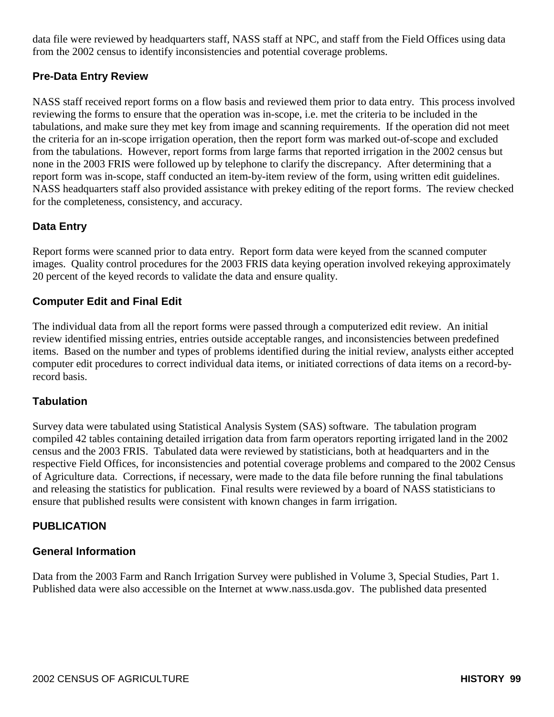data file were reviewed by headquarters staff, NASS staff at NPC, and staff from the Field Offices using data from the 2002 census to identify inconsistencies and potential coverage problems.

# **Pre-Data Entry Review**

NASS staff received report forms on a flow basis and reviewed them prior to data entry. This process involved reviewing the forms to ensure that the operation was in-scope, i.e. met the criteria to be included in the tabulations, and make sure they met key from image and scanning requirements. If the operation did not meet the criteria for an in-scope irrigation operation, then the report form was marked out-of-scope and excluded from the tabulations. However, report forms from large farms that reported irrigation in the 2002 census but none in the 2003 FRIS were followed up by telephone to clarify the discrepancy. After determining that a report form was in-scope, staff conducted an item-by-item review of the form, using written edit guidelines. NASS headquarters staff also provided assistance with prekey editing of the report forms. The review checked for the completeness, consistency, and accuracy.

# **Data Entry**

Report forms were scanned prior to data entry. Report form data were keyed from the scanned computer images. Quality control procedures for the 2003 FRIS data keying operation involved rekeying approximately 20 percent of the keyed records to validate the data and ensure quality.

## **Computer Edit and Final Edit**

The individual data from all the report forms were passed through a computerized edit review. An initial review identified missing entries, entries outside acceptable ranges, and inconsistencies between predefined items. Based on the number and types of problems identified during the initial review, analysts either accepted computer edit procedures to correct individual data items, or initiated corrections of data items on a record-byrecord basis.

#### **Tabulation**

Survey data were tabulated using Statistical Analysis System (SAS) software. The tabulation program compiled 42 tables containing detailed irrigation data from farm operators reporting irrigated land in the 2002 census and the 2003 FRIS. Tabulated data were reviewed by statisticians, both at headquarters and in the respective Field Offices, for inconsistencies and potential coverage problems and compared to the 2002 Census of Agriculture data. Corrections, if necessary, were made to the data file before running the final tabulations and releasing the statistics for publication. Final results were reviewed by a board of NASS statisticians to ensure that published results were consistent with known changes in farm irrigation.

# **PUBLICATION**

#### **General Information**

Data from the 2003 Farm and Ranch Irrigation Survey were published in Volume 3, Special Studies, Part 1. Published data were also accessible on the Internet at www.nass.usda.gov. The published data presented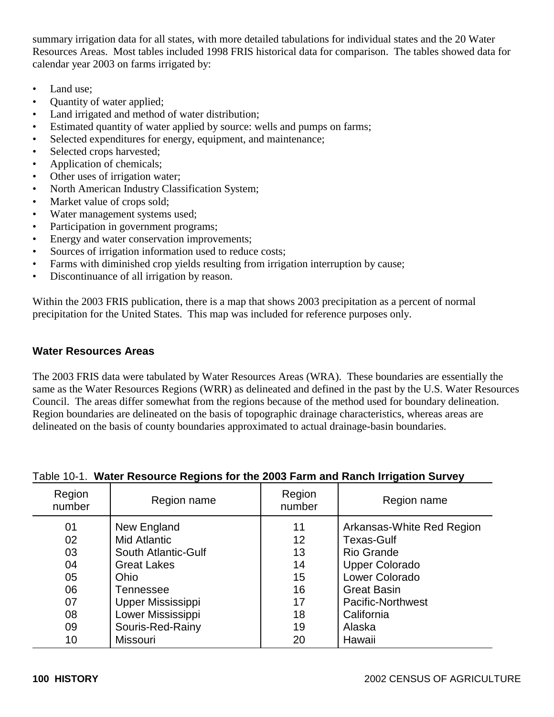summary irrigation data for all states, with more detailed tabulations for individual states and the 20 Water Resources Areas. Most tables included 1998 FRIS historical data for comparison. The tables showed data for calendar year 2003 on farms irrigated by:

- Land use:
- Quantity of water applied;
- Land irrigated and method of water distribution;
- Estimated quantity of water applied by source: wells and pumps on farms;
- Selected expenditures for energy, equipment, and maintenance;
- Selected crops harvested;
- Application of chemicals;
- Other uses of irrigation water;
- North American Industry Classification System;
- Market value of crops sold;
- Water management systems used;
- Participation in government programs;
- Energy and water conservation improvements;
- Sources of irrigation information used to reduce costs;
- Farms with diminished crop yields resulting from irrigation interruption by cause;
- Discontinuance of all irrigation by reason.

Within the 2003 FRIS publication, there is a map that shows 2003 precipitation as a percent of normal precipitation for the United States. This map was included for reference purposes only.

## **Water Resources Areas**

The 2003 FRIS data were tabulated by Water Resources Areas (WRA). These boundaries are essentially the same as the Water Resources Regions (WRR) as delineated and defined in the past by the U.S. Water Resources Council. The areas differ somewhat from the regions because of the method used for boundary delineation. Region boundaries are delineated on the basis of topographic drainage characteristics, whereas areas are delineated on the basis of county boundaries approximated to actual drainage-basin boundaries.

| Region<br>number | Region name                               | Region<br>number        | Region name                                |
|------------------|-------------------------------------------|-------------------------|--------------------------------------------|
| 01<br>02         | New England<br><b>Mid Atlantic</b>        | 11<br>$12 \overline{ }$ | Arkansas-White Red Region<br>Texas-Gulf    |
| 03<br>04         | South Atlantic-Gulf<br><b>Great Lakes</b> | 13<br>14                | <b>Rio Grande</b><br><b>Upper Colorado</b> |
| 05               | Ohio                                      | 15                      | Lower Colorado                             |
| 06               | Tennessee                                 | 16                      | <b>Great Basin</b>                         |
| 07               | Upper Mississippi                         | 17                      | <b>Pacific-Northwest</b>                   |
| 08               | Lower Mississippi                         | 18                      | California                                 |
| 09               | Souris-Red-Rainy                          | 19                      | Alaska                                     |
| 10               | <b>Missouri</b>                           | 20                      | Hawaii                                     |

#### Table 10-1. **Water Resource Regions for the 2003 Farm and Ranch Irrigation Survey**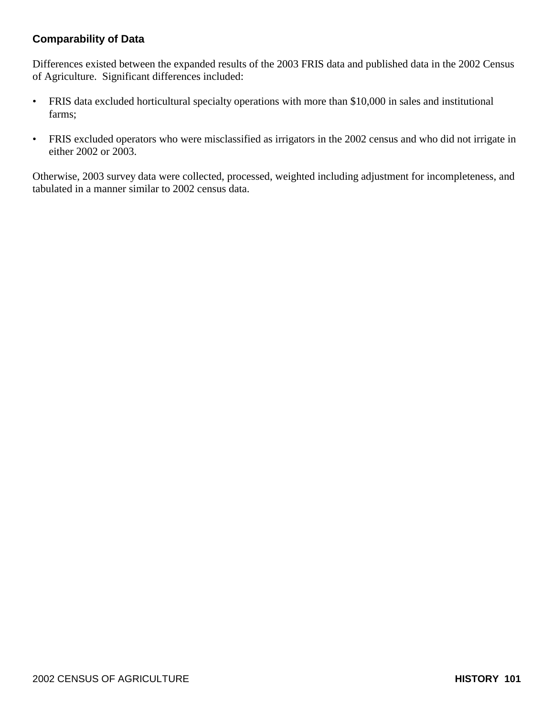# **Comparability of Data**

Differences existed between the expanded results of the 2003 FRIS data and published data in the 2002 Census of Agriculture. Significant differences included:

- FRIS data excluded horticultural specialty operations with more than \$10,000 in sales and institutional farms;
- FRIS excluded operators who were misclassified as irrigators in the 2002 census and who did not irrigate in either 2002 or 2003.

Otherwise, 2003 survey data were collected, processed, weighted including adjustment for incompleteness, and tabulated in a manner similar to 2002 census data.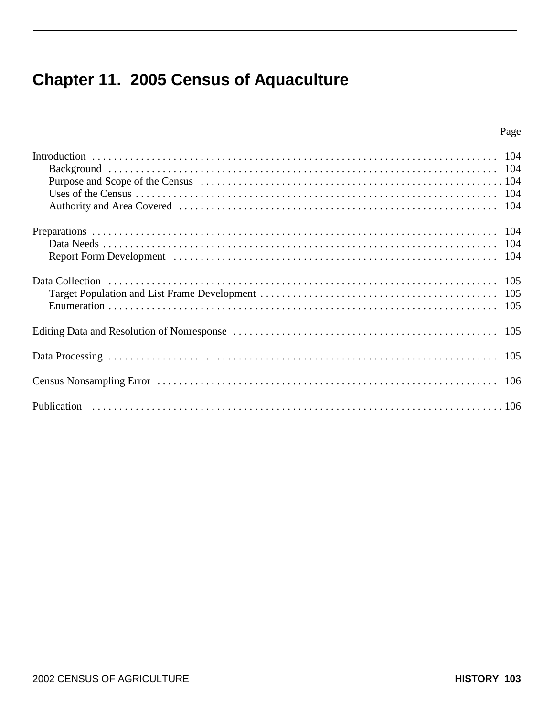# **Chapter 11. 2005 Census of Aquaculture**

# Page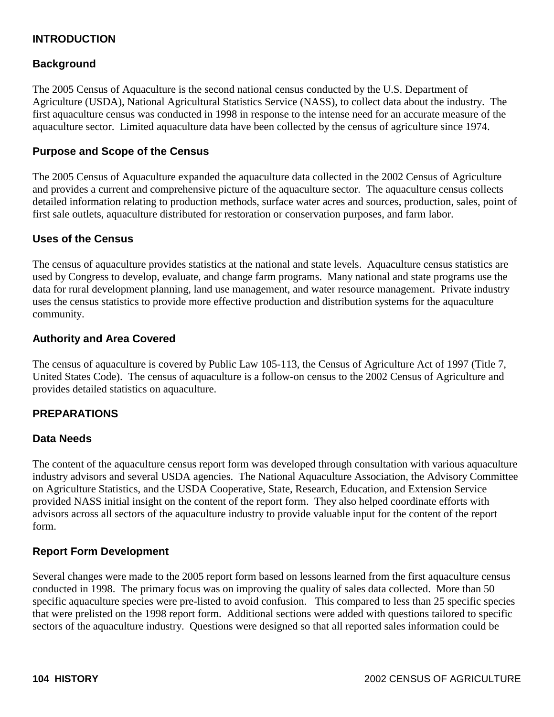# **INTRODUCTION**

#### **Background**

The 2005 Census of Aquaculture is the second national census conducted by the U.S. Department of Agriculture (USDA), National Agricultural Statistics Service (NASS), to collect data about the industry. The first aquaculture census was conducted in 1998 in response to the intense need for an accurate measure of the aquaculture sector. Limited aquaculture data have been collected by the census of agriculture since 1974.

#### **Purpose and Scope of the Census**

The 2005 Census of Aquaculture expanded the aquaculture data collected in the 2002 Census of Agriculture and provides a current and comprehensive picture of the aquaculture sector. The aquaculture census collects detailed information relating to production methods, surface water acres and sources, production, sales, point of first sale outlets, aquaculture distributed for restoration or conservation purposes, and farm labor.

#### **Uses of the Census**

The census of aquaculture provides statistics at the national and state levels. Aquaculture census statistics are used by Congress to develop, evaluate, and change farm programs. Many national and state programs use the data for rural development planning, land use management, and water resource management. Private industry uses the census statistics to provide more effective production and distribution systems for the aquaculture community.

#### **Authority and Area Covered**

The census of aquaculture is covered by Public Law 105-113, the Census of Agriculture Act of 1997 (Title 7, United States Code). The census of aquaculture is a follow-on census to the 2002 Census of Agriculture and provides detailed statistics on aquaculture.

#### **PREPARATIONS**

#### **Data Needs**

The content of the aquaculture census report form was developed through consultation with various aquaculture industry advisors and several USDA agencies. The National Aquaculture Association, the Advisory Committee on Agriculture Statistics, and the USDA Cooperative, State, Research, Education, and Extension Service provided NASS initial insight on the content of the report form. They also helped coordinate efforts with advisors across all sectors of the aquaculture industry to provide valuable input for the content of the report form.

#### **Report Form Development**

Several changes were made to the 2005 report form based on lessons learned from the first aquaculture census conducted in 1998. The primary focus was on improving the quality of sales data collected. More than 50 specific aquaculture species were pre-listed to avoid confusion. This compared to less than 25 specific species that were prelisted on the 1998 report form. Additional sections were added with questions tailored to specific sectors of the aquaculture industry. Questions were designed so that all reported sales information could be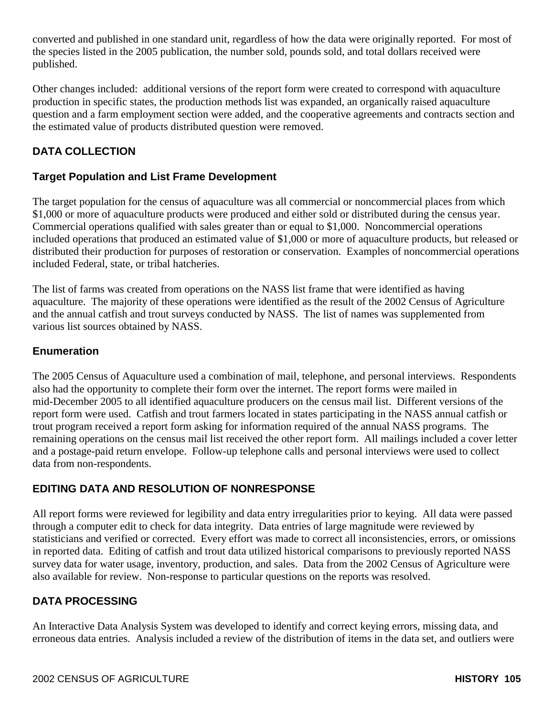converted and published in one standard unit, regardless of how the data were originally reported. For most of the species listed in the 2005 publication, the number sold, pounds sold, and total dollars received were published.

Other changes included: additional versions of the report form were created to correspond with aquaculture production in specific states, the production methods list was expanded, an organically raised aquaculture question and a farm employment section were added, and the cooperative agreements and contracts section and the estimated value of products distributed question were removed.

# **DATA COLLECTION**

## **Target Population and List Frame Development**

The target population for the census of aquaculture was all commercial or noncommercial places from which \$1,000 or more of aquaculture products were produced and either sold or distributed during the census year. Commercial operations qualified with sales greater than or equal to \$1,000. Noncommercial operations included operations that produced an estimated value of \$1,000 or more of aquaculture products, but released or distributed their production for purposes of restoration or conservation. Examples of noncommercial operations included Federal, state, or tribal hatcheries.

The list of farms was created from operations on the NASS list frame that were identified as having aquaculture. The majority of these operations were identified as the result of the 2002 Census of Agriculture and the annual catfish and trout surveys conducted by NASS. The list of names was supplemented from various list sources obtained by NASS.

## **Enumeration**

The 2005 Census of Aquaculture used a combination of mail, telephone, and personal interviews. Respondents also had the opportunity to complete their form over the internet. The report forms were mailed in mid-December 2005 to all identified aquaculture producers on the census mail list. Different versions of the report form were used. Catfish and trout farmers located in states participating in the NASS annual catfish or trout program received a report form asking for information required of the annual NASS programs. The remaining operations on the census mail list received the other report form. All mailings included a cover letter and a postage-paid return envelope. Follow-up telephone calls and personal interviews were used to collect data from non-respondents.

# **EDITING DATA AND RESOLUTION OF NONRESPONSE**

All report forms were reviewed for legibility and data entry irregularities prior to keying. All data were passed through a computer edit to check for data integrity. Data entries of large magnitude were reviewed by statisticians and verified or corrected. Every effort was made to correct all inconsistencies, errors, or omissions in reported data. Editing of catfish and trout data utilized historical comparisons to previously reported NASS survey data for water usage, inventory, production, and sales. Data from the 2002 Census of Agriculture were also available for review. Non-response to particular questions on the reports was resolved.

# **DATA PROCESSING**

An Interactive Data Analysis System was developed to identify and correct keying errors, missing data, and erroneous data entries. Analysis included a review of the distribution of items in the data set, and outliers were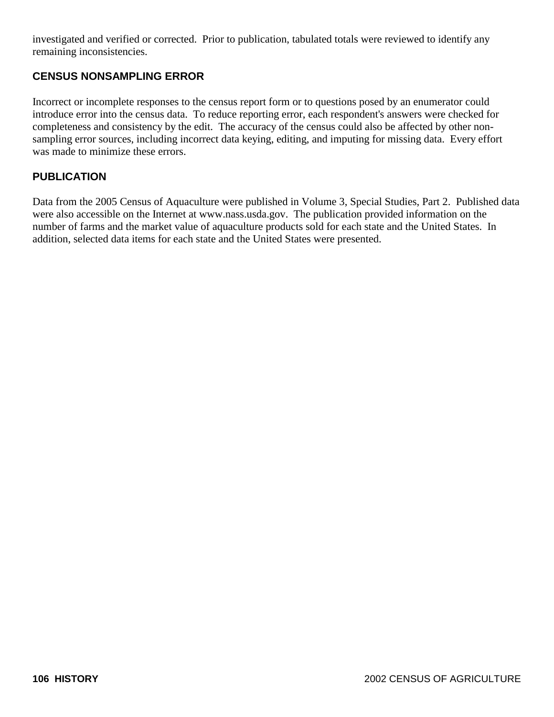investigated and verified or corrected. Prior to publication, tabulated totals were reviewed to identify any remaining inconsistencies.

# **CENSUS NONSAMPLING ERROR**

Incorrect or incomplete responses to the census report form or to questions posed by an enumerator could introduce error into the census data. To reduce reporting error, each respondent's answers were checked for completeness and consistency by the edit. The accuracy of the census could also be affected by other nonsampling error sources, including incorrect data keying, editing, and imputing for missing data. Every effort was made to minimize these errors.

## **PUBLICATION**

Data from the 2005 Census of Aquaculture were published in Volume 3, Special Studies, Part 2. Published data were also accessible on the Internet at www.nass.usda.gov. The publication provided information on the number of farms and the market value of aquaculture products sold for each state and the United States. In addition, selected data items for each state and the United States were presented.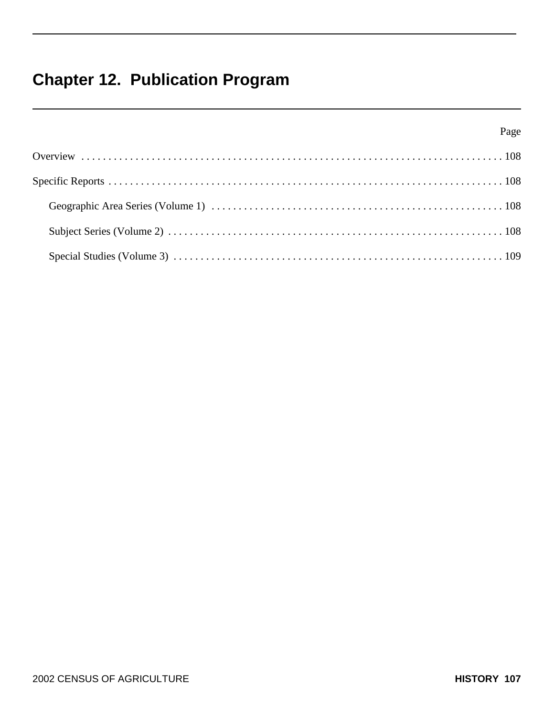# **Chapter 12. Publication Program**

| Page |  |
|------|--|
|      |  |
|      |  |
|      |  |
|      |  |
|      |  |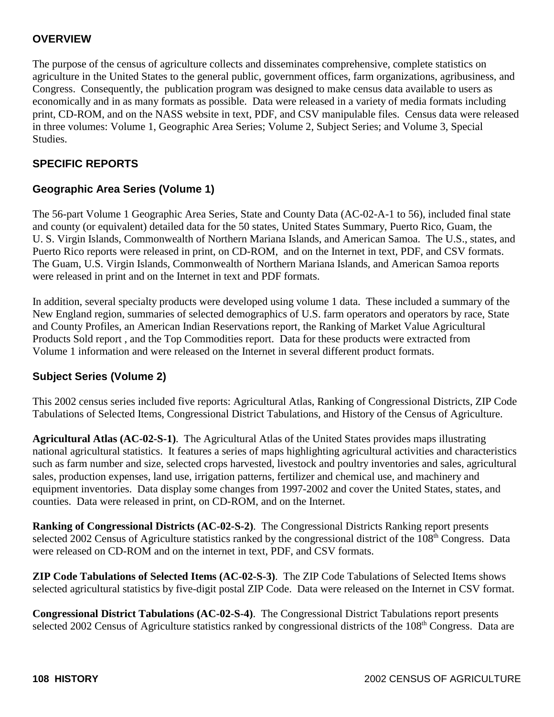# **OVERVIEW**

The purpose of the census of agriculture collects and disseminates comprehensive, complete statistics on agriculture in the United States to the general public, government offices, farm organizations, agribusiness, and Congress. Consequently, the publication program was designed to make census data available to users as economically and in as many formats as possible. Data were released in a variety of media formats including print, CD-ROM, and on the NASS website in text, PDF, and CSV manipulable files. Census data were released in three volumes: Volume 1, Geographic Area Series; Volume 2, Subject Series; and Volume 3, Special Studies.

## **SPECIFIC REPORTS**

## **Geographic Area Series (Volume 1)**

The 56-part Volume 1 Geographic Area Series, State and County Data (AC-02-A-1 to 56), included final state and county (or equivalent) detailed data for the 50 states, United States Summary, Puerto Rico, Guam, the U. S. Virgin Islands, Commonwealth of Northern Mariana Islands, and American Samoa. The U.S., states, and Puerto Rico reports were released in print, on CD-ROM, and on the Internet in text, PDF, and CSV formats. The Guam, U.S. Virgin Islands, Commonwealth of Northern Mariana Islands, and American Samoa reports were released in print and on the Internet in text and PDF formats.

In addition, several specialty products were developed using volume 1 data. These included a summary of the New England region, summaries of selected demographics of U.S. farm operators and operators by race, State and County Profiles, an American Indian Reservations report, the Ranking of Market Value Agricultural Products Sold report , and the Top Commodities report. Data for these products were extracted from Volume 1 information and were released on the Internet in several different product formats.

## **Subject Series (Volume 2)**

This 2002 census series included five reports: Agricultural Atlas, Ranking of Congressional Districts, ZIP Code Tabulations of Selected Items, Congressional District Tabulations, and History of the Census of Agriculture.

**Agricultural Atlas (AC-02-S-1)**. The Agricultural Atlas of the United States provides maps illustrating national agricultural statistics. It features a series of maps highlighting agricultural activities and characteristics such as farm number and size, selected crops harvested, livestock and poultry inventories and sales, agricultural sales, production expenses, land use, irrigation patterns, fertilizer and chemical use, and machinery and equipment inventories. Data display some changes from 1997-2002 and cover the United States, states, and counties. Data were released in print, on CD-ROM, and on the Internet.

**Ranking of Congressional Districts (AC-02-S-2)**. The Congressional Districts Ranking report presents selected 2002 Census of Agriculture statistics ranked by the congressional district of the 108<sup>th</sup> Congress. Data were released on CD-ROM and on the internet in text, PDF, and CSV formats.

**ZIP Code Tabulations of Selected Items (AC-02-S-3)**. The ZIP Code Tabulations of Selected Items shows selected agricultural statistics by five-digit postal ZIP Code. Data were released on the Internet in CSV format.

**Congressional District Tabulations (AC-02-S-4)**. The Congressional District Tabulations report presents selected 2002 Census of Agriculture statistics ranked by congressional districts of the 108<sup>th</sup> Congress. Data are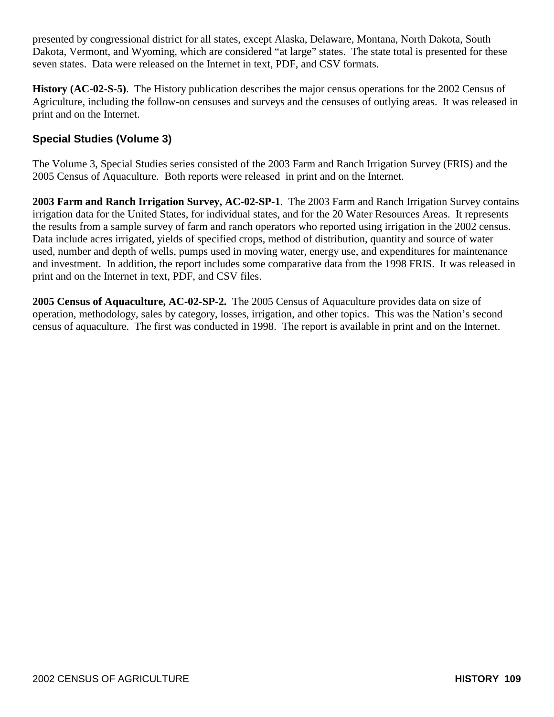presented by congressional district for all states, except Alaska, Delaware, Montana, North Dakota, South Dakota, Vermont, and Wyoming, which are considered "at large" states. The state total is presented for these seven states. Data were released on the Internet in text, PDF, and CSV formats.

**History (AC-02-S-5)**. The History publication describes the major census operations for the 2002 Census of Agriculture, including the follow-on censuses and surveys and the censuses of outlying areas. It was released in print and on the Internet.

# **Special Studies (Volume 3)**

The Volume 3, Special Studies series consisted of the 2003 Farm and Ranch Irrigation Survey (FRIS) and the 2005 Census of Aquaculture. Both reports were released in print and on the Internet.

**2003 Farm and Ranch Irrigation Survey, AC-02-SP-1**. The 2003 Farm and Ranch Irrigation Survey contains irrigation data for the United States, for individual states, and for the 20 Water Resources Areas. It represents the results from a sample survey of farm and ranch operators who reported using irrigation in the 2002 census. Data include acres irrigated, yields of specified crops, method of distribution, quantity and source of water used, number and depth of wells, pumps used in moving water, energy use, and expenditures for maintenance and investment. In addition, the report includes some comparative data from the 1998 FRIS. It was released in print and on the Internet in text, PDF, and CSV files.

**2005 Census of Aquaculture, AC-02-SP-2.** The 2005 Census of Aquaculture provides data on size of operation, methodology, sales by category, losses, irrigation, and other topics. This was the Nation's second census of aquaculture. The first was conducted in 1998. The report is available in print and on the Internet.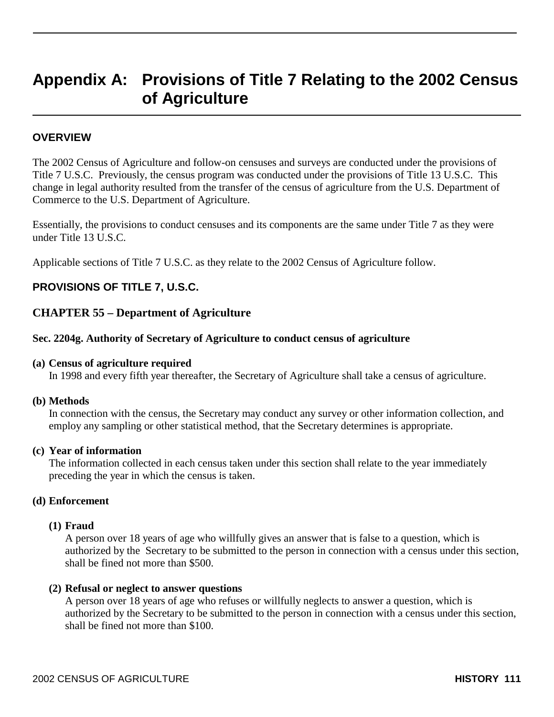# **Appendix A: Provisions of Title 7 Relating to the 2002 Census of Agriculture**

### **OVERVIEW**

The 2002 Census of Agriculture and follow-on censuses and surveys are conducted under the provisions of Title 7 U.S.C. Previously, the census program was conducted under the provisions of Title 13 U.S.C. This change in legal authority resulted from the transfer of the census of agriculture from the U.S. Department of Commerce to the U.S. Department of Agriculture.

Essentially, the provisions to conduct censuses and its components are the same under Title 7 as they were under Title 13 U.S.C.

Applicable sections of Title 7 U.S.C. as they relate to the 2002 Census of Agriculture follow.

#### **PROVISIONS OF TITLE 7, U.S.C.**

#### **CHAPTER 55 – Department of Agriculture**

#### **Sec. 2204g. Authority of Secretary of Agriculture to conduct census of agriculture**

#### **(a) Census of agriculture required**

In 1998 and every fifth year thereafter, the Secretary of Agriculture shall take a census of agriculture.

#### **(b) Methods**

In connection with the census, the Secretary may conduct any survey or other information collection, and employ any sampling or other statistical method, that the Secretary determines is appropriate.

#### **(c) Year of information**

The information collected in each census taken under this section shall relate to the year immediately preceding the year in which the census is taken.

#### **(d) Enforcement**

#### **(1) Fraud**

A person over 18 years of age who willfully gives an answer that is false to a question, which is authorized by the Secretary to be submitted to the person in connection with a census under this section, shall be fined not more than \$500.

#### **(2) Refusal or neglect to answer questions**

A person over 18 years of age who refuses or willfully neglects to answer a question, which is authorized by the Secretary to be submitted to the person in connection with a census under this section, shall be fined not more than \$100.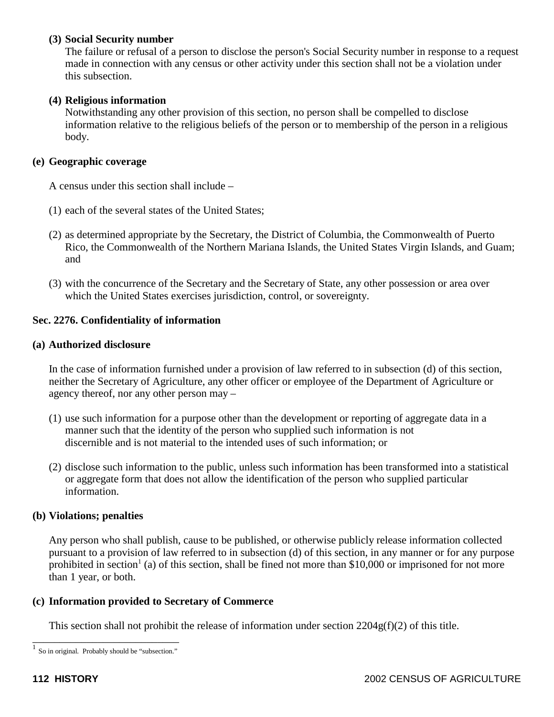### **(3) Social Security number**

The failure or refusal of a person to disclose the person's Social Security number in response to a request made in connection with any census or other activity under this section shall not be a violation under this subsection.

#### **(4) Religious information**

 Notwithstanding any other provision of this section, no person shall be compelled to disclose information relative to the religious beliefs of the person or to membership of the person in a religious body.

### **(e) Geographic coverage**

A census under this section shall include –

- (1) each of the several states of the United States;
- (2) as determined appropriate by the Secretary, the District of Columbia, the Commonwealth of Puerto Rico, the Commonwealth of the Northern Mariana Islands, the United States Virgin Islands, and Guam; and
- (3) with the concurrence of the Secretary and the Secretary of State, any other possession or area over which the United States exercises jurisdiction, control, or sovereignty.

### **Sec. 2276. Confidentiality of information**

#### **(a) Authorized disclosure**

In the case of information furnished under a provision of law referred to in subsection (d) of this section, neither the Secretary of Agriculture, any other officer or employee of the Department of Agriculture or agency thereof, nor any other person may –

- (1) use such information for a purpose other than the development or reporting of aggregate data in a manner such that the identity of the person who supplied such information is not discernible and is not material to the intended uses of such information; or
- (2) disclose such information to the public, unless such information has been transformed into a statistical or aggregate form that does not allow the identification of the person who supplied particular information.

#### **(b) Violations; penalties**

Any person who shall publish, cause to be published, or otherwise publicly release information collected pursuant to a provision of law referred to in subsection (d) of this section, in any manner or for any purpose prohibited in section<sup>1</sup> (a) of this section, shall be fined not more than \$10,000 or imprisoned for not more than 1 year, or both.

#### **(c) Information provided to Secretary of Commerce**

This section shall not prohibit the release of information under section  $2204g(f)(2)$  of this title.

\_\_\_\_\_\_\_\_\_\_\_\_\_\_\_\_\_\_\_\_\_\_\_\_\_\_\_  $<sup>1</sup>$  So in original. Probably should be "subsection."</sup>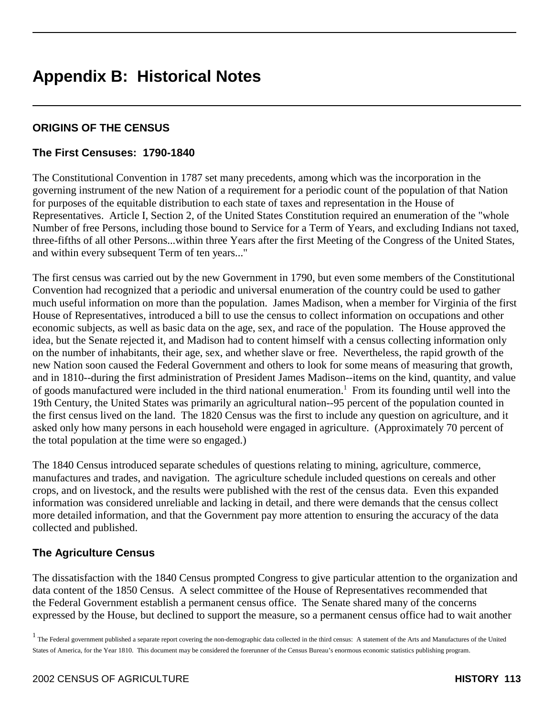# **Appendix B: Historical Notes**

## **ORIGINS OF THE CENSUS**

### **The First Censuses: 1790-1840**

The Constitutional Convention in 1787 set many precedents, among which was the incorporation in the governing instrument of the new Nation of a requirement for a periodic count of the population of that Nation for purposes of the equitable distribution to each state of taxes and representation in the House of Representatives. Article I, Section 2, of the United States Constitution required an enumeration of the "whole Number of free Persons, including those bound to Service for a Term of Years, and excluding Indians not taxed, three-fifths of all other Persons...within three Years after the first Meeting of the Congress of the United States, and within every subsequent Term of ten years..."

The first census was carried out by the new Government in 1790, but even some members of the Constitutional Convention had recognized that a periodic and universal enumeration of the country could be used to gather much useful information on more than the population. James Madison, when a member for Virginia of the first House of Representatives, introduced a bill to use the census to collect information on occupations and other economic subjects, as well as basic data on the age, sex, and race of the population. The House approved the idea, but the Senate rejected it, and Madison had to content himself with a census collecting information only on the number of inhabitants, their age, sex, and whether slave or free. Nevertheless, the rapid growth of the new Nation soon caused the Federal Government and others to look for some means of measuring that growth, and in 1810--during the first administration of President James Madison--items on the kind, quantity, and value of goods manufactured were included in the third national enumeration.<sup>1</sup> From its founding until well into the 19th Century, the United States was primarily an agricultural nation--95 percent of the population counted in the first census lived on the land. The 1820 Census was the first to include any question on agriculture, and it asked only how many persons in each household were engaged in agriculture. (Approximately 70 percent of the total population at the time were so engaged.)

The 1840 Census introduced separate schedules of questions relating to mining, agriculture, commerce, manufactures and trades, and navigation. The agriculture schedule included questions on cereals and other crops, and on livestock, and the results were published with the rest of the census data. Even this expanded information was considered unreliable and lacking in detail, and there were demands that the census collect more detailed information, and that the Government pay more attention to ensuring the accuracy of the data collected and published.

## **The Agriculture Census**

The dissatisfaction with the 1840 Census prompted Congress to give particular attention to the organization and data content of the 1850 Census. A select committee of the House of Representatives recommended that the Federal Government establish a permanent census office. The Senate shared many of the concerns expressed by the House, but declined to support the measure, so a permanent census office had to wait another

<sup>&</sup>lt;sup>1</sup> The Federal government published a separate report covering the non-demographic data collected in the third census: A statement of the Arts and Manufactures of the United States of America, for the Year 1810. This document may be considered the forerunner of the Census Bureau's enormous economic statistics publishing program.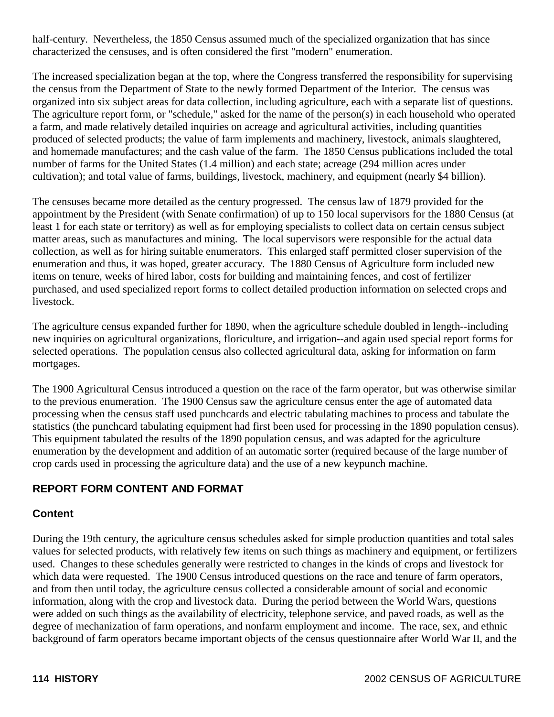half-century. Nevertheless, the 1850 Census assumed much of the specialized organization that has since characterized the censuses, and is often considered the first "modern" enumeration.

The increased specialization began at the top, where the Congress transferred the responsibility for supervising the census from the Department of State to the newly formed Department of the Interior. The census was organized into six subject areas for data collection, including agriculture, each with a separate list of questions. The agriculture report form, or "schedule," asked for the name of the person(s) in each household who operated a farm, and made relatively detailed inquiries on acreage and agricultural activities, including quantities produced of selected products; the value of farm implements and machinery, livestock, animals slaughtered, and homemade manufactures; and the cash value of the farm. The 1850 Census publications included the total number of farms for the United States (1.4 million) and each state; acreage (294 million acres under cultivation); and total value of farms, buildings, livestock, machinery, and equipment (nearly \$4 billion).

The censuses became more detailed as the century progressed. The census law of 1879 provided for the appointment by the President (with Senate confirmation) of up to 150 local supervisors for the 1880 Census (at least 1 for each state or territory) as well as for employing specialists to collect data on certain census subject matter areas, such as manufactures and mining. The local supervisors were responsible for the actual data collection, as well as for hiring suitable enumerators. This enlarged staff permitted closer supervision of the enumeration and thus, it was hoped, greater accuracy. The 1880 Census of Agriculture form included new items on tenure, weeks of hired labor, costs for building and maintaining fences, and cost of fertilizer purchased, and used specialized report forms to collect detailed production information on selected crops and livestock.

The agriculture census expanded further for 1890, when the agriculture schedule doubled in length--including new inquiries on agricultural organizations, floriculture, and irrigation--and again used special report forms for selected operations. The population census also collected agricultural data, asking for information on farm mortgages.

The 1900 Agricultural Census introduced a question on the race of the farm operator, but was otherwise similar to the previous enumeration. The 1900 Census saw the agriculture census enter the age of automated data processing when the census staff used punchcards and electric tabulating machines to process and tabulate the statistics (the punchcard tabulating equipment had first been used for processing in the 1890 population census). This equipment tabulated the results of the 1890 population census, and was adapted for the agriculture enumeration by the development and addition of an automatic sorter (required because of the large number of crop cards used in processing the agriculture data) and the use of a new keypunch machine.

# **REPORT FORM CONTENT AND FORMAT**

## **Content**

During the 19th century, the agriculture census schedules asked for simple production quantities and total sales values for selected products, with relatively few items on such things as machinery and equipment, or fertilizers used. Changes to these schedules generally were restricted to changes in the kinds of crops and livestock for which data were requested. The 1900 Census introduced questions on the race and tenure of farm operators, and from then until today, the agriculture census collected a considerable amount of social and economic information, along with the crop and livestock data. During the period between the World Wars, questions were added on such things as the availability of electricity, telephone service, and paved roads, as well as the degree of mechanization of farm operations, and nonfarm employment and income. The race, sex, and ethnic background of farm operators became important objects of the census questionnaire after World War II, and the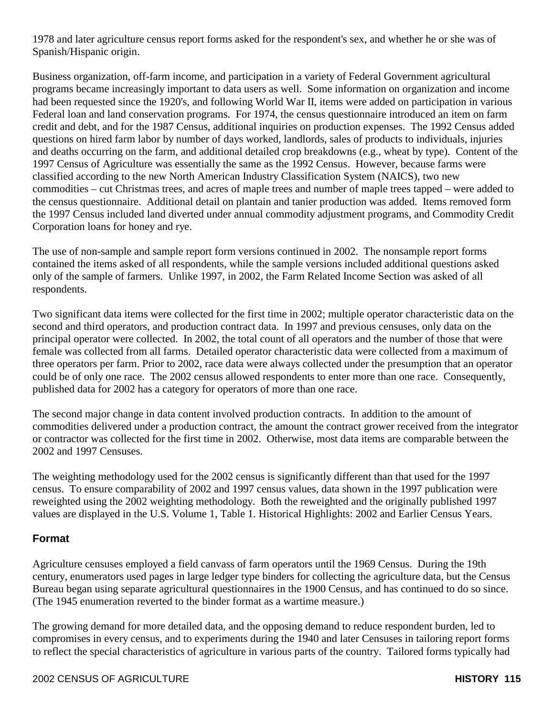1978 and later agriculture census report forms asked for the respondent's sex, and whether he or she was of Spanish/Hispanic origin.

Business organization, off-farm income, and participation in a variety of Federal Government agricultural programs became increasingly important to data users as well. Some information on organization and income had been requested since the 1920's, and following World War II, items were added on participation in various Federal loan and land conservation programs. For 1974, the census questionnaire introduced an item on farm credit and debt, and for the 1987 Census, additional inquiries on production expenses. The 1992 Census added questions on hired farm labor by number of days worked, landlords, sales of products to individuals, injuries and deaths occurring on the farm, and additional detailed crop breakdowns (e.g., wheat by type). Content of the 1997 Census of Agriculture was essentially the same as the 1992 Census. However, because farms were classified according to the new North American Industry Classification System (NAICS), two new commodities – cut Christmas trees, and acres of maple trees and number of maple trees tapped – were added to the census questionnaire. Additional detail on plantain and tanier production was added. Items removed form the 1997 Census included land diverted under annual commodity adjustment programs, and Commodity Credit Corporation loans for honey and rye.

The use of non-sample and sample report form versions continued in 2002. The nonsample report forms contained the items asked of all respondents, while the sample versions included additional questions asked only of the sample of farmers. Unlike 1997, in 2002, the Farm Related Income Section was asked of all respondents.

Two significant data items were collected for the first time in 2002; multiple operator characteristic data on the second and third operators, and production contract data. In 1997 and previous censuses, only data on the principal operator were collected. In 2002, the total count of all operators and the number of those that were female was collected from all farms. Detailed operator characteristic data were collected from a maximum of three operators per farm. Prior to 2002, race data were always collected under the presumption that an operator could be of only one race. The 2002 census allowed respondents to enter more than one race. Consequently, published data for 2002 has a category for operators of more than one race.

The second major change in data content involved production contracts. In addition to the amount of commodities delivered under a production contract, the amount the contract grower received from the integrator or contractor was collected for the first time in 2002. Otherwise, most data items are comparable between the 2002 and 1997 Censuses.

The weighting methodology used for the 2002 census is significantly different than that used for the 1997 census. To ensure comparability of 2002 and 1997 census values, data shown in the 1997 publication were reweighted using the 2002 weighting methodology. Both the reweighted and the originally published 1997 values are displayed in the U.S. Volume 1, Table 1. Historical Highlights: 2002 and Earlier Census Years.

## **Format**

Agriculture censuses employed a field canvass of farm operators until the 1969 Census. During the 19th century, enumerators used pages in large ledger type binders for collecting the agriculture data, but the Census Bureau began using separate agricultural questionnaires in the 1900 Census, and has continued to do so since. (The 1945 enumeration reverted to the binder format as a wartime measure.)

The growing demand for more detailed data, and the opposing demand to reduce respondent burden, led to compromises in every census, and to experiments during the 1940 and later Censuses in tailoring report forms to reflect the special characteristics of agriculture in various parts of the country. Tailored forms typically had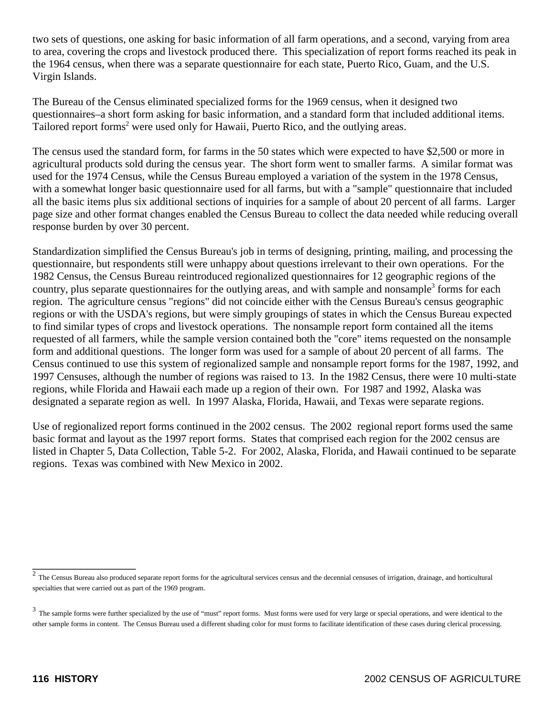two sets of questions, one asking for basic information of all farm operations, and a second, varying from area to area, covering the crops and livestock produced there. This specialization of report forms reached its peak in the 1964 census, when there was a separate questionnaire for each state, Puerto Rico, Guam, and the U.S. Virgin Islands.

The Bureau of the Census eliminated specialized forms for the 1969 census, when it designed two questionnaires–a short form asking for basic information, and a standard form that included additional items. Tailored report forms<sup>2</sup> were used only for Hawaii, Puerto Rico, and the outlying areas.

The census used the standard form, for farms in the 50 states which were expected to have \$2,500 or more in agricultural products sold during the census year. The short form went to smaller farms. A similar format was used for the 1974 Census, while the Census Bureau employed a variation of the system in the 1978 Census, with a somewhat longer basic questionnaire used for all farms, but with a "sample" questionnaire that included all the basic items plus six additional sections of inquiries for a sample of about 20 percent of all farms. Larger page size and other format changes enabled the Census Bureau to collect the data needed while reducing overall response burden by over 30 percent.

Standardization simplified the Census Bureau's job in terms of designing, printing, mailing, and processing the questionnaire, but respondents still were unhappy about questions irrelevant to their own operations. For the 1982 Census, the Census Bureau reintroduced regionalized questionnaires for 12 geographic regions of the country, plus separate questionnaires for the outlying areas, and with sample and nonsample<sup>3</sup> forms for each region. The agriculture census "regions" did not coincide either with the Census Bureau's census geographic regions or with the USDA's regions, but were simply groupings of states in which the Census Bureau expected to find similar types of crops and livestock operations. The nonsample report form contained all the items requested of all farmers, while the sample version contained both the "core" items requested on the nonsample form and additional questions. The longer form was used for a sample of about 20 percent of all farms. The Census continued to use this system of regionalized sample and nonsample report forms for the 1987, 1992, and 1997 Censuses, although the number of regions was raised to 13. In the 1982 Census, there were 10 multi-state regions, while Florida and Hawaii each made up a region of their own. For 1987 and 1992, Alaska was designated a separate region as well. In 1997 Alaska, Florida, Hawaii, and Texas were separate regions.

Use of regionalized report forms continued in the 2002 census. The 2002 regional report forms used the same basic format and layout as the 1997 report forms. States that comprised each region for the 2002 census are listed in Chapter 5, Data Collection, Table 5-2. For 2002, Alaska, Florida, and Hawaii continued to be separate regions. Texas was combined with New Mexico in 2002.

\_\_\_\_\_\_\_\_\_\_\_\_\_\_\_\_\_

 $2$  The Census Bureau also produced separate report forms for the agricultural services census and the decennial censuses of irrigation, drainage, and horticultural specialties that were carried out as part of the 1969 program.

<sup>&</sup>lt;sup>3</sup> The sample forms were further specialized by the use of "must" report forms. Must forms were used for very large or special operations, and were identical to the other sample forms in content. The Census Bureau used a different shading color for must forms to facilitate identification of these cases during clerical processing.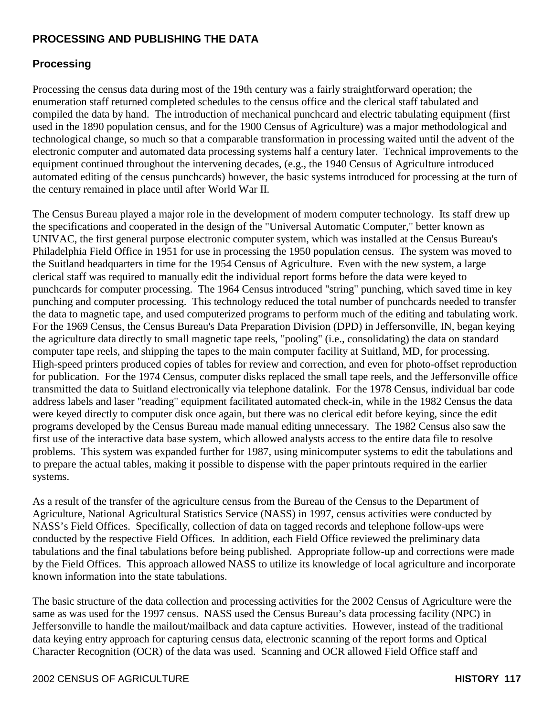## **PROCESSING AND PUBLISHING THE DATA**

## **Processing**

Processing the census data during most of the 19th century was a fairly straightforward operation; the enumeration staff returned completed schedules to the census office and the clerical staff tabulated and compiled the data by hand. The introduction of mechanical punchcard and electric tabulating equipment (first used in the 1890 population census, and for the 1900 Census of Agriculture) was a major methodological and technological change, so much so that a comparable transformation in processing waited until the advent of the electronic computer and automated data processing systems half a century later. Technical improvements to the equipment continued throughout the intervening decades, (e.g., the 1940 Census of Agriculture introduced automated editing of the census punchcards) however, the basic systems introduced for processing at the turn of the century remained in place until after World War II.

The Census Bureau played a major role in the development of modern computer technology. Its staff drew up the specifications and cooperated in the design of the "Universal Automatic Computer," better known as UNIVAC, the first general purpose electronic computer system, which was installed at the Census Bureau's Philadelphia Field Office in 1951 for use in processing the 1950 population census. The system was moved to the Suitland headquarters in time for the 1954 Census of Agriculture. Even with the new system, a large clerical staff was required to manually edit the individual report forms before the data were keyed to punchcards for computer processing. The 1964 Census introduced "string" punching, which saved time in key punching and computer processing. This technology reduced the total number of punchcards needed to transfer the data to magnetic tape, and used computerized programs to perform much of the editing and tabulating work. For the 1969 Census, the Census Bureau's Data Preparation Division (DPD) in Jeffersonville, IN, began keying the agriculture data directly to small magnetic tape reels, "pooling" (i.e., consolidating) the data on standard computer tape reels, and shipping the tapes to the main computer facility at Suitland, MD, for processing. High-speed printers produced copies of tables for review and correction, and even for photo-offset reproduction for publication. For the 1974 Census, computer disks replaced the small tape reels, and the Jeffersonville office transmitted the data to Suitland electronically via telephone datalink. For the 1978 Census, individual bar code address labels and laser "reading" equipment facilitated automated check-in, while in the 1982 Census the data were keyed directly to computer disk once again, but there was no clerical edit before keying, since the edit programs developed by the Census Bureau made manual editing unnecessary. The 1982 Census also saw the first use of the interactive data base system, which allowed analysts access to the entire data file to resolve problems. This system was expanded further for 1987, using minicomputer systems to edit the tabulations and to prepare the actual tables, making it possible to dispense with the paper printouts required in the earlier systems.

As a result of the transfer of the agriculture census from the Bureau of the Census to the Department of Agriculture, National Agricultural Statistics Service (NASS) in 1997, census activities were conducted by NASS's Field Offices. Specifically, collection of data on tagged records and telephone follow-ups were conducted by the respective Field Offices. In addition, each Field Office reviewed the preliminary data tabulations and the final tabulations before being published. Appropriate follow-up and corrections were made by the Field Offices. This approach allowed NASS to utilize its knowledge of local agriculture and incorporate known information into the state tabulations.

The basic structure of the data collection and processing activities for the 2002 Census of Agriculture were the same as was used for the 1997 census. NASS used the Census Bureau's data processing facility (NPC) in Jeffersonville to handle the mailout/mailback and data capture activities. However, instead of the traditional data keying entry approach for capturing census data, electronic scanning of the report forms and Optical Character Recognition (OCR) of the data was used. Scanning and OCR allowed Field Office staff and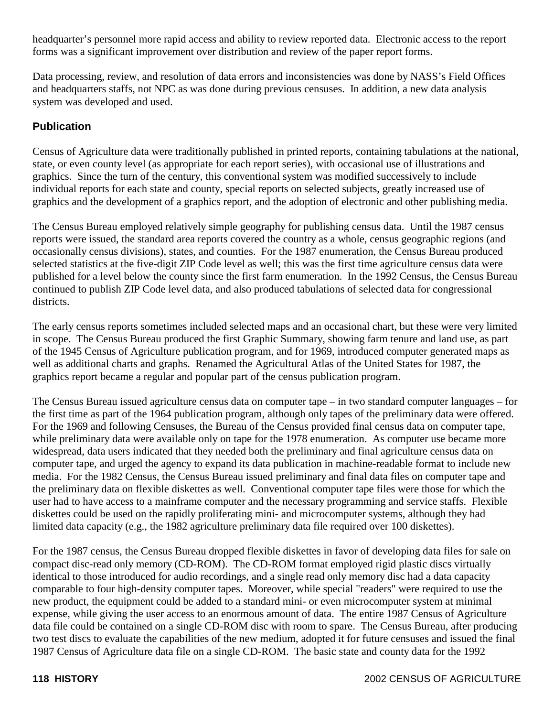headquarter's personnel more rapid access and ability to review reported data. Electronic access to the report forms was a significant improvement over distribution and review of the paper report forms.

Data processing, review, and resolution of data errors and inconsistencies was done by NASS's Field Offices and headquarters staffs, not NPC as was done during previous censuses. In addition, a new data analysis system was developed and used.

## **Publication**

Census of Agriculture data were traditionally published in printed reports, containing tabulations at the national, state, or even county level (as appropriate for each report series), with occasional use of illustrations and graphics. Since the turn of the century, this conventional system was modified successively to include individual reports for each state and county, special reports on selected subjects, greatly increased use of graphics and the development of a graphics report, and the adoption of electronic and other publishing media.

The Census Bureau employed relatively simple geography for publishing census data. Until the 1987 census reports were issued, the standard area reports covered the country as a whole, census geographic regions (and occasionally census divisions), states, and counties. For the 1987 enumeration, the Census Bureau produced selected statistics at the five-digit ZIP Code level as well; this was the first time agriculture census data were published for a level below the county since the first farm enumeration. In the 1992 Census, the Census Bureau continued to publish ZIP Code level data, and also produced tabulations of selected data for congressional districts.

The early census reports sometimes included selected maps and an occasional chart, but these were very limited in scope. The Census Bureau produced the first Graphic Summary, showing farm tenure and land use, as part of the 1945 Census of Agriculture publication program, and for 1969, introduced computer generated maps as well as additional charts and graphs. Renamed the Agricultural Atlas of the United States for 1987, the graphics report became a regular and popular part of the census publication program.

The Census Bureau issued agriculture census data on computer tape – in two standard computer languages – for the first time as part of the 1964 publication program, although only tapes of the preliminary data were offered. For the 1969 and following Censuses, the Bureau of the Census provided final census data on computer tape, while preliminary data were available only on tape for the 1978 enumeration. As computer use became more widespread, data users indicated that they needed both the preliminary and final agriculture census data on computer tape, and urged the agency to expand its data publication in machine-readable format to include new media. For the 1982 Census, the Census Bureau issued preliminary and final data files on computer tape and the preliminary data on flexible diskettes as well. Conventional computer tape files were those for which the user had to have access to a mainframe computer and the necessary programming and service staffs. Flexible diskettes could be used on the rapidly proliferating mini- and microcomputer systems, although they had limited data capacity (e.g., the 1982 agriculture preliminary data file required over 100 diskettes).

For the 1987 census, the Census Bureau dropped flexible diskettes in favor of developing data files for sale on compact disc-read only memory (CD-ROM). The CD-ROM format employed rigid plastic discs virtually identical to those introduced for audio recordings, and a single read only memory disc had a data capacity comparable to four high-density computer tapes. Moreover, while special "readers" were required to use the new product, the equipment could be added to a standard mini- or even microcomputer system at minimal expense, while giving the user access to an enormous amount of data. The entire 1987 Census of Agriculture data file could be contained on a single CD-ROM disc with room to spare. The Census Bureau, after producing two test discs to evaluate the capabilities of the new medium, adopted it for future censuses and issued the final 1987 Census of Agriculture data file on a single CD-ROM. The basic state and county data for the 1992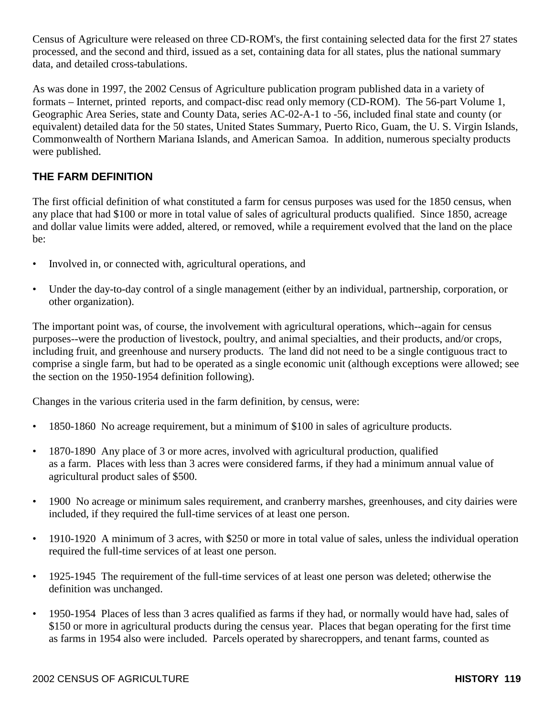Census of Agriculture were released on three CD-ROM's, the first containing selected data for the first 27 states processed, and the second and third, issued as a set, containing data for all states, plus the national summary data, and detailed cross-tabulations.

As was done in 1997, the 2002 Census of Agriculture publication program published data in a variety of formats – Internet, printed reports, and compact-disc read only memory (CD-ROM). The 56-part Volume 1, Geographic Area Series, state and County Data, series AC-02-A-1 to -56, included final state and county (or equivalent) detailed data for the 50 states, United States Summary, Puerto Rico, Guam, the U. S. Virgin Islands, Commonwealth of Northern Mariana Islands, and American Samoa. In addition, numerous specialty products were published.

# **THE FARM DEFINITION**

The first official definition of what constituted a farm for census purposes was used for the 1850 census, when any place that had \$100 or more in total value of sales of agricultural products qualified. Since 1850, acreage and dollar value limits were added, altered, or removed, while a requirement evolved that the land on the place be:

- Involved in, or connected with, agricultural operations, and
- Under the day-to-day control of a single management (either by an individual, partnership, corporation, or other organization).

The important point was, of course, the involvement with agricultural operations, which--again for census purposes--were the production of livestock, poultry, and animal specialties, and their products, and/or crops, including fruit, and greenhouse and nursery products. The land did not need to be a single contiguous tract to comprise a single farm, but had to be operated as a single economic unit (although exceptions were allowed; see the section on the 1950-1954 definition following).

Changes in the various criteria used in the farm definition, by census, were:

- 1850-1860 No acreage requirement, but a minimum of \$100 in sales of agriculture products.
- 1870-1890 Any place of 3 or more acres, involved with agricultural production, qualified as a farm. Places with less than 3 acres were considered farms, if they had a minimum annual value of agricultural product sales of \$500.
- 1900 No acreage or minimum sales requirement, and cranberry marshes, greenhouses, and city dairies were included, if they required the full-time services of at least one person.
- 1910-1920 A minimum of 3 acres, with \$250 or more in total value of sales, unless the individual operation required the full-time services of at least one person.
- 1925-1945 The requirement of the full-time services of at least one person was deleted; otherwise the definition was unchanged.
- 1950-1954 Places of less than 3 acres qualified as farms if they had, or normally would have had, sales of \$150 or more in agricultural products during the census year. Places that began operating for the first time as farms in 1954 also were included. Parcels operated by sharecroppers, and tenant farms, counted as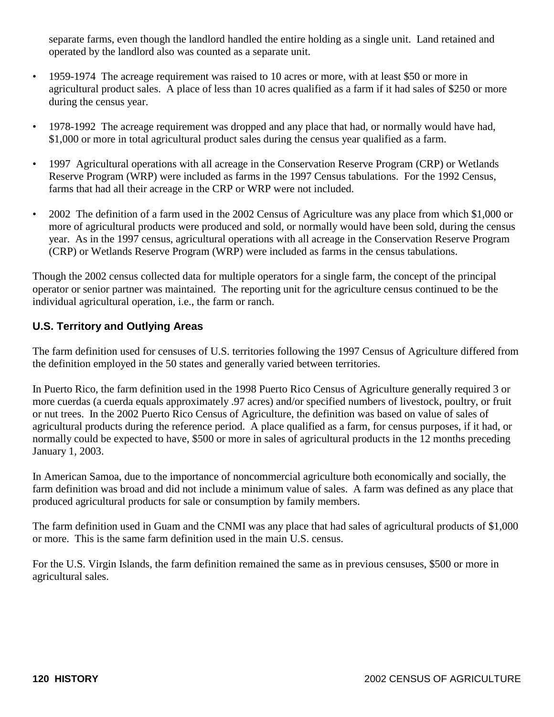separate farms, even though the landlord handled the entire holding as a single unit. Land retained and operated by the landlord also was counted as a separate unit.

- 1959-1974 The acreage requirement was raised to 10 acres or more, with at least \$50 or more in agricultural product sales. A place of less than 10 acres qualified as a farm if it had sales of \$250 or more during the census year.
- 1978-1992 The acreage requirement was dropped and any place that had, or normally would have had, \$1,000 or more in total agricultural product sales during the census year qualified as a farm.
- 1997 Agricultural operations with all acreage in the Conservation Reserve Program (CRP) or Wetlands Reserve Program (WRP) were included as farms in the 1997 Census tabulations. For the 1992 Census, farms that had all their acreage in the CRP or WRP were not included.
- 2002 The definition of a farm used in the 2002 Census of Agriculture was any place from which \$1,000 or more of agricultural products were produced and sold, or normally would have been sold, during the census year. As in the 1997 census, agricultural operations with all acreage in the Conservation Reserve Program (CRP) or Wetlands Reserve Program (WRP) were included as farms in the census tabulations.

Though the 2002 census collected data for multiple operators for a single farm, the concept of the principal operator or senior partner was maintained. The reporting unit for the agriculture census continued to be the individual agricultural operation, i.e., the farm or ranch.

# **U.S. Territory and Outlying Areas**

The farm definition used for censuses of U.S. territories following the 1997 Census of Agriculture differed from the definition employed in the 50 states and generally varied between territories.

In Puerto Rico, the farm definition used in the 1998 Puerto Rico Census of Agriculture generally required 3 or more cuerdas (a cuerda equals approximately .97 acres) and/or specified numbers of livestock, poultry, or fruit or nut trees. In the 2002 Puerto Rico Census of Agriculture, the definition was based on value of sales of agricultural products during the reference period. A place qualified as a farm, for census purposes, if it had, or normally could be expected to have, \$500 or more in sales of agricultural products in the 12 months preceding January 1, 2003.

In American Samoa, due to the importance of noncommercial agriculture both economically and socially, the farm definition was broad and did not include a minimum value of sales. A farm was defined as any place that produced agricultural products for sale or consumption by family members.

The farm definition used in Guam and the CNMI was any place that had sales of agricultural products of \$1,000 or more. This is the same farm definition used in the main U.S. census.

For the U.S. Virgin Islands, the farm definition remained the same as in previous censuses, \$500 or more in agricultural sales.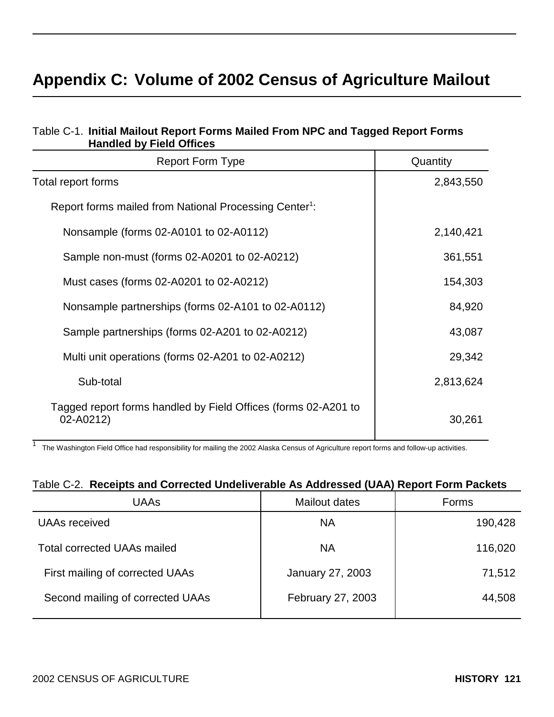# **Appendix C: Volume of 2002 Census of Agriculture Mailout**

| <b>Handled by Field Offices</b>                                             |           |
|-----------------------------------------------------------------------------|-----------|
| <b>Report Form Type</b>                                                     | Quantity  |
| Total report forms                                                          | 2,843,550 |
| Report forms mailed from National Processing Center <sup>1</sup> :          |           |
| Nonsample (forms 02-A0101 to 02-A0112)                                      | 2,140,421 |
| Sample non-must (forms 02-A0201 to 02-A0212)                                | 361,551   |
| Must cases (forms 02-A0201 to 02-A0212)                                     | 154,303   |
| Nonsample partnerships (forms 02-A101 to 02-A0112)                          | 84,920    |
| Sample partnerships (forms 02-A201 to 02-A0212)                             | 43,087    |
| Multi unit operations (forms 02-A201 to 02-A0212)                           | 29,342    |
| Sub-total                                                                   | 2,813,624 |
| Tagged report forms handled by Field Offices (forms 02-A201 to<br>02-A0212) | 30,261    |

## Table C-1. **Initial Mailout Report Forms Mailed From NPC and Tagged Report Forms Handled by Field Offices**

1 The Washington Field Office had responsibility for mailing the 2002 Alaska Census of Agriculture report forms and follow-up activities.

# Table C-2. **Receipts and Corrected Undeliverable As Addressed (UAA) Report Form Packets**

| UAAs                               | Mailout dates     | Forms   |
|------------------------------------|-------------------|---------|
| UAAs received                      | <b>NA</b>         | 190,428 |
| <b>Total corrected UAAs mailed</b> | <b>NA</b>         | 116,020 |
| First mailing of corrected UAAs    | January 27, 2003  | 71,512  |
| Second mailing of corrected UAAs   | February 27, 2003 | 44,508  |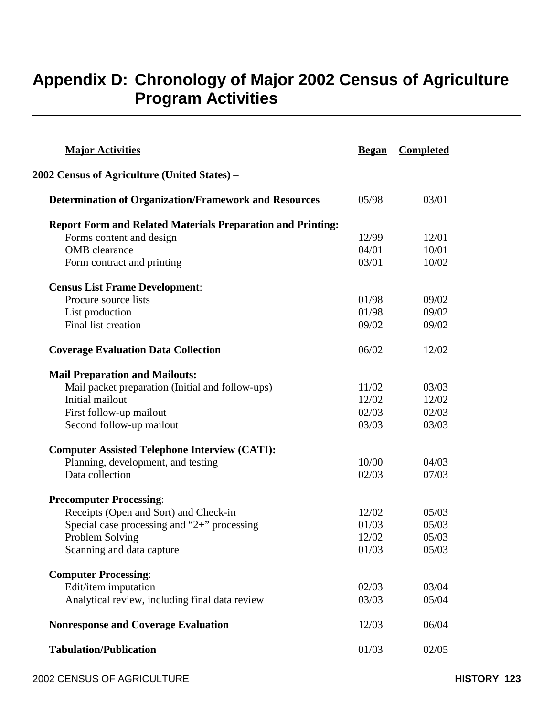# **Appendix D: Chronology of Major 2002 Census of Agriculture Program Activities**

| <b>Major Activities</b>                                            | <b>Began</b> | <b>Completed</b> |
|--------------------------------------------------------------------|--------------|------------------|
| 2002 Census of Agriculture (United States) –                       |              |                  |
| <b>Determination of Organization/Framework and Resources</b>       | 05/98        | 03/01            |
| <b>Report Form and Related Materials Preparation and Printing:</b> |              |                  |
| Forms content and design                                           | 12/99        | 12/01            |
| <b>OMB</b> clearance                                               | 04/01        | 10/01            |
| Form contract and printing                                         | 03/01        | 10/02            |
| <b>Census List Frame Development:</b>                              |              |                  |
| Procure source lists                                               | 01/98        | 09/02            |
| List production                                                    | 01/98        | 09/02            |
| Final list creation                                                | 09/02        | 09/02            |
| <b>Coverage Evaluation Data Collection</b>                         | 06/02        | 12/02            |
| <b>Mail Preparation and Mailouts:</b>                              |              |                  |
| Mail packet preparation (Initial and follow-ups)                   | 11/02        | 03/03            |
| Initial mailout                                                    | 12/02        | 12/02            |
| First follow-up mailout                                            | 02/03        | 02/03            |
| Second follow-up mailout                                           | 03/03        | 03/03            |
| <b>Computer Assisted Telephone Interview (CATI):</b>               |              |                  |
| Planning, development, and testing                                 | 10/00        | 04/03            |
| Data collection                                                    | 02/03        | 07/03            |
| <b>Precomputer Processing:</b>                                     |              |                  |
| Receipts (Open and Sort) and Check-in                              | 12/02        | 05/03            |
| Special case processing and "2+" processing                        | 01/03        | 05/03            |
| Problem Solving                                                    | 12/02        | 05/03            |
| Scanning and data capture                                          | 01/03        | 05/03            |
| <b>Computer Processing:</b>                                        |              |                  |
| Edit/item imputation                                               | 02/03        | 03/04            |
| Analytical review, including final data review                     | 03/03        | 05/04            |
| <b>Nonresponse and Coverage Evaluation</b>                         | 12/03        | 06/04            |
| <b>Tabulation/Publication</b>                                      | 01/03        | 02/05            |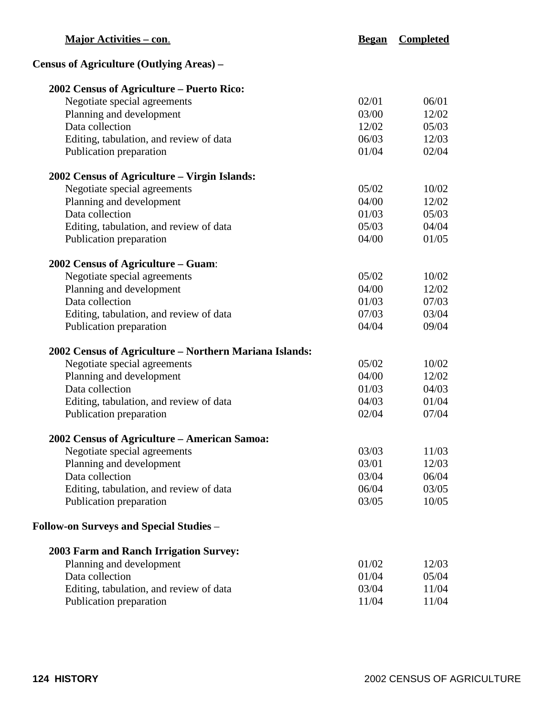| <b>Major Activities – con.</b>                         | <b>Began</b> | <b>Completed</b> |  |
|--------------------------------------------------------|--------------|------------------|--|
| Census of Agriculture (Outlying Areas) -               |              |                  |  |
| 2002 Census of Agriculture – Puerto Rico:              |              |                  |  |
| Negotiate special agreements                           | 02/01        | 06/01            |  |
| Planning and development                               | 03/00        | 12/02            |  |
| Data collection                                        | 12/02        | 05/03            |  |
| Editing, tabulation, and review of data                | 06/03        | 12/03            |  |
| Publication preparation                                | 01/04        | 02/04            |  |
| 2002 Census of Agriculture - Virgin Islands:           |              |                  |  |
| Negotiate special agreements                           | 05/02        | 10/02            |  |
| Planning and development                               | 04/00        | 12/02            |  |
| Data collection                                        | 01/03        | 05/03            |  |
| Editing, tabulation, and review of data                | 05/03        | 04/04            |  |
| Publication preparation                                | 04/00        | 01/05            |  |
| 2002 Census of Agriculture - Guam:                     |              |                  |  |
| Negotiate special agreements                           | 05/02        | 10/02            |  |
| Planning and development                               | 04/00        | 12/02            |  |
| Data collection                                        | 01/03        | 07/03            |  |
| Editing, tabulation, and review of data                | 07/03        | 03/04            |  |
| Publication preparation                                | 04/04        | 09/04            |  |
| 2002 Census of Agriculture - Northern Mariana Islands: |              |                  |  |
| Negotiate special agreements                           | 05/02        | 10/02            |  |
| Planning and development                               | 04/00        | 12/02            |  |
| Data collection                                        | 01/03        | 04/03            |  |
| Editing, tabulation, and review of data                | 04/03        | 01/04            |  |
| Publication preparation                                | 02/04        | 07/04            |  |
| <b>2002 Census of Agriculture – American Samoa:</b>    |              |                  |  |
| Negotiate special agreements                           | 03/03        | 11/03            |  |
| Planning and development                               | 03/01        | 12/03            |  |
| Data collection                                        | 03/04        | 06/04            |  |
| Editing, tabulation, and review of data                | 06/04        | 03/05            |  |
| Publication preparation                                | 03/05        | 10/05            |  |
| Follow-on Surveys and Special Studies –                |              |                  |  |
| <b>2003 Farm and Ranch Irrigation Survey:</b>          |              |                  |  |
| Planning and development                               | 01/02        | 12/03            |  |
| Data collection                                        | 01/04        | 05/04            |  |
| Editing, tabulation, and review of data                | 03/04        | 11/04            |  |
| Publication preparation                                | 11/04        | 11/04            |  |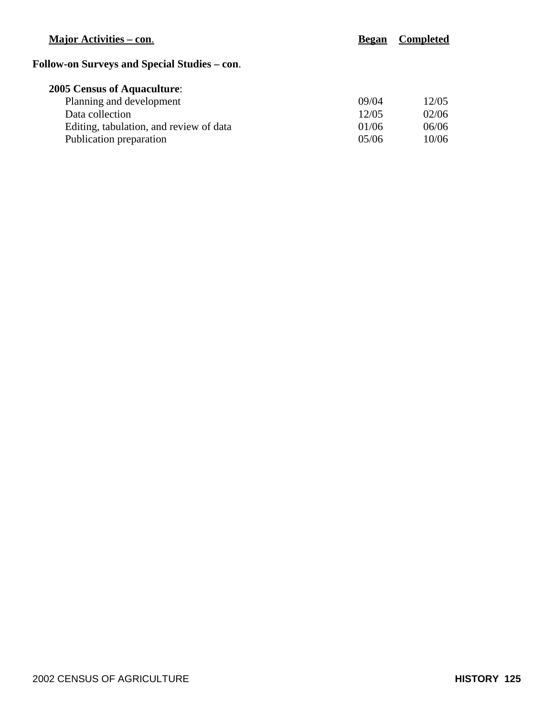# **Major Activities – con. Began Completed**

# **Follow-on Surveys and Special Studies – con**.

# **2005 Census of Aquaculture**:

| Planning and development                | 09/04 | 12/05 |
|-----------------------------------------|-------|-------|
| Data collection                         | 12/05 | 02/06 |
| Editing, tabulation, and review of data | 01/06 | 06/06 |
| Publication preparation                 | 05/06 | 10/06 |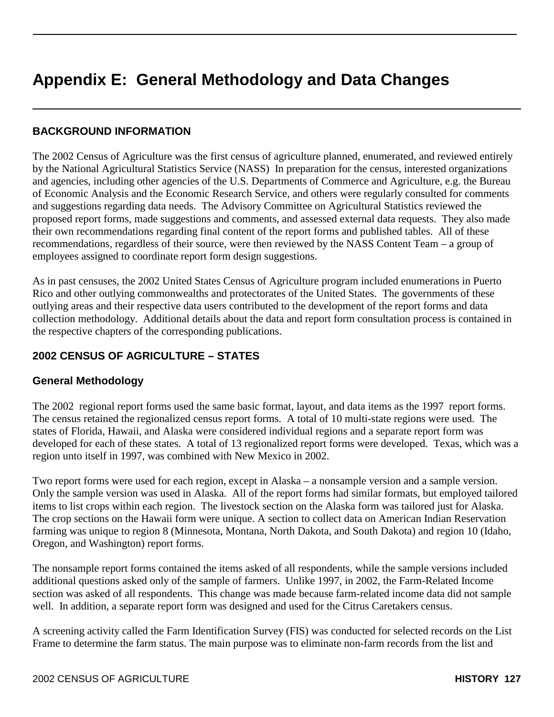# **Appendix E: General Methodology and Data Changes**

## **BACKGROUND INFORMATION**

The 2002 Census of Agriculture was the first census of agriculture planned, enumerated, and reviewed entirely by the National Agricultural Statistics Service (NASS) In preparation for the census, interested organizations and agencies, including other agencies of the U.S. Departments of Commerce and Agriculture, e.g. the Bureau of Economic Analysis and the Economic Research Service, and others were regularly consulted for comments and suggestions regarding data needs. The Advisory Committee on Agricultural Statistics reviewed the proposed report forms, made suggestions and comments, and assessed external data requests. They also made their own recommendations regarding final content of the report forms and published tables. All of these recommendations, regardless of their source, were then reviewed by the NASS Content Team – a group of employees assigned to coordinate report form design suggestions.

As in past censuses, the 2002 United States Census of Agriculture program included enumerations in Puerto Rico and other outlying commonwealths and protectorates of the United States. The governments of these outlying areas and their respective data users contributed to the development of the report forms and data collection methodology. Additional details about the data and report form consultation process is contained in the respective chapters of the corresponding publications.

## **2002 CENSUS OF AGRICULTURE – STATES**

#### **General Methodology**

The 2002 regional report forms used the same basic format, layout, and data items as the 1997 report forms. The census retained the regionalized census report forms. A total of 10 multi-state regions were used. The states of Florida, Hawaii, and Alaska were considered individual regions and a separate report form was developed for each of these states. A total of 13 regionalized report forms were developed. Texas, which was a region unto itself in 1997, was combined with New Mexico in 2002.

Two report forms were used for each region, except in Alaska – a nonsample version and a sample version. Only the sample version was used in Alaska. All of the report forms had similar formats, but employed tailored items to list crops within each region. The livestock section on the Alaska form was tailored just for Alaska. The crop sections on the Hawaii form were unique. A section to collect data on American Indian Reservation farming was unique to region 8 (Minnesota, Montana, North Dakota, and South Dakota) and region 10 (Idaho, Oregon, and Washington) report forms.

The nonsample report forms contained the items asked of all respondents, while the sample versions included additional questions asked only of the sample of farmers. Unlike 1997, in 2002, the Farm-Related Income section was asked of all respondents. This change was made because farm-related income data did not sample well. In addition, a separate report form was designed and used for the Citrus Caretakers census.

A screening activity called the Farm Identification Survey (FIS) was conducted for selected records on the List Frame to determine the farm status. The main purpose was to eliminate non-farm records from the list and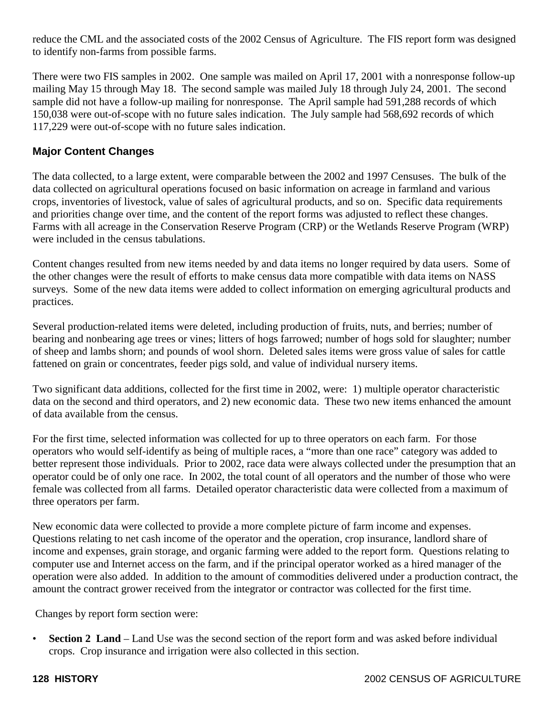reduce the CML and the associated costs of the 2002 Census of Agriculture. The FIS report form was designed to identify non-farms from possible farms.

There were two FIS samples in 2002. One sample was mailed on April 17, 2001 with a nonresponse follow-up mailing May 15 through May 18. The second sample was mailed July 18 through July 24, 2001. The second sample did not have a follow-up mailing for nonresponse. The April sample had 591,288 records of which 150,038 were out-of-scope with no future sales indication. The July sample had 568,692 records of which 117,229 were out-of-scope with no future sales indication.

# **Major Content Changes**

The data collected, to a large extent, were comparable between the 2002 and 1997 Censuses. The bulk of the data collected on agricultural operations focused on basic information on acreage in farmland and various crops, inventories of livestock, value of sales of agricultural products, and so on. Specific data requirements and priorities change over time, and the content of the report forms was adjusted to reflect these changes. Farms with all acreage in the Conservation Reserve Program (CRP) or the Wetlands Reserve Program (WRP) were included in the census tabulations.

Content changes resulted from new items needed by and data items no longer required by data users. Some of the other changes were the result of efforts to make census data more compatible with data items on NASS surveys. Some of the new data items were added to collect information on emerging agricultural products and practices.

Several production-related items were deleted, including production of fruits, nuts, and berries; number of bearing and nonbearing age trees or vines; litters of hogs farrowed; number of hogs sold for slaughter; number of sheep and lambs shorn; and pounds of wool shorn. Deleted sales items were gross value of sales for cattle fattened on grain or concentrates, feeder pigs sold, and value of individual nursery items.

Two significant data additions, collected for the first time in 2002, were: 1) multiple operator characteristic data on the second and third operators, and 2) new economic data. These two new items enhanced the amount of data available from the census.

For the first time, selected information was collected for up to three operators on each farm. For those operators who would self-identify as being of multiple races, a "more than one race" category was added to better represent those individuals. Prior to 2002, race data were always collected under the presumption that an operator could be of only one race. In 2002, the total count of all operators and the number of those who were female was collected from all farms. Detailed operator characteristic data were collected from a maximum of three operators per farm.

New economic data were collected to provide a more complete picture of farm income and expenses. Questions relating to net cash income of the operator and the operation, crop insurance, landlord share of income and expenses, grain storage, and organic farming were added to the report form. Questions relating to computer use and Internet access on the farm, and if the principal operator worked as a hired manager of the operation were also added. In addition to the amount of commodities delivered under a production contract, the amount the contract grower received from the integrator or contractor was collected for the first time.

Changes by report form section were:

• **Section 2 Land** – Land Use was the second section of the report form and was asked before individual crops. Crop insurance and irrigation were also collected in this section.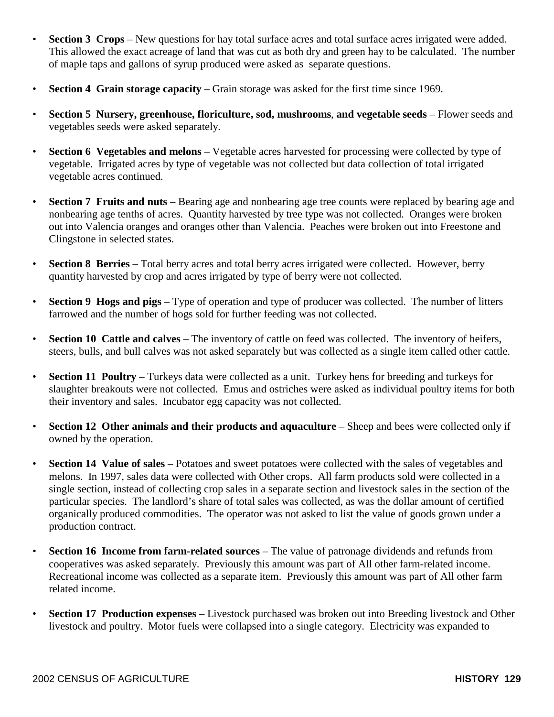- **Section 3 Crops** New questions for hay total surface acres and total surface acres irrigated were added. This allowed the exact acreage of land that was cut as both dry and green hay to be calculated. The number of maple taps and gallons of syrup produced were asked as separate questions.
- **Section 4 Grain storage capacity** Grain storage was asked for the first time since 1969.
- **Section 5 Nursery, greenhouse, floriculture, sod, mushrooms**, **and vegetable seeds**  Flower seeds and vegetables seeds were asked separately.
- **Section 6 Vegetables and melons** Vegetable acres harvested for processing were collected by type of vegetable. Irrigated acres by type of vegetable was not collected but data collection of total irrigated vegetable acres continued.
- **Section 7 Fruits and nuts** Bearing age and nonbearing age tree counts were replaced by bearing age and nonbearing age tenths of acres. Quantity harvested by tree type was not collected. Oranges were broken out into Valencia oranges and oranges other than Valencia. Peaches were broken out into Freestone and Clingstone in selected states.
- **Section 8 Berries** Total berry acres and total berry acres irrigated were collected. However, berry quantity harvested by crop and acres irrigated by type of berry were not collected.
- **Section 9 Hogs and pigs** Type of operation and type of producer was collected. The number of litters farrowed and the number of hogs sold for further feeding was not collected.
- **Section 10 Cattle and calves** The inventory of cattle on feed was collected. The inventory of heifers, steers, bulls, and bull calves was not asked separately but was collected as a single item called other cattle.
- **Section 11 Poultry** Turkeys data were collected as a unit. Turkey hens for breeding and turkeys for slaughter breakouts were not collected. Emus and ostriches were asked as individual poultry items for both their inventory and sales. Incubator egg capacity was not collected.
- **Section 12 Other animals and their products and aquaculture** Sheep and bees were collected only if owned by the operation.
- **Section 14 Value of sales**  Potatoes and sweet potatoes were collected with the sales of vegetables and melons. In 1997, sales data were collected with Other crops. All farm products sold were collected in a single section, instead of collecting crop sales in a separate section and livestock sales in the section of the particular species. The landlord's share of total sales was collected, as was the dollar amount of certified organically produced commodities. The operator was not asked to list the value of goods grown under a production contract.
- **Section 16 Income from farm-related sources** The value of patronage dividends and refunds from cooperatives was asked separately. Previously this amount was part of All other farm-related income. Recreational income was collected as a separate item. Previously this amount was part of All other farm related income.
- **Section 17 Production expenses** Livestock purchased was broken out into Breeding livestock and Other livestock and poultry. Motor fuels were collapsed into a single category. Electricity was expanded to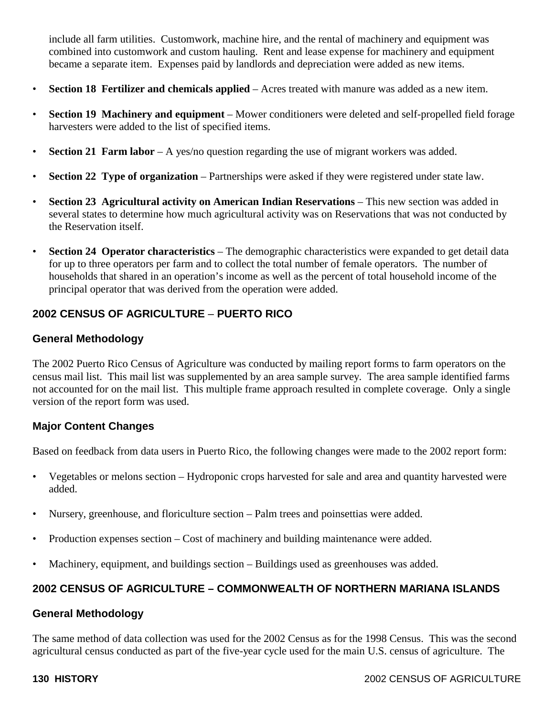include all farm utilities. Customwork, machine hire, and the rental of machinery and equipment was combined into customwork and custom hauling. Rent and lease expense for machinery and equipment became a separate item. Expenses paid by landlords and depreciation were added as new items.

- **Section 18 Fertilizer and chemicals applied**  Acres treated with manure was added as a new item.
- **Section 19 Machinery and equipment**  Mower conditioners were deleted and self-propelled field forage harvesters were added to the list of specified items.
- **Section 21 Farm labor** A yes/no question regarding the use of migrant workers was added.
- **Section 22 Type of organization** Partnerships were asked if they were registered under state law.
- **Section 23 Agricultural activity on American Indian Reservations** This new section was added in several states to determine how much agricultural activity was on Reservations that was not conducted by the Reservation itself.
- **Section 24 Operator characteristics** The demographic characteristics were expanded to get detail data for up to three operators per farm and to collect the total number of female operators. The number of households that shared in an operation's income as well as the percent of total household income of the principal operator that was derived from the operation were added.

## **2002 CENSUS OF AGRICULTURE** – **PUERTO RICO**

### **General Methodology**

The 2002 Puerto Rico Census of Agriculture was conducted by mailing report forms to farm operators on the census mail list. This mail list was supplemented by an area sample survey. The area sample identified farms not accounted for on the mail list. This multiple frame approach resulted in complete coverage. Only a single version of the report form was used.

## **Major Content Changes**

Based on feedback from data users in Puerto Rico, the following changes were made to the 2002 report form:

- Vegetables or melons section Hydroponic crops harvested for sale and area and quantity harvested were added.
- Nursery, greenhouse, and floriculture section Palm trees and poinsettias were added.
- Production expenses section Cost of machinery and building maintenance were added.
- Machinery, equipment, and buildings section Buildings used as greenhouses was added.

# **2002 CENSUS OF AGRICULTURE – COMMONWEALTH OF NORTHERN MARIANA ISLANDS**

#### **General Methodology**

The same method of data collection was used for the 2002 Census as for the 1998 Census. This was the second agricultural census conducted as part of the five-year cycle used for the main U.S. census of agriculture. The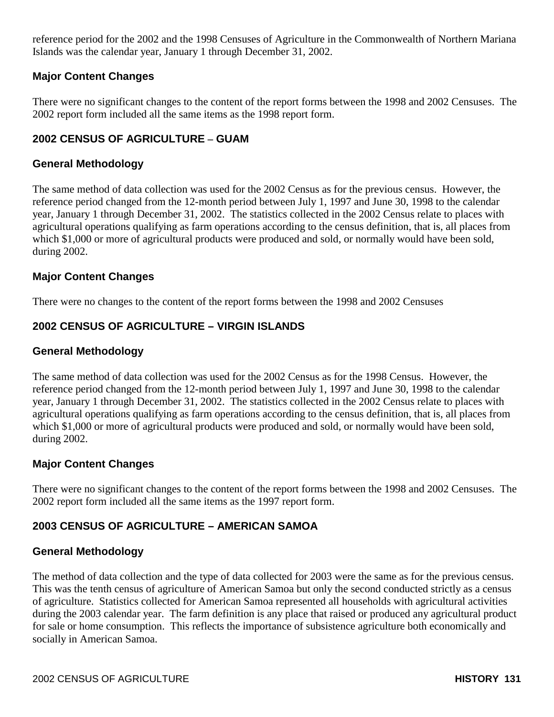reference period for the 2002 and the 1998 Censuses of Agriculture in the Commonwealth of Northern Mariana Islands was the calendar year, January 1 through December 31, 2002.

## **Major Content Changes**

There were no significant changes to the content of the report forms between the 1998 and 2002 Censuses. The 2002 report form included all the same items as the 1998 report form.

## **2002 CENSUS OF AGRICULTURE – GUAM**

## **General Methodology**

The same method of data collection was used for the 2002 Census as for the previous census. However, the reference period changed from the 12-month period between July 1, 1997 and June 30, 1998 to the calendar year, January 1 through December 31, 2002. The statistics collected in the 2002 Census relate to places with agricultural operations qualifying as farm operations according to the census definition, that is, all places from which \$1,000 or more of agricultural products were produced and sold, or normally would have been sold, during 2002.

## **Major Content Changes**

There were no changes to the content of the report forms between the 1998 and 2002 Censuses

## **2002 CENSUS OF AGRICULTURE – VIRGIN ISLANDS**

## **General Methodology**

The same method of data collection was used for the 2002 Census as for the 1998 Census. However, the reference period changed from the 12-month period between July 1, 1997 and June 30, 1998 to the calendar year, January 1 through December 31, 2002. The statistics collected in the 2002 Census relate to places with agricultural operations qualifying as farm operations according to the census definition, that is, all places from which \$1,000 or more of agricultural products were produced and sold, or normally would have been sold, during 2002.

## **Major Content Changes**

There were no significant changes to the content of the report forms between the 1998 and 2002 Censuses. The 2002 report form included all the same items as the 1997 report form.

# **2003 CENSUS OF AGRICULTURE – AMERICAN SAMOA**

## **General Methodology**

The method of data collection and the type of data collected for 2003 were the same as for the previous census. This was the tenth census of agriculture of American Samoa but only the second conducted strictly as a census of agriculture. Statistics collected for American Samoa represented all households with agricultural activities during the 2003 calendar year. The farm definition is any place that raised or produced any agricultural product for sale or home consumption. This reflects the importance of subsistence agriculture both economically and socially in American Samoa.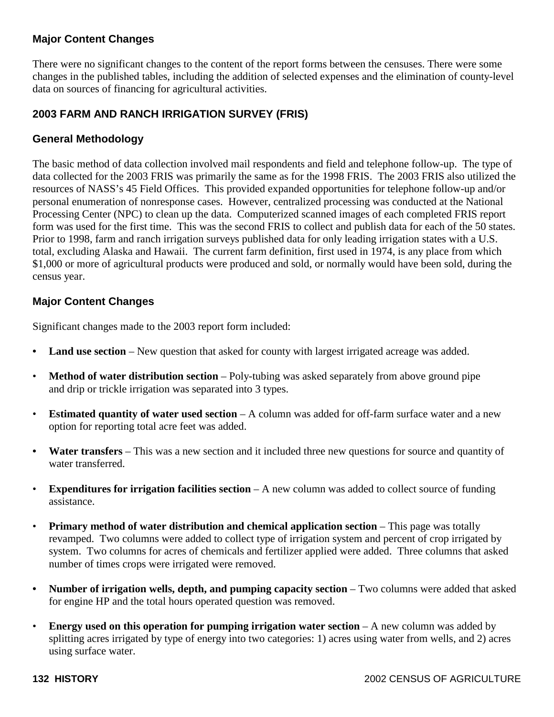## **Major Content Changes**

There were no significant changes to the content of the report forms between the censuses. There were some changes in the published tables, including the addition of selected expenses and the elimination of county-level data on sources of financing for agricultural activities.

## **2003 FARM AND RANCH IRRIGATION SURVEY (FRIS)**

### **General Methodology**

The basic method of data collection involved mail respondents and field and telephone follow-up. The type of data collected for the 2003 FRIS was primarily the same as for the 1998 FRIS. The 2003 FRIS also utilized the resources of NASS's 45 Field Offices. This provided expanded opportunities for telephone follow-up and/or personal enumeration of nonresponse cases. However, centralized processing was conducted at the National Processing Center (NPC) to clean up the data. Computerized scanned images of each completed FRIS report form was used for the first time. This was the second FRIS to collect and publish data for each of the 50 states. Prior to 1998, farm and ranch irrigation surveys published data for only leading irrigation states with a U.S. total, excluding Alaska and Hawaii. The current farm definition, first used in 1974, is any place from which \$1,000 or more of agricultural products were produced and sold, or normally would have been sold, during the census year.

### **Major Content Changes**

Significant changes made to the 2003 report form included:

- **Land use section** New question that asked for county with largest irrigated acreage was added.
- **Method of water distribution section** Poly-tubing was asked separately from above ground pipe and drip or trickle irrigation was separated into 3 types.
- **Estimated quantity of water used section** A column was added for off-farm surface water and a new option for reporting total acre feet was added.
- Water transfers This was a new section and it included three new questions for source and quantity of water transferred.
- **Expenditures for irrigation facilities section** A new column was added to collect source of funding assistance.
- **Primary method of water distribution and chemical application section This page was totally** revamped. Two columns were added to collect type of irrigation system and percent of crop irrigated by system. Two columns for acres of chemicals and fertilizer applied were added. Three columns that asked number of times crops were irrigated were removed.
- **Number of irrigation wells, depth, and pumping capacity section** Two columns were added that asked for engine HP and the total hours operated question was removed.
- **Energy used on this operation for pumping irrigation water section** A new column was added by splitting acres irrigated by type of energy into two categories: 1) acres using water from wells, and 2) acres using surface water.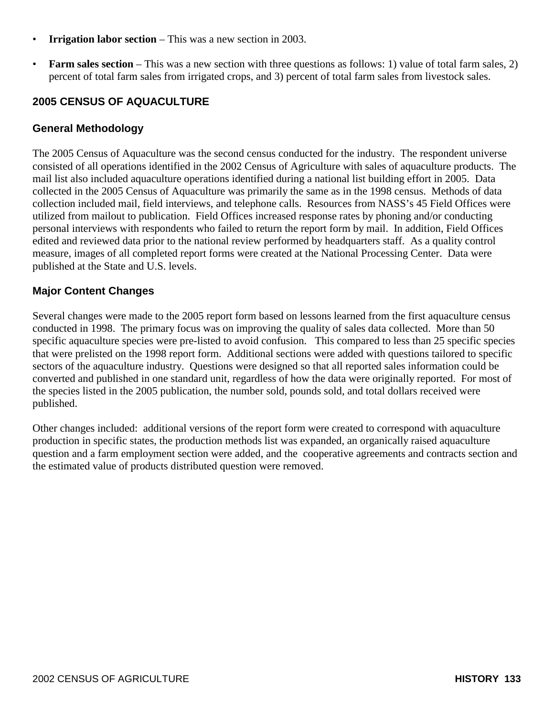- **Irrigation labor section** This was a new section in 2003.
- **Farm sales section** This was a new section with three questions as follows: 1) value of total farm sales, 2) percent of total farm sales from irrigated crops, and 3) percent of total farm sales from livestock sales.

## **2005 CENSUS OF AQUACULTURE**

### **General Methodology**

The 2005 Census of Aquaculture was the second census conducted for the industry. The respondent universe consisted of all operations identified in the 2002 Census of Agriculture with sales of aquaculture products. The mail list also included aquaculture operations identified during a national list building effort in 2005. Data collected in the 2005 Census of Aquaculture was primarily the same as in the 1998 census. Methods of data collection included mail, field interviews, and telephone calls. Resources from NASS's 45 Field Offices were utilized from mailout to publication. Field Offices increased response rates by phoning and/or conducting personal interviews with respondents who failed to return the report form by mail. In addition, Field Offices edited and reviewed data prior to the national review performed by headquarters staff. As a quality control measure, images of all completed report forms were created at the National Processing Center. Data were published at the State and U.S. levels.

### **Major Content Changes**

Several changes were made to the 2005 report form based on lessons learned from the first aquaculture census conducted in 1998. The primary focus was on improving the quality of sales data collected. More than 50 specific aquaculture species were pre-listed to avoid confusion. This compared to less than 25 specific species that were prelisted on the 1998 report form. Additional sections were added with questions tailored to specific sectors of the aquaculture industry. Questions were designed so that all reported sales information could be converted and published in one standard unit, regardless of how the data were originally reported. For most of the species listed in the 2005 publication, the number sold, pounds sold, and total dollars received were published.

Other changes included: additional versions of the report form were created to correspond with aquaculture production in specific states, the production methods list was expanded, an organically raised aquaculture question and a farm employment section were added, and the cooperative agreements and contracts section and the estimated value of products distributed question were removed.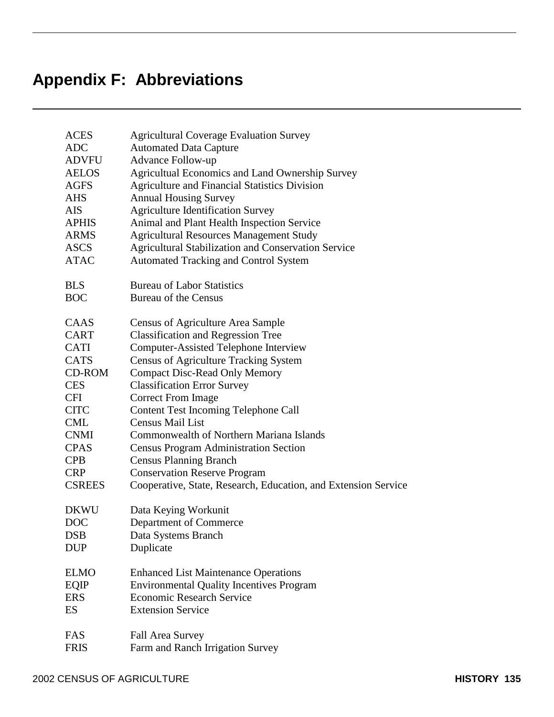| <b>ACES</b>   | <b>Agricultural Coverage Evaluation Survey</b>                 |
|---------------|----------------------------------------------------------------|
| <b>ADC</b>    | <b>Automated Data Capture</b>                                  |
| <b>ADVFU</b>  | <b>Advance Follow-up</b>                                       |
| <b>AELOS</b>  | Agricultual Economics and Land Ownership Survey                |
| <b>AGFS</b>   | <b>Agriculture and Financial Statistics Division</b>           |
| <b>AHS</b>    | <b>Annual Housing Survey</b>                                   |
| <b>AIS</b>    | <b>Agriculture Identification Survey</b>                       |
| <b>APHIS</b>  | Animal and Plant Health Inspection Service                     |
| <b>ARMS</b>   | <b>Agricultural Resources Management Study</b>                 |
| <b>ASCS</b>   | <b>Agricultural Stabilization and Conservation Service</b>     |
| <b>ATAC</b>   | Automated Tracking and Control System                          |
| <b>BLS</b>    | <b>Bureau of Labor Statistics</b>                              |
| <b>BOC</b>    | <b>Bureau of the Census</b>                                    |
| CAAS          | Census of Agriculture Area Sample                              |
| CART          | <b>Classification and Regression Tree</b>                      |
| CATI          | <b>Computer-Assisted Telephone Interview</b>                   |
| <b>CATS</b>   | <b>Census of Agriculture Tracking System</b>                   |
| CD-ROM        | <b>Compact Disc-Read Only Memory</b>                           |
| <b>CES</b>    | <b>Classification Error Survey</b>                             |
| <b>CFI</b>    | <b>Correct From Image</b>                                      |
| <b>CITC</b>   | <b>Content Test Incoming Telephone Call</b>                    |
| <b>CML</b>    | <b>Census Mail List</b>                                        |
| <b>CNMI</b>   | <b>Commonwealth of Northern Mariana Islands</b>                |
| <b>CPAS</b>   | <b>Census Program Administration Section</b>                   |
| <b>CPB</b>    | <b>Census Planning Branch</b>                                  |
| <b>CRP</b>    | <b>Conservation Reserve Program</b>                            |
| <b>CSREES</b> | Cooperative, State, Research, Education, and Extension Service |
| <b>DKWU</b>   | Data Keying Workunit                                           |
| <b>DOC</b>    | Department of Commerce                                         |
| <b>DSB</b>    | Data Systems Branch                                            |
| <b>DUP</b>    | Duplicate                                                      |
| <b>ELMO</b>   | <b>Enhanced List Maintenance Operations</b>                    |
| EQIP          | <b>Environmental Quality Incentives Program</b>                |
| <b>ERS</b>    | <b>Economic Research Service</b>                               |
| ES            | <b>Extension Service</b>                                       |
| FAS           | Fall Area Survey                                               |
| <b>FRIS</b>   | Farm and Ranch Irrigation Survey                               |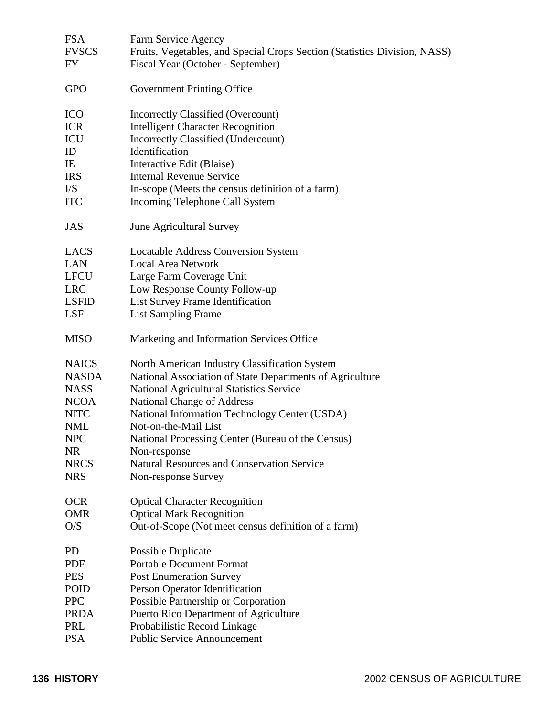| <b>FSA</b>                         | Farm Service Agency                                                       |
|------------------------------------|---------------------------------------------------------------------------|
| <b>FVSCS</b>                       | Fruits, Vegetables, and Special Crops Section (Statistics Division, NASS) |
| FY                                 | Fiscal Year (October - September)                                         |
|                                    |                                                                           |
| <b>GPO</b>                         | <b>Government Printing Office</b>                                         |
|                                    |                                                                           |
| <b>ICO</b>                         | Incorrectly Classified (Overcount)                                        |
| <b>ICR</b>                         | <b>Intelligent Character Recognition</b>                                  |
| ICU                                | <b>Incorrectly Classified (Undercount)</b>                                |
| ID                                 | Identification                                                            |
|                                    |                                                                           |
| IE                                 | Interactive Edit (Blaise)                                                 |
| <b>IRS</b>                         | <b>Internal Revenue Service</b>                                           |
| $\mathbf{I} \mathbf{/} \mathbf{S}$ | In-scope (Meets the census definition of a farm)                          |
| <b>ITC</b>                         | Incoming Telephone Call System                                            |
| <b>JAS</b>                         | June Agricultural Survey                                                  |
|                                    |                                                                           |
| LACS                               | <b>Locatable Address Conversion System</b>                                |
| <b>LAN</b>                         | <b>Local Area Network</b>                                                 |
| <b>LFCU</b>                        | Large Farm Coverage Unit                                                  |
| <b>LRC</b>                         | Low Response County Follow-up                                             |
| <b>LSFID</b>                       | List Survey Frame Identification                                          |
| LSF                                | <b>List Sampling Frame</b>                                                |
|                                    |                                                                           |
| <b>MISO</b>                        | Marketing and Information Services Office                                 |
| <b>NAICS</b>                       | North American Industry Classification System                             |
| <b>NASDA</b>                       | National Association of State Departments of Agriculture                  |
| <b>NASS</b>                        |                                                                           |
|                                    | National Agricultural Statistics Service                                  |
| <b>NCOA</b>                        | <b>National Change of Address</b>                                         |
| <b>NITC</b>                        | National Information Technology Center (USDA)                             |
| <b>NML</b>                         | Not-on-the-Mail List                                                      |
| <b>NPC</b>                         | National Processing Center (Bureau of the Census)                         |
| <b>NR</b>                          | Non-response                                                              |
| <b>NRCS</b>                        | <b>Natural Resources and Conservation Service</b>                         |
| <b>NRS</b>                         | Non-response Survey                                                       |
|                                    |                                                                           |
| <b>OCR</b>                         | <b>Optical Character Recognition</b>                                      |
| <b>OMR</b>                         | <b>Optical Mark Recognition</b>                                           |
| O/S                                | Out-of-Scope (Not meet census definition of a farm)                       |
| <b>PD</b>                          | <b>Possible Duplicate</b>                                                 |
| <b>PDF</b>                         | <b>Portable Document Format</b>                                           |
| <b>PES</b>                         | <b>Post Enumeration Survey</b>                                            |
| POID                               | Person Operator Identification                                            |
| <b>PPC</b>                         |                                                                           |
|                                    | Possible Partnership or Corporation                                       |
| <b>PRDA</b>                        | Puerto Rico Department of Agriculture                                     |
| PRL                                | Probabilistic Record Linkage                                              |
| <b>PSA</b>                         | <b>Public Service Announcement</b>                                        |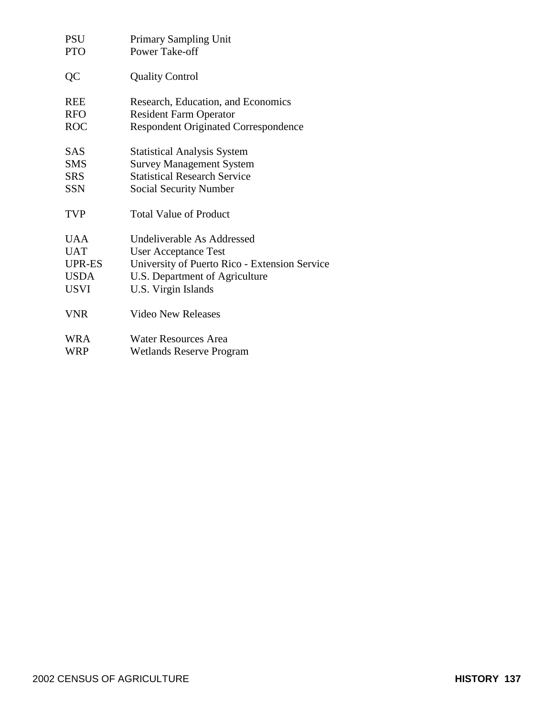| <b>PSU</b>  | <b>Primary Sampling Unit</b>                  |
|-------------|-----------------------------------------------|
| <b>PTO</b>  | Power Take-off                                |
| QC          | <b>Quality Control</b>                        |
| <b>REE</b>  | Research, Education, and Economics            |
| <b>RFO</b>  | <b>Resident Farm Operator</b>                 |
| <b>ROC</b>  | <b>Respondent Originated Correspondence</b>   |
| <b>SAS</b>  | <b>Statistical Analysis System</b>            |
| <b>SMS</b>  | <b>Survey Management System</b>               |
| <b>SRS</b>  | <b>Statistical Research Service</b>           |
| <b>SSN</b>  | <b>Social Security Number</b>                 |
| <b>TVP</b>  | <b>Total Value of Product</b>                 |
| <b>UAA</b>  | Undeliverable As Addressed                    |
| <b>UAT</b>  | <b>User Acceptance Test</b>                   |
| UPR-ES      | University of Puerto Rico - Extension Service |
| <b>USDA</b> | U.S. Department of Agriculture                |
| USVI        | U.S. Virgin Islands                           |
| <b>VNR</b>  | <b>Video New Releases</b>                     |
| <b>WRA</b>  | <b>Water Resources Area</b>                   |
| WRP         | <b>Wetlands Reserve Program</b>               |